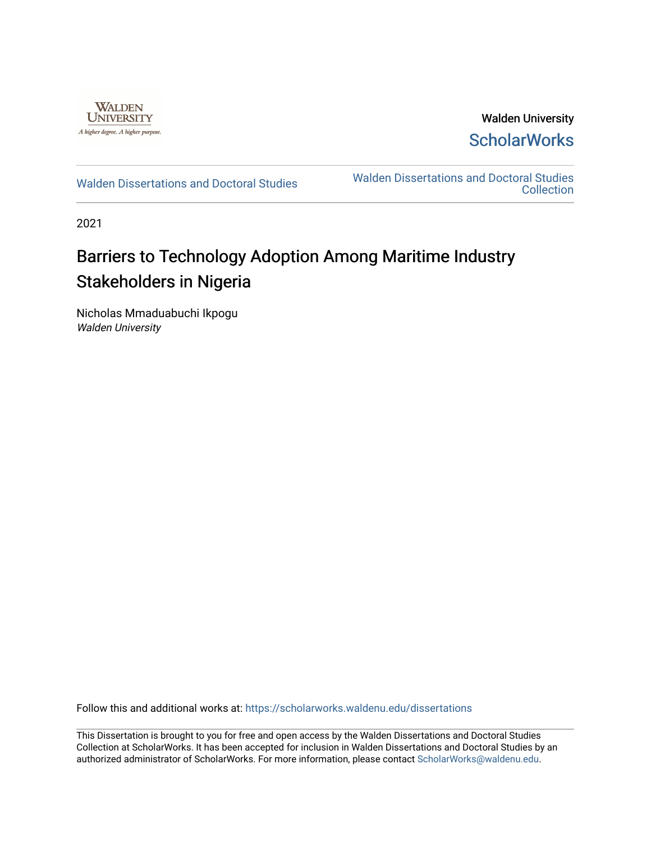

Walden University **ScholarWorks** 

[Walden Dissertations and Doctoral Studies](https://scholarworks.waldenu.edu/dissertations) Walden Dissertations and Doctoral Studies **Collection** 

2021

# Barriers to Technology Adoption Among Maritime Industry Stakeholders in Nigeria

Nicholas Mmaduabuchi Ikpogu Walden University

Follow this and additional works at: [https://scholarworks.waldenu.edu/dissertations](https://scholarworks.waldenu.edu/dissertations?utm_source=scholarworks.waldenu.edu%2Fdissertations%2F10805&utm_medium=PDF&utm_campaign=PDFCoverPages)

This Dissertation is brought to you for free and open access by the Walden Dissertations and Doctoral Studies Collection at ScholarWorks. It has been accepted for inclusion in Walden Dissertations and Doctoral Studies by an authorized administrator of ScholarWorks. For more information, please contact [ScholarWorks@waldenu.edu](mailto:ScholarWorks@waldenu.edu).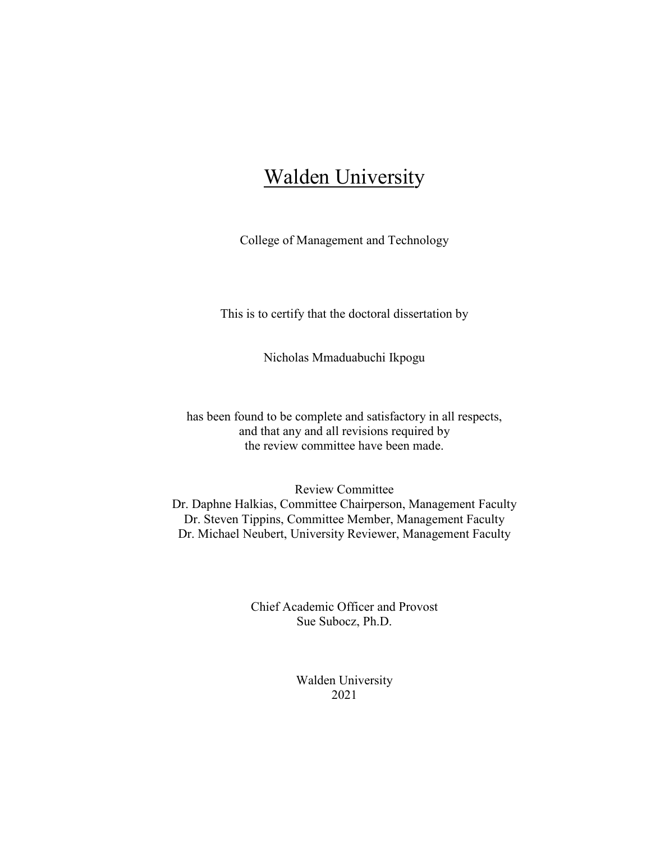# **Walden University**

College of Management and Technology

This is to certify that the doctoral dissertation by

Nicholas Mmaduabuchi Ikpogu

has been found to be complete and satisfactory in all respects, and that any and all revisions required by the review committee have been made.

Review Committee Dr. Daphne Halkias, Committee Chairperson, Management Faculty Dr. Steven Tippins, Committee Member, Management Faculty Dr. Michael Neubert, University Reviewer, Management Faculty

> Chief Academic Officer and Provost Sue Subocz, Ph.D.

> > Walden University 2021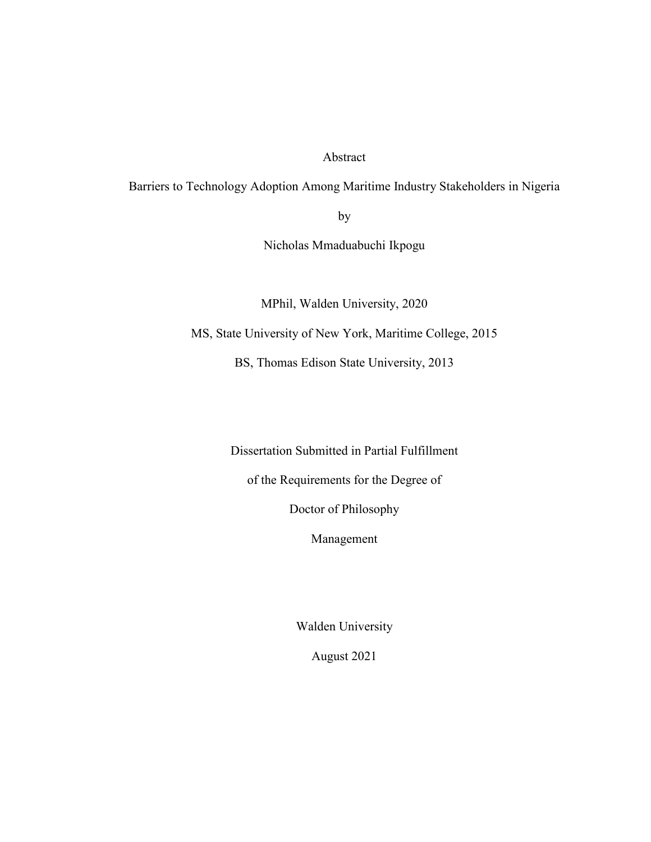Abstract

Barriers to Technology Adoption Among Maritime Industry Stakeholders in Nigeria

by

Nicholas Mmaduabuchi Ikpogu

MPhil, Walden University, 2020

MS, State University of New York, Maritime College, 2015

BS, Thomas Edison State University, 2013

Dissertation Submitted in Partial Fulfillment

of the Requirements for the Degree of

Doctor of Philosophy

Management

Walden University

August 2021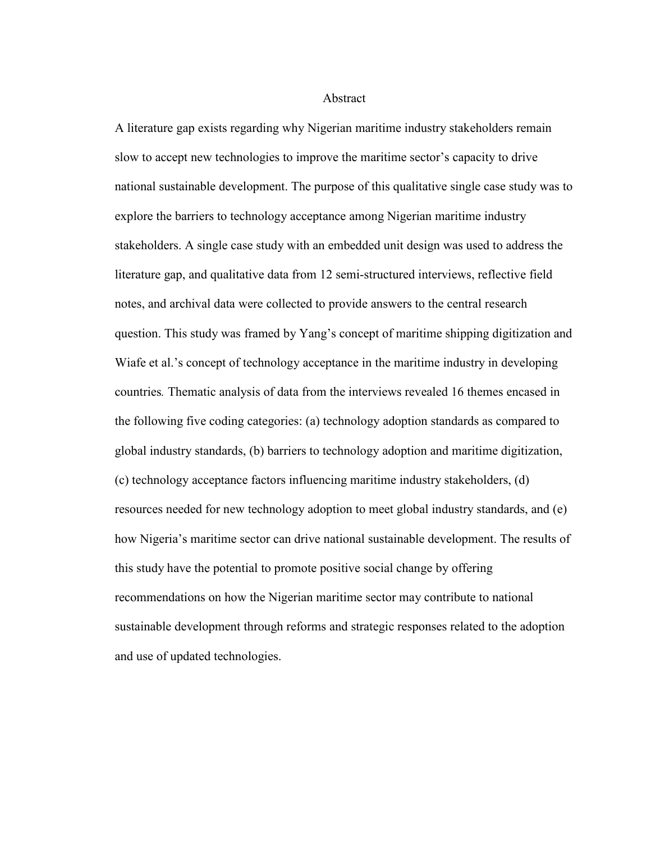Abstract

A literature gap exists regarding why Nigerian maritime industry stakeholders remain slow to accept new technologies to improve the maritime sector's capacity to drive national sustainable development. The purpose of this qualitative single case study was to explore the barriers to technology acceptance among Nigerian maritime industry stakeholders. A single case study with an embedded unit design was used to address the literature gap, and qualitative data from 12 semi-structured interviews, reflective field notes, and archival data were collected to provide answers to the central research question. This study was framed by Yang's concept of maritime shipping digitization and Wiafe et al.'s concept of technology acceptance in the maritime industry in developing countries*.* Thematic analysis of data from the interviews revealed 16 themes encased in the following five coding categories: (a) technology adoption standards as compared to global industry standards, (b) barriers to technology adoption and maritime digitization, (c) technology acceptance factors influencing maritime industry stakeholders, (d) resources needed for new technology adoption to meet global industry standards, and (e) how Nigeria's maritime sector can drive national sustainable development. The results of this study have the potential to promote positive social change by offering recommendations on how the Nigerian maritime sector may contribute to national sustainable development through reforms and strategic responses related to the adoption and use of updated technologies.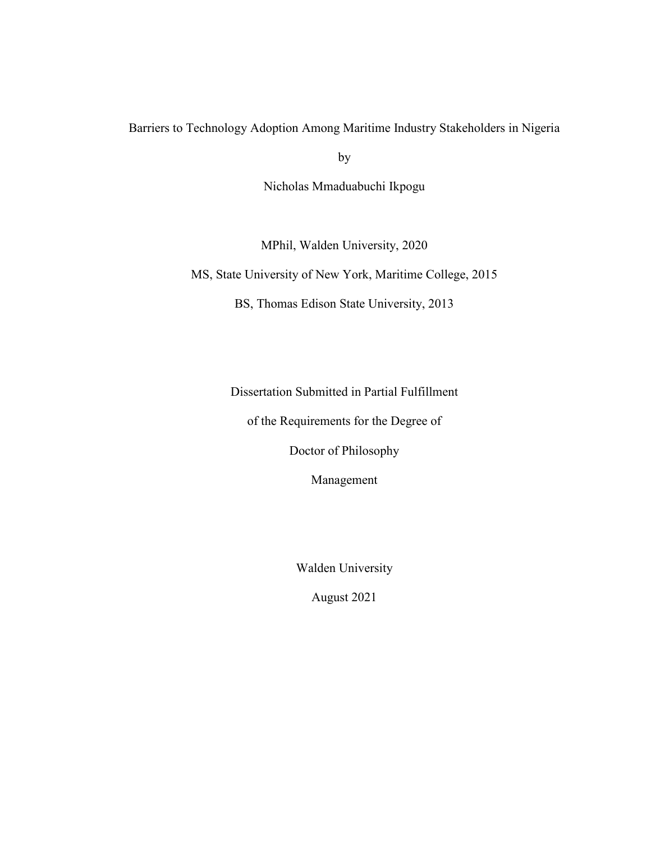Barriers to Technology Adoption Among Maritime Industry Stakeholders in Nigeria

by

Nicholas Mmaduabuchi Ikpogu

MPhil, Walden University, 2020

MS, State University of New York, Maritime College, 2015

BS, Thomas Edison State University, 2013

Dissertation Submitted in Partial Fulfillment

of the Requirements for the Degree of

Doctor of Philosophy

Management

Walden University

August 2021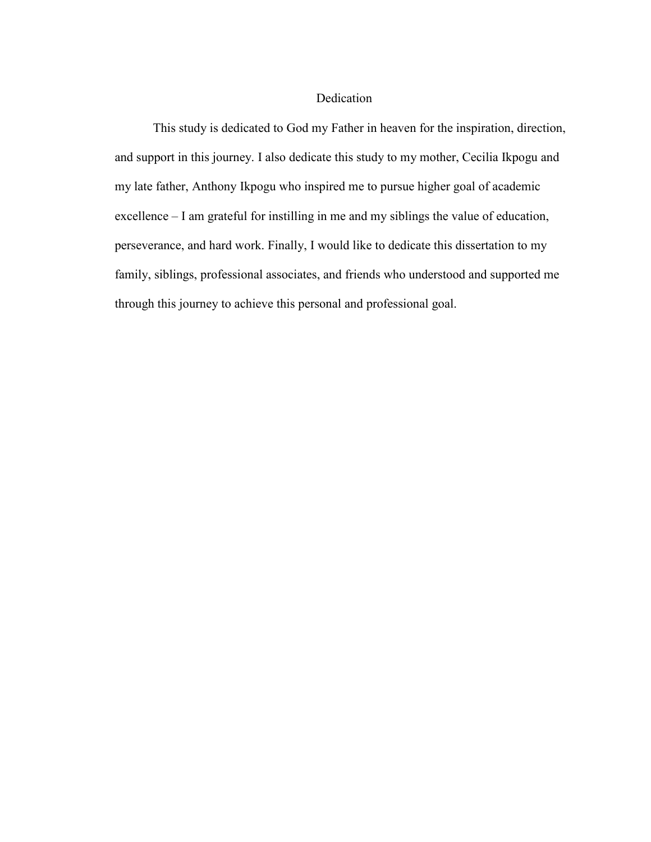### Dedication

This study is dedicated to God my Father in heaven for the inspiration, direction, and support in this journey. I also dedicate this study to my mother, Cecilia Ikpogu and my late father, Anthony Ikpogu who inspired me to pursue higher goal of academic excellence – I am grateful for instilling in me and my siblings the value of education, perseverance, and hard work. Finally, I would like to dedicate this dissertation to my family, siblings, professional associates, and friends who understood and supported me through this journey to achieve this personal and professional goal.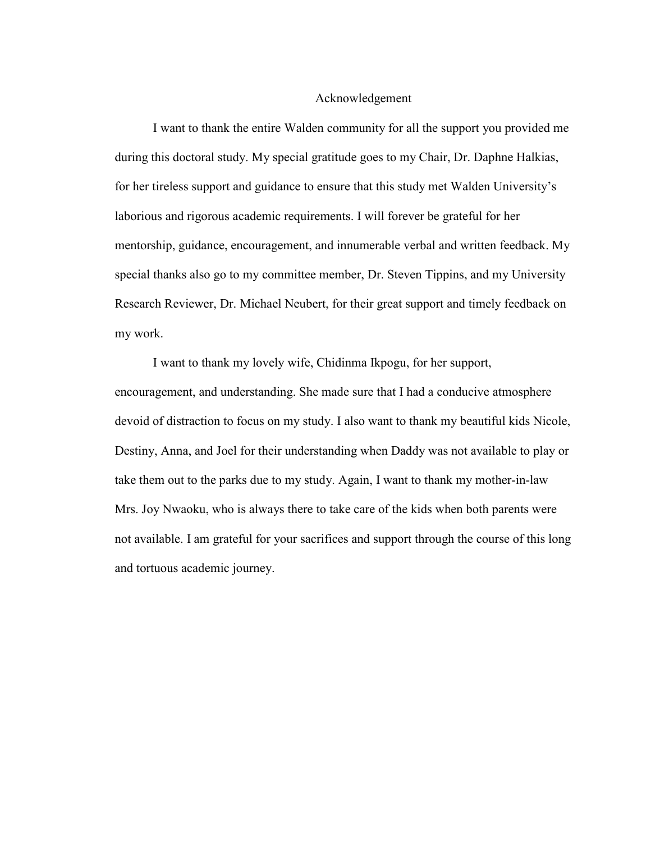#### Acknowledgement

I want to thank the entire Walden community for all the support you provided me during this doctoral study. My special gratitude goes to my Chair, Dr. Daphne Halkias, for her tireless support and guidance to ensure that this study met Walden University's laborious and rigorous academic requirements. I will forever be grateful for her mentorship, guidance, encouragement, and innumerable verbal and written feedback. My special thanks also go to my committee member, Dr. Steven Tippins, and my University Research Reviewer, Dr. Michael Neubert, for their great support and timely feedback on my work.

I want to thank my lovely wife, Chidinma Ikpogu, for her support, encouragement, and understanding. She made sure that I had a conducive atmosphere devoid of distraction to focus on my study. I also want to thank my beautiful kids Nicole, Destiny, Anna, and Joel for their understanding when Daddy was not available to play or take them out to the parks due to my study. Again, I want to thank my mother-in-law Mrs. Joy Nwaoku, who is always there to take care of the kids when both parents were not available. I am grateful for your sacrifices and support through the course of this long and tortuous academic journey.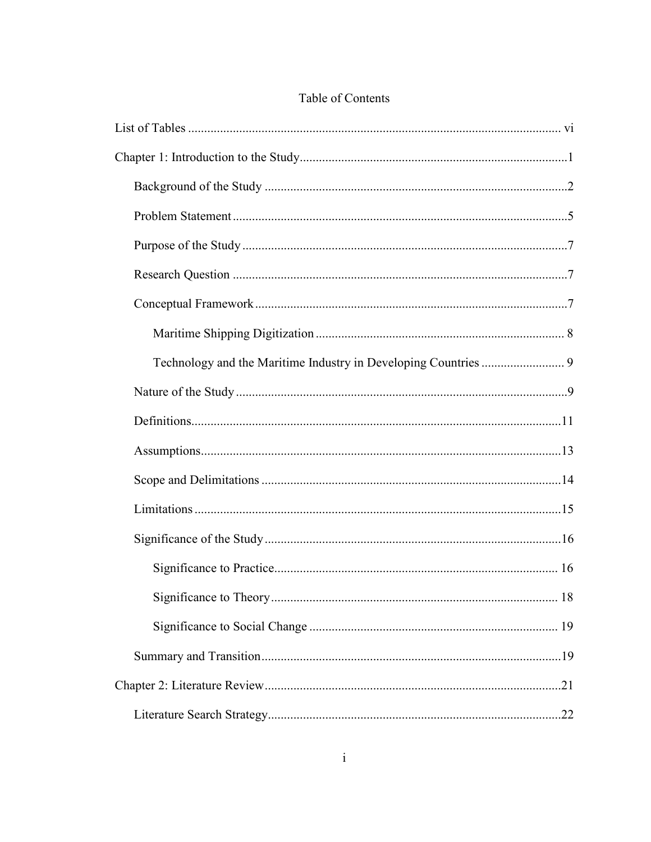## Table of Contents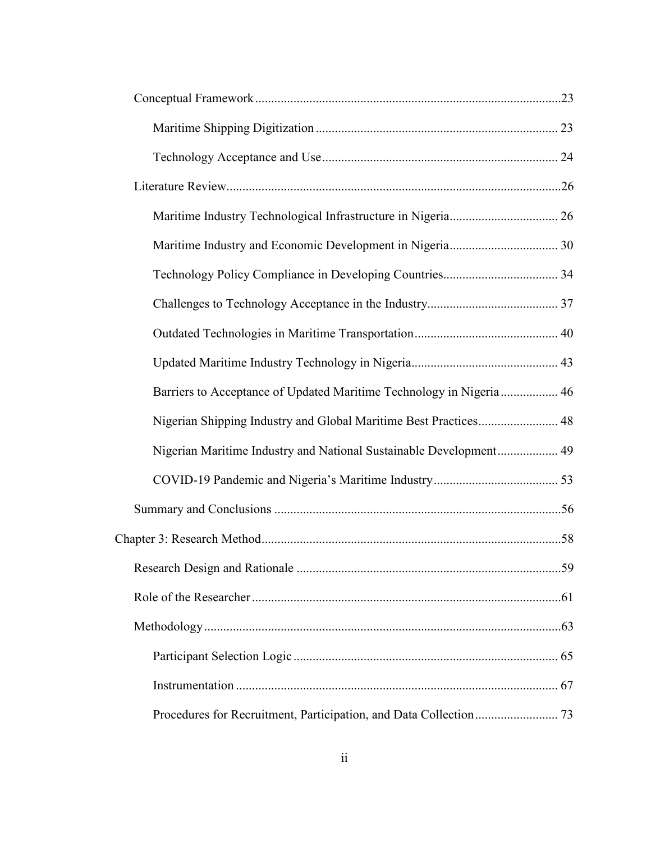| Barriers to Acceptance of Updated Maritime Technology in Nigeria  46 |  |
|----------------------------------------------------------------------|--|
| Nigerian Shipping Industry and Global Maritime Best Practices 48     |  |
| Nigerian Maritime Industry and National Sustainable Development 49   |  |
|                                                                      |  |
|                                                                      |  |
|                                                                      |  |
|                                                                      |  |
|                                                                      |  |
|                                                                      |  |
|                                                                      |  |
|                                                                      |  |
|                                                                      |  |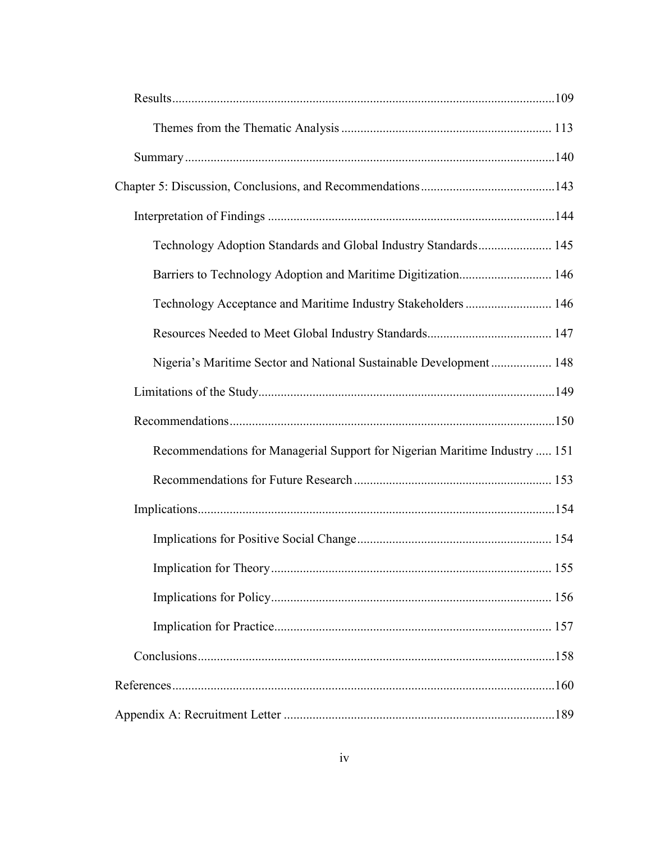| Technology Adoption Standards and Global Industry Standards 145            |     |
|----------------------------------------------------------------------------|-----|
| Barriers to Technology Adoption and Maritime Digitization 146              |     |
| Technology Acceptance and Maritime Industry Stakeholders  146              |     |
|                                                                            |     |
| Nigeria's Maritime Sector and National Sustainable Development 148         |     |
|                                                                            |     |
|                                                                            |     |
| Recommendations for Managerial Support for Nigerian Maritime Industry  151 |     |
|                                                                            |     |
|                                                                            |     |
|                                                                            |     |
|                                                                            |     |
|                                                                            |     |
|                                                                            |     |
|                                                                            |     |
|                                                                            |     |
|                                                                            | 189 |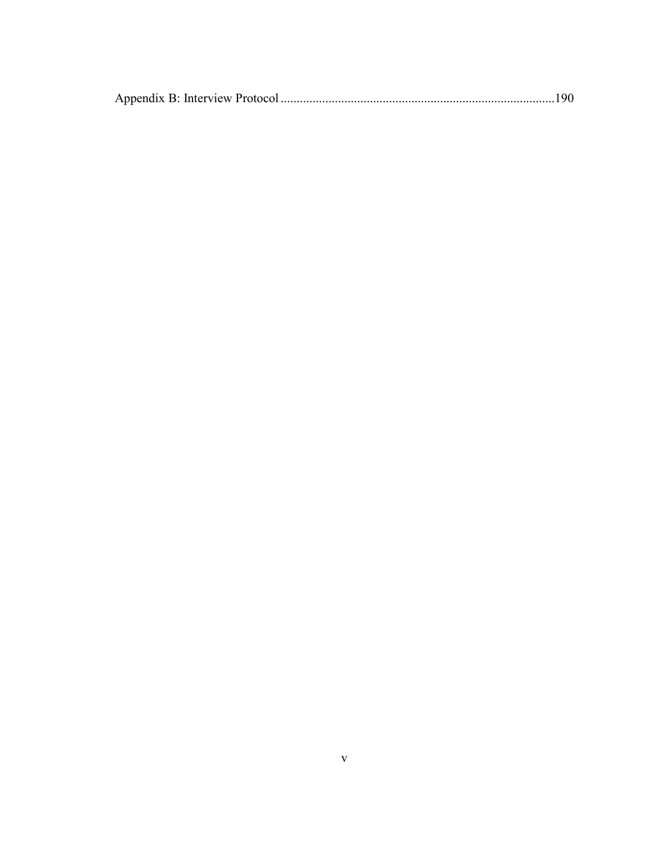|--|--|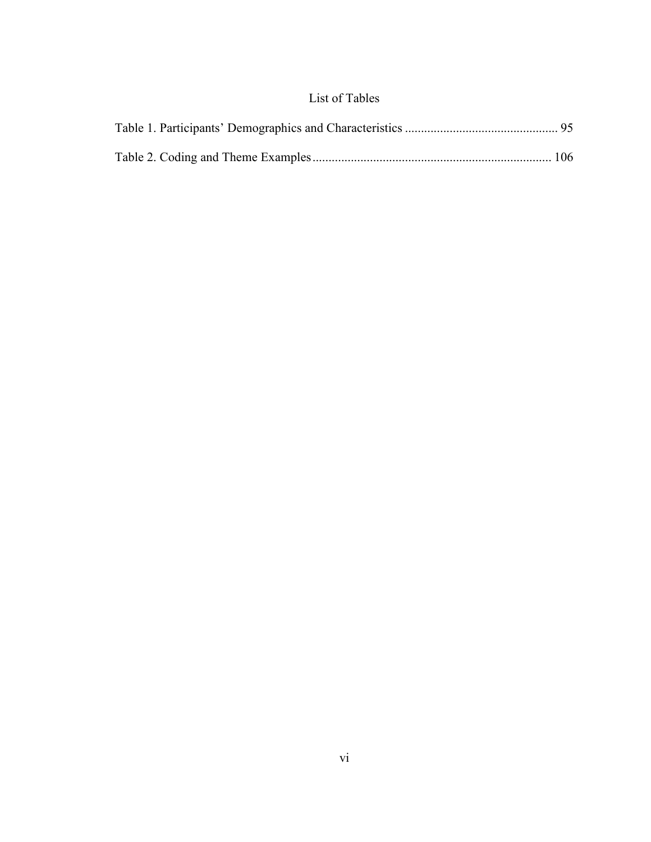## List of Tables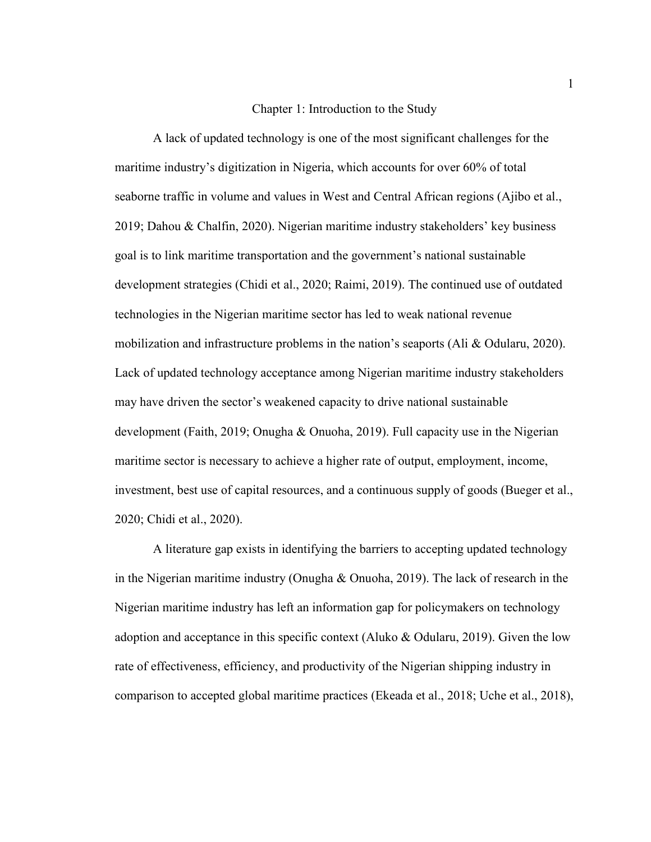#### Chapter 1: Introduction to the Study

A lack of updated technology is one of the most significant challenges for the maritime industry's digitization in Nigeria, which accounts for over 60% of total seaborne traffic in volume and values in West and Central African regions (Ajibo et al., 2019; Dahou & Chalfin, 2020). Nigerian maritime industry stakeholders' key business goal is to link maritime transportation and the government's national sustainable development strategies (Chidi et al., 2020; Raimi, 2019). The continued use of outdated technologies in the Nigerian maritime sector has led to weak national revenue mobilization and infrastructure problems in the nation's seaports (Ali & Odularu, 2020). Lack of updated technology acceptance among Nigerian maritime industry stakeholders may have driven the sector's weakened capacity to drive national sustainable development (Faith, 2019; Onugha & Onuoha, 2019). Full capacity use in the Nigerian maritime sector is necessary to achieve a higher rate of output, employment, income, investment, best use of capital resources, and a continuous supply of goods (Bueger et al., 2020; Chidi et al., 2020).

A literature gap exists in identifying the barriers to accepting updated technology in the Nigerian maritime industry (Onugha & Onuoha, 2019). The lack of research in the Nigerian maritime industry has left an information gap for policymakers on technology adoption and acceptance in this specific context (Aluko & Odularu, 2019). Given the low rate of effectiveness, efficiency, and productivity of the Nigerian shipping industry in comparison to accepted global maritime practices (Ekeada et al., 2018; Uche et al., 2018),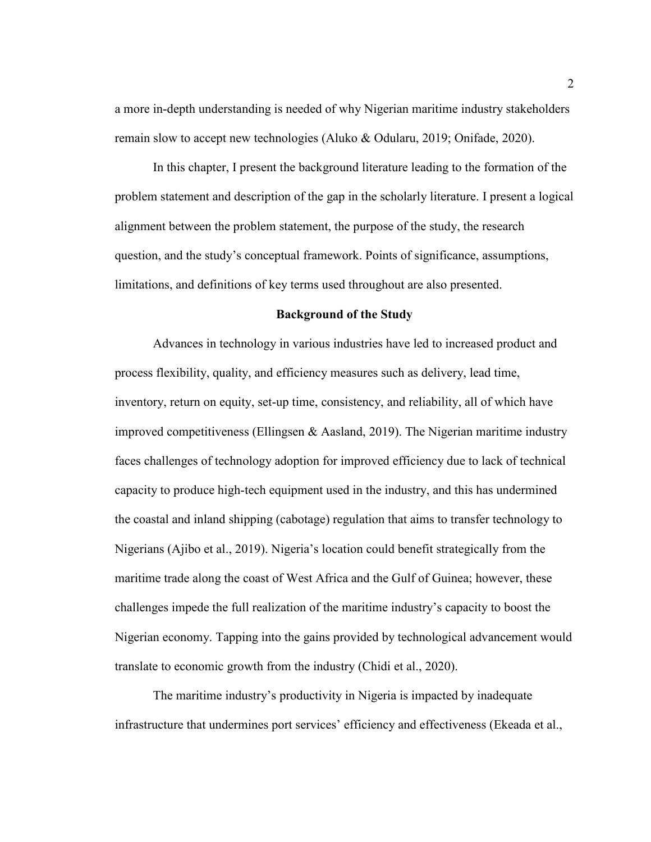a more in-depth understanding is needed of why Nigerian maritime industry stakeholders remain slow to accept new technologies (Aluko & Odularu, 2019; Onifade, 2020).

In this chapter, I present the background literature leading to the formation of the problem statement and description of the gap in the scholarly literature. I present a logical alignment between the problem statement, the purpose of the study, the research question, and the study's conceptual framework. Points of significance, assumptions, limitations, and definitions of key terms used throughout are also presented.

#### **Background of the Study**

Advances in technology in various industries have led to increased product and process flexibility, quality, and efficiency measures such as delivery, lead time, inventory, return on equity, set-up time, consistency, and reliability, all of which have improved competitiveness (Ellingsen & Aasland, 2019). The Nigerian maritime industry faces challenges of technology adoption for improved efficiency due to lack of technical capacity to produce high-tech equipment used in the industry, and this has undermined the coastal and inland shipping (cabotage) regulation that aims to transfer technology to Nigerians (Ajibo et al., 2019). Nigeria's location could benefit strategically from the maritime trade along the coast of West Africa and the Gulf of Guinea; however, these challenges impede the full realization of the maritime industry's capacity to boost the Nigerian economy. Tapping into the gains provided by technological advancement would translate to economic growth from the industry (Chidi et al., 2020).

The maritime industry's productivity in Nigeria is impacted by inadequate infrastructure that undermines port services' efficiency and effectiveness (Ekeada et al.,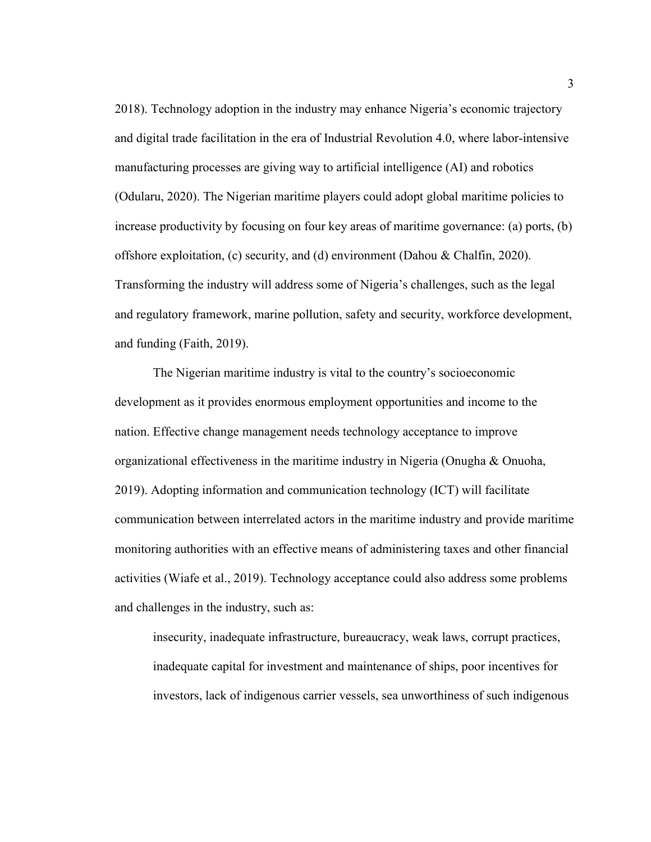2018). Technology adoption in the industry may enhance Nigeria's economic trajectory and digital trade facilitation in the era of Industrial Revolution 4.0, where labor-intensive manufacturing processes are giving way to artificial intelligence (AI) and robotics (Odularu, 2020). The Nigerian maritime players could adopt global maritime policies to increase productivity by focusing on four key areas of maritime governance: (a) ports, (b) offshore exploitation, (c) security, and (d) environment (Dahou & Chalfin, 2020). Transforming the industry will address some of Nigeria's challenges, such as the legal and regulatory framework, marine pollution, safety and security, workforce development, and funding (Faith, 2019).

The Nigerian maritime industry is vital to the country's socioeconomic development as it provides enormous employment opportunities and income to the nation. Effective change management needs technology acceptance to improve organizational effectiveness in the maritime industry in Nigeria (Onugha & Onuoha, 2019). Adopting information and communication technology (ICT) will facilitate communication between interrelated actors in the maritime industry and provide maritime monitoring authorities with an effective means of administering taxes and other financial activities (Wiafe et al., 2019). Technology acceptance could also address some problems and challenges in the industry, such as:

insecurity, inadequate infrastructure, bureaucracy, weak laws, corrupt practices, inadequate capital for investment and maintenance of ships, poor incentives for investors, lack of indigenous carrier vessels, sea unworthiness of such indigenous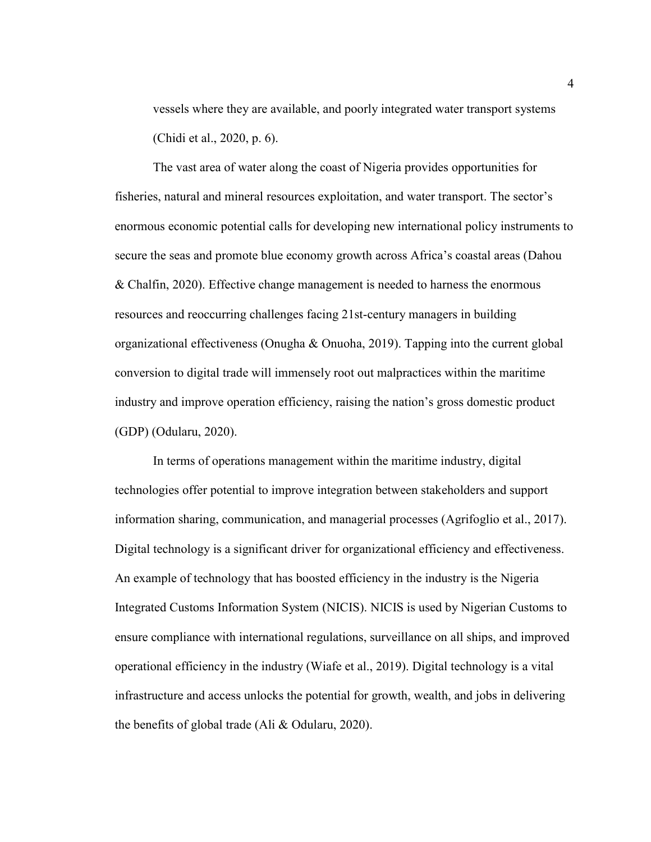vessels where they are available, and poorly integrated water transport systems (Chidi et al., 2020, p. 6).

The vast area of water along the coast of Nigeria provides opportunities for fisheries, natural and mineral resources exploitation, and water transport. The sector's enormous economic potential calls for developing new international policy instruments to secure the seas and promote blue economy growth across Africa's coastal areas (Dahou & Chalfin, 2020). Effective change management is needed to harness the enormous resources and reoccurring challenges facing 21st-century managers in building organizational effectiveness (Onugha & Onuoha, 2019). Tapping into the current global conversion to digital trade will immensely root out malpractices within the maritime industry and improve operation efficiency, raising the nation's gross domestic product (GDP) (Odularu, 2020).

In terms of operations management within the maritime industry, digital technologies offer potential to improve integration between stakeholders and support information sharing, communication, and managerial processes (Agrifoglio et al., 2017). Digital technology is a significant driver for organizational efficiency and effectiveness. An example of technology that has boosted efficiency in the industry is the Nigeria Integrated Customs Information System (NICIS). NICIS is used by Nigerian Customs to ensure compliance with international regulations, surveillance on all ships, and improved operational efficiency in the industry (Wiafe et al., 2019). Digital technology is a vital infrastructure and access unlocks the potential for growth, wealth, and jobs in delivering the benefits of global trade (Ali & Odularu, 2020).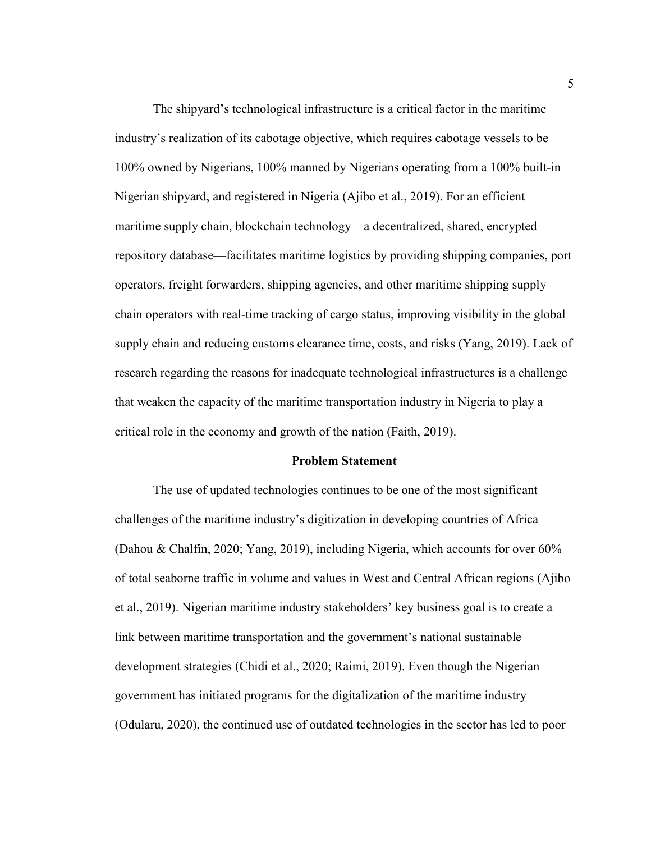The shipyard's technological infrastructure is a critical factor in the maritime industry's realization of its cabotage objective, which requires cabotage vessels to be 100% owned by Nigerians, 100% manned by Nigerians operating from a 100% built-in Nigerian shipyard, and registered in Nigeria (Ajibo et al., 2019). For an efficient maritime supply chain, blockchain technology—a decentralized, shared, encrypted repository database—facilitates maritime logistics by providing shipping companies, port operators, freight forwarders, shipping agencies, and other maritime shipping supply chain operators with real-time tracking of cargo status, improving visibility in the global supply chain and reducing customs clearance time, costs, and risks (Yang, 2019). Lack of research regarding the reasons for inadequate technological infrastructures is a challenge that weaken the capacity of the maritime transportation industry in Nigeria to play a critical role in the economy and growth of the nation (Faith, 2019).

#### **Problem Statement**

The use of updated technologies continues to be one of the most significant challenges of the maritime industry's digitization in developing countries of Africa (Dahou & Chalfin, 2020; Yang, 2019), including Nigeria, which accounts for over 60% of total seaborne traffic in volume and values in West and Central African regions (Ajibo et al., 2019). Nigerian maritime industry stakeholders' key business goal is to create a link between maritime transportation and the government's national sustainable development strategies (Chidi et al., 2020; Raimi, 2019). Even though the Nigerian government has initiated programs for the digitalization of the maritime industry (Odularu, 2020), the continued use of outdated technologies in the sector has led to poor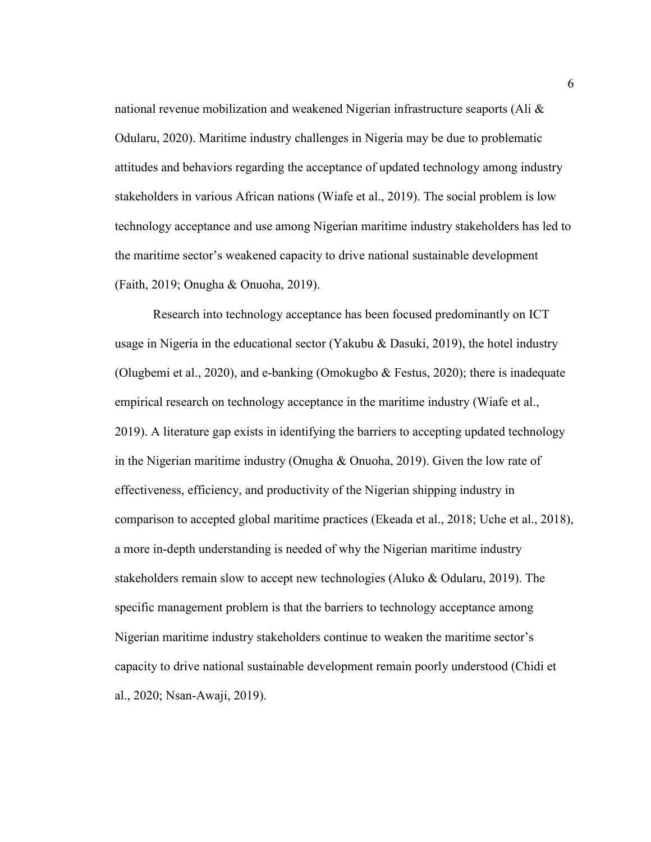national revenue mobilization and weakened Nigerian infrastructure seaports (Ali  $\&$ Odularu, 2020). Maritime industry challenges in Nigeria may be due to problematic attitudes and behaviors regarding the acceptance of updated technology among industry stakeholders in various African nations (Wiafe et al., 2019). The social problem is low technology acceptance and use among Nigerian maritime industry stakeholders has led to the maritime sector's weakened capacity to drive national sustainable development (Faith, 2019; Onugha & Onuoha, 2019).

Research into technology acceptance has been focused predominantly on ICT usage in Nigeria in the educational sector (Yakubu & Dasuki, 2019), the hotel industry (Olugbemi et al., 2020), and e-banking (Omokugbo  $\&$  Festus, 2020); there is inadequate empirical research on technology acceptance in the maritime industry (Wiafe et al., 2019). A literature gap exists in identifying the barriers to accepting updated technology in the Nigerian maritime industry (Onugha & Onuoha, 2019). Given the low rate of effectiveness, efficiency, and productivity of the Nigerian shipping industry in comparison to accepted global maritime practices (Ekeada et al., 2018; Uche et al., 2018), a more in-depth understanding is needed of why the Nigerian maritime industry stakeholders remain slow to accept new technologies (Aluko & Odularu, 2019). The specific management problem is that the barriers to technology acceptance among Nigerian maritime industry stakeholders continue to weaken the maritime sector's capacity to drive national sustainable development remain poorly understood (Chidi et al., 2020; Nsan-Awaji, 2019).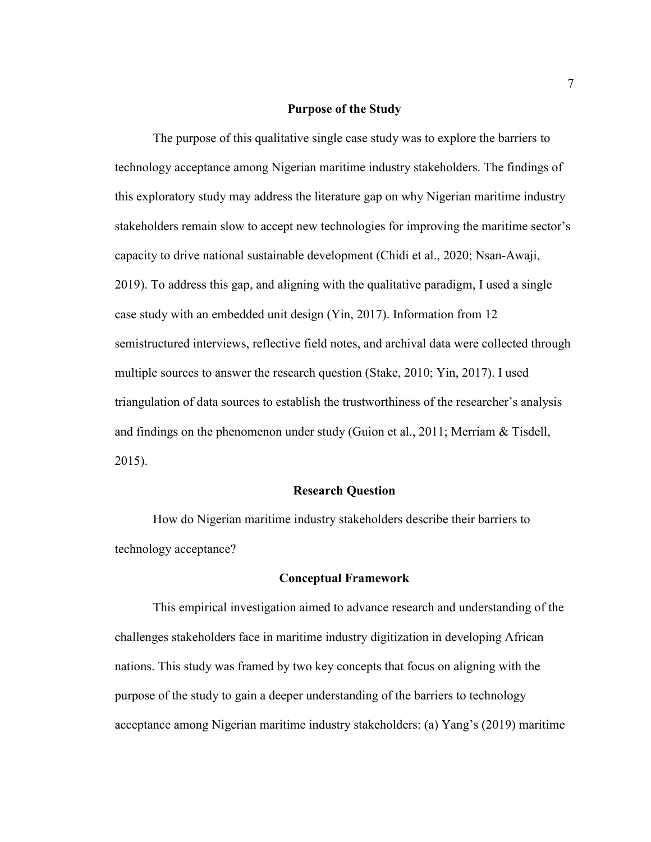#### **Purpose of the Study**

The purpose of this qualitative single case study was to explore the barriers to technology acceptance among Nigerian maritime industry stakeholders. The findings of this exploratory study may address the literature gap on why Nigerian maritime industry stakeholders remain slow to accept new technologies for improving the maritime sector's capacity to drive national sustainable development (Chidi et al., 2020; Nsan-Awaji, 2019). To address this gap, and aligning with the qualitative paradigm, I used a single case study with an embedded unit design (Yin, 2017). Information from 12 semistructured interviews, reflective field notes, and archival data were collected through multiple sources to answer the research question (Stake, 2010; Yin, 2017). I used triangulation of data sources to establish the trustworthiness of the researcher's analysis and findings on the phenomenon under study (Guion et al., 2011; Merriam & Tisdell, 2015).

#### **Research Question**

How do Nigerian maritime industry stakeholders describe their barriers to technology acceptance?

#### **Conceptual Framework**

This empirical investigation aimed to advance research and understanding of the challenges stakeholders face in maritime industry digitization in developing African nations. This study was framed by two key concepts that focus on aligning with the purpose of the study to gain a deeper understanding of the barriers to technology acceptance among Nigerian maritime industry stakeholders: (a) Yang's (2019) maritime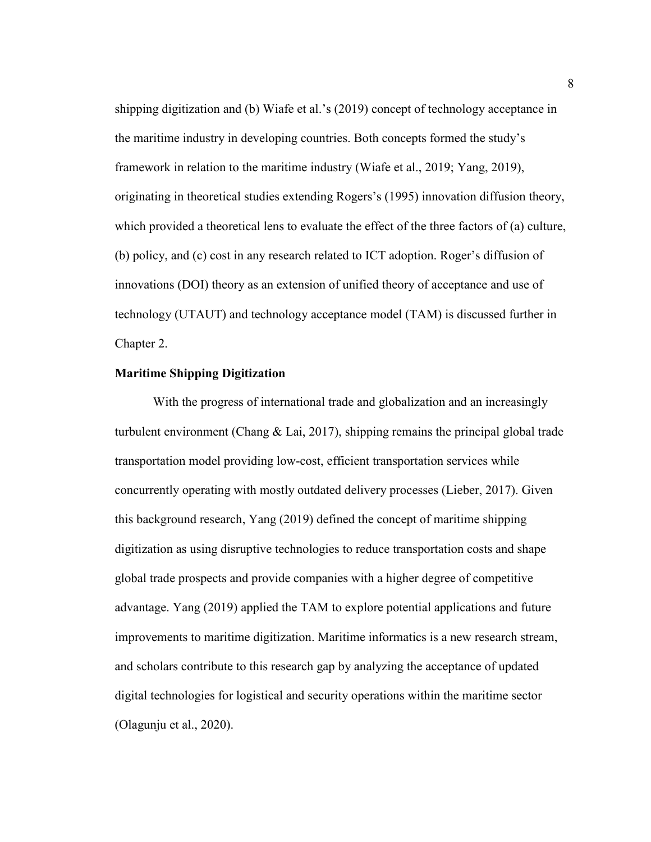shipping digitization and (b) Wiafe et al.'s (2019) concept of technology acceptance in the maritime industry in developing countries. Both concepts formed the study's framework in relation to the maritime industry (Wiafe et al., 2019; Yang, 2019), originating in theoretical studies extending Rogers's (1995) innovation diffusion theory, which provided a theoretical lens to evaluate the effect of the three factors of (a) culture, (b) policy, and (c) cost in any research related to ICT adoption. Roger's diffusion of innovations (DOI) theory as an extension of unified theory of acceptance and use of technology (UTAUT) and technology acceptance model (TAM) is discussed further in Chapter 2.

#### **Maritime Shipping Digitization**

With the progress of international trade and globalization and an increasingly turbulent environment (Chang  $\&$  Lai, 2017), shipping remains the principal global trade transportation model providing low-cost, efficient transportation services while concurrently operating with mostly outdated delivery processes (Lieber, 2017). Given this background research, Yang (2019) defined the concept of maritime shipping digitization as using disruptive technologies to reduce transportation costs and shape global trade prospects and provide companies with a higher degree of competitive advantage. Yang (2019) applied the TAM to explore potential applications and future improvements to maritime digitization. Maritime informatics is a new research stream, and scholars contribute to this research gap by analyzing the acceptance of updated digital technologies for logistical and security operations within the maritime sector (Olagunju et al., 2020).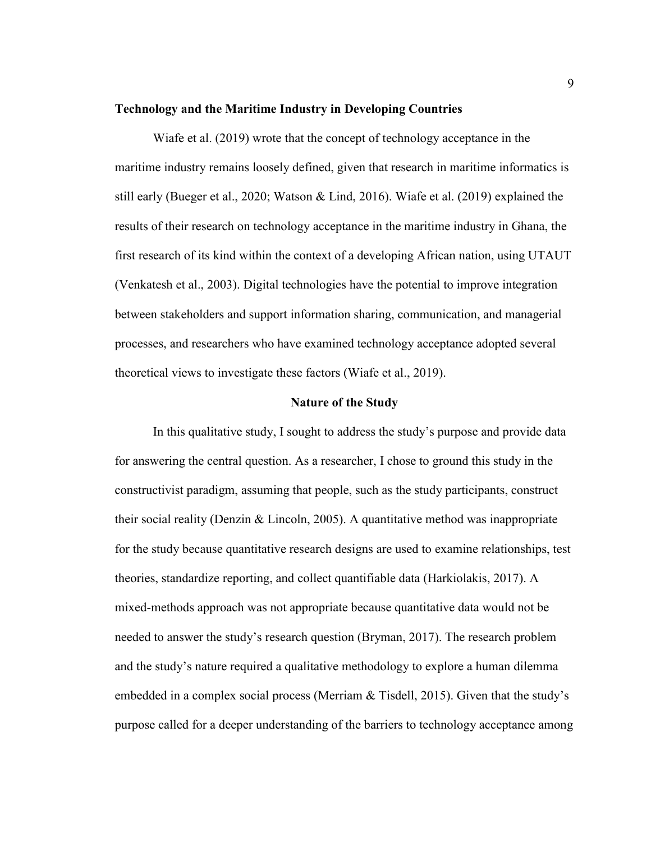#### **Technology and the Maritime Industry in Developing Countries**

Wiafe et al. (2019) wrote that the concept of technology acceptance in the maritime industry remains loosely defined, given that research in maritime informatics is still early (Bueger et al., 2020; Watson & Lind, 2016). Wiafe et al. (2019) explained the results of their research on technology acceptance in the maritime industry in Ghana, the first research of its kind within the context of a developing African nation, using UTAUT (Venkatesh et al., 2003). Digital technologies have the potential to improve integration between stakeholders and support information sharing, communication, and managerial processes, and researchers who have examined technology acceptance adopted several theoretical views to investigate these factors (Wiafe et al., 2019).

#### **Nature of the Study**

In this qualitative study, I sought to address the study's purpose and provide data for answering the central question. As a researcher, I chose to ground this study in the constructivist paradigm, assuming that people, such as the study participants, construct their social reality (Denzin & Lincoln, 2005). A quantitative method was inappropriate for the study because quantitative research designs are used to examine relationships, test theories, standardize reporting, and collect quantifiable data (Harkiolakis, 2017). A mixed-methods approach was not appropriate because quantitative data would not be needed to answer the study's research question (Bryman, 2017). The research problem and the study's nature required a qualitative methodology to explore a human dilemma embedded in a complex social process (Merriam & Tisdell, 2015). Given that the study's purpose called for a deeper understanding of the barriers to technology acceptance among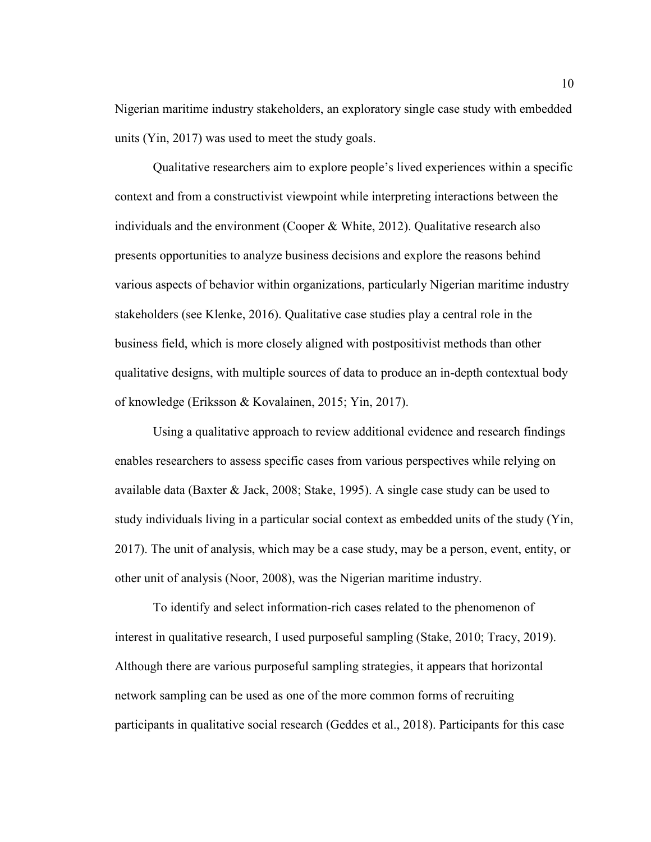Nigerian maritime industry stakeholders, an exploratory single case study with embedded units (Yin, 2017) was used to meet the study goals.

Qualitative researchers aim to explore people's lived experiences within a specific context and from a constructivist viewpoint while interpreting interactions between the individuals and the environment (Cooper  $\&$  White, 2012). Qualitative research also presents opportunities to analyze business decisions and explore the reasons behind various aspects of behavior within organizations, particularly Nigerian maritime industry stakeholders (see Klenke, 2016). Qualitative case studies play a central role in the business field, which is more closely aligned with postpositivist methods than other qualitative designs, with multiple sources of data to produce an in-depth contextual body of knowledge (Eriksson & Kovalainen, 2015; Yin, 2017).

Using a qualitative approach to review additional evidence and research findings enables researchers to assess specific cases from various perspectives while relying on available data (Baxter & Jack, 2008; Stake, 1995). A single case study can be used to study individuals living in a particular social context as embedded units of the study (Yin, 2017). The unit of analysis, which may be a case study, may be a person, event, entity, or other unit of analysis (Noor, 2008), was the Nigerian maritime industry.

To identify and select information-rich cases related to the phenomenon of interest in qualitative research, I used purposeful sampling (Stake, 2010; Tracy, 2019). Although there are various purposeful sampling strategies, it appears that horizontal network sampling can be used as one of the more common forms of recruiting participants in qualitative social research (Geddes et al., 2018). Participants for this case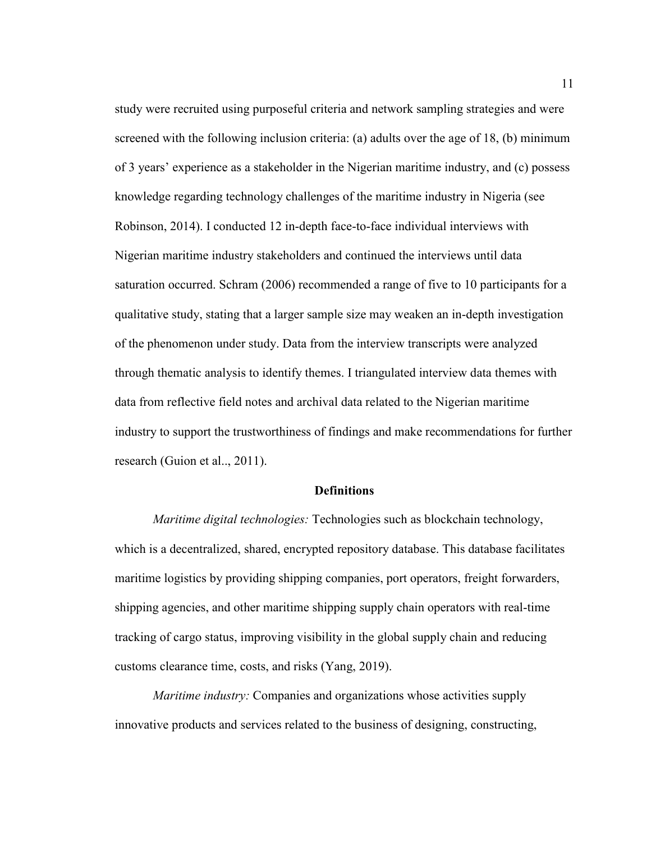study were recruited using purposeful criteria and network sampling strategies and were screened with the following inclusion criteria: (a) adults over the age of 18, (b) minimum of 3 years' experience as a stakeholder in the Nigerian maritime industry, and (c) possess knowledge regarding technology challenges of the maritime industry in Nigeria (see Robinson, 2014). I conducted 12 in-depth face-to-face individual interviews with Nigerian maritime industry stakeholders and continued the interviews until data saturation occurred. Schram (2006) recommended a range of five to 10 participants for a qualitative study, stating that a larger sample size may weaken an in-depth investigation of the phenomenon under study. Data from the interview transcripts were analyzed through thematic analysis to identify themes. I triangulated interview data themes with data from reflective field notes and archival data related to the Nigerian maritime industry to support the trustworthiness of findings and make recommendations for further research (Guion et al.., 2011).

#### **Definitions**

*Maritime digital technologies:* Technologies such as blockchain technology, which is a decentralized, shared, encrypted repository database. This database facilitates maritime logistics by providing shipping companies, port operators, freight forwarders, shipping agencies, and other maritime shipping supply chain operators with real-time tracking of cargo status, improving visibility in the global supply chain and reducing customs clearance time, costs, and risks (Yang, 2019).

*Maritime industry:* Companies and organizations whose activities supply innovative products and services related to the business of designing, constructing,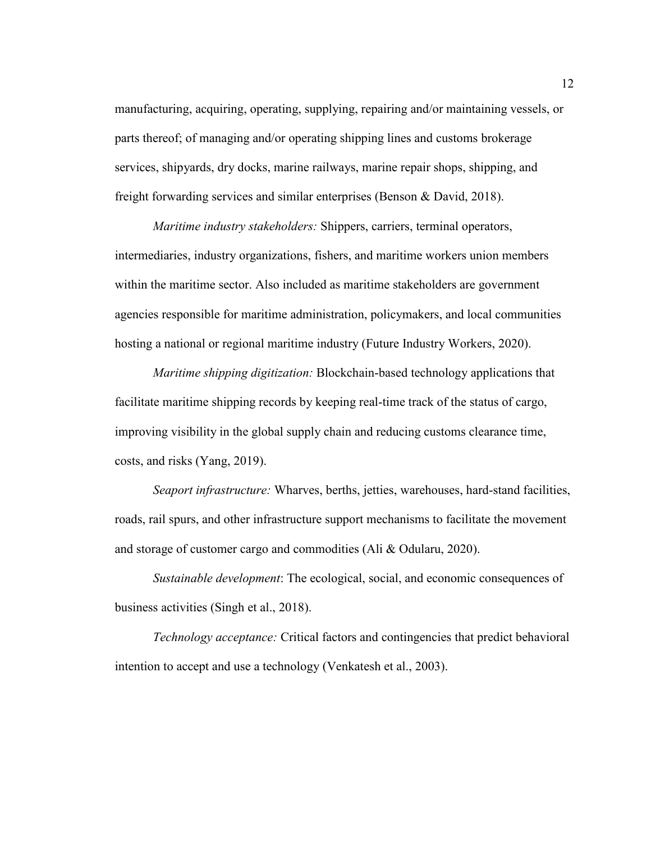manufacturing, acquiring, operating, supplying, repairing and/or maintaining vessels, or parts thereof; of managing and/or operating shipping lines and customs brokerage services, shipyards, dry docks, marine railways, marine repair shops, shipping, and freight forwarding services and similar enterprises (Benson & David, 2018).

*Maritime industry stakeholders:* Shippers, carriers, terminal operators, intermediaries, industry organizations, fishers, and maritime workers union members within the maritime sector. Also included as maritime stakeholders are government agencies responsible for maritime administration, policymakers, and local communities hosting a national or regional maritime industry (Future Industry Workers, 2020).

*Maritime shipping digitization:* Blockchain-based technology applications that facilitate maritime shipping records by keeping real-time track of the status of cargo, improving visibility in the global supply chain and reducing customs clearance time, costs, and risks (Yang, 2019).

*Seaport infrastructure:* Wharves, berths, jetties, warehouses, hard-stand facilities, roads, rail spurs, and other infrastructure support mechanisms to facilitate the movement and storage of customer cargo and commodities (Ali & Odularu, 2020).

*Sustainable development*: The ecological, social, and economic consequences of business activities (Singh et al., 2018).

*Technology acceptance:* Critical factors and contingencies that predict behavioral intention to accept and use a technology (Venkatesh et al., 2003).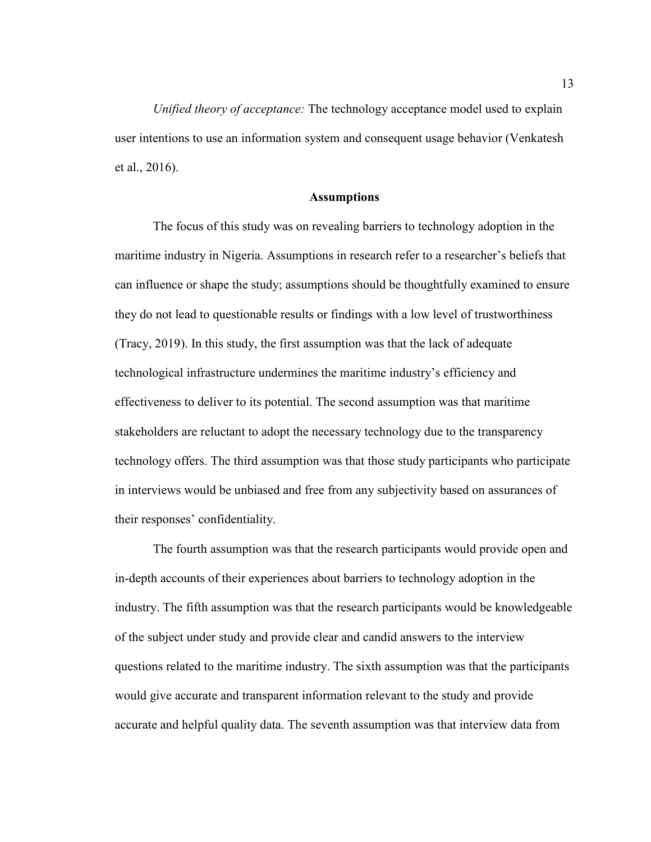*Unified theory of acceptance:* The technology acceptance model used to explain user intentions to use an information system and consequent usage behavior (Venkatesh et al., 2016).

#### **Assumptions**

The focus of this study was on revealing barriers to technology adoption in the maritime industry in Nigeria. Assumptions in research refer to a researcher's beliefs that can influence or shape the study; assumptions should be thoughtfully examined to ensure they do not lead to questionable results or findings with a low level of trustworthiness (Tracy, 2019). In this study, the first assumption was that the lack of adequate technological infrastructure undermines the maritime industry's efficiency and effectiveness to deliver to its potential. The second assumption was that maritime stakeholders are reluctant to adopt the necessary technology due to the transparency technology offers. The third assumption was that those study participants who participate in interviews would be unbiased and free from any subjectivity based on assurances of their responses' confidentiality.

The fourth assumption was that the research participants would provide open and in-depth accounts of their experiences about barriers to technology adoption in the industry. The fifth assumption was that the research participants would be knowledgeable of the subject under study and provide clear and candid answers to the interview questions related to the maritime industry. The sixth assumption was that the participants would give accurate and transparent information relevant to the study and provide accurate and helpful quality data. The seventh assumption was that interview data from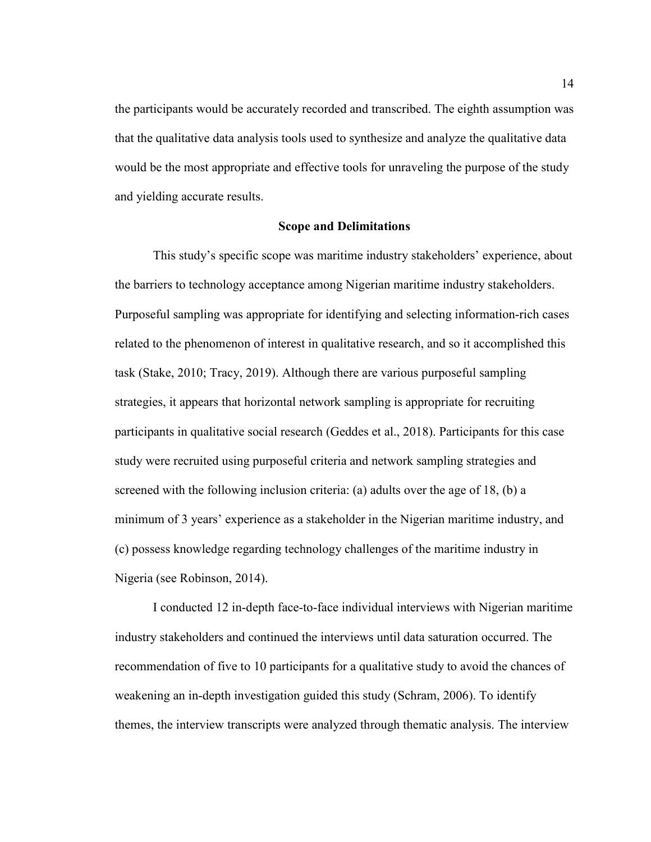the participants would be accurately recorded and transcribed. The eighth assumption was that the qualitative data analysis tools used to synthesize and analyze the qualitative data would be the most appropriate and effective tools for unraveling the purpose of the study and yielding accurate results.

#### **Scope and Delimitations**

This study's specific scope was maritime industry stakeholders' experience, about the barriers to technology acceptance among Nigerian maritime industry stakeholders. Purposeful sampling was appropriate for identifying and selecting information-rich cases related to the phenomenon of interest in qualitative research, and so it accomplished this task (Stake, 2010; Tracy, 2019). Although there are various purposeful sampling strategies, it appears that horizontal network sampling is appropriate for recruiting participants in qualitative social research (Geddes et al., 2018). Participants for this case study were recruited using purposeful criteria and network sampling strategies and screened with the following inclusion criteria: (a) adults over the age of 18, (b) a minimum of 3 years' experience as a stakeholder in the Nigerian maritime industry, and (c) possess knowledge regarding technology challenges of the maritime industry in Nigeria (see Robinson, 2014).

I conducted 12 in-depth face-to-face individual interviews with Nigerian maritime industry stakeholders and continued the interviews until data saturation occurred. The recommendation of five to 10 participants for a qualitative study to avoid the chances of weakening an in-depth investigation guided this study (Schram, 2006). To identify themes, the interview transcripts were analyzed through thematic analysis. The interview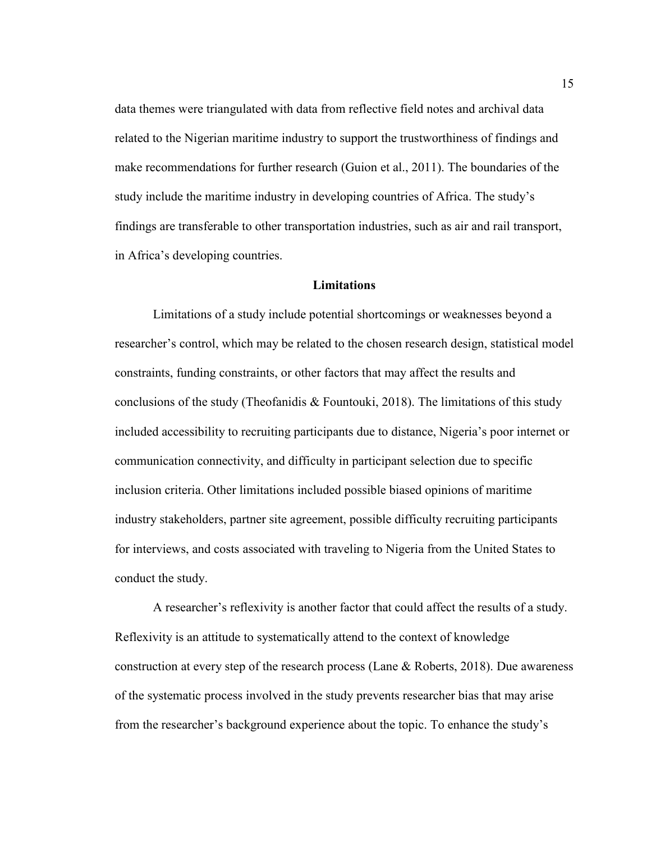data themes were triangulated with data from reflective field notes and archival data related to the Nigerian maritime industry to support the trustworthiness of findings and make recommendations for further research (Guion et al., 2011). The boundaries of the study include the maritime industry in developing countries of Africa. The study's findings are transferable to other transportation industries, such as air and rail transport, in Africa's developing countries.

#### **Limitations**

Limitations of a study include potential shortcomings or weaknesses beyond a researcher's control, which may be related to the chosen research design, statistical model constraints, funding constraints, or other factors that may affect the results and conclusions of the study (Theofanidis & Fountouki, 2018). The limitations of this study included accessibility to recruiting participants due to distance, Nigeria's poor internet or communication connectivity, and difficulty in participant selection due to specific inclusion criteria. Other limitations included possible biased opinions of maritime industry stakeholders, partner site agreement, possible difficulty recruiting participants for interviews, and costs associated with traveling to Nigeria from the United States to conduct the study.

A researcher's reflexivity is another factor that could affect the results of a study. Reflexivity is an attitude to systematically attend to the context of knowledge construction at every step of the research process (Lane & Roberts, 2018). Due awareness of the systematic process involved in the study prevents researcher bias that may arise from the researcher's background experience about the topic. To enhance the study's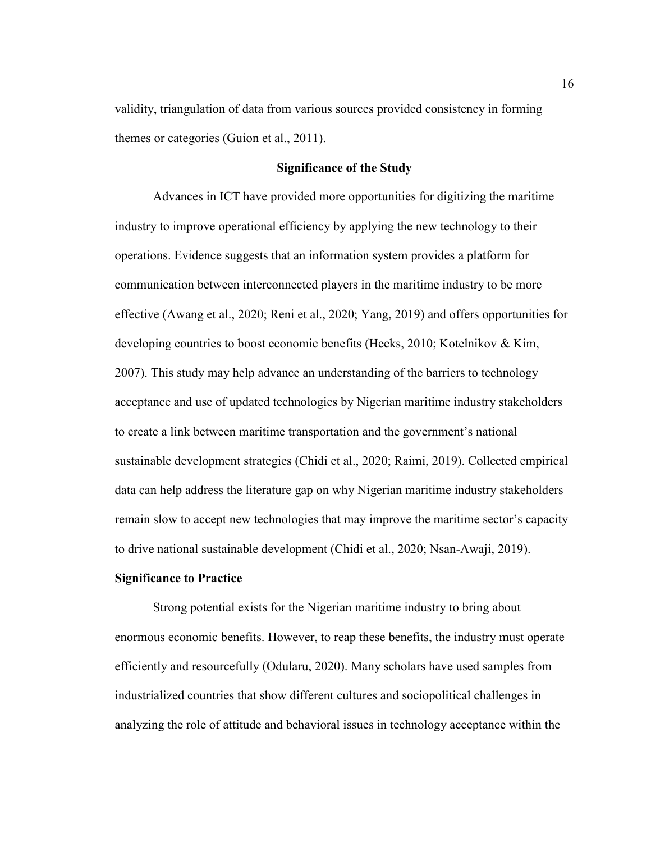validity, triangulation of data from various sources provided consistency in forming themes or categories (Guion et al., 2011).

#### **Significance of the Study**

Advances in ICT have provided more opportunities for digitizing the maritime industry to improve operational efficiency by applying the new technology to their operations. Evidence suggests that an information system provides a platform for communication between interconnected players in the maritime industry to be more effective (Awang et al., 2020; Reni et al., 2020; Yang, 2019) and offers opportunities for developing countries to boost economic benefits (Heeks, 2010; Kotelnikov & Kim, 2007). This study may help advance an understanding of the barriers to technology acceptance and use of updated technologies by Nigerian maritime industry stakeholders to create a link between maritime transportation and the government's national sustainable development strategies (Chidi et al., 2020; Raimi, 2019). Collected empirical data can help address the literature gap on why Nigerian maritime industry stakeholders remain slow to accept new technologies that may improve the maritime sector's capacity to drive national sustainable development (Chidi et al., 2020; Nsan-Awaji, 2019).

#### **Significance to Practice**

Strong potential exists for the Nigerian maritime industry to bring about enormous economic benefits. However, to reap these benefits, the industry must operate efficiently and resourcefully (Odularu, 2020). Many scholars have used samples from industrialized countries that show different cultures and sociopolitical challenges in analyzing the role of attitude and behavioral issues in technology acceptance within the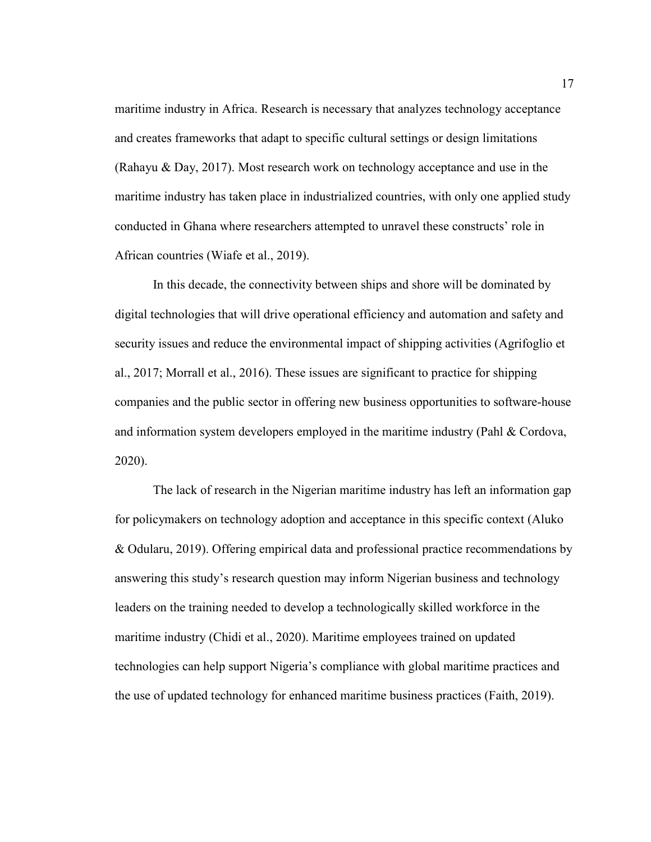maritime industry in Africa. Research is necessary that analyzes technology acceptance and creates frameworks that adapt to specific cultural settings or design limitations (Rahayu & Day, 2017). Most research work on technology acceptance and use in the maritime industry has taken place in industrialized countries, with only one applied study conducted in Ghana where researchers attempted to unravel these constructs' role in African countries (Wiafe et al., 2019).

In this decade, the connectivity between ships and shore will be dominated by digital technologies that will drive operational efficiency and automation and safety and security issues and reduce the environmental impact of shipping activities (Agrifoglio et al., 2017; Morrall et al., 2016). These issues are significant to practice for shipping companies and the public sector in offering new business opportunities to software-house and information system developers employed in the maritime industry (Pahl  $\&$  Cordova, 2020).

The lack of research in the Nigerian maritime industry has left an information gap for policymakers on technology adoption and acceptance in this specific context (Aluko & Odularu, 2019). Offering empirical data and professional practice recommendations by answering this study's research question may inform Nigerian business and technology leaders on the training needed to develop a technologically skilled workforce in the maritime industry (Chidi et al., 2020). Maritime employees trained on updated technologies can help support Nigeria's compliance with global maritime practices and the use of updated technology for enhanced maritime business practices (Faith, 2019).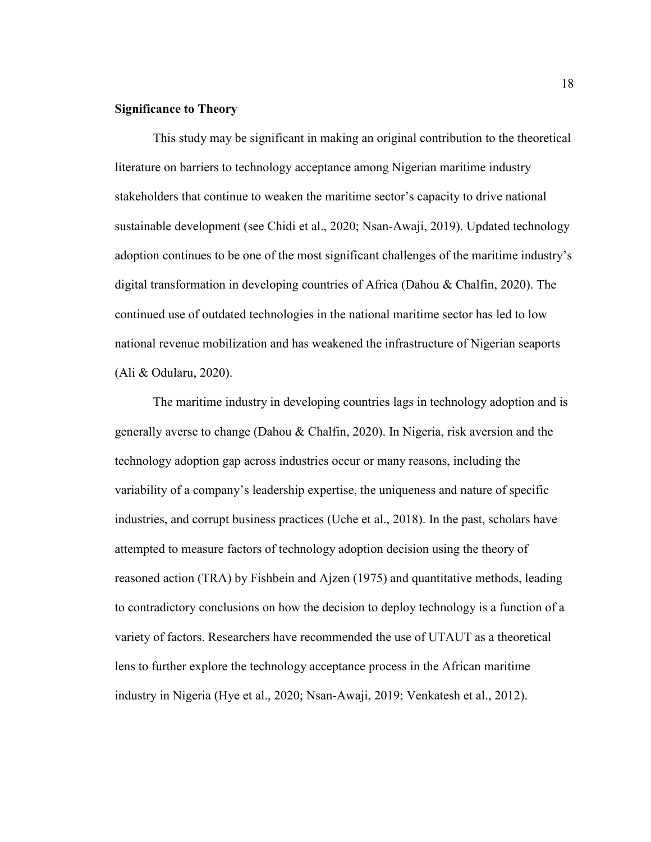#### **Significance to Theory**

This study may be significant in making an original contribution to the theoretical literature on barriers to technology acceptance among Nigerian maritime industry stakeholders that continue to weaken the maritime sector's capacity to drive national sustainable development (see Chidi et al., 2020; Nsan-Awaji, 2019). Updated technology adoption continues to be one of the most significant challenges of the maritime industry's digital transformation in developing countries of Africa (Dahou & Chalfin, 2020). The continued use of outdated technologies in the national maritime sector has led to low national revenue mobilization and has weakened the infrastructure of Nigerian seaports (Ali & Odularu, 2020).

The maritime industry in developing countries lags in technology adoption and is generally averse to change (Dahou & Chalfin, 2020). In Nigeria, risk aversion and the technology adoption gap across industries occur or many reasons, including the variability of a company's leadership expertise, the uniqueness and nature of specific industries, and corrupt business practices (Uche et al., 2018). In the past, scholars have attempted to measure factors of technology adoption decision using the theory of reasoned action (TRA) by Fishbein and Ajzen (1975) and quantitative methods, leading to contradictory conclusions on how the decision to deploy technology is a function of a variety of factors. Researchers have recommended the use of UTAUT as a theoretical lens to further explore the technology acceptance process in the African maritime industry in Nigeria (Hye et al., 2020; Nsan-Awaji, 2019; Venkatesh et al., 2012).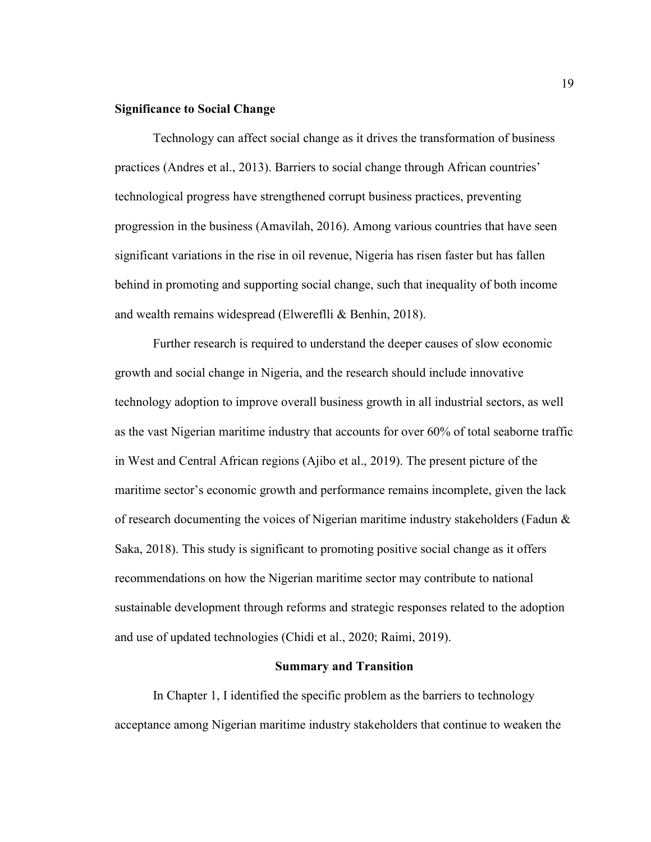#### **Significance to Social Change**

Technology can affect social change as it drives the transformation of business practices (Andres et al., 2013). Barriers to social change through African countries' technological progress have strengthened corrupt business practices, preventing progression in the business (Amavilah, 2016). Among various countries that have seen significant variations in the rise in oil revenue, Nigeria has risen faster but has fallen behind in promoting and supporting social change, such that inequality of both income and wealth remains widespread (Elwereflli & Benhin, 2018).

Further research is required to understand the deeper causes of slow economic growth and social change in Nigeria, and the research should include innovative technology adoption to improve overall business growth in all industrial sectors, as well as the vast Nigerian maritime industry that accounts for over 60% of total seaborne traffic in West and Central African regions (Ajibo et al., 2019). The present picture of the maritime sector's economic growth and performance remains incomplete, given the lack of research documenting the voices of Nigerian maritime industry stakeholders (Fadun & Saka, 2018). This study is significant to promoting positive social change as it offers recommendations on how the Nigerian maritime sector may contribute to national sustainable development through reforms and strategic responses related to the adoption and use of updated technologies (Chidi et al., 2020; Raimi, 2019).

#### **Summary and Transition**

In Chapter 1, I identified the specific problem as the barriers to technology acceptance among Nigerian maritime industry stakeholders that continue to weaken the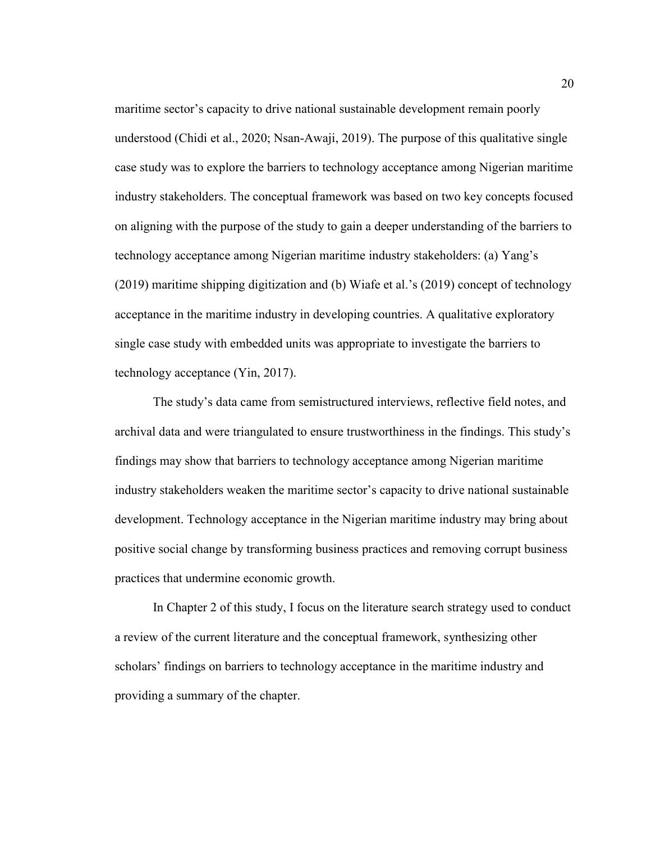maritime sector's capacity to drive national sustainable development remain poorly understood (Chidi et al., 2020; Nsan-Awaji, 2019). The purpose of this qualitative single case study was to explore the barriers to technology acceptance among Nigerian maritime industry stakeholders. The conceptual framework was based on two key concepts focused on aligning with the purpose of the study to gain a deeper understanding of the barriers to technology acceptance among Nigerian maritime industry stakeholders: (a) Yang's (2019) maritime shipping digitization and (b) Wiafe et al.'s (2019) concept of technology acceptance in the maritime industry in developing countries. A qualitative exploratory single case study with embedded units was appropriate to investigate the barriers to technology acceptance (Yin, 2017).

The study's data came from semistructured interviews, reflective field notes, and archival data and were triangulated to ensure trustworthiness in the findings. This study's findings may show that barriers to technology acceptance among Nigerian maritime industry stakeholders weaken the maritime sector's capacity to drive national sustainable development. Technology acceptance in the Nigerian maritime industry may bring about positive social change by transforming business practices and removing corrupt business practices that undermine economic growth.

In Chapter 2 of this study, I focus on the literature search strategy used to conduct a review of the current literature and the conceptual framework, synthesizing other scholars' findings on barriers to technology acceptance in the maritime industry and providing a summary of the chapter.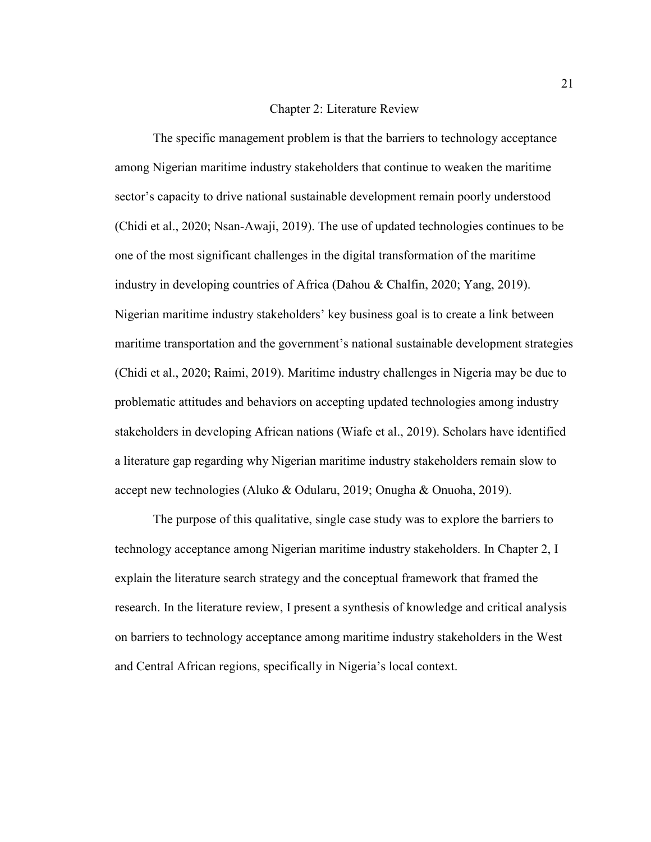#### Chapter 2: Literature Review

The specific management problem is that the barriers to technology acceptance among Nigerian maritime industry stakeholders that continue to weaken the maritime sector's capacity to drive national sustainable development remain poorly understood (Chidi et al., 2020; Nsan-Awaji, 2019). The use of updated technologies continues to be one of the most significant challenges in the digital transformation of the maritime industry in developing countries of Africa (Dahou & Chalfin, 2020; Yang, 2019). Nigerian maritime industry stakeholders' key business goal is to create a link between maritime transportation and the government's national sustainable development strategies (Chidi et al., 2020; Raimi, 2019). Maritime industry challenges in Nigeria may be due to problematic attitudes and behaviors on accepting updated technologies among industry stakeholders in developing African nations (Wiafe et al., 2019). Scholars have identified a literature gap regarding why Nigerian maritime industry stakeholders remain slow to accept new technologies (Aluko & Odularu, 2019; Onugha & Onuoha, 2019).

The purpose of this qualitative, single case study was to explore the barriers to technology acceptance among Nigerian maritime industry stakeholders. In Chapter 2, I explain the literature search strategy and the conceptual framework that framed the research. In the literature review, I present a synthesis of knowledge and critical analysis on barriers to technology acceptance among maritime industry stakeholders in the West and Central African regions, specifically in Nigeria's local context.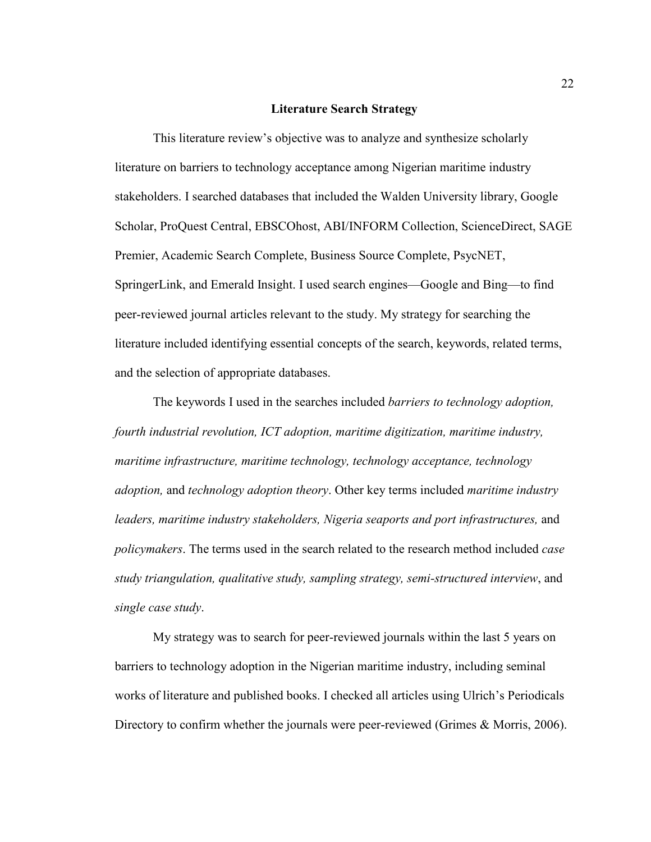#### **Literature Search Strategy**

This literature review's objective was to analyze and synthesize scholarly literature on barriers to technology acceptance among Nigerian maritime industry stakeholders. I searched databases that included the Walden University library, Google Scholar, ProQuest Central, EBSCOhost, ABI/INFORM Collection, ScienceDirect, SAGE Premier, Academic Search Complete, Business Source Complete, PsycNET, SpringerLink, and Emerald Insight. I used search engines—Google and Bing—to find peer-reviewed journal articles relevant to the study. My strategy for searching the literature included identifying essential concepts of the search, keywords, related terms, and the selection of appropriate databases.

The keywords I used in the searches included *barriers to technology adoption, fourth industrial revolution, ICT adoption, maritime digitization, maritime industry, maritime infrastructure, maritime technology, technology acceptance, technology adoption,* and *technology adoption theory*. Other key terms included *maritime industry*  leaders, maritime industry stakeholders, Nigeria seaports and port infrastructures, and *policymakers*. The terms used in the search related to the research method included *case study triangulation, qualitative study, sampling strategy, semi-structured interview*, and *single case study*.

My strategy was to search for peer-reviewed journals within the last 5 years on barriers to technology adoption in the Nigerian maritime industry, including seminal works of literature and published books. I checked all articles using Ulrich's Periodicals Directory to confirm whether the journals were peer-reviewed (Grimes & Morris, 2006).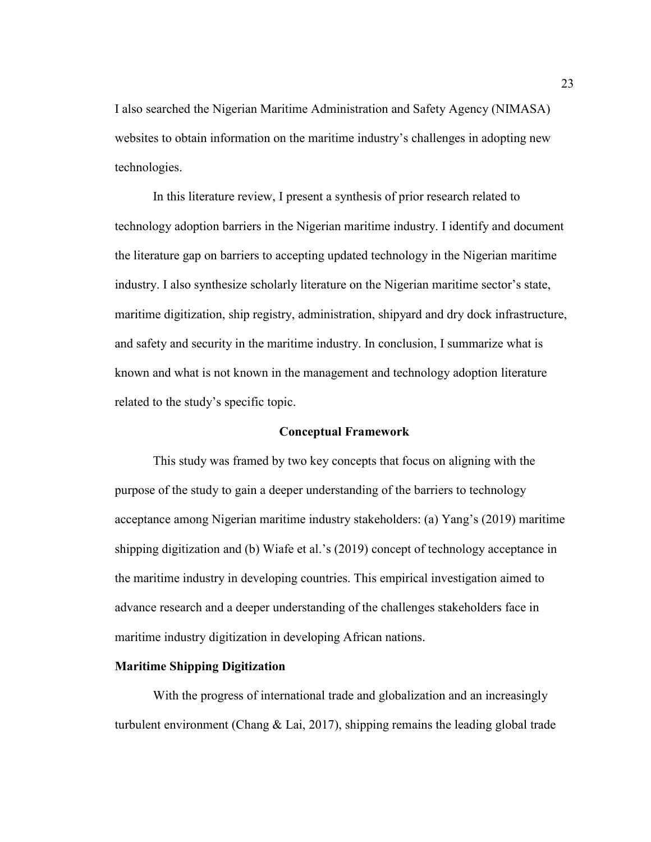I also searched the Nigerian Maritime Administration and Safety Agency (NIMASA) websites to obtain information on the maritime industry's challenges in adopting new technologies.

In this literature review, I present a synthesis of prior research related to technology adoption barriers in the Nigerian maritime industry. I identify and document the literature gap on barriers to accepting updated technology in the Nigerian maritime industry. I also synthesize scholarly literature on the Nigerian maritime sector's state, maritime digitization, ship registry, administration, shipyard and dry dock infrastructure, and safety and security in the maritime industry. In conclusion, I summarize what is known and what is not known in the management and technology adoption literature related to the study's specific topic.

#### **Conceptual Framework**

This study was framed by two key concepts that focus on aligning with the purpose of the study to gain a deeper understanding of the barriers to technology acceptance among Nigerian maritime industry stakeholders: (a) Yang's (2019) maritime shipping digitization and (b) Wiafe et al.'s (2019) concept of technology acceptance in the maritime industry in developing countries. This empirical investigation aimed to advance research and a deeper understanding of the challenges stakeholders face in maritime industry digitization in developing African nations.

### **Maritime Shipping Digitization**

With the progress of international trade and globalization and an increasingly turbulent environment (Chang & Lai, 2017), shipping remains the leading global trade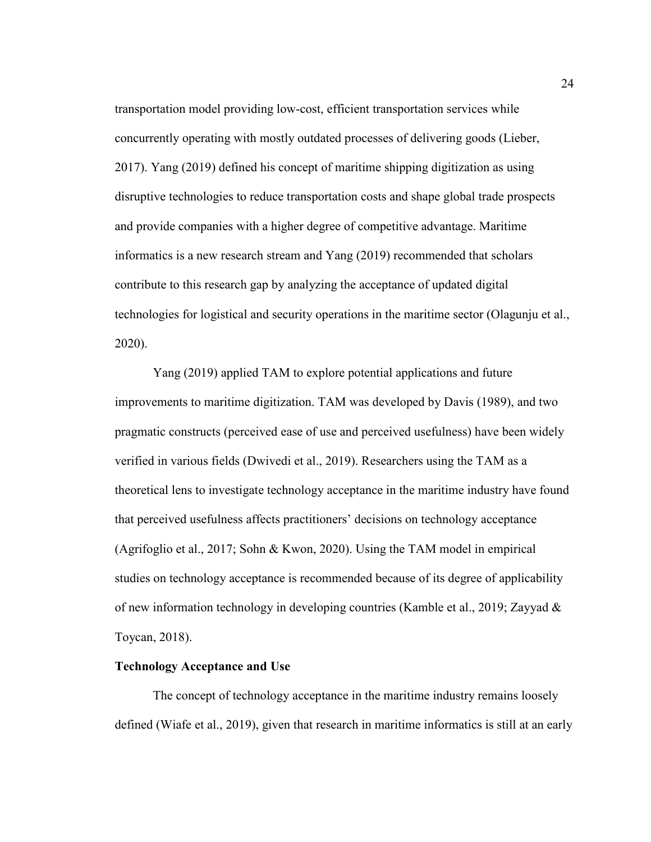transportation model providing low-cost, efficient transportation services while concurrently operating with mostly outdated processes of delivering goods (Lieber, 2017). Yang (2019) defined his concept of maritime shipping digitization as using disruptive technologies to reduce transportation costs and shape global trade prospects and provide companies with a higher degree of competitive advantage. Maritime informatics is a new research stream and Yang (2019) recommended that scholars contribute to this research gap by analyzing the acceptance of updated digital technologies for logistical and security operations in the maritime sector (Olagunju et al., 2020).

Yang (2019) applied TAM to explore potential applications and future improvements to maritime digitization. TAM was developed by Davis (1989), and two pragmatic constructs (perceived ease of use and perceived usefulness) have been widely verified in various fields (Dwivedi et al., 2019). Researchers using the TAM as a theoretical lens to investigate technology acceptance in the maritime industry have found that perceived usefulness affects practitioners' decisions on technology acceptance (Agrifoglio et al., 2017; Sohn & Kwon, 2020). Using the TAM model in empirical studies on technology acceptance is recommended because of its degree of applicability of new information technology in developing countries (Kamble et al., 2019; Zayyad & Toycan, 2018).

# **Technology Acceptance and Use**

The concept of technology acceptance in the maritime industry remains loosely defined (Wiafe et al., 2019), given that research in maritime informatics is still at an early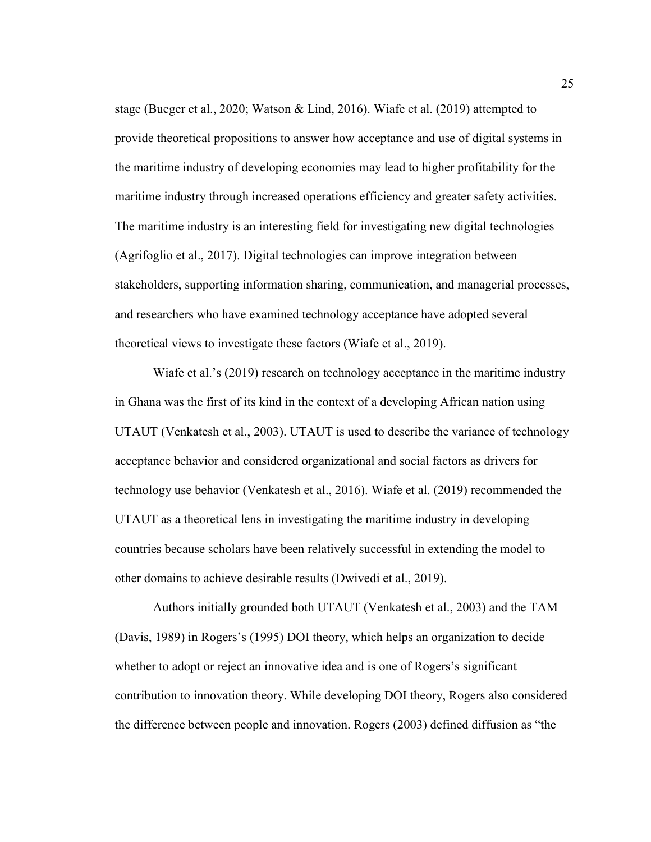stage (Bueger et al., 2020; Watson & Lind, 2016). Wiafe et al. (2019) attempted to provide theoretical propositions to answer how acceptance and use of digital systems in the maritime industry of developing economies may lead to higher profitability for the maritime industry through increased operations efficiency and greater safety activities. The maritime industry is an interesting field for investigating new digital technologies (Agrifoglio et al., 2017). Digital technologies can improve integration between stakeholders, supporting information sharing, communication, and managerial processes, and researchers who have examined technology acceptance have adopted several theoretical views to investigate these factors (Wiafe et al., 2019).

Wiafe et al.'s (2019) research on technology acceptance in the maritime industry in Ghana was the first of its kind in the context of a developing African nation using UTAUT (Venkatesh et al., 2003). UTAUT is used to describe the variance of technology acceptance behavior and considered organizational and social factors as drivers for technology use behavior (Venkatesh et al., 2016). Wiafe et al. (2019) recommended the UTAUT as a theoretical lens in investigating the maritime industry in developing countries because scholars have been relatively successful in extending the model to other domains to achieve desirable results (Dwivedi et al., 2019).

Authors initially grounded both UTAUT (Venkatesh et al., 2003) and the TAM (Davis, 1989) in Rogers's (1995) DOI theory, which helps an organization to decide whether to adopt or reject an innovative idea and is one of Rogers's significant contribution to innovation theory. While developing DOI theory, Rogers also considered the difference between people and innovation. Rogers (2003) defined diffusion as "the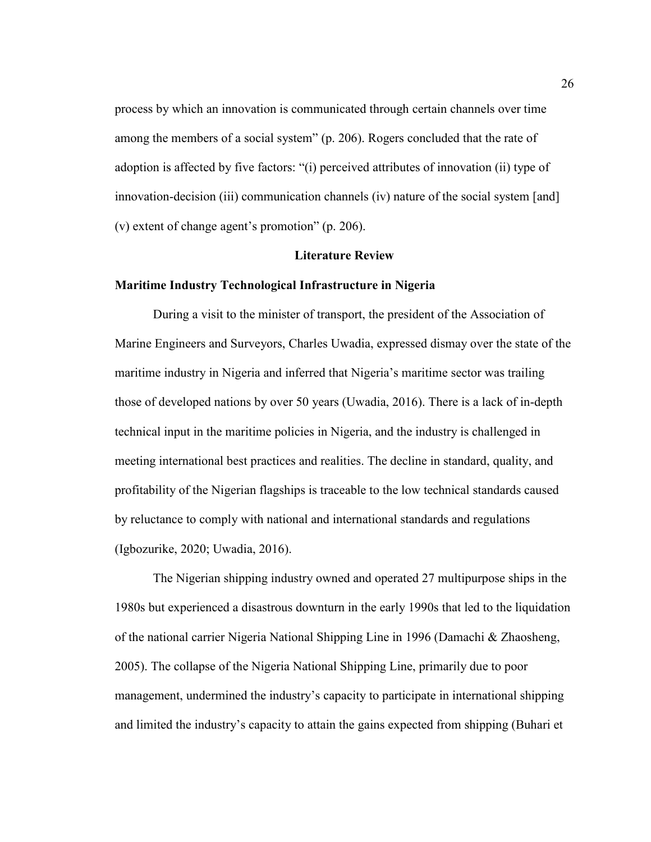process by which an innovation is communicated through certain channels over time among the members of a social system" (p. 206). Rogers concluded that the rate of adoption is affected by five factors: "(i) perceived attributes of innovation (ii) type of innovation-decision (iii) communication channels (iv) nature of the social system [and] (v) extent of change agent's promotion" (p. 206).

## **Literature Review**

## **Maritime Industry Technological Infrastructure in Nigeria**

During a visit to the minister of transport, the president of the Association of Marine Engineers and Surveyors, Charles Uwadia, expressed dismay over the state of the maritime industry in Nigeria and inferred that Nigeria's maritime sector was trailing those of developed nations by over 50 years (Uwadia, 2016). There is a lack of in-depth technical input in the maritime policies in Nigeria, and the industry is challenged in meeting international best practices and realities. The decline in standard, quality, and profitability of the Nigerian flagships is traceable to the low technical standards caused by reluctance to comply with national and international standards and regulations (Igbozurike, 2020; Uwadia, 2016).

The Nigerian shipping industry owned and operated 27 multipurpose ships in the 1980s but experienced a disastrous downturn in the early 1990s that led to the liquidation of the national carrier Nigeria National Shipping Line in 1996 (Damachi & Zhaosheng, 2005). The collapse of the Nigeria National Shipping Line, primarily due to poor management, undermined the industry's capacity to participate in international shipping and limited the industry's capacity to attain the gains expected from shipping (Buhari et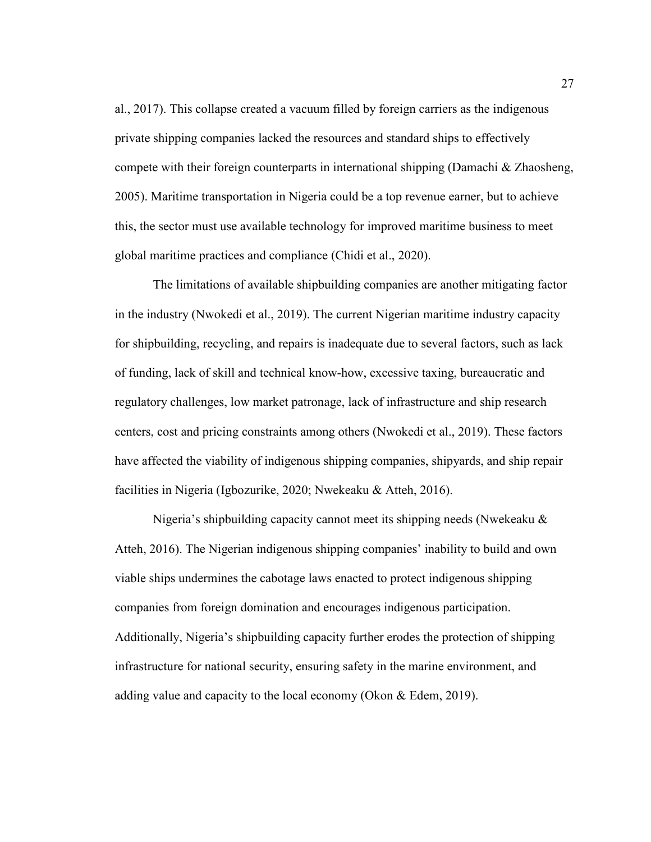al., 2017). This collapse created a vacuum filled by foreign carriers as the indigenous private shipping companies lacked the resources and standard ships to effectively compete with their foreign counterparts in international shipping (Damachi  $\&$  Zhaosheng, 2005). Maritime transportation in Nigeria could be a top revenue earner, but to achieve this, the sector must use available technology for improved maritime business to meet global maritime practices and compliance (Chidi et al., 2020).

The limitations of available shipbuilding companies are another mitigating factor in the industry (Nwokedi et al., 2019). The current Nigerian maritime industry capacity for shipbuilding, recycling, and repairs is inadequate due to several factors, such as lack of funding, lack of skill and technical know-how, excessive taxing, bureaucratic and regulatory challenges, low market patronage, lack of infrastructure and ship research centers, cost and pricing constraints among others (Nwokedi et al., 2019). These factors have affected the viability of indigenous shipping companies, shipyards, and ship repair facilities in Nigeria (Igbozurike, 2020; Nwekeaku & Atteh, 2016).

Nigeria's shipbuilding capacity cannot meet its shipping needs (Nwekeaku & Atteh, 2016). The Nigerian indigenous shipping companies' inability to build and own viable ships undermines the cabotage laws enacted to protect indigenous shipping companies from foreign domination and encourages indigenous participation. Additionally, Nigeria's shipbuilding capacity further erodes the protection of shipping infrastructure for national security, ensuring safety in the marine environment, and adding value and capacity to the local economy (Okon & Edem, 2019).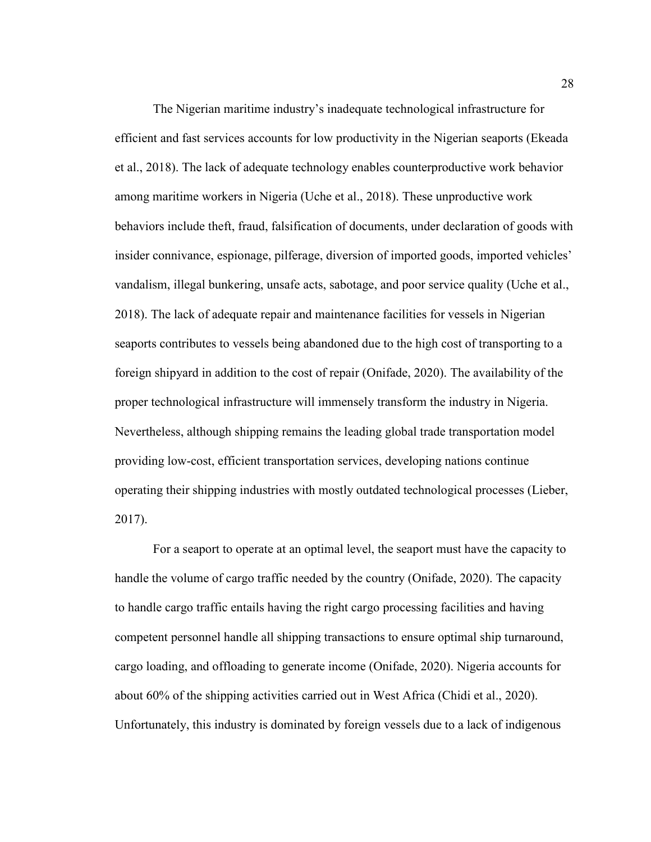The Nigerian maritime industry's inadequate technological infrastructure for efficient and fast services accounts for low productivity in the Nigerian seaports (Ekeada et al., 2018). The lack of adequate technology enables counterproductive work behavior among maritime workers in Nigeria (Uche et al., 2018). These unproductive work behaviors include theft, fraud, falsification of documents, under declaration of goods with insider connivance, espionage, pilferage, diversion of imported goods, imported vehicles' vandalism, illegal bunkering, unsafe acts, sabotage, and poor service quality (Uche et al., 2018). The lack of adequate repair and maintenance facilities for vessels in Nigerian seaports contributes to vessels being abandoned due to the high cost of transporting to a foreign shipyard in addition to the cost of repair (Onifade, 2020). The availability of the proper technological infrastructure will immensely transform the industry in Nigeria. Nevertheless, although shipping remains the leading global trade transportation model providing low-cost, efficient transportation services, developing nations continue operating their shipping industries with mostly outdated technological processes (Lieber, 2017).

For a seaport to operate at an optimal level, the seaport must have the capacity to handle the volume of cargo traffic needed by the country (Onifade, 2020). The capacity to handle cargo traffic entails having the right cargo processing facilities and having competent personnel handle all shipping transactions to ensure optimal ship turnaround, cargo loading, and offloading to generate income (Onifade, 2020). Nigeria accounts for about 60% of the shipping activities carried out in West Africa (Chidi et al., 2020). Unfortunately, this industry is dominated by foreign vessels due to a lack of indigenous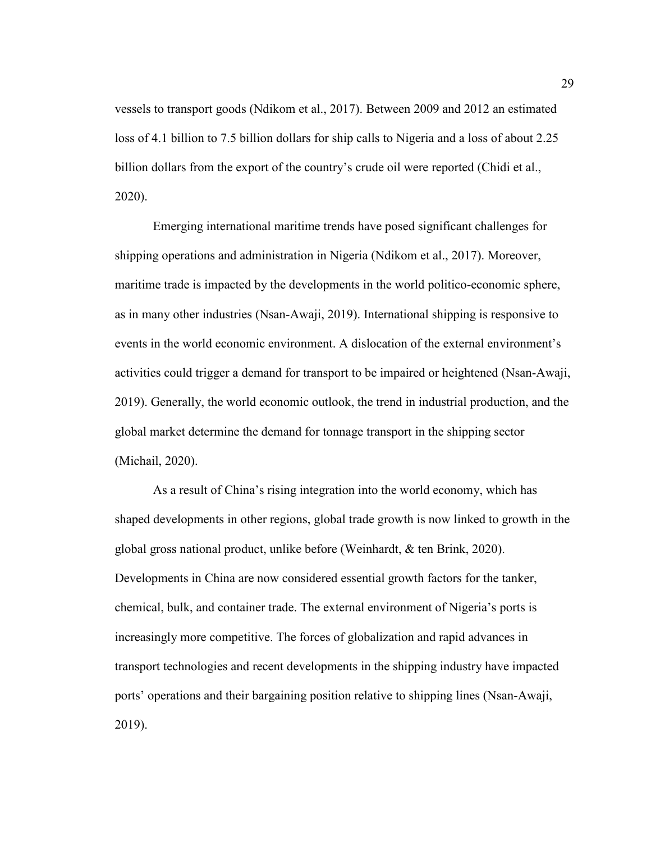vessels to transport goods (Ndikom et al., 2017). Between 2009 and 2012 an estimated loss of 4.1 billion to 7.5 billion dollars for ship calls to Nigeria and a loss of about 2.25 billion dollars from the export of the country's crude oil were reported (Chidi et al., 2020).

Emerging international maritime trends have posed significant challenges for shipping operations and administration in Nigeria (Ndikom et al., 2017). Moreover, maritime trade is impacted by the developments in the world politico-economic sphere, as in many other industries (Nsan-Awaji, 2019). International shipping is responsive to events in the world economic environment. A dislocation of the external environment's activities could trigger a demand for transport to be impaired or heightened (Nsan-Awaji, 2019). Generally, the world economic outlook, the trend in industrial production, and the global market determine the demand for tonnage transport in the shipping sector (Michail, 2020).

As a result of China's rising integration into the world economy, which has shaped developments in other regions, global trade growth is now linked to growth in the global gross national product, unlike before (Weinhardt, & ten Brink, 2020). Developments in China are now considered essential growth factors for the tanker, chemical, bulk, and container trade. The external environment of Nigeria's ports is increasingly more competitive. The forces of globalization and rapid advances in transport technologies and recent developments in the shipping industry have impacted ports' operations and their bargaining position relative to shipping lines (Nsan-Awaji, 2019).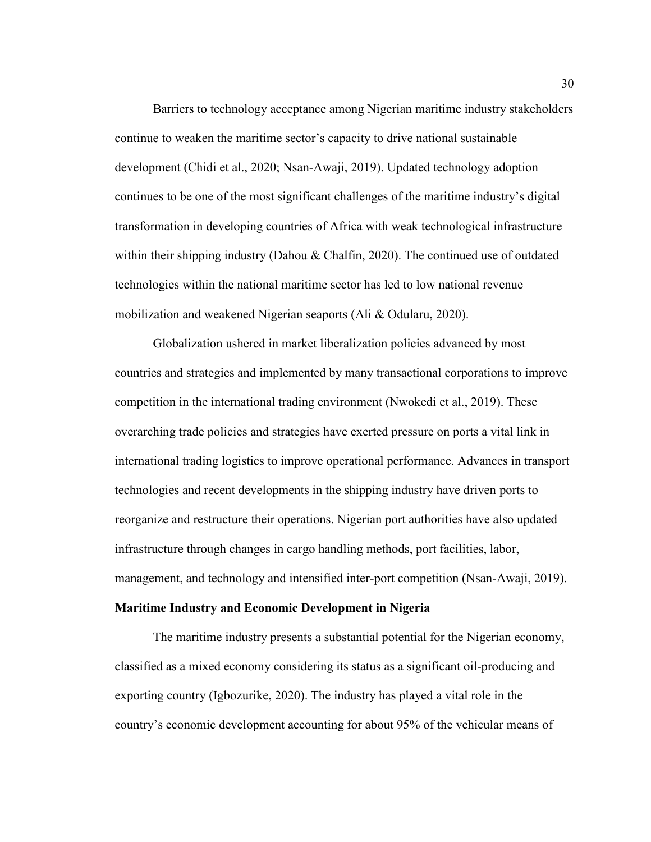Barriers to technology acceptance among Nigerian maritime industry stakeholders continue to weaken the maritime sector's capacity to drive national sustainable development (Chidi et al., 2020; Nsan-Awaji, 2019). Updated technology adoption continues to be one of the most significant challenges of the maritime industry's digital transformation in developing countries of Africa with weak technological infrastructure within their shipping industry (Dahou & Chalfin, 2020). The continued use of outdated technologies within the national maritime sector has led to low national revenue mobilization and weakened Nigerian seaports (Ali & Odularu, 2020).

Globalization ushered in market liberalization policies advanced by most countries and strategies and implemented by many transactional corporations to improve competition in the international trading environment (Nwokedi et al., 2019). These overarching trade policies and strategies have exerted pressure on ports a vital link in international trading logistics to improve operational performance. Advances in transport technologies and recent developments in the shipping industry have driven ports to reorganize and restructure their operations. Nigerian port authorities have also updated infrastructure through changes in cargo handling methods, port facilities, labor, management, and technology and intensified inter-port competition (Nsan-Awaji, 2019).

# **Maritime Industry and Economic Development in Nigeria**

The maritime industry presents a substantial potential for the Nigerian economy, classified as a mixed economy considering its status as a significant oil-producing and exporting country (Igbozurike, 2020). The industry has played a vital role in the country's economic development accounting for about 95% of the vehicular means of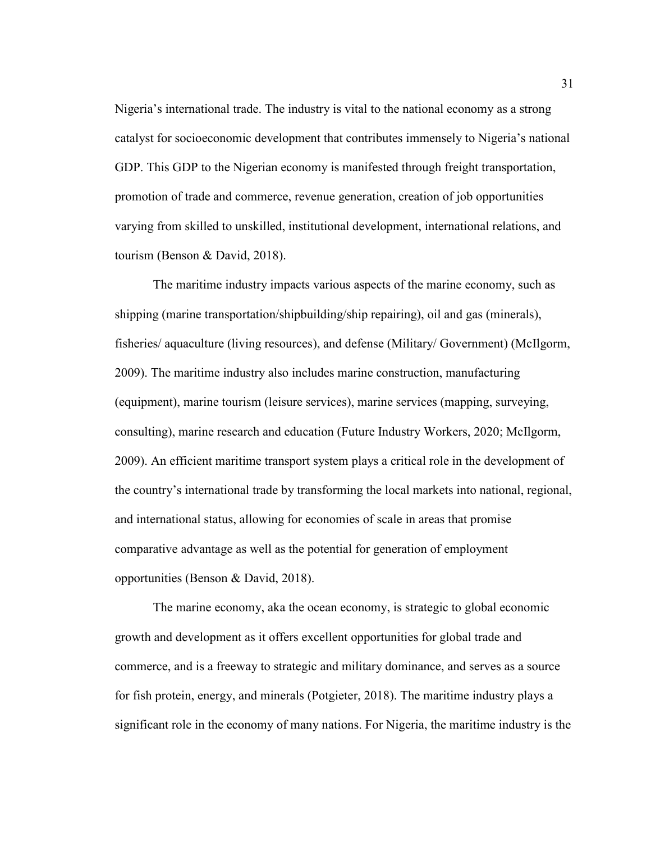Nigeria's international trade. The industry is vital to the national economy as a strong catalyst for socioeconomic development that contributes immensely to Nigeria's national GDP. This GDP to the Nigerian economy is manifested through freight transportation, promotion of trade and commerce, revenue generation, creation of job opportunities varying from skilled to unskilled, institutional development, international relations, and tourism (Benson & David, 2018).

The maritime industry impacts various aspects of the marine economy, such as shipping (marine transportation/shipbuilding/ship repairing), oil and gas (minerals), fisheries/ aquaculture (living resources), and defense (Military/ Government) (McIlgorm, 2009). The maritime industry also includes marine construction, manufacturing (equipment), marine tourism (leisure services), marine services (mapping, surveying, consulting), marine research and education (Future Industry Workers, 2020; McIlgorm, 2009). An efficient maritime transport system plays a critical role in the development of the country's international trade by transforming the local markets into national, regional, and international status, allowing for economies of scale in areas that promise comparative advantage as well as the potential for generation of employment opportunities (Benson & David, 2018).

The marine economy, aka the ocean economy, is strategic to global economic growth and development as it offers excellent opportunities for global trade and commerce, and is a freeway to strategic and military dominance, and serves as a source for fish protein, energy, and minerals (Potgieter, 2018). The maritime industry plays a significant role in the economy of many nations. For Nigeria, the maritime industry is the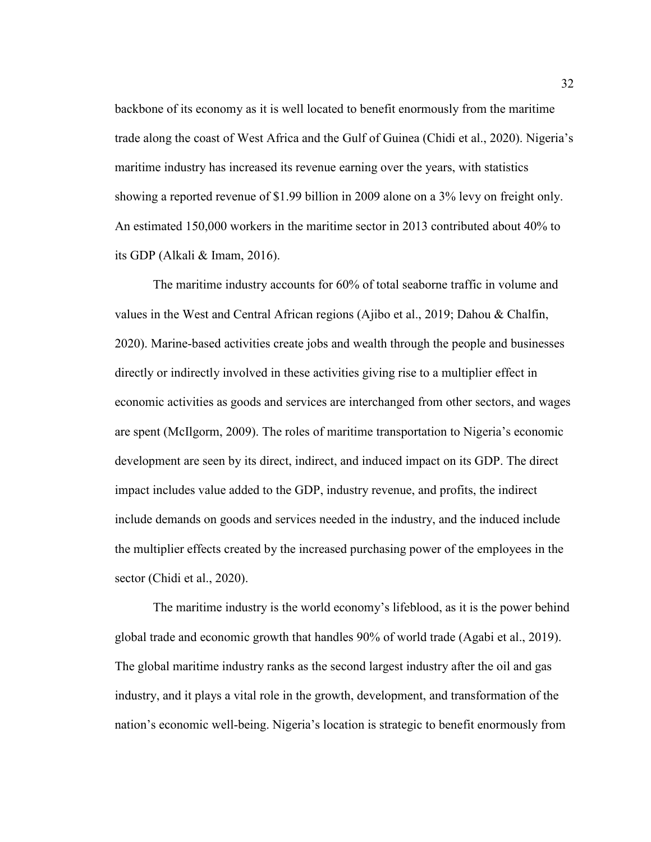backbone of its economy as it is well located to benefit enormously from the maritime trade along the coast of West Africa and the Gulf of Guinea (Chidi et al., 2020). Nigeria's maritime industry has increased its revenue earning over the years, with statistics showing a reported revenue of \$1.99 billion in 2009 alone on a 3% levy on freight only. An estimated 150,000 workers in the maritime sector in 2013 contributed about 40% to its GDP (Alkali & Imam, 2016).

The maritime industry accounts for 60% of total seaborne traffic in volume and values in the West and Central African regions (Ajibo et al., 2019; Dahou & Chalfin, 2020). Marine-based activities create jobs and wealth through the people and businesses directly or indirectly involved in these activities giving rise to a multiplier effect in economic activities as goods and services are interchanged from other sectors, and wages are spent (McIlgorm, 2009). The roles of maritime transportation to Nigeria's economic development are seen by its direct, indirect, and induced impact on its GDP. The direct impact includes value added to the GDP, industry revenue, and profits, the indirect include demands on goods and services needed in the industry, and the induced include the multiplier effects created by the increased purchasing power of the employees in the sector (Chidi et al., 2020).

The maritime industry is the world economy's lifeblood, as it is the power behind global trade and economic growth that handles 90% of world trade (Agabi et al., 2019). The global maritime industry ranks as the second largest industry after the oil and gas industry, and it plays a vital role in the growth, development, and transformation of the nation's economic well-being. Nigeria's location is strategic to benefit enormously from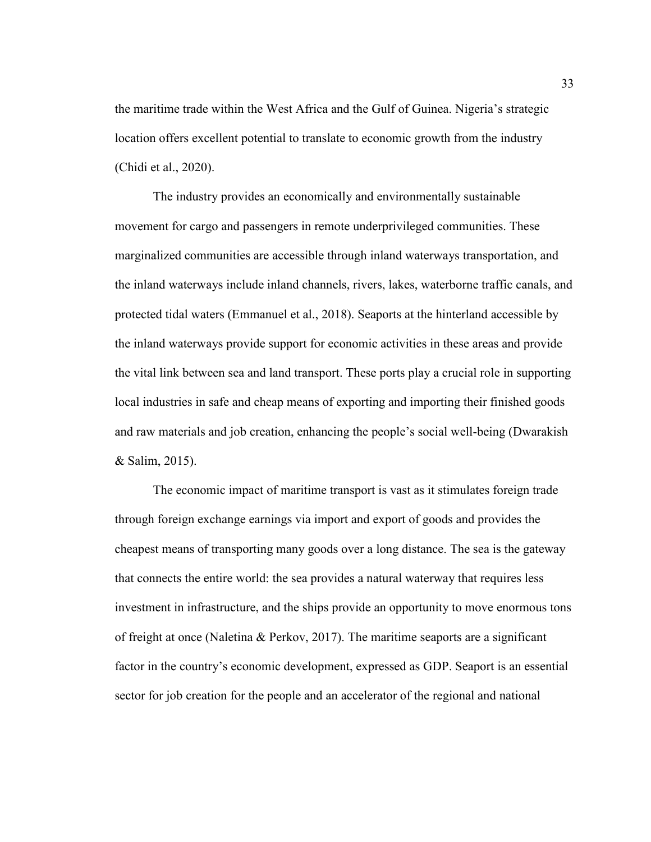the maritime trade within the West Africa and the Gulf of Guinea. Nigeria's strategic location offers excellent potential to translate to economic growth from the industry (Chidi et al., 2020).

The industry provides an economically and environmentally sustainable movement for cargo and passengers in remote underprivileged communities. These marginalized communities are accessible through inland waterways transportation, and the inland waterways include inland channels, rivers, lakes, waterborne traffic canals, and protected tidal waters (Emmanuel et al., 2018). Seaports at the hinterland accessible by the inland waterways provide support for economic activities in these areas and provide the vital link between sea and land transport. These ports play a crucial role in supporting local industries in safe and cheap means of exporting and importing their finished goods and raw materials and job creation, enhancing the people's social well-being (Dwarakish & Salim, 2015).

The economic impact of maritime transport is vast as it stimulates foreign trade through foreign exchange earnings via import and export of goods and provides the cheapest means of transporting many goods over a long distance. The sea is the gateway that connects the entire world: the sea provides a natural waterway that requires less investment in infrastructure, and the ships provide an opportunity to move enormous tons of freight at once (Naletina & Perkov, 2017). The maritime seaports are a significant factor in the country's economic development, expressed as GDP. Seaport is an essential sector for job creation for the people and an accelerator of the regional and national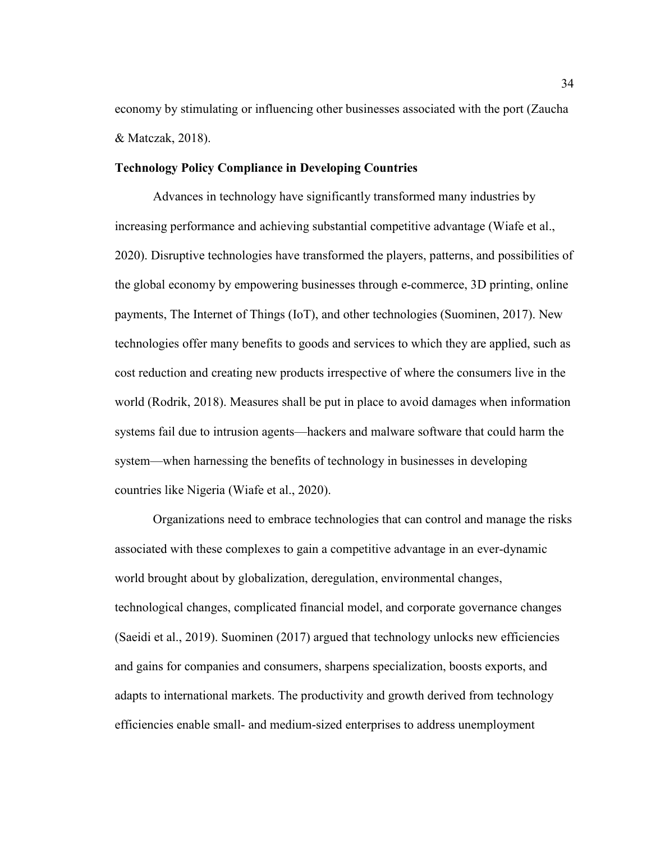economy by stimulating or influencing other businesses associated with the port (Zaucha & Matczak, 2018).

## **Technology Policy Compliance in Developing Countries**

Advances in technology have significantly transformed many industries by increasing performance and achieving substantial competitive advantage (Wiafe et al., 2020). Disruptive technologies have transformed the players, patterns, and possibilities of the global economy by empowering businesses through e-commerce, 3D printing, online payments, The Internet of Things (IoT), and other technologies (Suominen, 2017). New technologies offer many benefits to goods and services to which they are applied, such as cost reduction and creating new products irrespective of where the consumers live in the world (Rodrik, 2018). Measures shall be put in place to avoid damages when information systems fail due to intrusion agents—hackers and malware software that could harm the system—when harnessing the benefits of technology in businesses in developing countries like Nigeria (Wiafe et al., 2020).

Organizations need to embrace technologies that can control and manage the risks associated with these complexes to gain a competitive advantage in an ever-dynamic world brought about by globalization, deregulation, environmental changes, technological changes, complicated financial model, and corporate governance changes (Saeidi et al., 2019). Suominen (2017) argued that technology unlocks new efficiencies and gains for companies and consumers, sharpens specialization, boosts exports, and adapts to international markets. The productivity and growth derived from technology efficiencies enable small- and medium-sized enterprises to address unemployment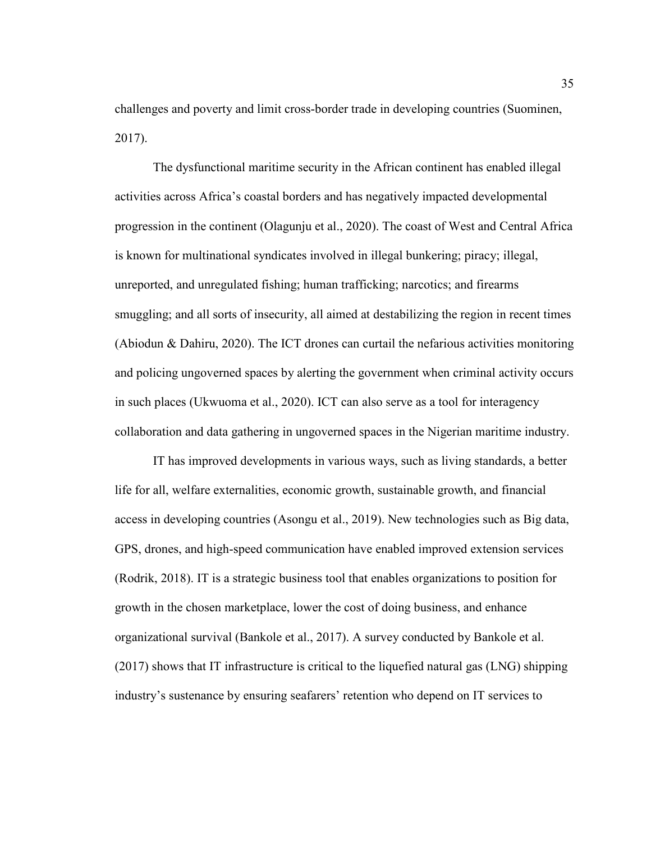challenges and poverty and limit cross-border trade in developing countries (Suominen, 2017).

The dysfunctional maritime security in the African continent has enabled illegal activities across Africa's coastal borders and has negatively impacted developmental progression in the continent (Olagunju et al., 2020). The coast of West and Central Africa is known for multinational syndicates involved in illegal bunkering; piracy; illegal, unreported, and unregulated fishing; human trafficking; narcotics; and firearms smuggling; and all sorts of insecurity, all aimed at destabilizing the region in recent times (Abiodun & Dahiru, 2020). The ICT drones can curtail the nefarious activities monitoring and policing ungoverned spaces by alerting the government when criminal activity occurs in such places (Ukwuoma et al., 2020). ICT can also serve as a tool for interagency collaboration and data gathering in ungoverned spaces in the Nigerian maritime industry.

IT has improved developments in various ways, such as living standards, a better life for all, welfare externalities, economic growth, sustainable growth, and financial access in developing countries (Asongu et al., 2019). New technologies such as Big data, GPS, drones, and high-speed communication have enabled improved extension services (Rodrik, 2018). IT is a strategic business tool that enables organizations to position for growth in the chosen marketplace, lower the cost of doing business, and enhance organizational survival (Bankole et al., 2017). A survey conducted by Bankole et al. (2017) shows that IT infrastructure is critical to the liquefied natural gas (LNG) shipping industry's sustenance by ensuring seafarers' retention who depend on IT services to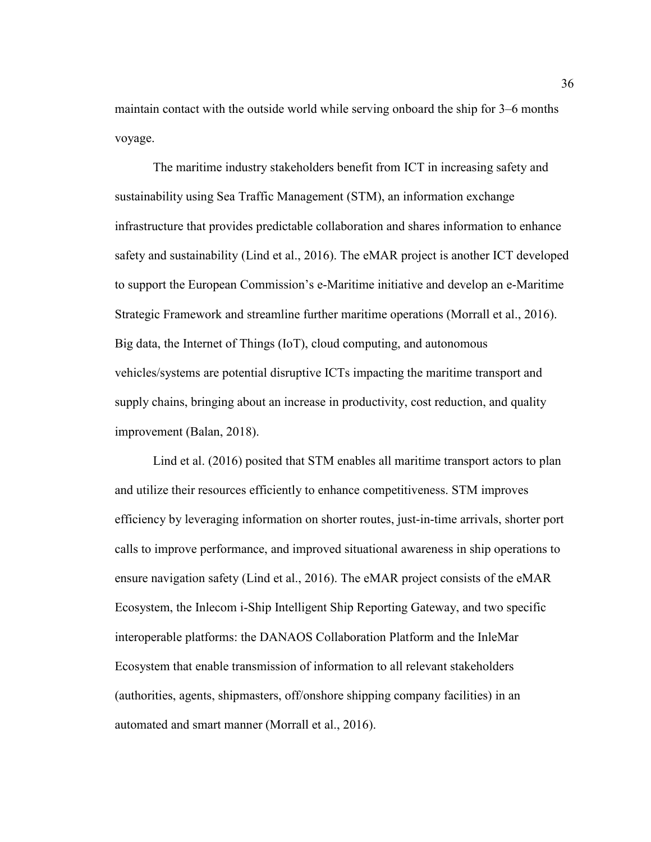maintain contact with the outside world while serving onboard the ship for 3–6 months voyage.

The maritime industry stakeholders benefit from ICT in increasing safety and sustainability using Sea Traffic Management (STM), an information exchange infrastructure that provides predictable collaboration and shares information to enhance safety and sustainability (Lind et al., 2016). The eMAR project is another ICT developed to support the European Commission's e-Maritime initiative and develop an e-Maritime Strategic Framework and streamline further maritime operations (Morrall et al., 2016). Big data, the Internet of Things (IoT), cloud computing, and autonomous vehicles/systems are potential disruptive ICTs impacting the maritime transport and supply chains, bringing about an increase in productivity, cost reduction, and quality improvement (Balan, 2018).

Lind et al. (2016) posited that STM enables all maritime transport actors to plan and utilize their resources efficiently to enhance competitiveness. STM improves efficiency by leveraging information on shorter routes, just-in-time arrivals, shorter port calls to improve performance, and improved situational awareness in ship operations to ensure navigation safety (Lind et al., 2016). The eMAR project consists of the eMAR Ecosystem, the Inlecom i-Ship Intelligent Ship Reporting Gateway, and two specific interoperable platforms: the DANAOS Collaboration Platform and the InleMar Ecosystem that enable transmission of information to all relevant stakeholders (authorities, agents, shipmasters, off/onshore shipping company facilities) in an automated and smart manner (Morrall et al., 2016).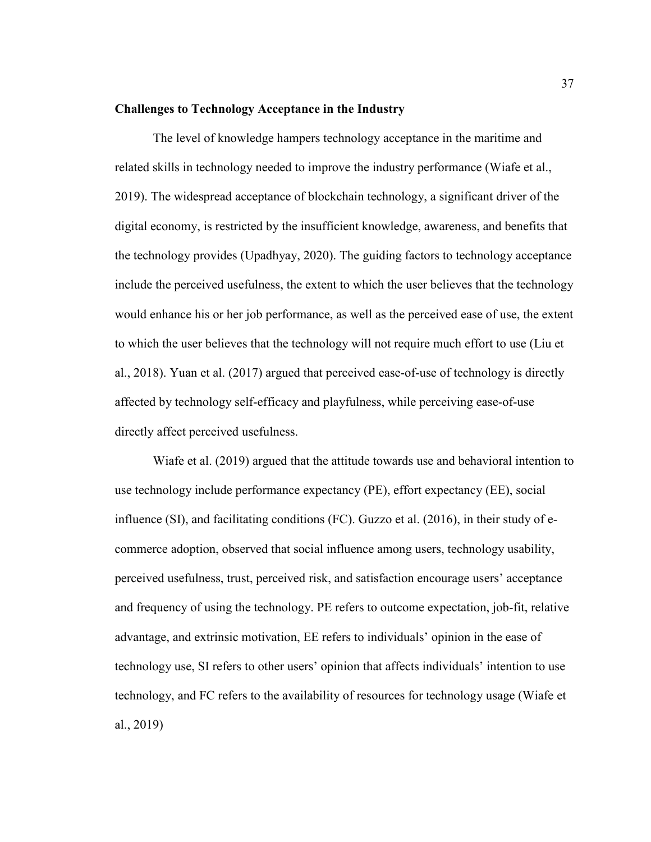## **Challenges to Technology Acceptance in the Industry**

The level of knowledge hampers technology acceptance in the maritime and related skills in technology needed to improve the industry performance (Wiafe et al., 2019). The widespread acceptance of blockchain technology, a significant driver of the digital economy, is restricted by the insufficient knowledge, awareness, and benefits that the technology provides (Upadhyay, 2020). The guiding factors to technology acceptance include the perceived usefulness, the extent to which the user believes that the technology would enhance his or her job performance, as well as the perceived ease of use, the extent to which the user believes that the technology will not require much effort to use (Liu et al., 2018). Yuan et al. (2017) argued that perceived ease-of-use of technology is directly affected by technology self-efficacy and playfulness, while perceiving ease-of-use directly affect perceived usefulness.

Wiafe et al. (2019) argued that the attitude towards use and behavioral intention to use technology include performance expectancy (PE), effort expectancy (EE), social influence (SI), and facilitating conditions (FC). Guzzo et al. (2016), in their study of ecommerce adoption, observed that social influence among users, technology usability, perceived usefulness, trust, perceived risk, and satisfaction encourage users' acceptance and frequency of using the technology. PE refers to outcome expectation, job-fit, relative advantage, and extrinsic motivation, EE refers to individuals' opinion in the ease of technology use, SI refers to other users' opinion that affects individuals' intention to use technology, and FC refers to the availability of resources for technology usage (Wiafe et al., 2019)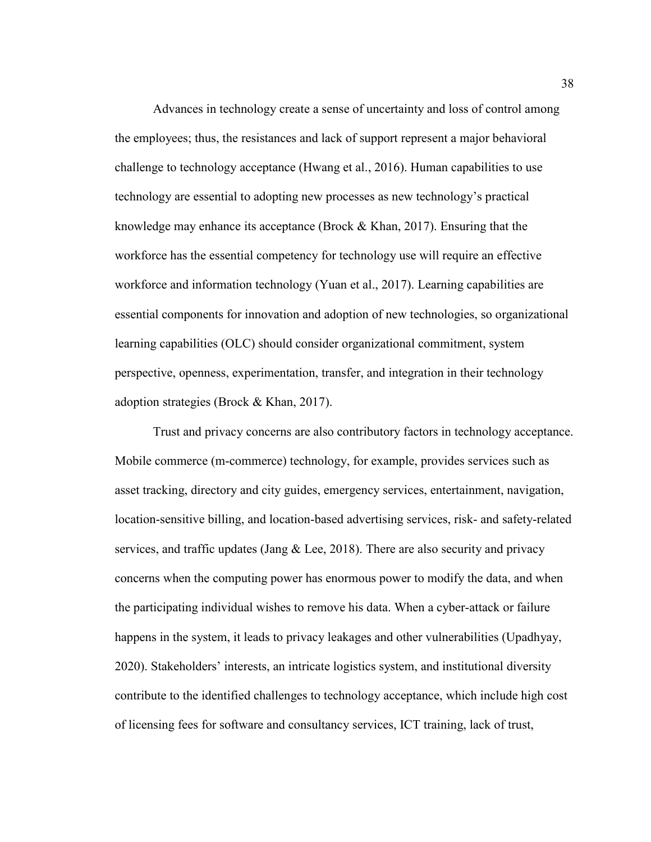Advances in technology create a sense of uncertainty and loss of control among the employees; thus, the resistances and lack of support represent a major behavioral challenge to technology acceptance (Hwang et al., 2016). Human capabilities to use technology are essential to adopting new processes as new technology's practical knowledge may enhance its acceptance (Brock  $&$  Khan, 2017). Ensuring that the workforce has the essential competency for technology use will require an effective workforce and information technology (Yuan et al., 2017). Learning capabilities are essential components for innovation and adoption of new technologies, so organizational learning capabilities (OLC) should consider organizational commitment, system perspective, openness, experimentation, transfer, and integration in their technology adoption strategies (Brock & Khan, 2017).

Trust and privacy concerns are also contributory factors in technology acceptance. Mobile commerce (m-commerce) technology, for example, provides services such as asset tracking, directory and city guides, emergency services, entertainment, navigation, location-sensitive billing, and location-based advertising services, risk- and safety-related services, and traffic updates (Jang  $&$  Lee, 2018). There are also security and privacy concerns when the computing power has enormous power to modify the data, and when the participating individual wishes to remove his data. When a cyber-attack or failure happens in the system, it leads to privacy leakages and other vulnerabilities (Upadhyay, 2020). Stakeholders' interests, an intricate logistics system, and institutional diversity contribute to the identified challenges to technology acceptance, which include high cost of licensing fees for software and consultancy services, ICT training, lack of trust,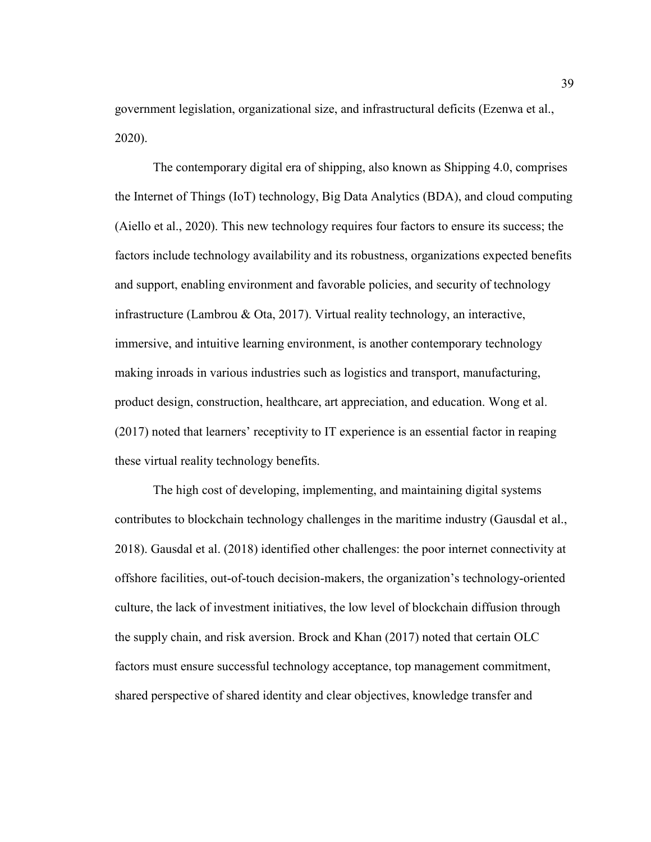government legislation, organizational size, and infrastructural deficits (Ezenwa et al., 2020).

The contemporary digital era of shipping, also known as Shipping 4.0, comprises the Internet of Things (IoT) technology, Big Data Analytics (BDA), and cloud computing (Aiello et al., 2020). This new technology requires four factors to ensure its success; the factors include technology availability and its robustness, organizations expected benefits and support, enabling environment and favorable policies, and security of technology infrastructure (Lambrou & Ota, 2017). Virtual reality technology, an interactive, immersive, and intuitive learning environment, is another contemporary technology making inroads in various industries such as logistics and transport, manufacturing, product design, construction, healthcare, art appreciation, and education. Wong et al. (2017) noted that learners' receptivity to IT experience is an essential factor in reaping these virtual reality technology benefits.

The high cost of developing, implementing, and maintaining digital systems contributes to blockchain technology challenges in the maritime industry (Gausdal et al., 2018). Gausdal et al. (2018) identified other challenges: the poor internet connectivity at offshore facilities, out-of-touch decision-makers, the organization's technology-oriented culture, the lack of investment initiatives, the low level of blockchain diffusion through the supply chain, and risk aversion. Brock and Khan (2017) noted that certain OLC factors must ensure successful technology acceptance, top management commitment, shared perspective of shared identity and clear objectives, knowledge transfer and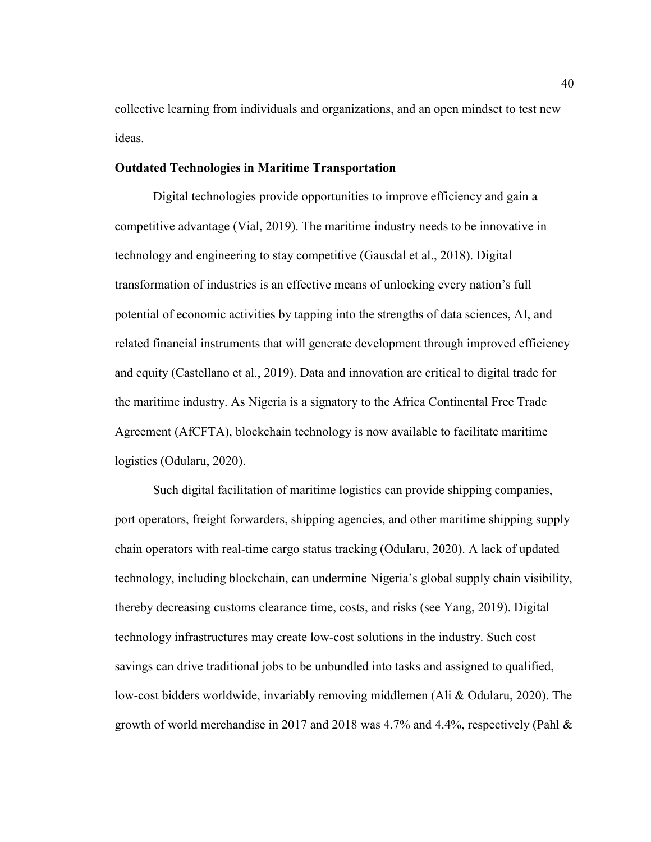collective learning from individuals and organizations, and an open mindset to test new ideas.

## **Outdated Technologies in Maritime Transportation**

Digital technologies provide opportunities to improve efficiency and gain a competitive advantage (Vial, 2019). The maritime industry needs to be innovative in technology and engineering to stay competitive (Gausdal et al., 2018). Digital transformation of industries is an effective means of unlocking every nation's full potential of economic activities by tapping into the strengths of data sciences, AI, and related financial instruments that will generate development through improved efficiency and equity (Castellano et al., 2019). Data and innovation are critical to digital trade for the maritime industry. As Nigeria is a signatory to the Africa Continental Free Trade Agreement (AfCFTA), blockchain technology is now available to facilitate maritime logistics (Odularu, 2020).

Such digital facilitation of maritime logistics can provide shipping companies, port operators, freight forwarders, shipping agencies, and other maritime shipping supply chain operators with real-time cargo status tracking (Odularu, 2020). A lack of updated technology, including blockchain, can undermine Nigeria's global supply chain visibility, thereby decreasing customs clearance time, costs, and risks (see Yang, 2019). Digital technology infrastructures may create low-cost solutions in the industry. Such cost savings can drive traditional jobs to be unbundled into tasks and assigned to qualified, low-cost bidders worldwide, invariably removing middlemen (Ali & Odularu, 2020). The growth of world merchandise in 2017 and 2018 was 4.7% and 4.4%, respectively (Pahl &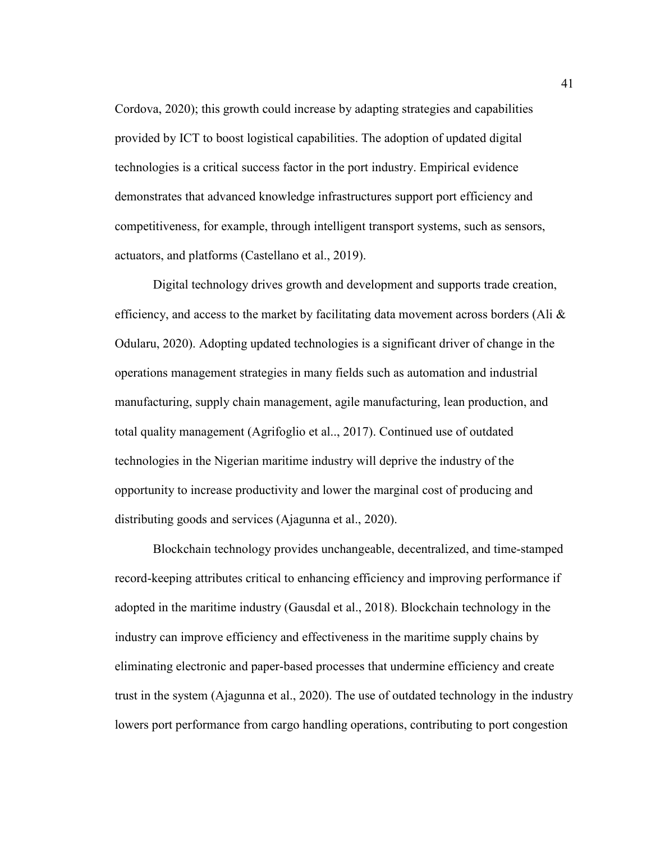Cordova, 2020); this growth could increase by adapting strategies and capabilities provided by ICT to boost logistical capabilities. The adoption of updated digital technologies is a critical success factor in the port industry. Empirical evidence demonstrates that advanced knowledge infrastructures support port efficiency and competitiveness, for example, through intelligent transport systems, such as sensors, actuators, and platforms (Castellano et al., 2019).

Digital technology drives growth and development and supports trade creation, efficiency, and access to the market by facilitating data movement across borders (Ali  $\&$ Odularu, 2020). Adopting updated technologies is a significant driver of change in the operations management strategies in many fields such as automation and industrial manufacturing, supply chain management, agile manufacturing, lean production, and total quality management (Agrifoglio et al.., 2017). Continued use of outdated technologies in the Nigerian maritime industry will deprive the industry of the opportunity to increase productivity and lower the marginal cost of producing and distributing goods and services (Ajagunna et al., 2020).

Blockchain technology provides unchangeable, decentralized, and time-stamped record-keeping attributes critical to enhancing efficiency and improving performance if adopted in the maritime industry (Gausdal et al., 2018). Blockchain technology in the industry can improve efficiency and effectiveness in the maritime supply chains by eliminating electronic and paper-based processes that undermine efficiency and create trust in the system (Ajagunna et al., 2020). The use of outdated technology in the industry lowers port performance from cargo handling operations, contributing to port congestion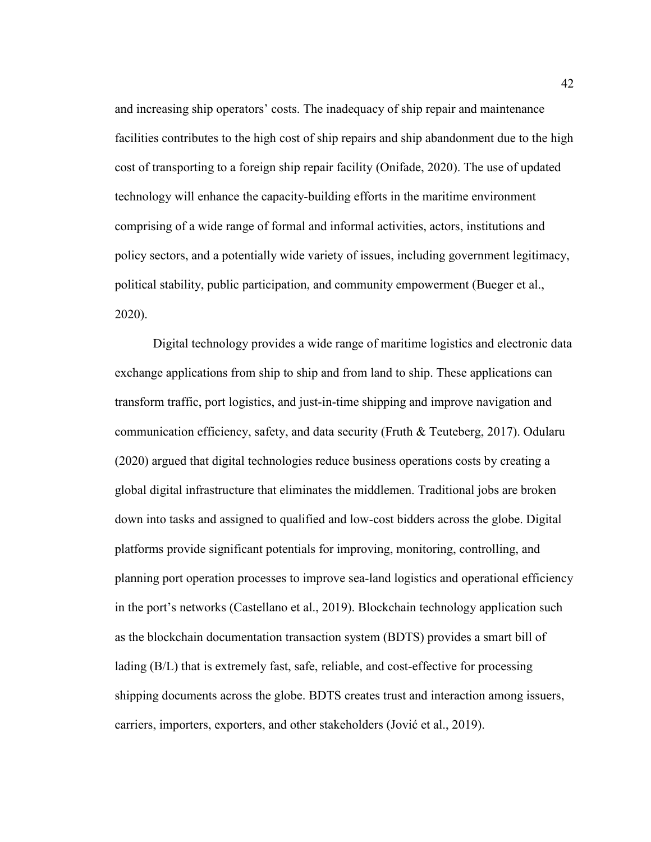and increasing ship operators' costs. The inadequacy of ship repair and maintenance facilities contributes to the high cost of ship repairs and ship abandonment due to the high cost of transporting to a foreign ship repair facility (Onifade, 2020). The use of updated technology will enhance the capacity-building efforts in the maritime environment comprising of a wide range of formal and informal activities, actors, institutions and policy sectors, and a potentially wide variety of issues, including government legitimacy, political stability, public participation, and community empowerment (Bueger et al., 2020).

Digital technology provides a wide range of maritime logistics and electronic data exchange applications from ship to ship and from land to ship. These applications can transform traffic, port logistics, and just-in-time shipping and improve navigation and communication efficiency, safety, and data security (Fruth  $\&$  Teuteberg, 2017). Odularu (2020) argued that digital technologies reduce business operations costs by creating a global digital infrastructure that eliminates the middlemen. Traditional jobs are broken down into tasks and assigned to qualified and low-cost bidders across the globe. Digital platforms provide significant potentials for improving, monitoring, controlling, and planning port operation processes to improve sea-land logistics and operational efficiency in the port's networks (Castellano et al., 2019). Blockchain technology application such as the blockchain documentation transaction system (BDTS) provides a smart bill of lading (B/L) that is extremely fast, safe, reliable, and cost-effective for processing shipping documents across the globe. BDTS creates trust and interaction among issuers, carriers, importers, exporters, and other stakeholders (Jović et al., 2019).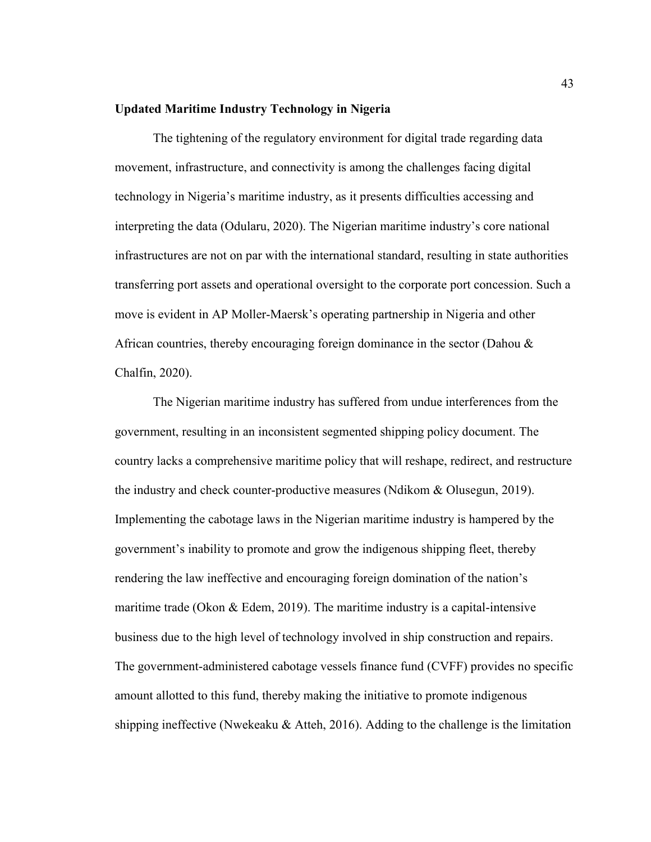## **Updated Maritime Industry Technology in Nigeria**

The tightening of the regulatory environment for digital trade regarding data movement, infrastructure, and connectivity is among the challenges facing digital technology in Nigeria's maritime industry, as it presents difficulties accessing and interpreting the data (Odularu, 2020). The Nigerian maritime industry's core national infrastructures are not on par with the international standard, resulting in state authorities transferring port assets and operational oversight to the corporate port concession. Such a move is evident in AP Moller-Maersk's operating partnership in Nigeria and other African countries, thereby encouraging foreign dominance in the sector (Dahou & Chalfin, 2020).

The Nigerian maritime industry has suffered from undue interferences from the government, resulting in an inconsistent segmented shipping policy document. The country lacks a comprehensive maritime policy that will reshape, redirect, and restructure the industry and check counter-productive measures (Ndikom & Olusegun, 2019). Implementing the cabotage laws in the Nigerian maritime industry is hampered by the government's inability to promote and grow the indigenous shipping fleet, thereby rendering the law ineffective and encouraging foreign domination of the nation's maritime trade (Okon  $& Edem, 2019$ ). The maritime industry is a capital-intensive business due to the high level of technology involved in ship construction and repairs. The government-administered cabotage vessels finance fund (CVFF) provides no specific amount allotted to this fund, thereby making the initiative to promote indigenous shipping ineffective (Nwekeaku  $&$  Atteh, 2016). Adding to the challenge is the limitation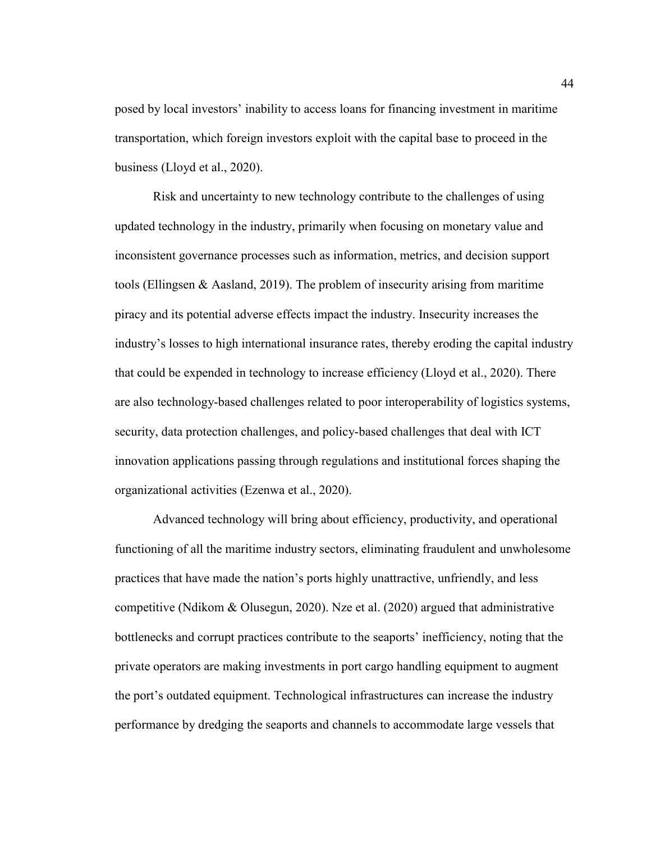posed by local investors' inability to access loans for financing investment in maritime transportation, which foreign investors exploit with the capital base to proceed in the business (Lloyd et al., 2020).

Risk and uncertainty to new technology contribute to the challenges of using updated technology in the industry, primarily when focusing on monetary value and inconsistent governance processes such as information, metrics, and decision support tools (Ellingsen & Aasland, 2019). The problem of insecurity arising from maritime piracy and its potential adverse effects impact the industry. Insecurity increases the industry's losses to high international insurance rates, thereby eroding the capital industry that could be expended in technology to increase efficiency (Lloyd et al., 2020). There are also technology-based challenges related to poor interoperability of logistics systems, security, data protection challenges, and policy-based challenges that deal with ICT innovation applications passing through regulations and institutional forces shaping the organizational activities (Ezenwa et al., 2020).

Advanced technology will bring about efficiency, productivity, and operational functioning of all the maritime industry sectors, eliminating fraudulent and unwholesome practices that have made the nation's ports highly unattractive, unfriendly, and less competitive (Ndikom & Olusegun, 2020). Nze et al. (2020) argued that administrative bottlenecks and corrupt practices contribute to the seaports' inefficiency, noting that the private operators are making investments in port cargo handling equipment to augment the port's outdated equipment. Technological infrastructures can increase the industry performance by dredging the seaports and channels to accommodate large vessels that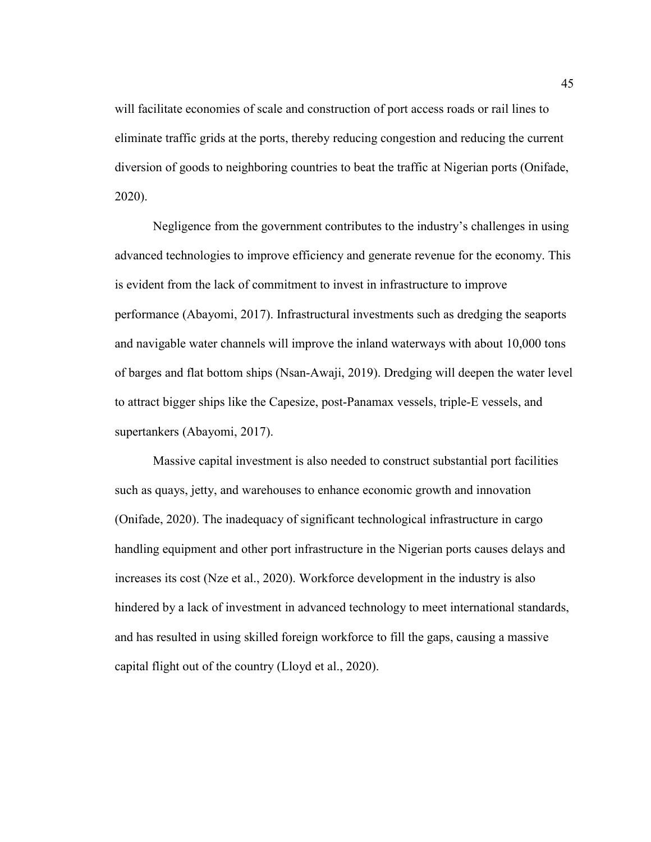will facilitate economies of scale and construction of port access roads or rail lines to eliminate traffic grids at the ports, thereby reducing congestion and reducing the current diversion of goods to neighboring countries to beat the traffic at Nigerian ports (Onifade, 2020).

Negligence from the government contributes to the industry's challenges in using advanced technologies to improve efficiency and generate revenue for the economy. This is evident from the lack of commitment to invest in infrastructure to improve performance (Abayomi, 2017). Infrastructural investments such as dredging the seaports and navigable water channels will improve the inland waterways with about 10,000 tons of barges and flat bottom ships (Nsan-Awaji, 2019). Dredging will deepen the water level to attract bigger ships like the Capesize, post-Panamax vessels, triple-E vessels, and supertankers (Abayomi, 2017).

Massive capital investment is also needed to construct substantial port facilities such as quays, jetty, and warehouses to enhance economic growth and innovation (Onifade, 2020). The inadequacy of significant technological infrastructure in cargo handling equipment and other port infrastructure in the Nigerian ports causes delays and increases its cost (Nze et al., 2020). Workforce development in the industry is also hindered by a lack of investment in advanced technology to meet international standards, and has resulted in using skilled foreign workforce to fill the gaps, causing a massive capital flight out of the country (Lloyd et al., 2020).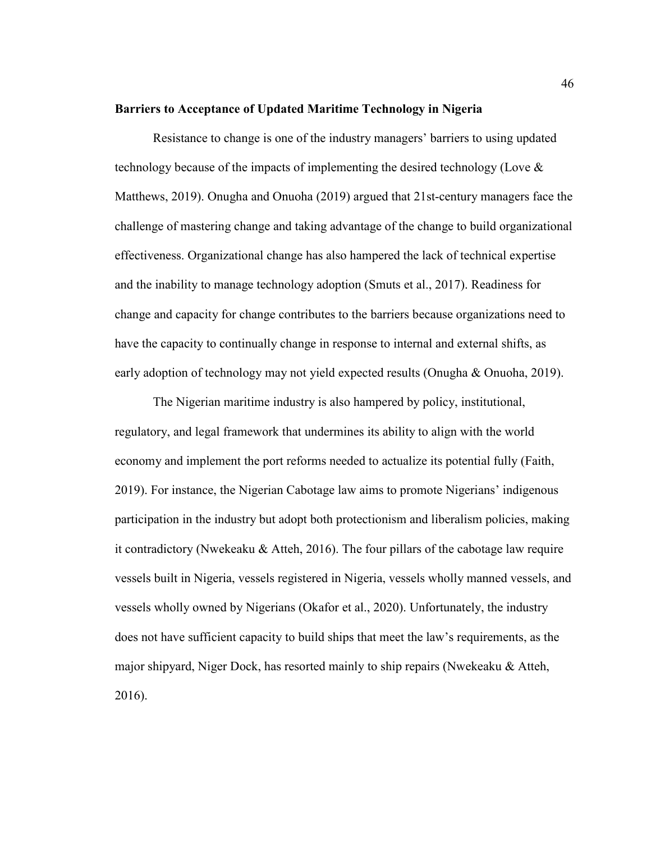## **Barriers to Acceptance of Updated Maritime Technology in Nigeria**

Resistance to change is one of the industry managers' barriers to using updated technology because of the impacts of implementing the desired technology (Love & Matthews, 2019). Onugha and Onuoha (2019) argued that 21st-century managers face the challenge of mastering change and taking advantage of the change to build organizational effectiveness. Organizational change has also hampered the lack of technical expertise and the inability to manage technology adoption (Smuts et al., 2017). Readiness for change and capacity for change contributes to the barriers because organizations need to have the capacity to continually change in response to internal and external shifts, as early adoption of technology may not yield expected results (Onugha & Onuoha, 2019).

The Nigerian maritime industry is also hampered by policy, institutional, regulatory, and legal framework that undermines its ability to align with the world economy and implement the port reforms needed to actualize its potential fully (Faith, 2019). For instance, the Nigerian Cabotage law aims to promote Nigerians' indigenous participation in the industry but adopt both protectionism and liberalism policies, making it contradictory (Nwekeaku & Atteh, 2016). The four pillars of the cabotage law require vessels built in Nigeria, vessels registered in Nigeria, vessels wholly manned vessels, and vessels wholly owned by Nigerians (Okafor et al., 2020). Unfortunately, the industry does not have sufficient capacity to build ships that meet the law's requirements, as the major shipyard, Niger Dock, has resorted mainly to ship repairs (Nwekeaku & Atteh, 2016).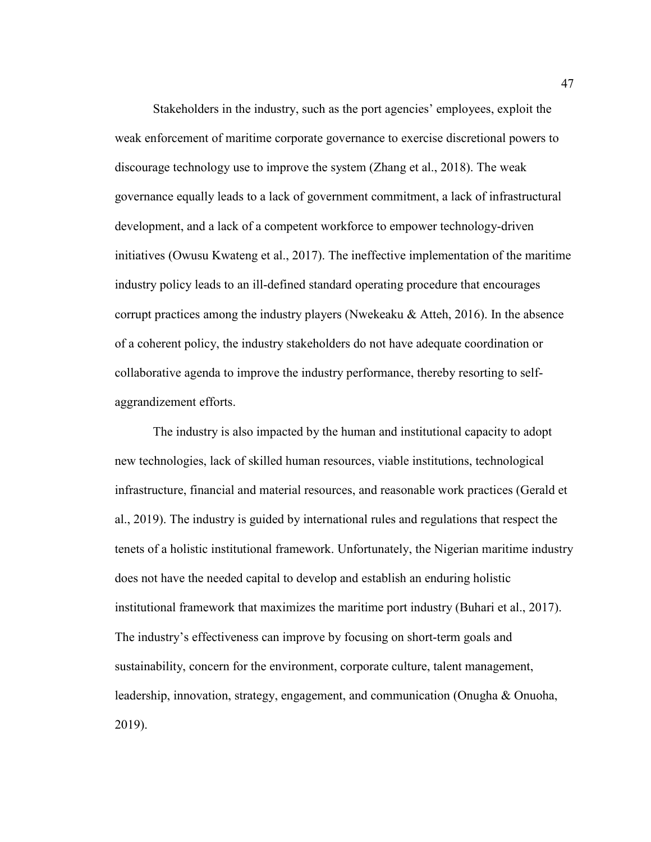Stakeholders in the industry, such as the port agencies' employees, exploit the weak enforcement of maritime corporate governance to exercise discretional powers to discourage technology use to improve the system (Zhang et al., 2018). The weak governance equally leads to a lack of government commitment, a lack of infrastructural development, and a lack of a competent workforce to empower technology-driven initiatives (Owusu Kwateng et al., 2017). The ineffective implementation of the maritime industry policy leads to an ill-defined standard operating procedure that encourages corrupt practices among the industry players (Nwekeaku  $\&$  Atteh, 2016). In the absence of a coherent policy, the industry stakeholders do not have adequate coordination or collaborative agenda to improve the industry performance, thereby resorting to selfaggrandizement efforts.

The industry is also impacted by the human and institutional capacity to adopt new technologies, lack of skilled human resources, viable institutions, technological infrastructure, financial and material resources, and reasonable work practices (Gerald et al., 2019). The industry is guided by international rules and regulations that respect the tenets of a holistic institutional framework. Unfortunately, the Nigerian maritime industry does not have the needed capital to develop and establish an enduring holistic institutional framework that maximizes the maritime port industry (Buhari et al., 2017). The industry's effectiveness can improve by focusing on short-term goals and sustainability, concern for the environment, corporate culture, talent management, leadership, innovation, strategy, engagement, and communication (Onugha & Onuoha, 2019).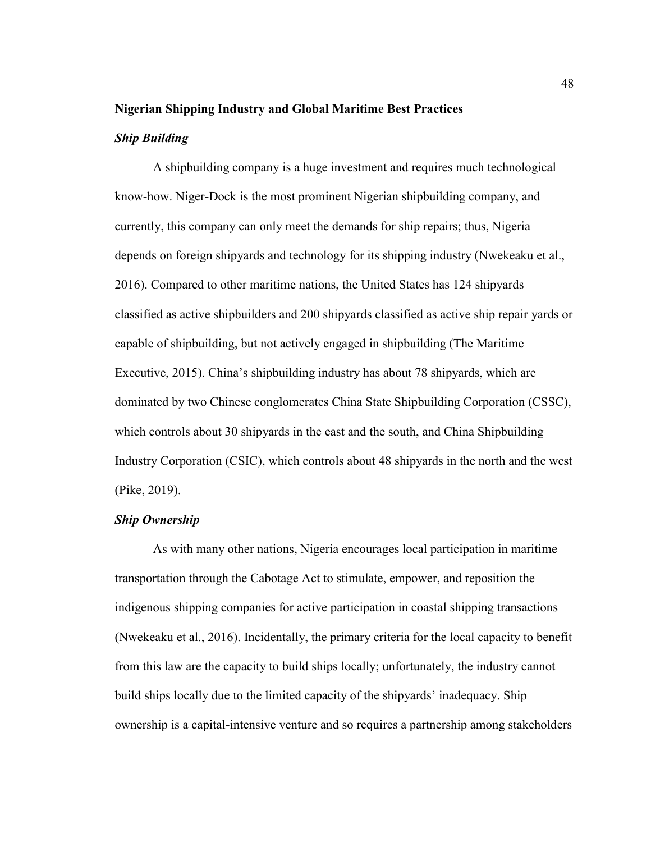### **Nigerian Shipping Industry and Global Maritime Best Practices**

## *Ship Building*

A shipbuilding company is a huge investment and requires much technological know-how. Niger-Dock is the most prominent Nigerian shipbuilding company, and currently, this company can only meet the demands for ship repairs; thus, Nigeria depends on foreign shipyards and technology for its shipping industry (Nwekeaku et al., 2016). Compared to other maritime nations, the United States has 124 shipyards classified as active shipbuilders and 200 shipyards classified as active ship repair yards or capable of shipbuilding, but not actively engaged in shipbuilding (The Maritime Executive, 2015). China's shipbuilding industry has about 78 shipyards, which are dominated by two Chinese conglomerates China State Shipbuilding Corporation (CSSC), which controls about 30 shipyards in the east and the south, and China Shipbuilding Industry Corporation (CSIC), which controls about 48 shipyards in the north and the west (Pike, 2019).

## *Ship Ownership*

As with many other nations, Nigeria encourages local participation in maritime transportation through the Cabotage Act to stimulate, empower, and reposition the indigenous shipping companies for active participation in coastal shipping transactions (Nwekeaku et al., 2016). Incidentally, the primary criteria for the local capacity to benefit from this law are the capacity to build ships locally; unfortunately, the industry cannot build ships locally due to the limited capacity of the shipyards' inadequacy. Ship ownership is a capital-intensive venture and so requires a partnership among stakeholders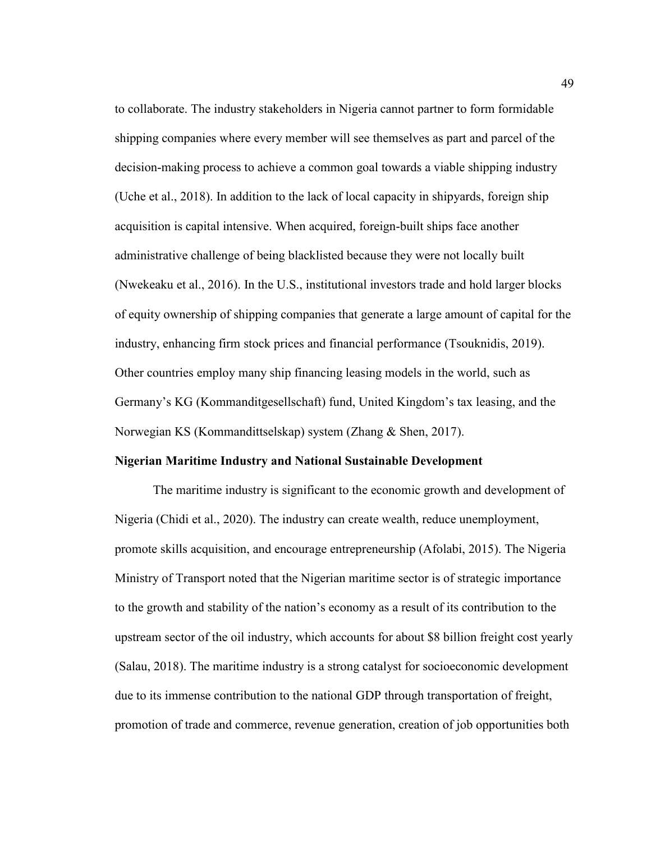to collaborate. The industry stakeholders in Nigeria cannot partner to form formidable shipping companies where every member will see themselves as part and parcel of the decision-making process to achieve a common goal towards a viable shipping industry (Uche et al., 2018). In addition to the lack of local capacity in shipyards, foreign ship acquisition is capital intensive. When acquired, foreign-built ships face another administrative challenge of being blacklisted because they were not locally built (Nwekeaku et al., 2016). In the U.S., institutional investors trade and hold larger blocks of equity ownership of shipping companies that generate a large amount of capital for the industry, enhancing firm stock prices and financial performance (Tsouknidis, 2019). Other countries employ many ship financing leasing models in the world, such as Germany's KG (Kommanditgesellschaft) fund, United Kingdom's tax leasing, and the Norwegian KS (Kommandittselskap) system (Zhang & Shen, 2017).

## **Nigerian Maritime Industry and National Sustainable Development**

The maritime industry is significant to the economic growth and development of Nigeria (Chidi et al., 2020). The industry can create wealth, reduce unemployment, promote skills acquisition, and encourage entrepreneurship (Afolabi, 2015). The Nigeria Ministry of Transport noted that the Nigerian maritime sector is of strategic importance to the growth and stability of the nation's economy as a result of its contribution to the upstream sector of the oil industry, which accounts for about \$8 billion freight cost yearly (Salau, 2018). The maritime industry is a strong catalyst for socioeconomic development due to its immense contribution to the national GDP through transportation of freight, promotion of trade and commerce, revenue generation, creation of job opportunities both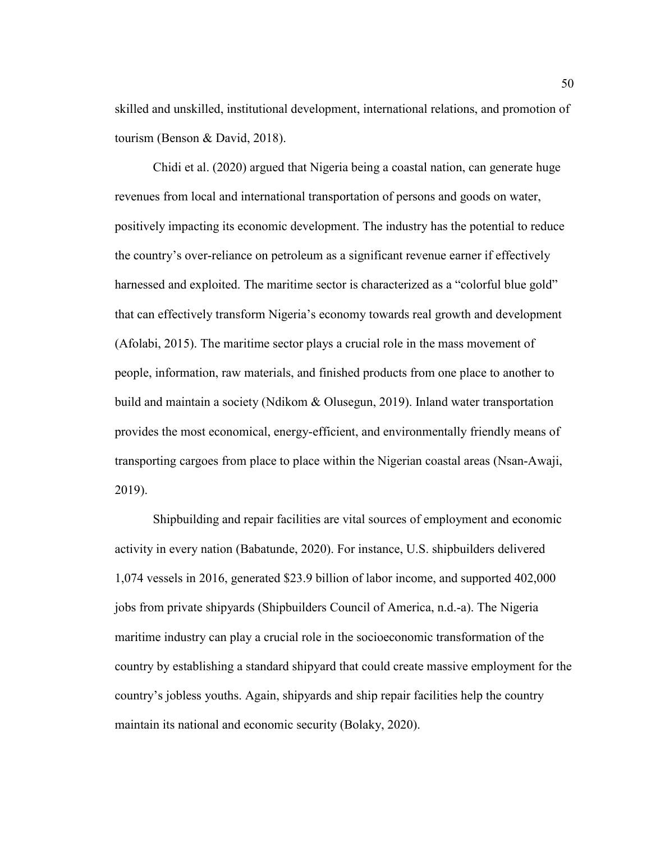skilled and unskilled, institutional development, international relations, and promotion of tourism (Benson & David, 2018).

Chidi et al. (2020) argued that Nigeria being a coastal nation, can generate huge revenues from local and international transportation of persons and goods on water, positively impacting its economic development. The industry has the potential to reduce the country's over-reliance on petroleum as a significant revenue earner if effectively harnessed and exploited. The maritime sector is characterized as a "colorful blue gold" that can effectively transform Nigeria's economy towards real growth and development (Afolabi, 2015). The maritime sector plays a crucial role in the mass movement of people, information, raw materials, and finished products from one place to another to build and maintain a society (Ndikom & Olusegun, 2019). Inland water transportation provides the most economical, energy-efficient, and environmentally friendly means of transporting cargoes from place to place within the Nigerian coastal areas (Nsan-Awaji, 2019).

Shipbuilding and repair facilities are vital sources of employment and economic activity in every nation (Babatunde, 2020). For instance, U.S. shipbuilders delivered 1,074 vessels in 2016, generated \$23.9 billion of labor income, and supported 402,000 jobs from private shipyards (Shipbuilders Council of America, n.d.-a). The Nigeria maritime industry can play a crucial role in the socioeconomic transformation of the country by establishing a standard shipyard that could create massive employment for the country's jobless youths. Again, shipyards and ship repair facilities help the country maintain its national and economic security (Bolaky, 2020).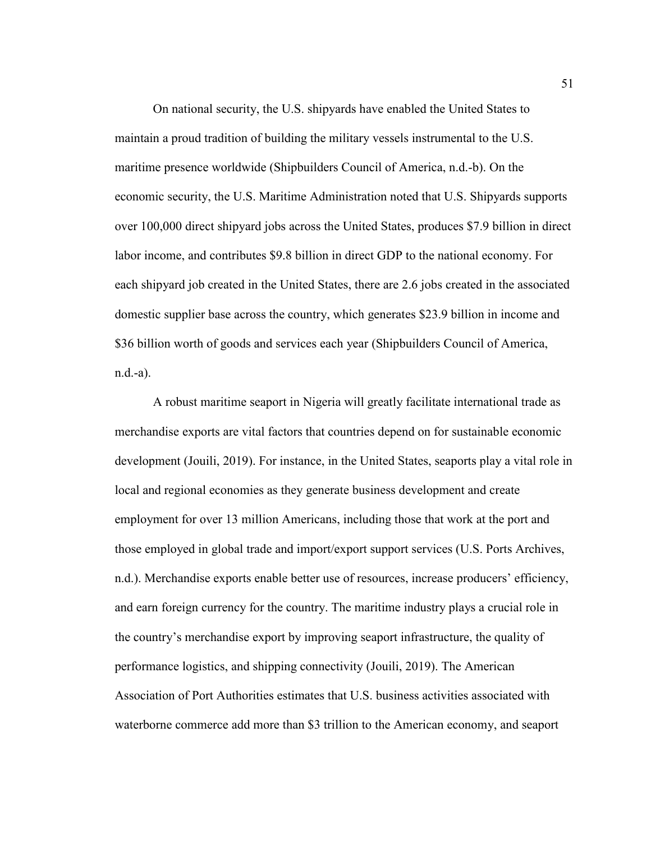On national security, the U.S. shipyards have enabled the United States to maintain a proud tradition of building the military vessels instrumental to the U.S. maritime presence worldwide (Shipbuilders Council of America, n.d.-b). On the economic security, the U.S. Maritime Administration noted that U.S. Shipyards supports over 100,000 direct shipyard jobs across the United States, produces \$7.9 billion in direct labor income, and contributes \$9.8 billion in direct GDP to the national economy. For each shipyard job created in the United States, there are 2.6 jobs created in the associated domestic supplier base across the country, which generates \$23.9 billion in income and \$36 billion worth of goods and services each year (Shipbuilders Council of America, n.d.-a).

A robust maritime seaport in Nigeria will greatly facilitate international trade as merchandise exports are vital factors that countries depend on for sustainable economic development (Jouili, 2019). For instance, in the United States, seaports play a vital role in local and regional economies as they generate business development and create employment for over 13 million Americans, including those that work at the port and those employed in global trade and import/export support services (U.S. Ports Archives, n.d.). Merchandise exports enable better use of resources, increase producers' efficiency, and earn foreign currency for the country. The maritime industry plays a crucial role in the country's merchandise export by improving seaport infrastructure, the quality of performance logistics, and shipping connectivity (Jouili, 2019). The American Association of Port Authorities estimates that U.S. business activities associated with waterborne commerce add more than \$3 trillion to the American economy, and seaport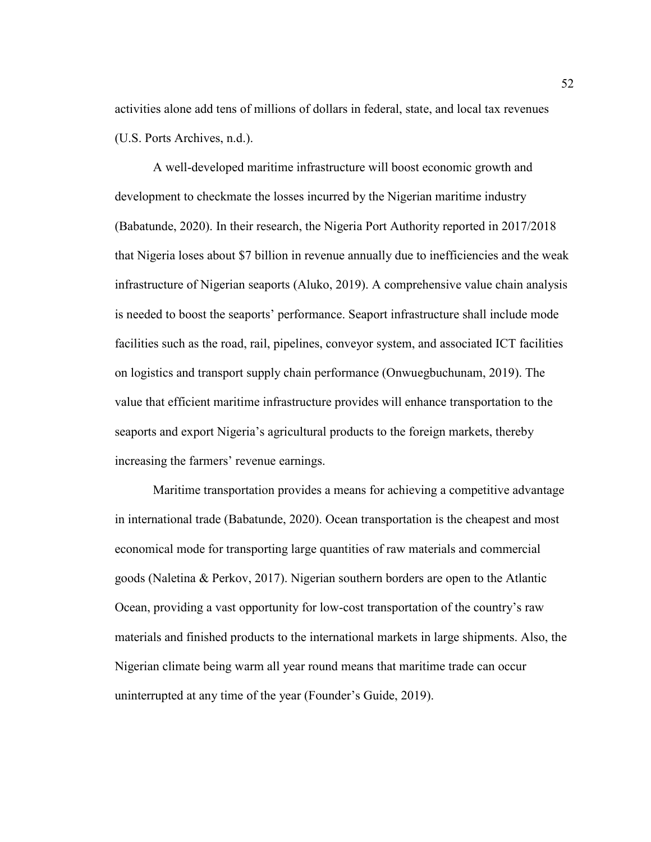activities alone add tens of millions of dollars in federal, state, and local tax revenues (U.S. Ports Archives, n.d.).

A well-developed maritime infrastructure will boost economic growth and development to checkmate the losses incurred by the Nigerian maritime industry (Babatunde, 2020). In their research, the Nigeria Port Authority reported in 2017/2018 that Nigeria loses about \$7 billion in revenue annually due to inefficiencies and the weak infrastructure of Nigerian seaports (Aluko, 2019). A comprehensive value chain analysis is needed to boost the seaports' performance. Seaport infrastructure shall include mode facilities such as the road, rail, pipelines, conveyor system, and associated ICT facilities on logistics and transport supply chain performance (Onwuegbuchunam, 2019). The value that efficient maritime infrastructure provides will enhance transportation to the seaports and export Nigeria's agricultural products to the foreign markets, thereby increasing the farmers' revenue earnings.

Maritime transportation provides a means for achieving a competitive advantage in international trade (Babatunde, 2020). Ocean transportation is the cheapest and most economical mode for transporting large quantities of raw materials and commercial goods (Naletina & Perkov, 2017). Nigerian southern borders are open to the Atlantic Ocean, providing a vast opportunity for low-cost transportation of the country's raw materials and finished products to the international markets in large shipments. Also, the Nigerian climate being warm all year round means that maritime trade can occur uninterrupted at any time of the year (Founder's Guide, 2019).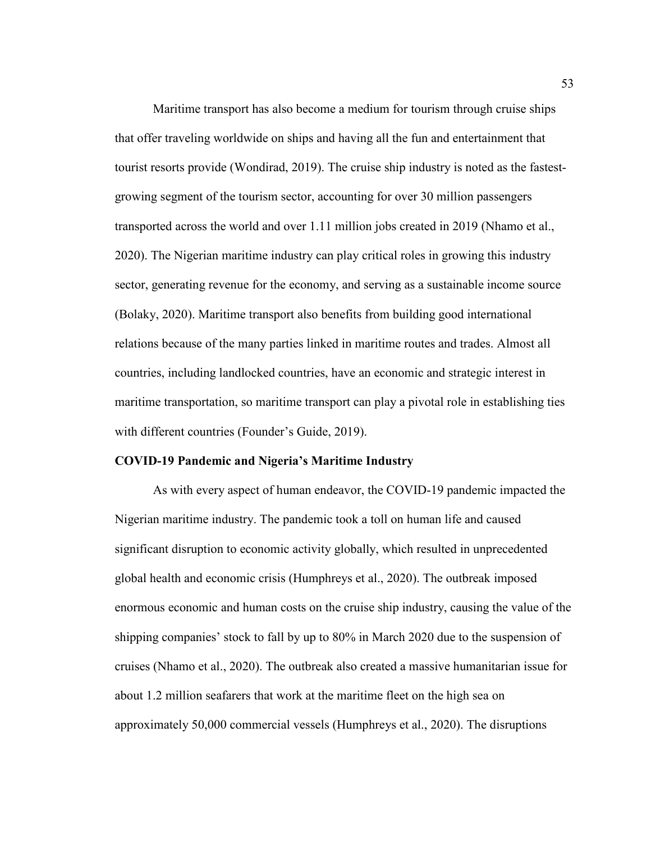Maritime transport has also become a medium for tourism through cruise ships that offer traveling worldwide on ships and having all the fun and entertainment that tourist resorts provide (Wondirad, 2019). The cruise ship industry is noted as the fastestgrowing segment of the tourism sector, accounting for over 30 million passengers transported across the world and over 1.11 million jobs created in 2019 (Nhamo et al., 2020). The Nigerian maritime industry can play critical roles in growing this industry sector, generating revenue for the economy, and serving as a sustainable income source (Bolaky, 2020). Maritime transport also benefits from building good international relations because of the many parties linked in maritime routes and trades. Almost all countries, including landlocked countries, have an economic and strategic interest in maritime transportation, so maritime transport can play a pivotal role in establishing ties with different countries (Founder's Guide, 2019).

## **COVID-19 Pandemic and Nigeria's Maritime Industry**

As with every aspect of human endeavor, the COVID-19 pandemic impacted the Nigerian maritime industry. The pandemic took a toll on human life and caused significant disruption to economic activity globally, which resulted in unprecedented global health and economic crisis (Humphreys et al., 2020). The outbreak imposed enormous economic and human costs on the cruise ship industry, causing the value of the shipping companies' stock to fall by up to 80% in March 2020 due to the suspension of cruises (Nhamo et al., 2020). The outbreak also created a massive humanitarian issue for about 1.2 million seafarers that work at the maritime fleet on the high sea on approximately 50,000 commercial vessels (Humphreys et al., 2020). The disruptions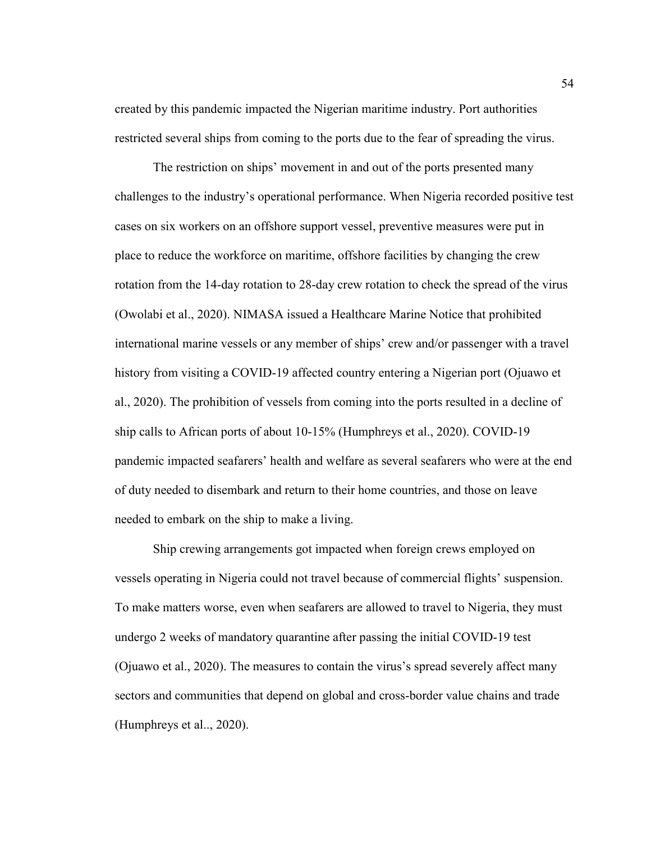created by this pandemic impacted the Nigerian maritime industry. Port authorities restricted several ships from coming to the ports due to the fear of spreading the virus.

The restriction on ships' movement in and out of the ports presented many challenges to the industry's operational performance. When Nigeria recorded positive test cases on six workers on an offshore support vessel, preventive measures were put in place to reduce the workforce on maritime, offshore facilities by changing the crew rotation from the 14-day rotation to 28-day crew rotation to check the spread of the virus (Owolabi et al., 2020). NIMASA issued a Healthcare Marine Notice that prohibited international marine vessels or any member of ships' crew and/or passenger with a travel history from visiting a COVID-19 affected country entering a Nigerian port (Ojuawo et al., 2020). The prohibition of vessels from coming into the ports resulted in a decline of ship calls to African ports of about 10-15% (Humphreys et al., 2020). COVID-19 pandemic impacted seafarers' health and welfare as several seafarers who were at the end of duty needed to disembark and return to their home countries, and those on leave needed to embark on the ship to make a living.

Ship crewing arrangements got impacted when foreign crews employed on vessels operating in Nigeria could not travel because of commercial flights' suspension. To make matters worse, even when seafarers are allowed to travel to Nigeria, they must undergo 2 weeks of mandatory quarantine after passing the initial COVID-19 test (Ojuawo et al., 2020). The measures to contain the virus's spread severely affect many sectors and communities that depend on global and cross-border value chains and trade (Humphreys et al.., 2020).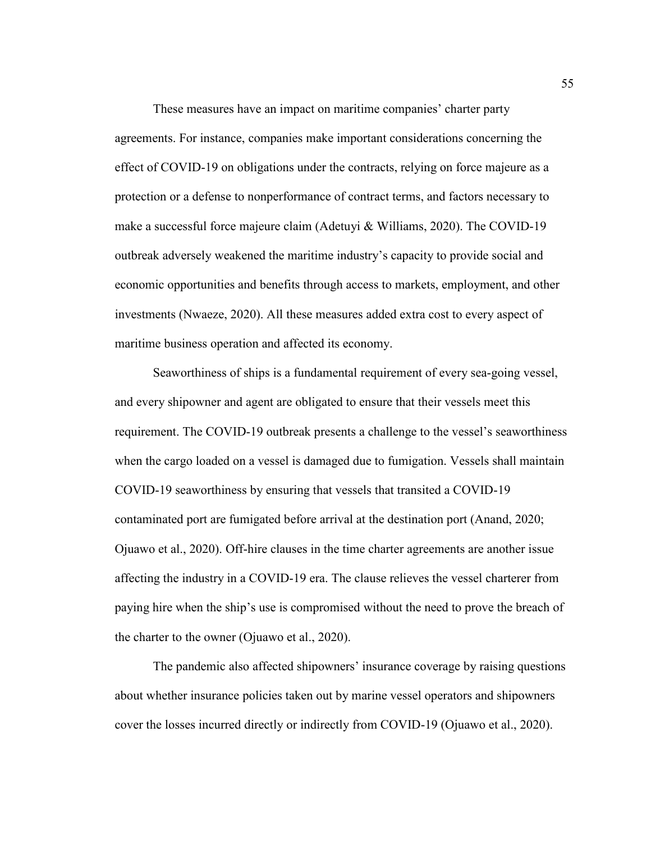These measures have an impact on maritime companies' charter party agreements. For instance, companies make important considerations concerning the effect of COVID-19 on obligations under the contracts, relying on force majeure as a protection or a defense to nonperformance of contract terms, and factors necessary to make a successful force majeure claim (Adetuyi & Williams, 2020). The COVID-19 outbreak adversely weakened the maritime industry's capacity to provide social and economic opportunities and benefits through access to markets, employment, and other investments (Nwaeze, 2020). All these measures added extra cost to every aspect of maritime business operation and affected its economy.

Seaworthiness of ships is a fundamental requirement of every sea-going vessel, and every shipowner and agent are obligated to ensure that their vessels meet this requirement. The COVID-19 outbreak presents a challenge to the vessel's seaworthiness when the cargo loaded on a vessel is damaged due to fumigation. Vessels shall maintain COVID-19 seaworthiness by ensuring that vessels that transited a COVID-19 contaminated port are fumigated before arrival at the destination port (Anand, 2020; Ojuawo et al., 2020). Off-hire clauses in the time charter agreements are another issue affecting the industry in a COVID-19 era. The clause relieves the vessel charterer from paying hire when the ship's use is compromised without the need to prove the breach of the charter to the owner (Ojuawo et al., 2020).

The pandemic also affected shipowners' insurance coverage by raising questions about whether insurance policies taken out by marine vessel operators and shipowners cover the losses incurred directly or indirectly from COVID-19 (Ojuawo et al., 2020).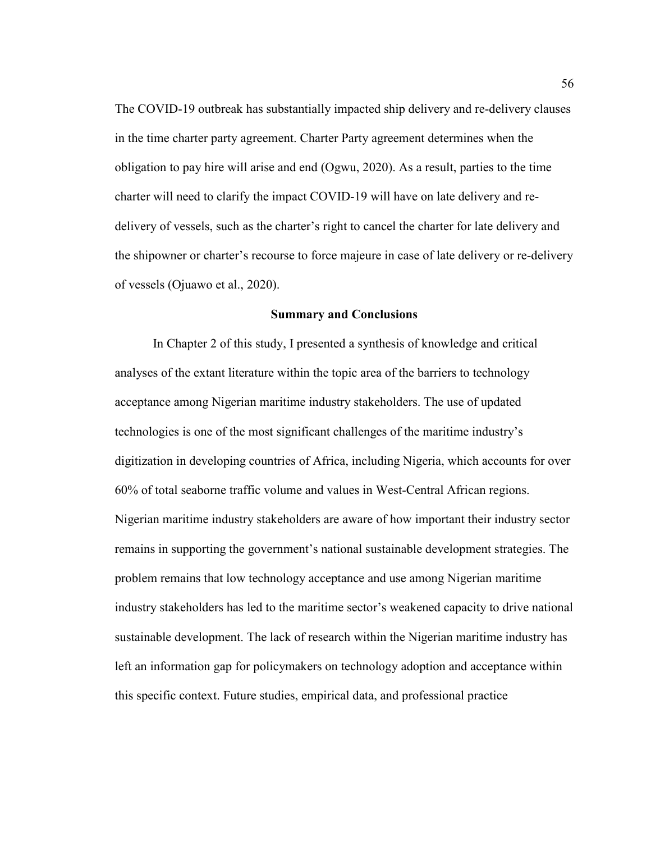The COVID-19 outbreak has substantially impacted ship delivery and re-delivery clauses in the time charter party agreement. Charter Party agreement determines when the obligation to pay hire will arise and end (Ogwu, 2020). As a result, parties to the time charter will need to clarify the impact COVID-19 will have on late delivery and redelivery of vessels, such as the charter's right to cancel the charter for late delivery and the shipowner or charter's recourse to force majeure in case of late delivery or re-delivery of vessels (Ojuawo et al., 2020).

## **Summary and Conclusions**

In Chapter 2 of this study, I presented a synthesis of knowledge and critical analyses of the extant literature within the topic area of the barriers to technology acceptance among Nigerian maritime industry stakeholders. The use of updated technologies is one of the most significant challenges of the maritime industry's digitization in developing countries of Africa, including Nigeria, which accounts for over 60% of total seaborne traffic volume and values in West-Central African regions. Nigerian maritime industry stakeholders are aware of how important their industry sector remains in supporting the government's national sustainable development strategies. The problem remains that low technology acceptance and use among Nigerian maritime industry stakeholders has led to the maritime sector's weakened capacity to drive national sustainable development. The lack of research within the Nigerian maritime industry has left an information gap for policymakers on technology adoption and acceptance within this specific context. Future studies, empirical data, and professional practice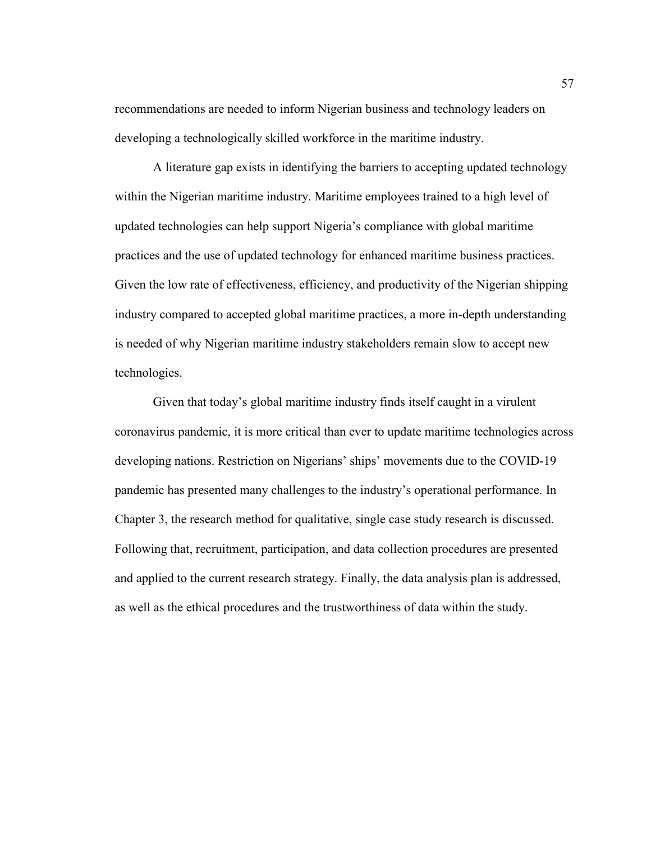recommendations are needed to inform Nigerian business and technology leaders on developing a technologically skilled workforce in the maritime industry.

A literature gap exists in identifying the barriers to accepting updated technology within the Nigerian maritime industry. Maritime employees trained to a high level of updated technologies can help support Nigeria's compliance with global maritime practices and the use of updated technology for enhanced maritime business practices. Given the low rate of effectiveness, efficiency, and productivity of the Nigerian shipping industry compared to accepted global maritime practices, a more in-depth understanding is needed of why Nigerian maritime industry stakeholders remain slow to accept new technologies.

Given that today's global maritime industry finds itself caught in a virulent coronavirus pandemic, it is more critical than ever to update maritime technologies across developing nations. Restriction on Nigerians' ships' movements due to the COVID-19 pandemic has presented many challenges to the industry's operational performance. In Chapter 3, the research method for qualitative, single case study research is discussed. Following that, recruitment, participation, and data collection procedures are presented and applied to the current research strategy. Finally, the data analysis plan is addressed, as well as the ethical procedures and the trustworthiness of data within the study.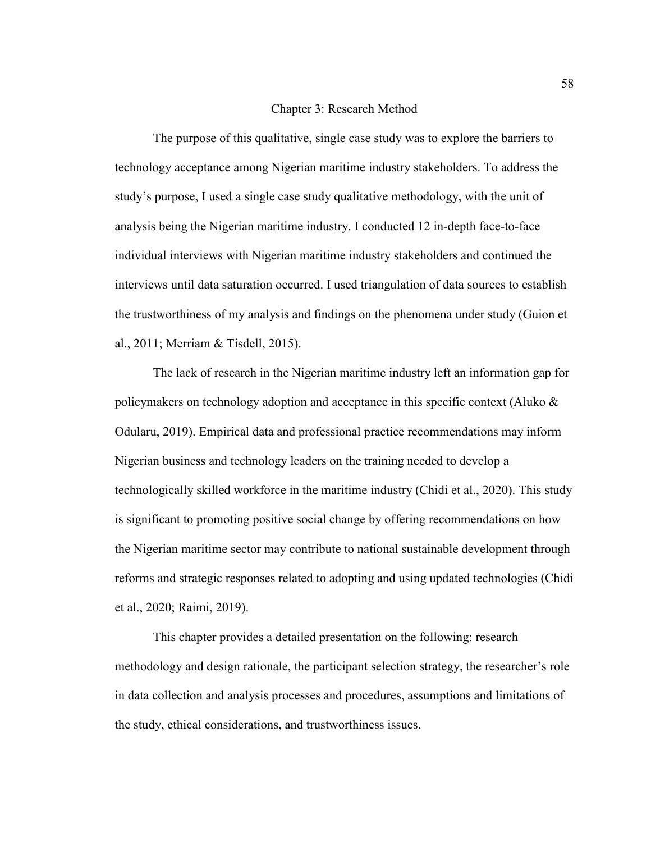#### Chapter 3: Research Method

The purpose of this qualitative, single case study was to explore the barriers to technology acceptance among Nigerian maritime industry stakeholders. To address the study's purpose, I used a single case study qualitative methodology, with the unit of analysis being the Nigerian maritime industry. I conducted 12 in-depth face-to-face individual interviews with Nigerian maritime industry stakeholders and continued the interviews until data saturation occurred. I used triangulation of data sources to establish the trustworthiness of my analysis and findings on the phenomena under study (Guion et al., 2011; Merriam & Tisdell, 2015).

The lack of research in the Nigerian maritime industry left an information gap for policymakers on technology adoption and acceptance in this specific context (Aluko & Odularu, 2019). Empirical data and professional practice recommendations may inform Nigerian business and technology leaders on the training needed to develop a technologically skilled workforce in the maritime industry (Chidi et al., 2020). This study is significant to promoting positive social change by offering recommendations on how the Nigerian maritime sector may contribute to national sustainable development through reforms and strategic responses related to adopting and using updated technologies (Chidi et al., 2020; Raimi, 2019).

This chapter provides a detailed presentation on the following: research methodology and design rationale, the participant selection strategy, the researcher's role in data collection and analysis processes and procedures, assumptions and limitations of the study, ethical considerations, and trustworthiness issues.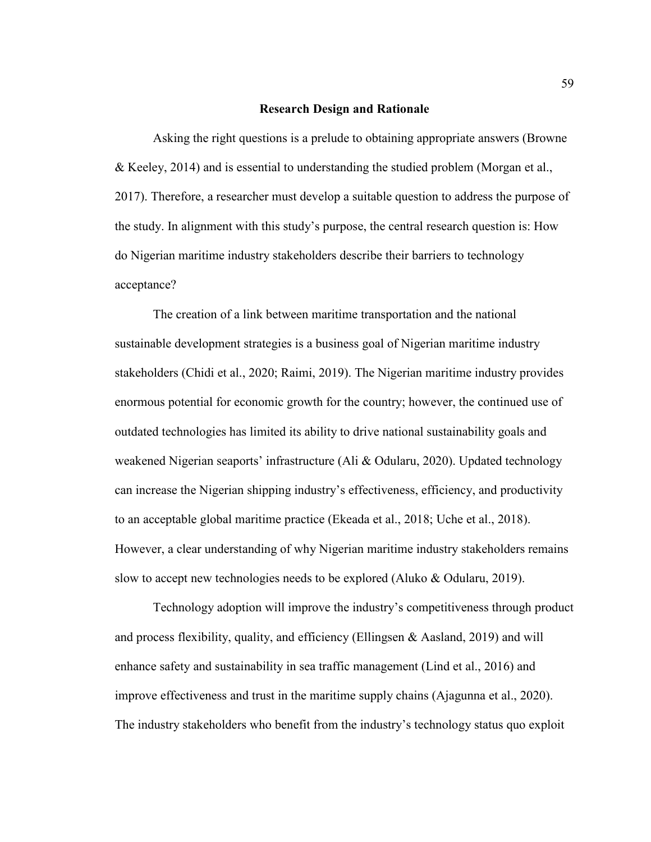## **Research Design and Rationale**

Asking the right questions is a prelude to obtaining appropriate answers (Browne & Keeley, 2014) and is essential to understanding the studied problem (Morgan et al., 2017). Therefore, a researcher must develop a suitable question to address the purpose of the study. In alignment with this study's purpose, the central research question is: How do Nigerian maritime industry stakeholders describe their barriers to technology acceptance?

The creation of a link between maritime transportation and the national sustainable development strategies is a business goal of Nigerian maritime industry stakeholders (Chidi et al., 2020; Raimi, 2019). The Nigerian maritime industry provides enormous potential for economic growth for the country; however, the continued use of outdated technologies has limited its ability to drive national sustainability goals and weakened Nigerian seaports' infrastructure (Ali & Odularu, 2020). Updated technology can increase the Nigerian shipping industry's effectiveness, efficiency, and productivity to an acceptable global maritime practice (Ekeada et al., 2018; Uche et al., 2018). However, a clear understanding of why Nigerian maritime industry stakeholders remains slow to accept new technologies needs to be explored (Aluko & Odularu, 2019).

Technology adoption will improve the industry's competitiveness through product and process flexibility, quality, and efficiency (Ellingsen  $\&$  Aasland, 2019) and will enhance safety and sustainability in sea traffic management (Lind et al., 2016) and improve effectiveness and trust in the maritime supply chains (Ajagunna et al., 2020). The industry stakeholders who benefit from the industry's technology status quo exploit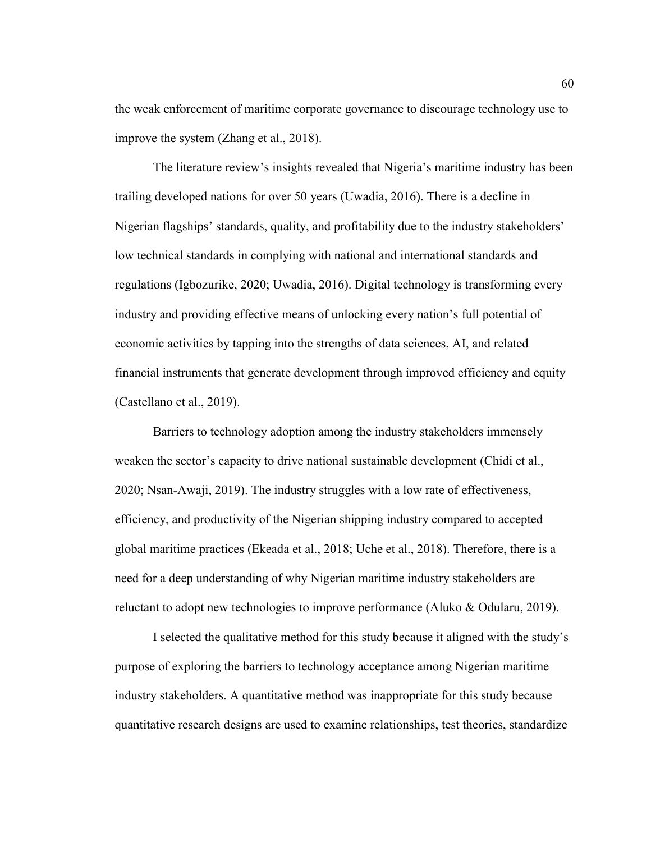the weak enforcement of maritime corporate governance to discourage technology use to improve the system (Zhang et al., 2018).

The literature review's insights revealed that Nigeria's maritime industry has been trailing developed nations for over 50 years (Uwadia, 2016). There is a decline in Nigerian flagships' standards, quality, and profitability due to the industry stakeholders' low technical standards in complying with national and international standards and regulations (Igbozurike, 2020; Uwadia, 2016). Digital technology is transforming every industry and providing effective means of unlocking every nation's full potential of economic activities by tapping into the strengths of data sciences, AI, and related financial instruments that generate development through improved efficiency and equity (Castellano et al., 2019).

Barriers to technology adoption among the industry stakeholders immensely weaken the sector's capacity to drive national sustainable development (Chidi et al., 2020; Nsan-Awaji, 2019). The industry struggles with a low rate of effectiveness, efficiency, and productivity of the Nigerian shipping industry compared to accepted global maritime practices (Ekeada et al., 2018; Uche et al., 2018). Therefore, there is a need for a deep understanding of why Nigerian maritime industry stakeholders are reluctant to adopt new technologies to improve performance (Aluko & Odularu, 2019).

I selected the qualitative method for this study because it aligned with the study's purpose of exploring the barriers to technology acceptance among Nigerian maritime industry stakeholders. A quantitative method was inappropriate for this study because quantitative research designs are used to examine relationships, test theories, standardize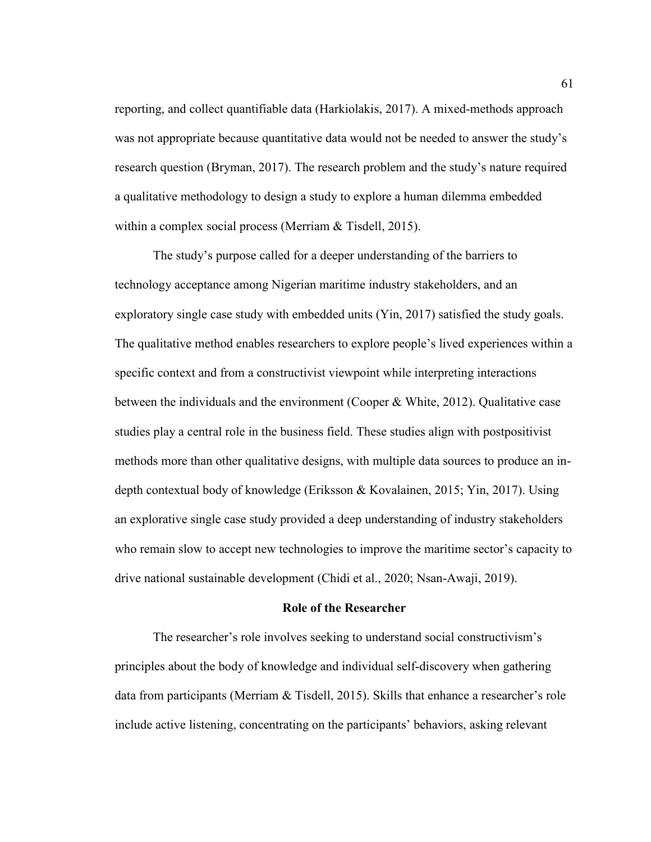reporting, and collect quantifiable data (Harkiolakis, 2017). A mixed-methods approach was not appropriate because quantitative data would not be needed to answer the study's research question (Bryman, 2017). The research problem and the study's nature required a qualitative methodology to design a study to explore a human dilemma embedded within a complex social process (Merriam & Tisdell, 2015).

The study's purpose called for a deeper understanding of the barriers to technology acceptance among Nigerian maritime industry stakeholders, and an exploratory single case study with embedded units (Yin, 2017) satisfied the study goals. The qualitative method enables researchers to explore people's lived experiences within a specific context and from a constructivist viewpoint while interpreting interactions between the individuals and the environment (Cooper & White, 2012). Qualitative case studies play a central role in the business field. These studies align with postpositivist methods more than other qualitative designs, with multiple data sources to produce an indepth contextual body of knowledge (Eriksson & Kovalainen, 2015; Yin, 2017). Using an explorative single case study provided a deep understanding of industry stakeholders who remain slow to accept new technologies to improve the maritime sector's capacity to drive national sustainable development (Chidi et al., 2020; Nsan-Awaji, 2019).

# **Role of the Researcher**

The researcher's role involves seeking to understand social constructivism's principles about the body of knowledge and individual self-discovery when gathering data from participants (Merriam & Tisdell, 2015). Skills that enhance a researcher's role include active listening, concentrating on the participants' behaviors, asking relevant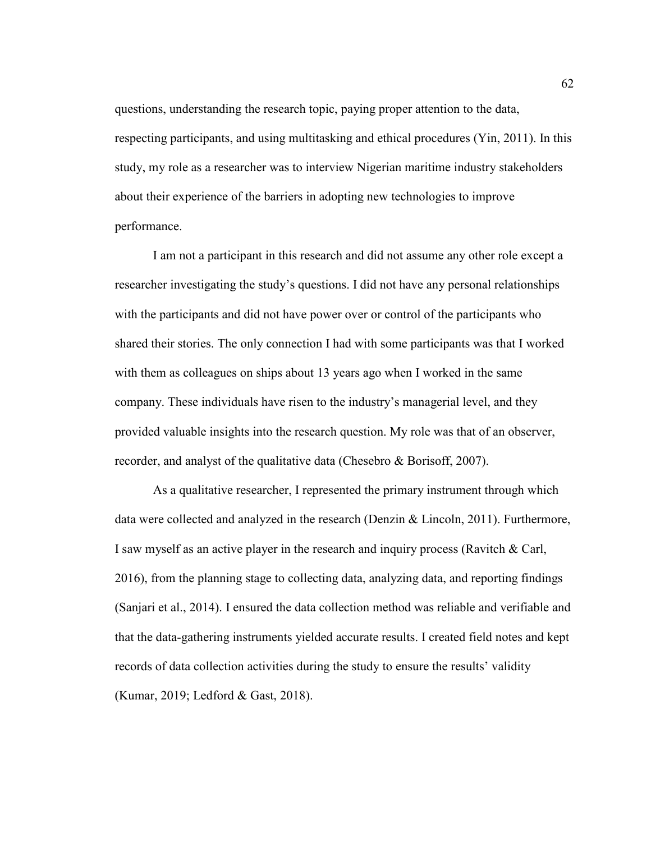questions, understanding the research topic, paying proper attention to the data, respecting participants, and using multitasking and ethical procedures (Yin, 2011). In this study, my role as a researcher was to interview Nigerian maritime industry stakeholders about their experience of the barriers in adopting new technologies to improve performance.

I am not a participant in this research and did not assume any other role except a researcher investigating the study's questions. I did not have any personal relationships with the participants and did not have power over or control of the participants who shared their stories. The only connection I had with some participants was that I worked with them as colleagues on ships about 13 years ago when I worked in the same company. These individuals have risen to the industry's managerial level, and they provided valuable insights into the research question. My role was that of an observer, recorder, and analyst of the qualitative data (Chesebro & Borisoff, 2007).

As a qualitative researcher, I represented the primary instrument through which data were collected and analyzed in the research (Denzin & Lincoln, 2011). Furthermore, I saw myself as an active player in the research and inquiry process (Ravitch & Carl, 2016), from the planning stage to collecting data, analyzing data, and reporting findings (Sanjari et al., 2014). I ensured the data collection method was reliable and verifiable and that the data-gathering instruments yielded accurate results. I created field notes and kept records of data collection activities during the study to ensure the results' validity (Kumar, 2019; Ledford & Gast, 2018).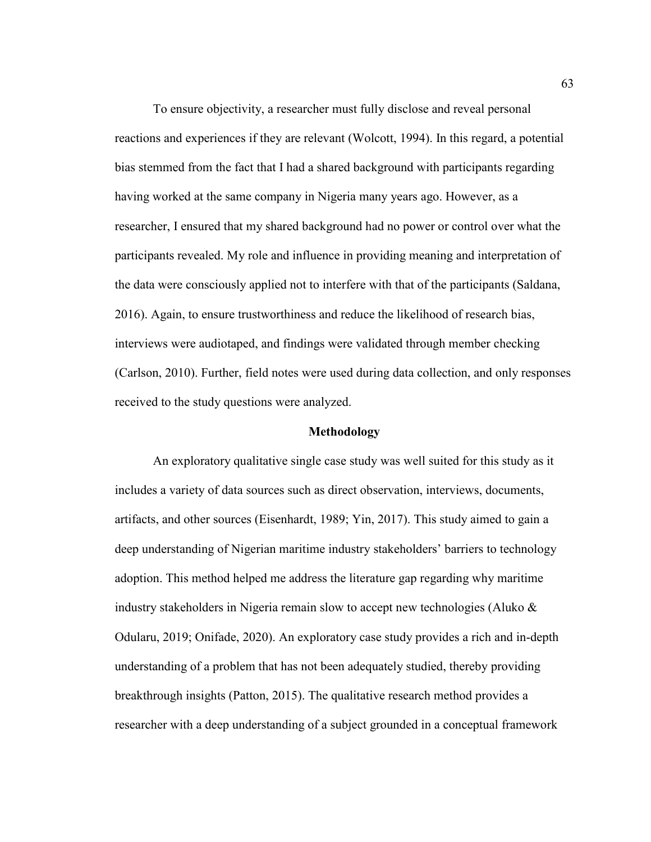To ensure objectivity, a researcher must fully disclose and reveal personal reactions and experiences if they are relevant (Wolcott, 1994). In this regard, a potential bias stemmed from the fact that I had a shared background with participants regarding having worked at the same company in Nigeria many years ago. However, as a researcher, I ensured that my shared background had no power or control over what the participants revealed. My role and influence in providing meaning and interpretation of the data were consciously applied not to interfere with that of the participants (Saldana, 2016). Again, to ensure trustworthiness and reduce the likelihood of research bias, interviews were audiotaped, and findings were validated through member checking (Carlson, 2010). Further, field notes were used during data collection, and only responses received to the study questions were analyzed.

#### **Methodology**

An exploratory qualitative single case study was well suited for this study as it includes a variety of data sources such as direct observation, interviews, documents, artifacts, and other sources (Eisenhardt, 1989; Yin, 2017). This study aimed to gain a deep understanding of Nigerian maritime industry stakeholders' barriers to technology adoption. This method helped me address the literature gap regarding why maritime industry stakeholders in Nigeria remain slow to accept new technologies (Aluko & Odularu, 2019; Onifade, 2020). An exploratory case study provides a rich and in-depth understanding of a problem that has not been adequately studied, thereby providing breakthrough insights (Patton, 2015). The qualitative research method provides a researcher with a deep understanding of a subject grounded in a conceptual framework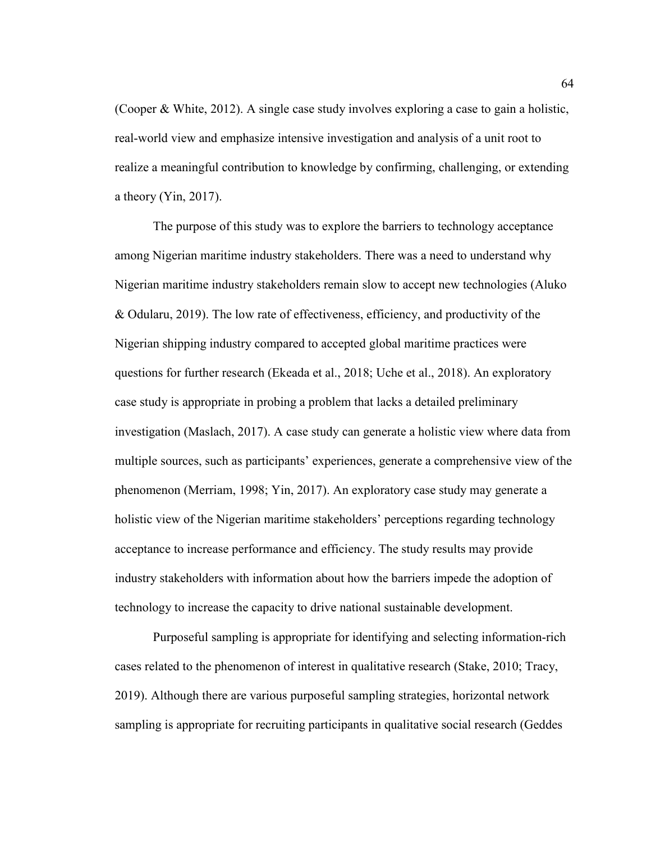(Cooper & White, 2012). A single case study involves exploring a case to gain a holistic, real-world view and emphasize intensive investigation and analysis of a unit root to realize a meaningful contribution to knowledge by confirming, challenging, or extending a theory (Yin, 2017).

The purpose of this study was to explore the barriers to technology acceptance among Nigerian maritime industry stakeholders. There was a need to understand why Nigerian maritime industry stakeholders remain slow to accept new technologies (Aluko & Odularu, 2019). The low rate of effectiveness, efficiency, and productivity of the Nigerian shipping industry compared to accepted global maritime practices were questions for further research (Ekeada et al., 2018; Uche et al., 2018). An exploratory case study is appropriate in probing a problem that lacks a detailed preliminary investigation (Maslach, 2017). A case study can generate a holistic view where data from multiple sources, such as participants' experiences, generate a comprehensive view of the phenomenon (Merriam, 1998; Yin, 2017). An exploratory case study may generate a holistic view of the Nigerian maritime stakeholders' perceptions regarding technology acceptance to increase performance and efficiency. The study results may provide industry stakeholders with information about how the barriers impede the adoption of technology to increase the capacity to drive national sustainable development.

Purposeful sampling is appropriate for identifying and selecting information-rich cases related to the phenomenon of interest in qualitative research (Stake, 2010; Tracy, 2019). Although there are various purposeful sampling strategies, horizontal network sampling is appropriate for recruiting participants in qualitative social research (Geddes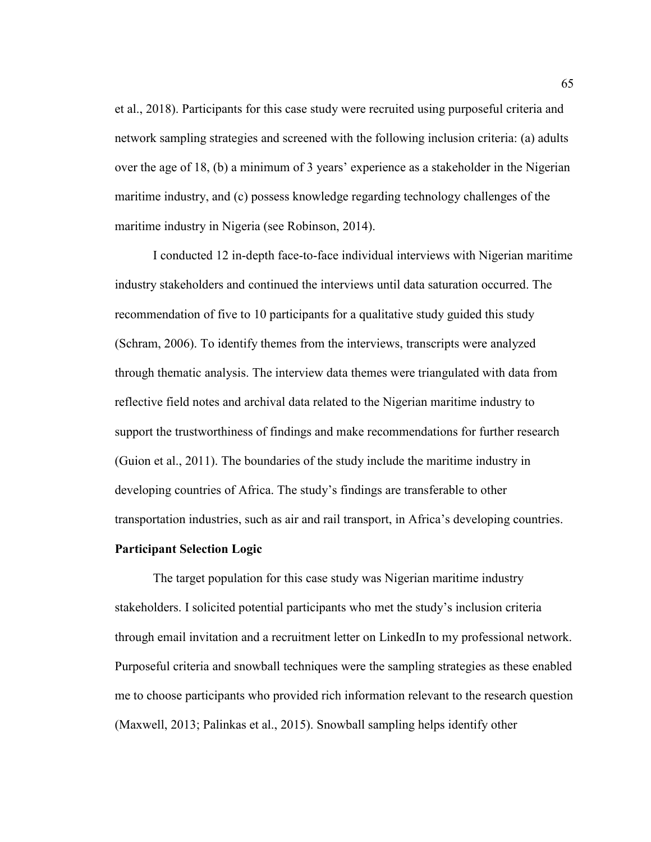et al., 2018). Participants for this case study were recruited using purposeful criteria and network sampling strategies and screened with the following inclusion criteria: (a) adults over the age of 18, (b) a minimum of 3 years' experience as a stakeholder in the Nigerian maritime industry, and (c) possess knowledge regarding technology challenges of the maritime industry in Nigeria (see Robinson, 2014).

I conducted 12 in-depth face-to-face individual interviews with Nigerian maritime industry stakeholders and continued the interviews until data saturation occurred. The recommendation of five to 10 participants for a qualitative study guided this study (Schram, 2006). To identify themes from the interviews, transcripts were analyzed through thematic analysis. The interview data themes were triangulated with data from reflective field notes and archival data related to the Nigerian maritime industry to support the trustworthiness of findings and make recommendations for further research (Guion et al., 2011). The boundaries of the study include the maritime industry in developing countries of Africa. The study's findings are transferable to other transportation industries, such as air and rail transport, in Africa's developing countries.

# **Participant Selection Logic**

The target population for this case study was Nigerian maritime industry stakeholders. I solicited potential participants who met the study's inclusion criteria through email invitation and a recruitment letter on LinkedIn to my professional network. Purposeful criteria and snowball techniques were the sampling strategies as these enabled me to choose participants who provided rich information relevant to the research question (Maxwell, 2013; Palinkas et al., 2015). Snowball sampling helps identify other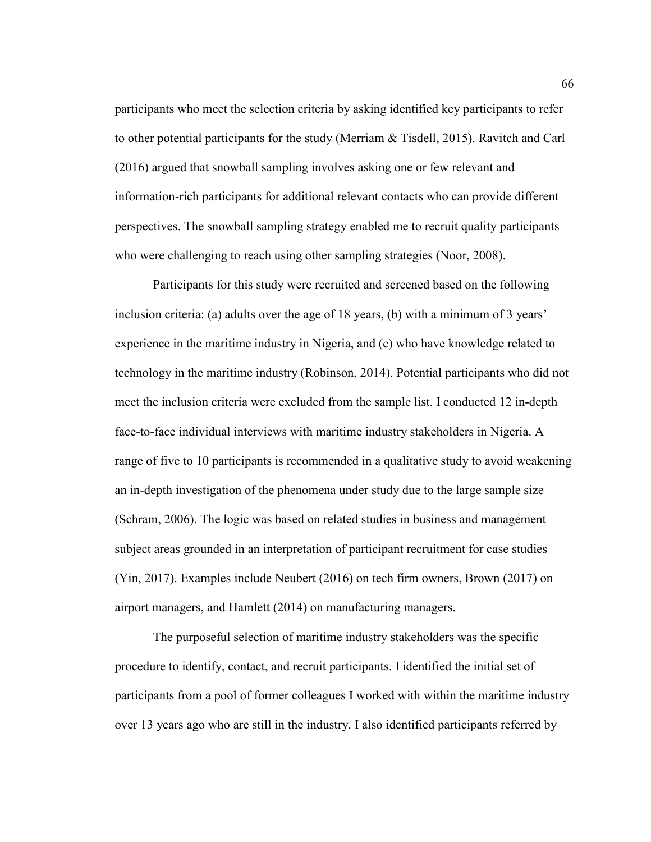participants who meet the selection criteria by asking identified key participants to refer to other potential participants for the study (Merriam & Tisdell, 2015). Ravitch and Carl (2016) argued that snowball sampling involves asking one or few relevant and information-rich participants for additional relevant contacts who can provide different perspectives. The snowball sampling strategy enabled me to recruit quality participants who were challenging to reach using other sampling strategies (Noor, 2008).

Participants for this study were recruited and screened based on the following inclusion criteria: (a) adults over the age of 18 years, (b) with a minimum of 3 years' experience in the maritime industry in Nigeria, and (c) who have knowledge related to technology in the maritime industry (Robinson, 2014). Potential participants who did not meet the inclusion criteria were excluded from the sample list. I conducted 12 in-depth face-to-face individual interviews with maritime industry stakeholders in Nigeria. A range of five to 10 participants is recommended in a qualitative study to avoid weakening an in-depth investigation of the phenomena under study due to the large sample size (Schram, 2006). The logic was based on related studies in business and management subject areas grounded in an interpretation of participant recruitment for case studies (Yin, 2017). Examples include Neubert (2016) on tech firm owners, Brown (2017) on airport managers, and Hamlett (2014) on manufacturing managers.

The purposeful selection of maritime industry stakeholders was the specific procedure to identify, contact, and recruit participants. I identified the initial set of participants from a pool of former colleagues I worked with within the maritime industry over 13 years ago who are still in the industry. I also identified participants referred by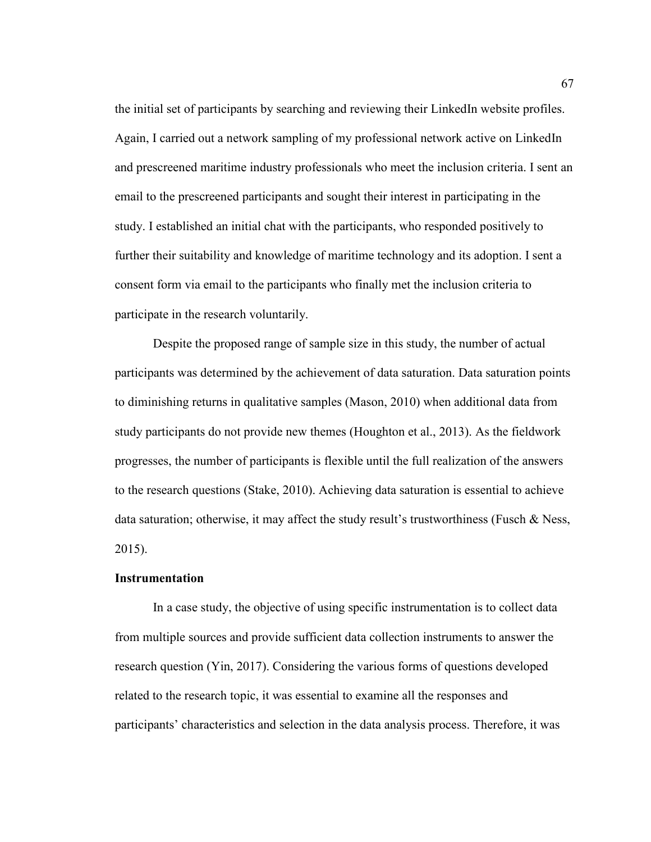the initial set of participants by searching and reviewing their LinkedIn website profiles. Again, I carried out a network sampling of my professional network active on LinkedIn and prescreened maritime industry professionals who meet the inclusion criteria. I sent an email to the prescreened participants and sought their interest in participating in the study. I established an initial chat with the participants, who responded positively to further their suitability and knowledge of maritime technology and its adoption. I sent a consent form via email to the participants who finally met the inclusion criteria to participate in the research voluntarily.

Despite the proposed range of sample size in this study, the number of actual participants was determined by the achievement of data saturation. Data saturation points to diminishing returns in qualitative samples (Mason, 2010) when additional data from study participants do not provide new themes (Houghton et al., 2013). As the fieldwork progresses, the number of participants is flexible until the full realization of the answers to the research questions (Stake, 2010). Achieving data saturation is essential to achieve data saturation; otherwise, it may affect the study result's trustworthiness (Fusch & Ness, 2015).

## **Instrumentation**

In a case study, the objective of using specific instrumentation is to collect data from multiple sources and provide sufficient data collection instruments to answer the research question (Yin, 2017). Considering the various forms of questions developed related to the research topic, it was essential to examine all the responses and participants' characteristics and selection in the data analysis process. Therefore, it was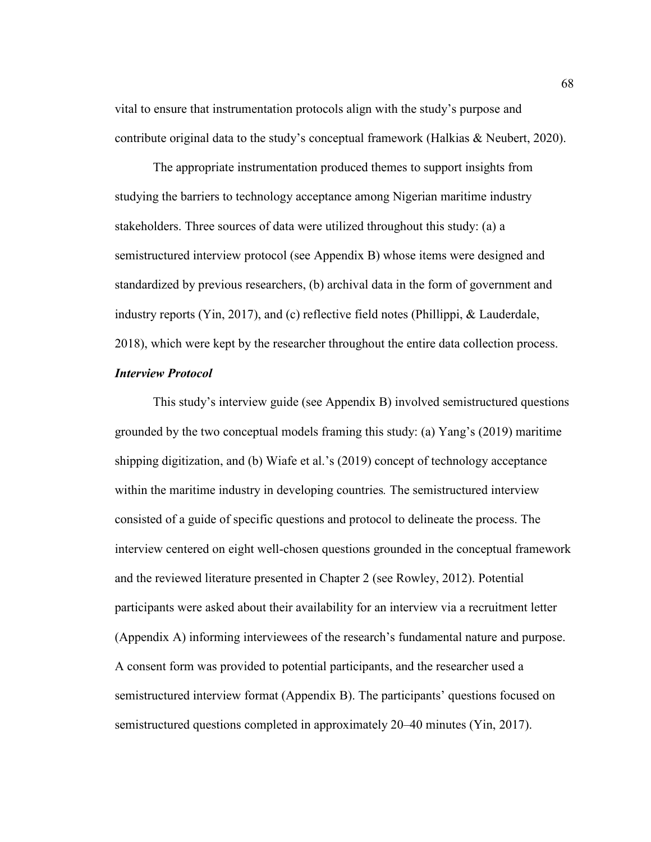vital to ensure that instrumentation protocols align with the study's purpose and contribute original data to the study's conceptual framework (Halkias & Neubert, 2020).

The appropriate instrumentation produced themes to support insights from studying the barriers to technology acceptance among Nigerian maritime industry stakeholders. Three sources of data were utilized throughout this study: (a) a semistructured interview protocol (see Appendix B) whose items were designed and standardized by previous researchers, (b) archival data in the form of government and industry reports (Yin, 2017), and (c) reflective field notes (Phillippi, & Lauderdale, 2018), which were kept by the researcher throughout the entire data collection process.

# *Interview Protocol*

This study's interview guide (see Appendix B) involved semistructured questions grounded by the two conceptual models framing this study: (a) Yang's (2019) maritime shipping digitization, and (b) Wiafe et al.'s (2019) concept of technology acceptance within the maritime industry in developing countries*.* The semistructured interview consisted of a guide of specific questions and protocol to delineate the process. The interview centered on eight well-chosen questions grounded in the conceptual framework and the reviewed literature presented in Chapter 2 (see Rowley, 2012). Potential participants were asked about their availability for an interview via a recruitment letter (Appendix A) informing interviewees of the research's fundamental nature and purpose. A consent form was provided to potential participants, and the researcher used a semistructured interview format (Appendix B). The participants' questions focused on semistructured questions completed in approximately 20–40 minutes (Yin, 2017).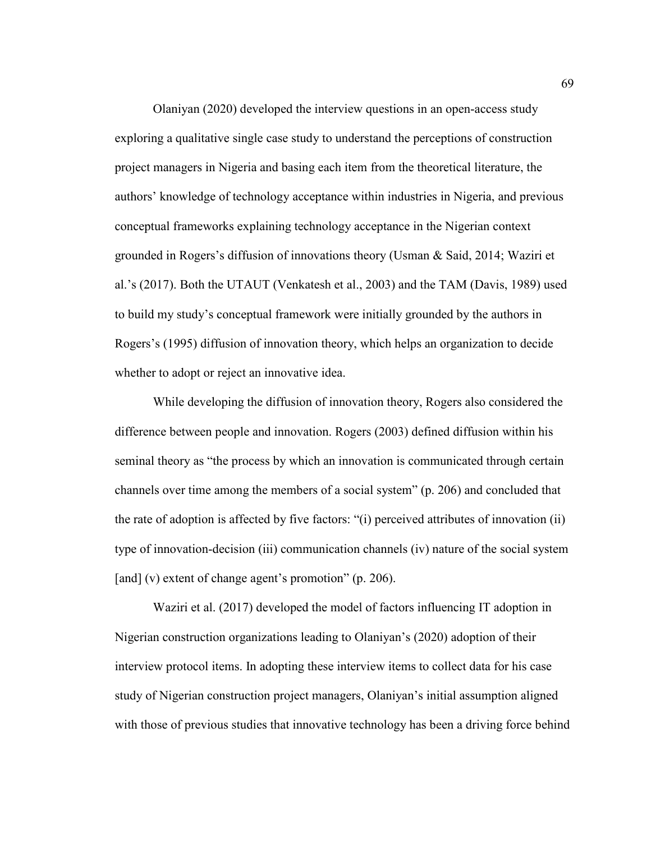Olaniyan (2020) developed the interview questions in an open-access study exploring a qualitative single case study to understand the perceptions of construction project managers in Nigeria and basing each item from the theoretical literature, the authors' knowledge of technology acceptance within industries in Nigeria, and previous conceptual frameworks explaining technology acceptance in the Nigerian context grounded in Rogers's diffusion of innovations theory (Usman & Said, 2014; Waziri et al.'s (2017). Both the UTAUT (Venkatesh et al., 2003) and the TAM (Davis, 1989) used to build my study's conceptual framework were initially grounded by the authors in Rogers's (1995) diffusion of innovation theory, which helps an organization to decide whether to adopt or reject an innovative idea.

While developing the diffusion of innovation theory, Rogers also considered the difference between people and innovation. Rogers (2003) defined diffusion within his seminal theory as "the process by which an innovation is communicated through certain channels over time among the members of a social system" (p. 206) and concluded that the rate of adoption is affected by five factors: "(i) perceived attributes of innovation (ii) type of innovation-decision (iii) communication channels (iv) nature of the social system [and] (v) extent of change agent's promotion" (p. 206).

Waziri et al. (2017) developed the model of factors influencing IT adoption in Nigerian construction organizations leading to Olaniyan's (2020) adoption of their interview protocol items. In adopting these interview items to collect data for his case study of Nigerian construction project managers, Olaniyan's initial assumption aligned with those of previous studies that innovative technology has been a driving force behind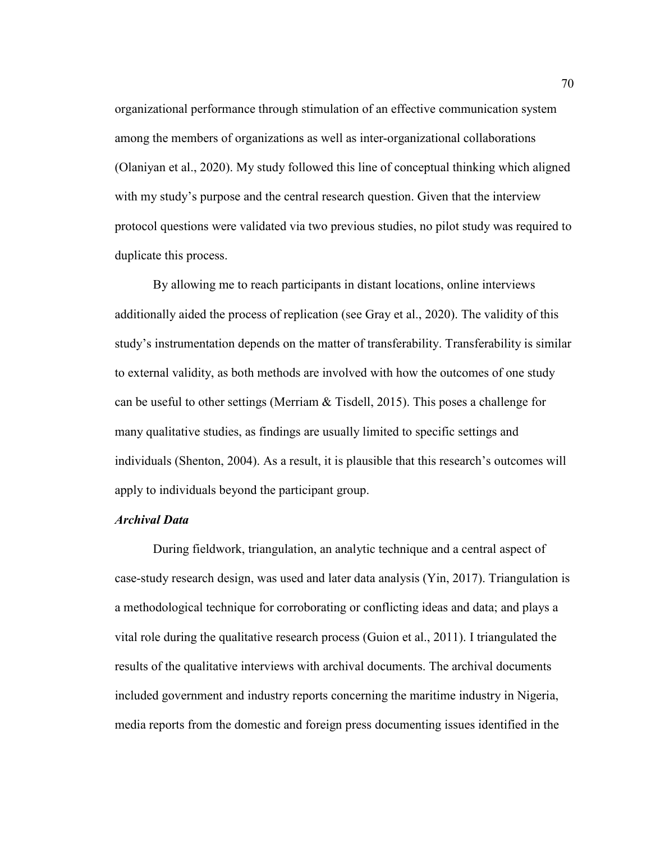organizational performance through stimulation of an effective communication system among the members of organizations as well as inter-organizational collaborations (Olaniyan et al., 2020). My study followed this line of conceptual thinking which aligned with my study's purpose and the central research question. Given that the interview protocol questions were validated via two previous studies, no pilot study was required to duplicate this process.

By allowing me to reach participants in distant locations, online interviews additionally aided the process of replication (see Gray et al., 2020). The validity of this study's instrumentation depends on the matter of transferability. Transferability is similar to external validity, as both methods are involved with how the outcomes of one study can be useful to other settings (Merriam & Tisdell, 2015). This poses a challenge for many qualitative studies, as findings are usually limited to specific settings and individuals (Shenton, 2004). As a result, it is plausible that this research's outcomes will apply to individuals beyond the participant group.

# *Archival Data*

During fieldwork, triangulation, an analytic technique and a central aspect of case-study research design, was used and later data analysis (Yin, 2017). Triangulation is a methodological technique for corroborating or conflicting ideas and data; and plays a vital role during the qualitative research process (Guion et al., 2011). I triangulated the results of the qualitative interviews with archival documents. The archival documents included government and industry reports concerning the maritime industry in Nigeria, media reports from the domestic and foreign press documenting issues identified in the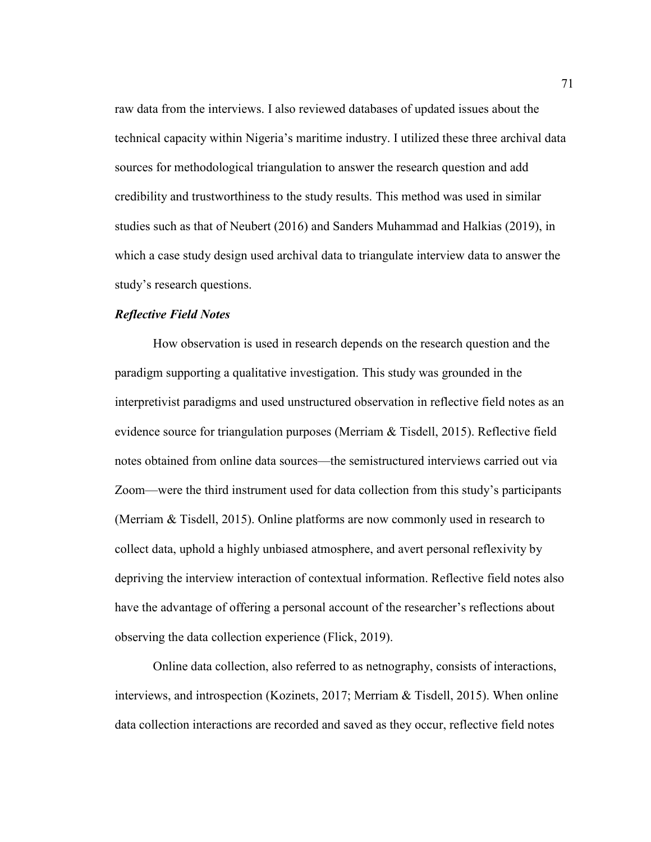raw data from the interviews. I also reviewed databases of updated issues about the technical capacity within Nigeria's maritime industry. I utilized these three archival data sources for methodological triangulation to answer the research question and add credibility and trustworthiness to the study results. This method was used in similar studies such as that of Neubert (2016) and Sanders Muhammad and Halkias (2019), in which a case study design used archival data to triangulate interview data to answer the study's research questions.

## *Reflective Field Notes*

How observation is used in research depends on the research question and the paradigm supporting a qualitative investigation. This study was grounded in the interpretivist paradigms and used unstructured observation in reflective field notes as an evidence source for triangulation purposes (Merriam  $\&$  Tisdell, 2015). Reflective field notes obtained from online data sources—the semistructured interviews carried out via Zoom—were the third instrument used for data collection from this study's participants (Merriam & Tisdell, 2015). Online platforms are now commonly used in research to collect data, uphold a highly unbiased atmosphere, and avert personal reflexivity by depriving the interview interaction of contextual information. Reflective field notes also have the advantage of offering a personal account of the researcher's reflections about observing the data collection experience (Flick, 2019).

Online data collection, also referred to as netnography, consists of interactions, interviews, and introspection (Kozinets, 2017; Merriam & Tisdell, 2015). When online data collection interactions are recorded and saved as they occur, reflective field notes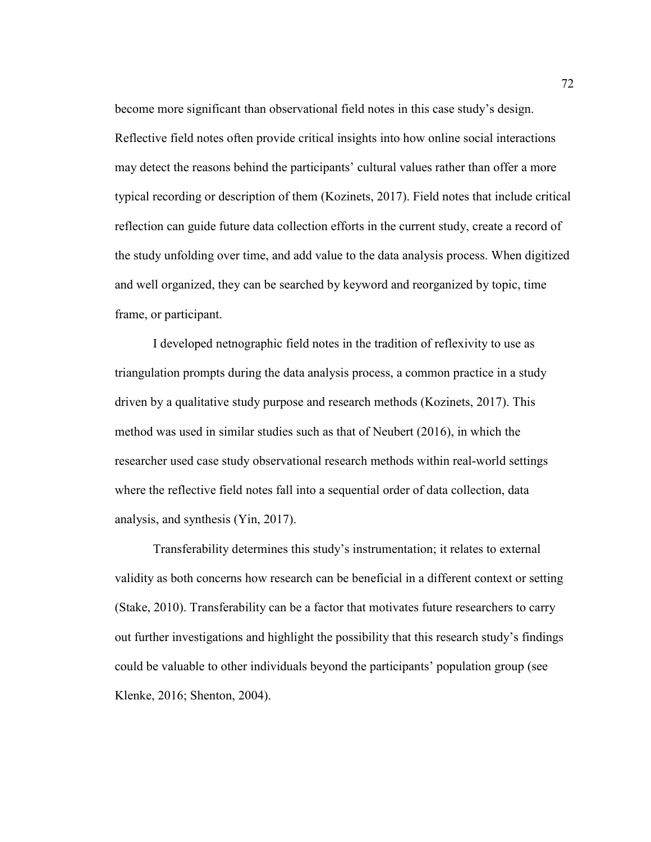become more significant than observational field notes in this case study's design. Reflective field notes often provide critical insights into how online social interactions may detect the reasons behind the participants' cultural values rather than offer a more typical recording or description of them (Kozinets, 2017). Field notes that include critical reflection can guide future data collection efforts in the current study, create a record of the study unfolding over time, and add value to the data analysis process. When digitized and well organized, they can be searched by keyword and reorganized by topic, time frame, or participant.

I developed netnographic field notes in the tradition of reflexivity to use as triangulation prompts during the data analysis process, a common practice in a study driven by a qualitative study purpose and research methods (Kozinets, 2017). This method was used in similar studies such as that of Neubert (2016), in which the researcher used case study observational research methods within real-world settings where the reflective field notes fall into a sequential order of data collection, data analysis, and synthesis (Yin, 2017).

Transferability determines this study's instrumentation; it relates to external validity as both concerns how research can be beneficial in a different context or setting (Stake, 2010). Transferability can be a factor that motivates future researchers to carry out further investigations and highlight the possibility that this research study's findings could be valuable to other individuals beyond the participants' population group (see Klenke, 2016; Shenton, 2004).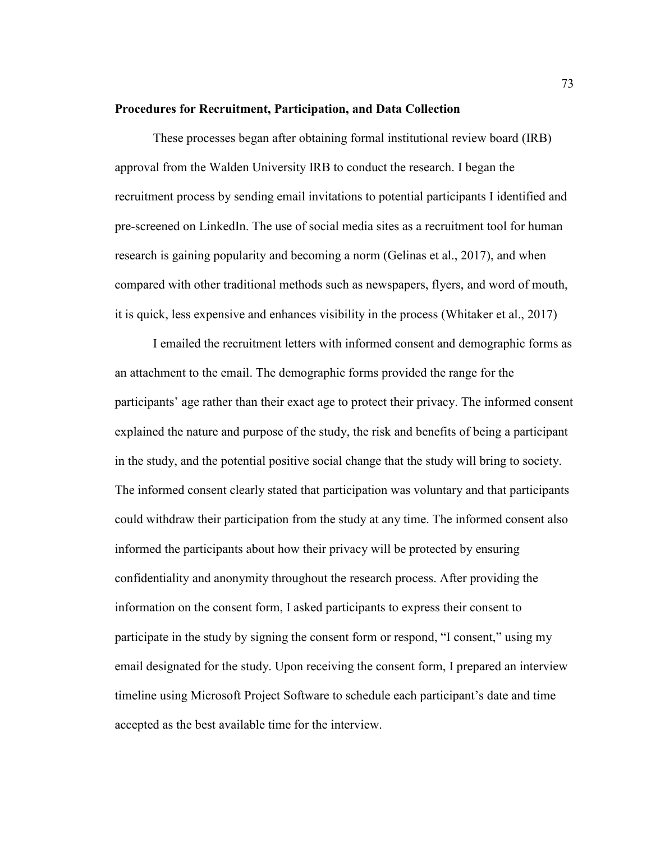#### **Procedures for Recruitment, Participation, and Data Collection**

These processes began after obtaining formal institutional review board (IRB) approval from the Walden University IRB to conduct the research. I began the recruitment process by sending email invitations to potential participants I identified and pre-screened on LinkedIn. The use of social media sites as a recruitment tool for human research is gaining popularity and becoming a norm (Gelinas et al., 2017), and when compared with other traditional methods such as newspapers, flyers, and word of mouth, it is quick, less expensive and enhances visibility in the process (Whitaker et al., 2017)

I emailed the recruitment letters with informed consent and demographic forms as an attachment to the email. The demographic forms provided the range for the participants' age rather than their exact age to protect their privacy. The informed consent explained the nature and purpose of the study, the risk and benefits of being a participant in the study, and the potential positive social change that the study will bring to society. The informed consent clearly stated that participation was voluntary and that participants could withdraw their participation from the study at any time. The informed consent also informed the participants about how their privacy will be protected by ensuring confidentiality and anonymity throughout the research process. After providing the information on the consent form, I asked participants to express their consent to participate in the study by signing the consent form or respond, "I consent," using my email designated for the study. Upon receiving the consent form, I prepared an interview timeline using Microsoft Project Software to schedule each participant's date and time accepted as the best available time for the interview.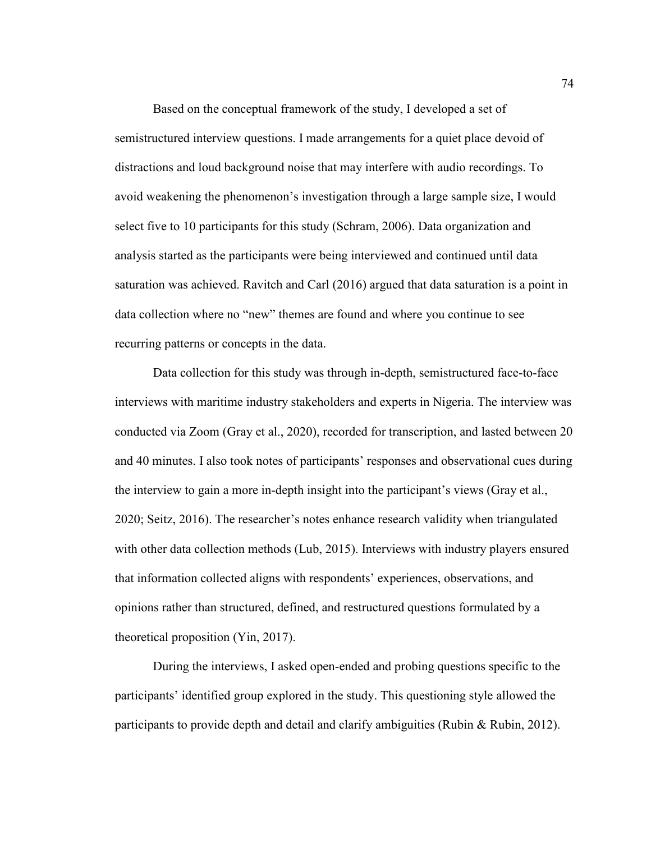Based on the conceptual framework of the study, I developed a set of semistructured interview questions. I made arrangements for a quiet place devoid of distractions and loud background noise that may interfere with audio recordings. To avoid weakening the phenomenon's investigation through a large sample size, I would select five to 10 participants for this study (Schram, 2006). Data organization and analysis started as the participants were being interviewed and continued until data saturation was achieved. Ravitch and Carl (2016) argued that data saturation is a point in data collection where no "new" themes are found and where you continue to see recurring patterns or concepts in the data.

Data collection for this study was through in-depth, semistructured face-to-face interviews with maritime industry stakeholders and experts in Nigeria. The interview was conducted via Zoom (Gray et al., 2020), recorded for transcription, and lasted between 20 and 40 minutes. I also took notes of participants' responses and observational cues during the interview to gain a more in-depth insight into the participant's views (Gray et al., 2020; Seitz, 2016). The researcher's notes enhance research validity when triangulated with other data collection methods (Lub, 2015). Interviews with industry players ensured that information collected aligns with respondents' experiences, observations, and opinions rather than structured, defined, and restructured questions formulated by a theoretical proposition (Yin, 2017).

During the interviews, I asked open-ended and probing questions specific to the participants' identified group explored in the study. This questioning style allowed the participants to provide depth and detail and clarify ambiguities (Rubin & Rubin, 2012).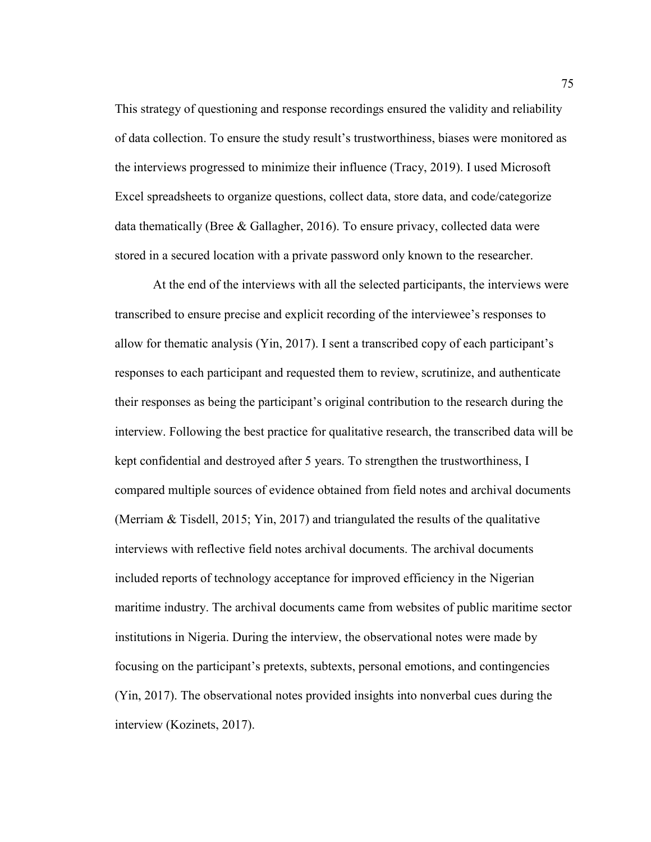This strategy of questioning and response recordings ensured the validity and reliability of data collection. To ensure the study result's trustworthiness, biases were monitored as the interviews progressed to minimize their influence (Tracy, 2019). I used Microsoft Excel spreadsheets to organize questions, collect data, store data, and code/categorize data thematically (Bree & Gallagher, 2016). To ensure privacy, collected data were stored in a secured location with a private password only known to the researcher.

At the end of the interviews with all the selected participants, the interviews were transcribed to ensure precise and explicit recording of the interviewee's responses to allow for thematic analysis (Yin, 2017). I sent a transcribed copy of each participant's responses to each participant and requested them to review, scrutinize, and authenticate their responses as being the participant's original contribution to the research during the interview. Following the best practice for qualitative research, the transcribed data will be kept confidential and destroyed after 5 years. To strengthen the trustworthiness, I compared multiple sources of evidence obtained from field notes and archival documents (Merriam & Tisdell, 2015; Yin, 2017) and triangulated the results of the qualitative interviews with reflective field notes archival documents. The archival documents included reports of technology acceptance for improved efficiency in the Nigerian maritime industry. The archival documents came from websites of public maritime sector institutions in Nigeria. During the interview, the observational notes were made by focusing on the participant's pretexts, subtexts, personal emotions, and contingencies (Yin, 2017). The observational notes provided insights into nonverbal cues during the interview (Kozinets, 2017).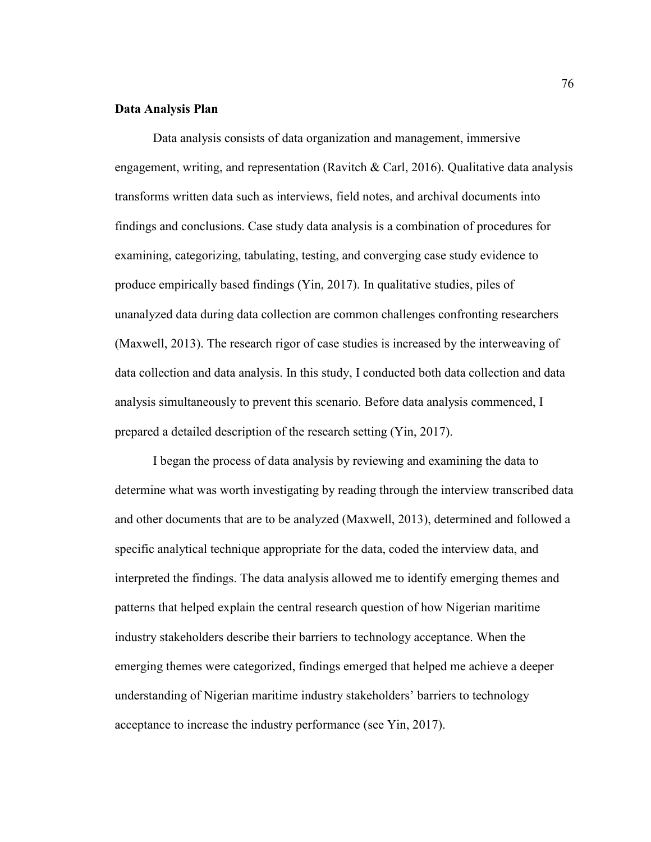#### **Data Analysis Plan**

Data analysis consists of data organization and management, immersive engagement, writing, and representation (Ravitch & Carl, 2016). Qualitative data analysis transforms written data such as interviews, field notes, and archival documents into findings and conclusions. Case study data analysis is a combination of procedures for examining, categorizing, tabulating, testing, and converging case study evidence to produce empirically based findings (Yin, 2017). In qualitative studies, piles of unanalyzed data during data collection are common challenges confronting researchers (Maxwell, 2013). The research rigor of case studies is increased by the interweaving of data collection and data analysis. In this study, I conducted both data collection and data analysis simultaneously to prevent this scenario. Before data analysis commenced, I prepared a detailed description of the research setting (Yin, 2017).

I began the process of data analysis by reviewing and examining the data to determine what was worth investigating by reading through the interview transcribed data and other documents that are to be analyzed (Maxwell, 2013), determined and followed a specific analytical technique appropriate for the data, coded the interview data, and interpreted the findings. The data analysis allowed me to identify emerging themes and patterns that helped explain the central research question of how Nigerian maritime industry stakeholders describe their barriers to technology acceptance. When the emerging themes were categorized, findings emerged that helped me achieve a deeper understanding of Nigerian maritime industry stakeholders' barriers to technology acceptance to increase the industry performance (see Yin, 2017).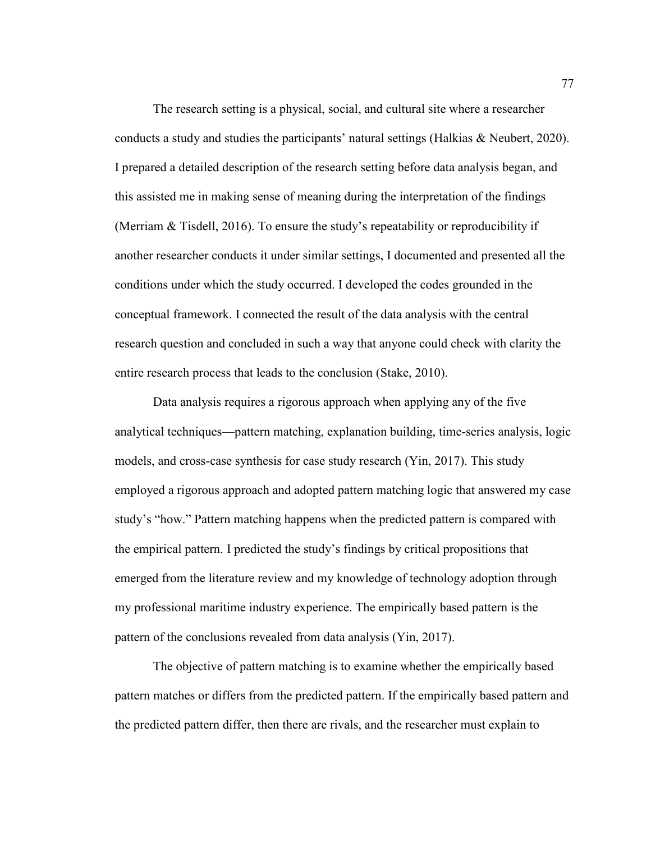The research setting is a physical, social, and cultural site where a researcher conducts a study and studies the participants' natural settings (Halkias & Neubert, 2020). I prepared a detailed description of the research setting before data analysis began, and this assisted me in making sense of meaning during the interpretation of the findings (Merriam & Tisdell, 2016). To ensure the study's repeatability or reproducibility if another researcher conducts it under similar settings, I documented and presented all the conditions under which the study occurred. I developed the codes grounded in the conceptual framework. I connected the result of the data analysis with the central research question and concluded in such a way that anyone could check with clarity the entire research process that leads to the conclusion (Stake, 2010).

Data analysis requires a rigorous approach when applying any of the five analytical techniques—pattern matching, explanation building, time-series analysis, logic models, and cross-case synthesis for case study research (Yin, 2017). This study employed a rigorous approach and adopted pattern matching logic that answered my case study's "how." Pattern matching happens when the predicted pattern is compared with the empirical pattern. I predicted the study's findings by critical propositions that emerged from the literature review and my knowledge of technology adoption through my professional maritime industry experience. The empirically based pattern is the pattern of the conclusions revealed from data analysis (Yin, 2017).

The objective of pattern matching is to examine whether the empirically based pattern matches or differs from the predicted pattern. If the empirically based pattern and the predicted pattern differ, then there are rivals, and the researcher must explain to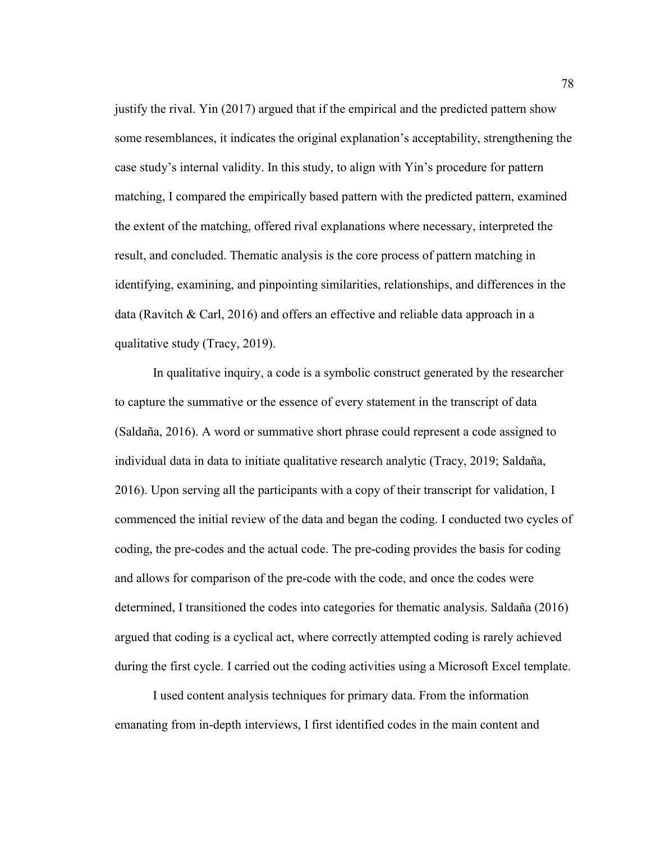justify the rival. Yin (2017) argued that if the empirical and the predicted pattern show some resemblances, it indicates the original explanation's acceptability, strengthening the case study's internal validity. In this study, to align with Yin's procedure for pattern matching, I compared the empirically based pattern with the predicted pattern, examined the extent of the matching, offered rival explanations where necessary, interpreted the result, and concluded. Thematic analysis is the core process of pattern matching in identifying, examining, and pinpointing similarities, relationships, and differences in the data (Ravitch & Carl, 2016) and offers an effective and reliable data approach in a qualitative study (Tracy, 2019).

In qualitative inquiry, a code is a symbolic construct generated by the researcher to capture the summative or the essence of every statement in the transcript of data (Saldaña, 2016). A word or summative short phrase could represent a code assigned to individual data in data to initiate qualitative research analytic (Tracy, 2019; Saldaña, 2016). Upon serving all the participants with a copy of their transcript for validation, I commenced the initial review of the data and began the coding. I conducted two cycles of coding, the pre-codes and the actual code. The pre-coding provides the basis for coding and allows for comparison of the pre-code with the code, and once the codes were determined, I transitioned the codes into categories for thematic analysis. Saldaña (2016) argued that coding is a cyclical act, where correctly attempted coding is rarely achieved during the first cycle. I carried out the coding activities using a Microsoft Excel template.

I used content analysis techniques for primary data. From the information emanating from in-depth interviews, I first identified codes in the main content and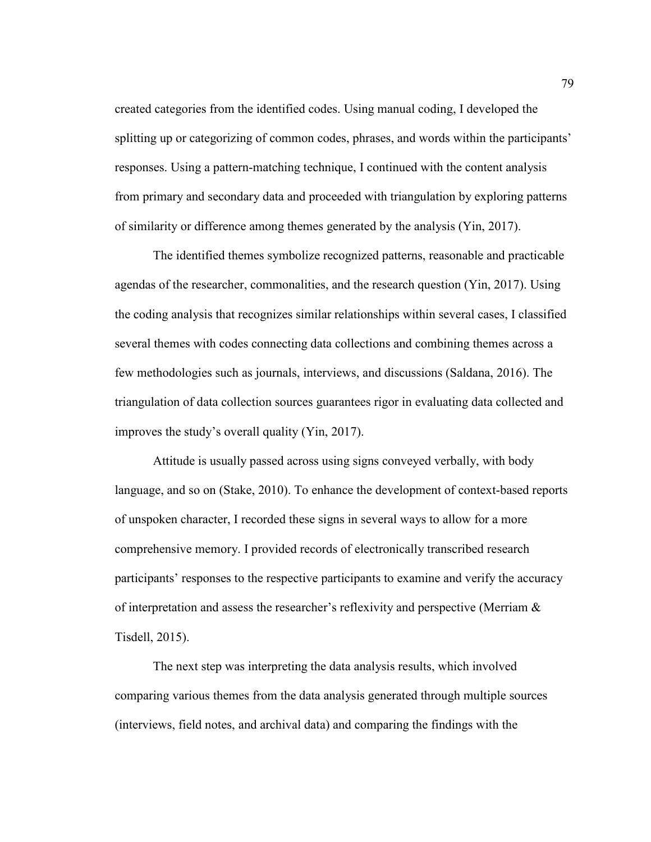created categories from the identified codes. Using manual coding, I developed the splitting up or categorizing of common codes, phrases, and words within the participants' responses. Using a pattern-matching technique, I continued with the content analysis from primary and secondary data and proceeded with triangulation by exploring patterns of similarity or difference among themes generated by the analysis (Yin, 2017).

The identified themes symbolize recognized patterns, reasonable and practicable agendas of the researcher, commonalities, and the research question (Yin, 2017). Using the coding analysis that recognizes similar relationships within several cases, I classified several themes with codes connecting data collections and combining themes across a few methodologies such as journals, interviews, and discussions (Saldana, 2016). The triangulation of data collection sources guarantees rigor in evaluating data collected and improves the study's overall quality (Yin, 2017).

Attitude is usually passed across using signs conveyed verbally, with body language, and so on (Stake, 2010). To enhance the development of context-based reports of unspoken character, I recorded these signs in several ways to allow for a more comprehensive memory. I provided records of electronically transcribed research participants' responses to the respective participants to examine and verify the accuracy of interpretation and assess the researcher's reflexivity and perspective (Merriam & Tisdell, 2015).

The next step was interpreting the data analysis results, which involved comparing various themes from the data analysis generated through multiple sources (interviews, field notes, and archival data) and comparing the findings with the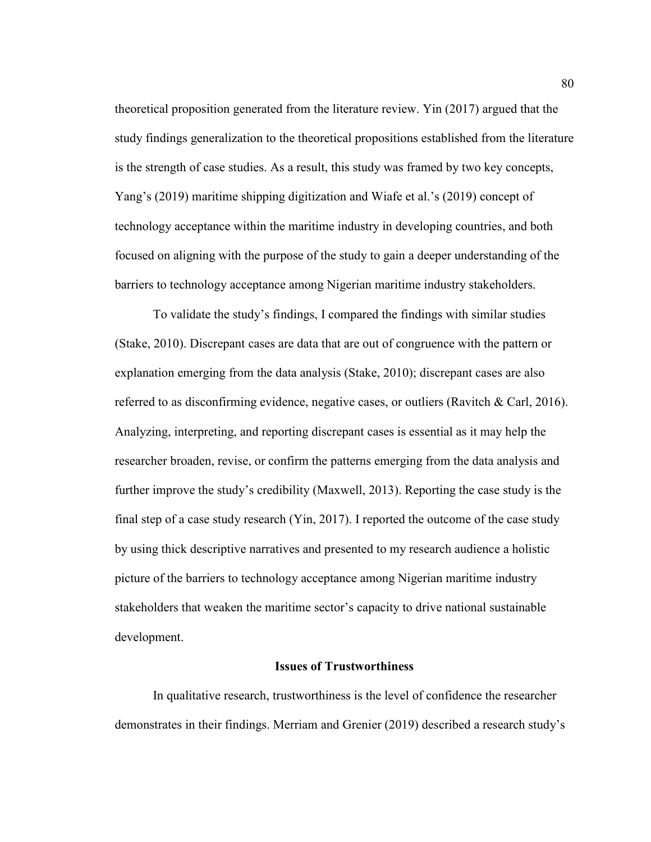theoretical proposition generated from the literature review. Yin (2017) argued that the study findings generalization to the theoretical propositions established from the literature is the strength of case studies. As a result, this study was framed by two key concepts, Yang's (2019) maritime shipping digitization and Wiafe et al.'s (2019) concept of technology acceptance within the maritime industry in developing countries, and both focused on aligning with the purpose of the study to gain a deeper understanding of the barriers to technology acceptance among Nigerian maritime industry stakeholders.

To validate the study's findings, I compared the findings with similar studies (Stake, 2010). Discrepant cases are data that are out of congruence with the pattern or explanation emerging from the data analysis (Stake, 2010); discrepant cases are also referred to as disconfirming evidence, negative cases, or outliers (Ravitch & Carl, 2016). Analyzing, interpreting, and reporting discrepant cases is essential as it may help the researcher broaden, revise, or confirm the patterns emerging from the data analysis and further improve the study's credibility (Maxwell, 2013). Reporting the case study is the final step of a case study research (Yin, 2017). I reported the outcome of the case study by using thick descriptive narratives and presented to my research audience a holistic picture of the barriers to technology acceptance among Nigerian maritime industry stakeholders that weaken the maritime sector's capacity to drive national sustainable development.

# **Issues of Trustworthiness**

In qualitative research, trustworthiness is the level of confidence the researcher demonstrates in their findings. Merriam and Grenier (2019) described a research study's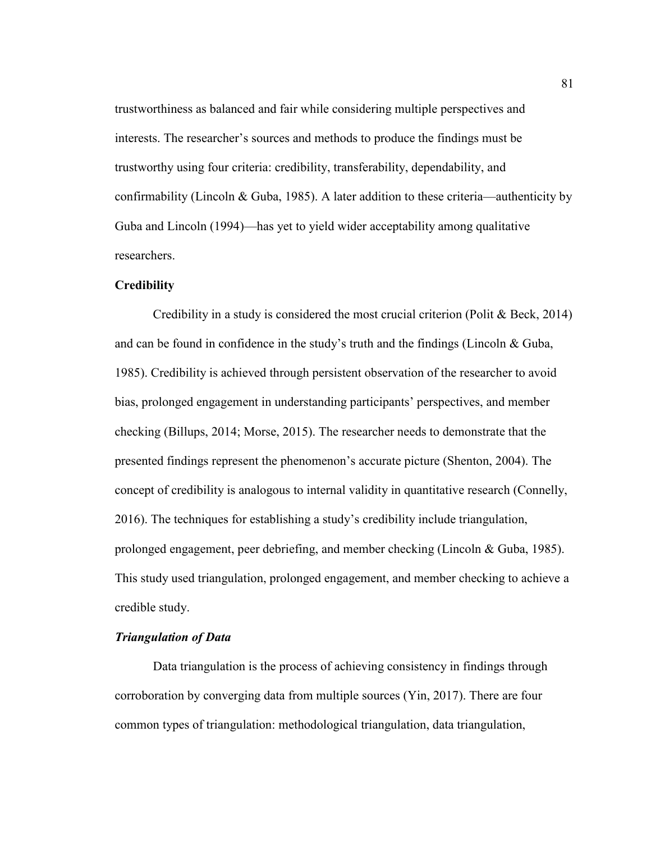trustworthiness as balanced and fair while considering multiple perspectives and interests. The researcher's sources and methods to produce the findings must be trustworthy using four criteria: credibility, transferability, dependability, and confirmability (Lincoln & Guba, 1985). A later addition to these criteria—authenticity by Guba and Lincoln (1994)—has yet to yield wider acceptability among qualitative researchers.

#### **Credibility**

Credibility in a study is considered the most crucial criterion (Polit & Beck, 2014) and can be found in confidence in the study's truth and the findings (Lincoln  $& Guba$ , 1985). Credibility is achieved through persistent observation of the researcher to avoid bias, prolonged engagement in understanding participants' perspectives, and member checking (Billups, 2014; Morse, 2015). The researcher needs to demonstrate that the presented findings represent the phenomenon's accurate picture (Shenton, 2004). The concept of credibility is analogous to internal validity in quantitative research (Connelly, 2016). The techniques for establishing a study's credibility include triangulation, prolonged engagement, peer debriefing, and member checking (Lincoln & Guba, 1985). This study used triangulation, prolonged engagement, and member checking to achieve a credible study.

# *Triangulation of Data*

Data triangulation is the process of achieving consistency in findings through corroboration by converging data from multiple sources (Yin, 2017). There are four common types of triangulation: methodological triangulation, data triangulation,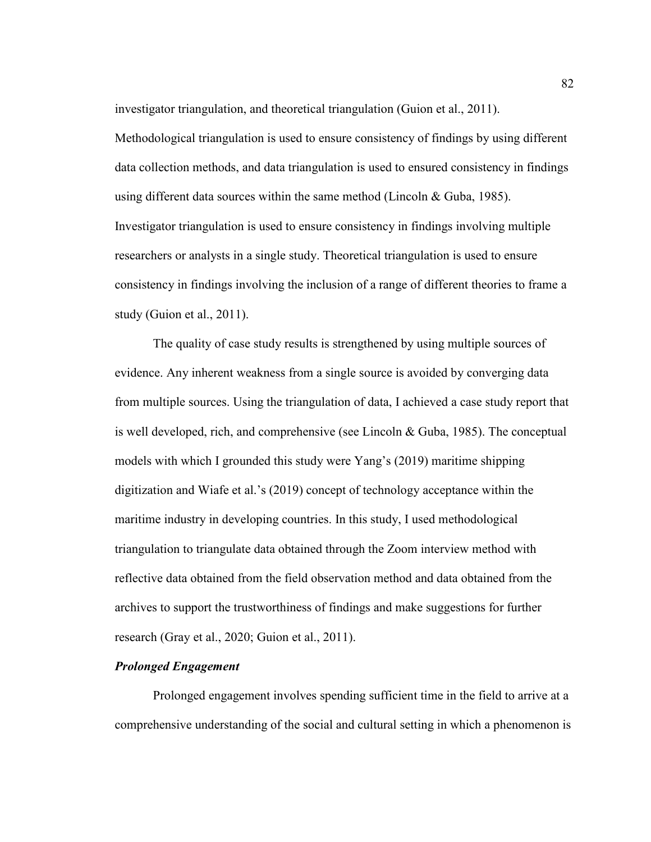investigator triangulation, and theoretical triangulation (Guion et al., 2011).

Methodological triangulation is used to ensure consistency of findings by using different data collection methods, and data triangulation is used to ensured consistency in findings using different data sources within the same method (Lincoln & Guba, 1985). Investigator triangulation is used to ensure consistency in findings involving multiple researchers or analysts in a single study. Theoretical triangulation is used to ensure consistency in findings involving the inclusion of a range of different theories to frame a study (Guion et al., 2011).

The quality of case study results is strengthened by using multiple sources of evidence. Any inherent weakness from a single source is avoided by converging data from multiple sources. Using the triangulation of data, I achieved a case study report that is well developed, rich, and comprehensive (see Lincoln & Guba, 1985). The conceptual models with which I grounded this study were Yang's (2019) maritime shipping digitization and Wiafe et al.'s (2019) concept of technology acceptance within the maritime industry in developing countries. In this study, I used methodological triangulation to triangulate data obtained through the Zoom interview method with reflective data obtained from the field observation method and data obtained from the archives to support the trustworthiness of findings and make suggestions for further research (Gray et al., 2020; Guion et al., 2011).

# *Prolonged Engagement*

Prolonged engagement involves spending sufficient time in the field to arrive at a comprehensive understanding of the social and cultural setting in which a phenomenon is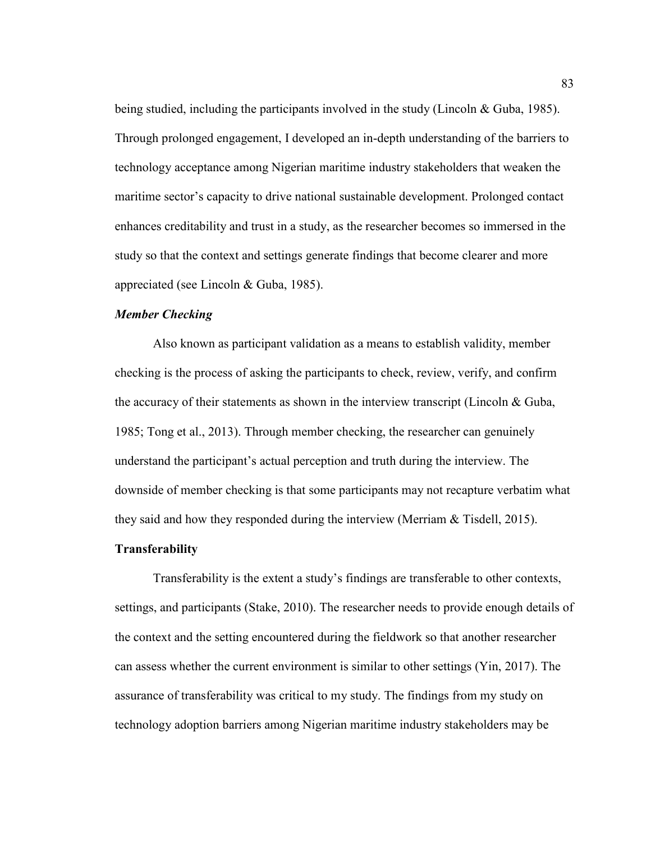being studied, including the participants involved in the study (Lincoln & Guba, 1985). Through prolonged engagement, I developed an in-depth understanding of the barriers to technology acceptance among Nigerian maritime industry stakeholders that weaken the maritime sector's capacity to drive national sustainable development. Prolonged contact enhances creditability and trust in a study, as the researcher becomes so immersed in the study so that the context and settings generate findings that become clearer and more appreciated (see Lincoln & Guba, 1985).

## *Member Checking*

Also known as participant validation as a means to establish validity, member checking is the process of asking the participants to check, review, verify, and confirm the accuracy of their statements as shown in the interview transcript (Lincoln  $\&$  Guba, 1985; Tong et al., 2013). Through member checking, the researcher can genuinely understand the participant's actual perception and truth during the interview. The downside of member checking is that some participants may not recapture verbatim what they said and how they responded during the interview (Merriam & Tisdell, 2015).

# **Transferability**

Transferability is the extent a study's findings are transferable to other contexts, settings, and participants (Stake, 2010). The researcher needs to provide enough details of the context and the setting encountered during the fieldwork so that another researcher can assess whether the current environment is similar to other settings (Yin, 2017). The assurance of transferability was critical to my study. The findings from my study on technology adoption barriers among Nigerian maritime industry stakeholders may be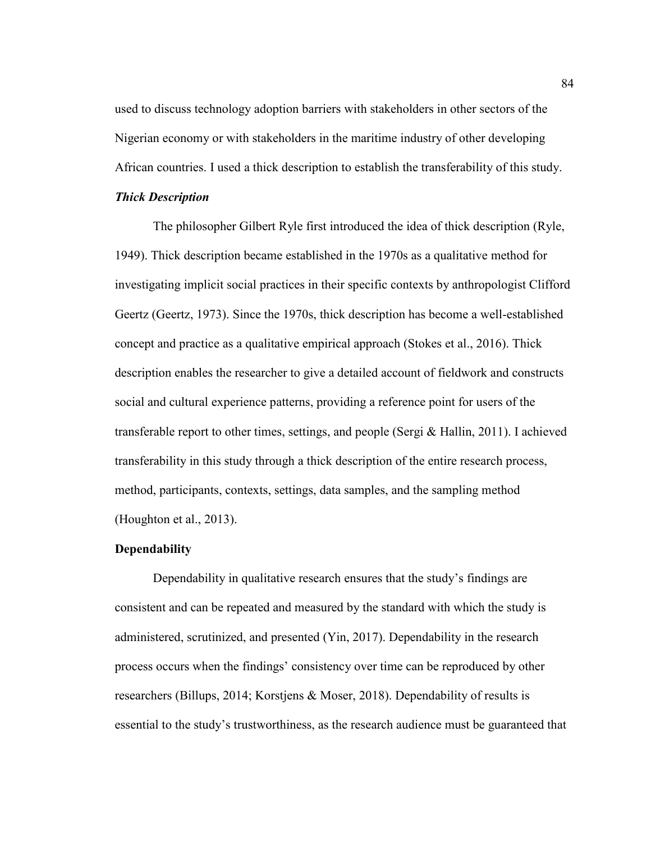used to discuss technology adoption barriers with stakeholders in other sectors of the Nigerian economy or with stakeholders in the maritime industry of other developing African countries. I used a thick description to establish the transferability of this study.

# *Thick Description*

The philosopher Gilbert Ryle first introduced the idea of thick description (Ryle, 1949). Thick description became established in the 1970s as a qualitative method for investigating implicit social practices in their specific contexts by anthropologist Clifford Geertz (Geertz, 1973). Since the 1970s, thick description has become a well-established concept and practice as a qualitative empirical approach (Stokes et al., 2016). Thick description enables the researcher to give a detailed account of fieldwork and constructs social and cultural experience patterns, providing a reference point for users of the transferable report to other times, settings, and people (Sergi & Hallin, 2011). I achieved transferability in this study through a thick description of the entire research process, method, participants, contexts, settings, data samples, and the sampling method (Houghton et al., 2013).

### **Dependability**

Dependability in qualitative research ensures that the study's findings are consistent and can be repeated and measured by the standard with which the study is administered, scrutinized, and presented (Yin, 2017). Dependability in the research process occurs when the findings' consistency over time can be reproduced by other researchers (Billups, 2014; Korstjens & Moser, 2018). Dependability of results is essential to the study's trustworthiness, as the research audience must be guaranteed that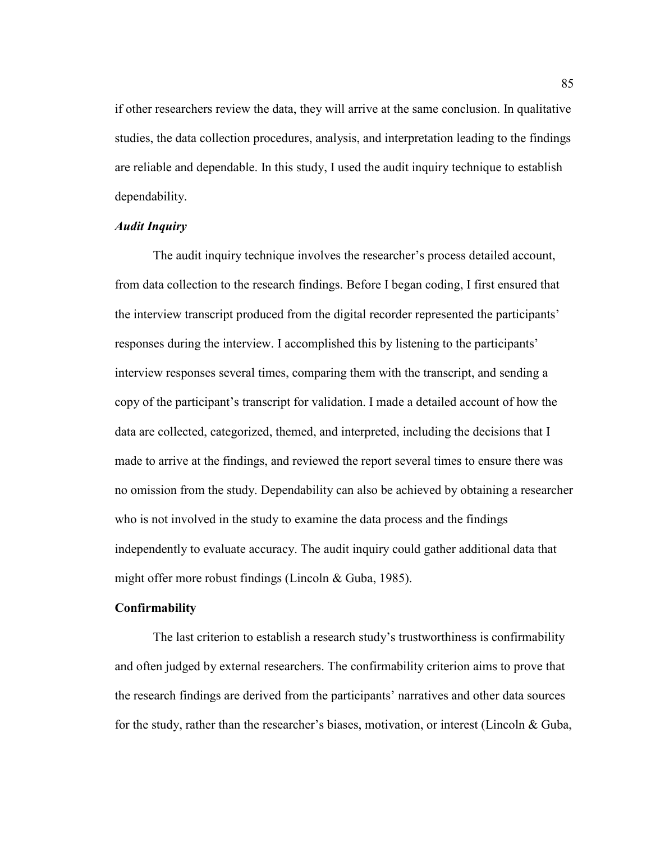if other researchers review the data, they will arrive at the same conclusion. In qualitative studies, the data collection procedures, analysis, and interpretation leading to the findings are reliable and dependable. In this study, I used the audit inquiry technique to establish dependability.

# *Audit Inquiry*

The audit inquiry technique involves the researcher's process detailed account, from data collection to the research findings. Before I began coding, I first ensured that the interview transcript produced from the digital recorder represented the participants' responses during the interview. I accomplished this by listening to the participants' interview responses several times, comparing them with the transcript, and sending a copy of the participant's transcript for validation. I made a detailed account of how the data are collected, categorized, themed, and interpreted, including the decisions that I made to arrive at the findings, and reviewed the report several times to ensure there was no omission from the study. Dependability can also be achieved by obtaining a researcher who is not involved in the study to examine the data process and the findings independently to evaluate accuracy. The audit inquiry could gather additional data that might offer more robust findings (Lincoln & Guba, 1985).

# **Confirmability**

The last criterion to establish a research study's trustworthiness is confirmability and often judged by external researchers. The confirmability criterion aims to prove that the research findings are derived from the participants' narratives and other data sources for the study, rather than the researcher's biases, motivation, or interest (Lincoln & Guba,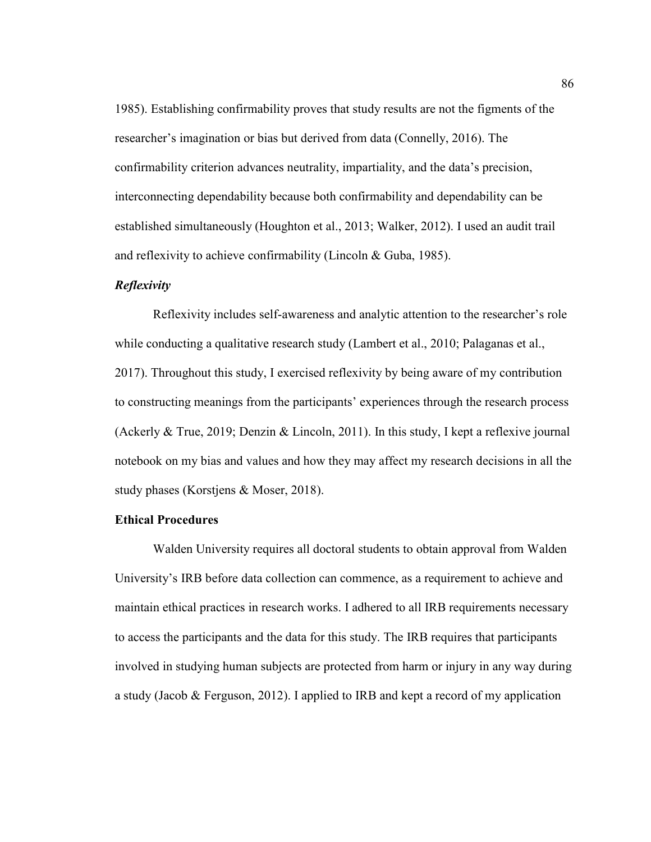1985). Establishing confirmability proves that study results are not the figments of the researcher's imagination or bias but derived from data (Connelly, 2016). The confirmability criterion advances neutrality, impartiality, and the data's precision, interconnecting dependability because both confirmability and dependability can be established simultaneously (Houghton et al., 2013; Walker, 2012). I used an audit trail and reflexivity to achieve confirmability (Lincoln & Guba, 1985).

# *Reflexivity*

Reflexivity includes self-awareness and analytic attention to the researcher's role while conducting a qualitative research study (Lambert et al., 2010; Palaganas et al., 2017). Throughout this study, I exercised reflexivity by being aware of my contribution to constructing meanings from the participants' experiences through the research process (Ackerly & True, 2019; Denzin & Lincoln, 2011). In this study, I kept a reflexive journal notebook on my bias and values and how they may affect my research decisions in all the study phases (Korstjens & Moser, 2018).

### **Ethical Procedures**

Walden University requires all doctoral students to obtain approval from Walden University's IRB before data collection can commence, as a requirement to achieve and maintain ethical practices in research works. I adhered to all IRB requirements necessary to access the participants and the data for this study. The IRB requires that participants involved in studying human subjects are protected from harm or injury in any way during a study (Jacob & Ferguson, 2012). I applied to IRB and kept a record of my application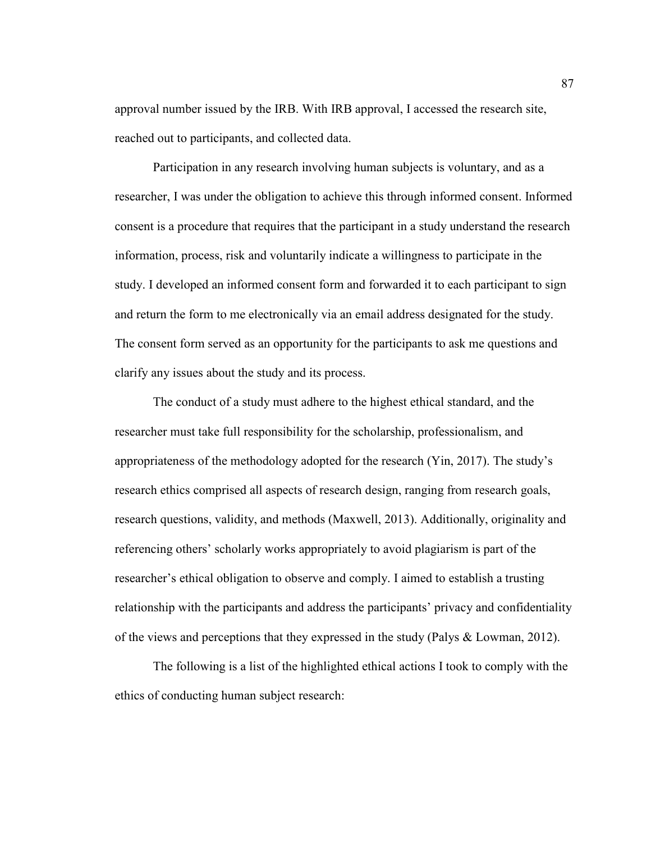approval number issued by the IRB. With IRB approval, I accessed the research site, reached out to participants, and collected data.

Participation in any research involving human subjects is voluntary, and as a researcher, I was under the obligation to achieve this through informed consent. Informed consent is a procedure that requires that the participant in a study understand the research information, process, risk and voluntarily indicate a willingness to participate in the study. I developed an informed consent form and forwarded it to each participant to sign and return the form to me electronically via an email address designated for the study. The consent form served as an opportunity for the participants to ask me questions and clarify any issues about the study and its process.

The conduct of a study must adhere to the highest ethical standard, and the researcher must take full responsibility for the scholarship, professionalism, and appropriateness of the methodology adopted for the research (Yin, 2017). The study's research ethics comprised all aspects of research design, ranging from research goals, research questions, validity, and methods (Maxwell, 2013). Additionally, originality and referencing others' scholarly works appropriately to avoid plagiarism is part of the researcher's ethical obligation to observe and comply. I aimed to establish a trusting relationship with the participants and address the participants' privacy and confidentiality of the views and perceptions that they expressed in the study (Palys & Lowman, 2012).

The following is a list of the highlighted ethical actions I took to comply with the ethics of conducting human subject research: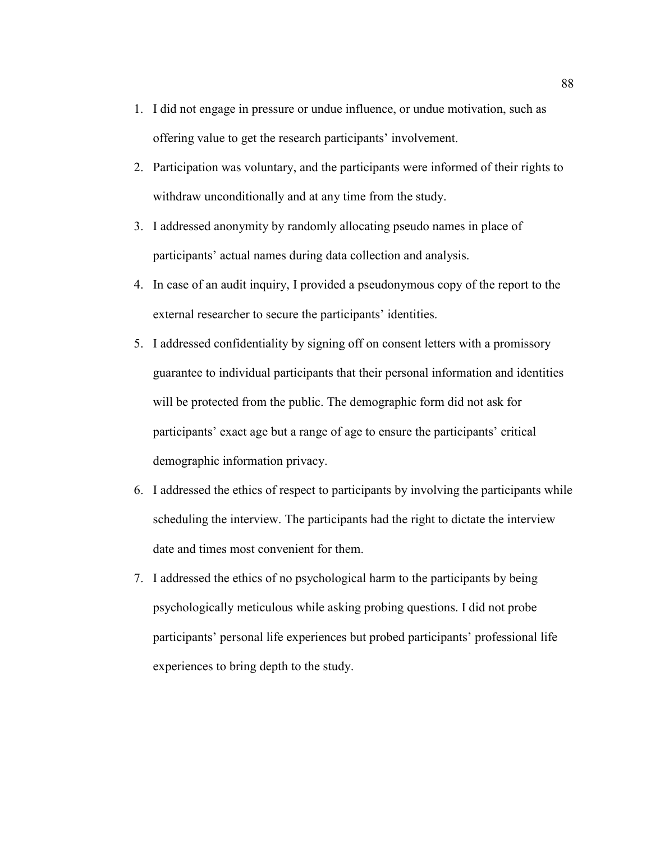- 1. I did not engage in pressure or undue influence, or undue motivation, such as offering value to get the research participants' involvement.
- 2. Participation was voluntary, and the participants were informed of their rights to withdraw unconditionally and at any time from the study.
- 3. I addressed anonymity by randomly allocating pseudo names in place of participants' actual names during data collection and analysis.
- 4. In case of an audit inquiry, I provided a pseudonymous copy of the report to the external researcher to secure the participants' identities.
- 5. I addressed confidentiality by signing off on consent letters with a promissory guarantee to individual participants that their personal information and identities will be protected from the public. The demographic form did not ask for participants' exact age but a range of age to ensure the participants' critical demographic information privacy.
- 6. I addressed the ethics of respect to participants by involving the participants while scheduling the interview. The participants had the right to dictate the interview date and times most convenient for them.
- 7. I addressed the ethics of no psychological harm to the participants by being psychologically meticulous while asking probing questions. I did not probe participants' personal life experiences but probed participants' professional life experiences to bring depth to the study.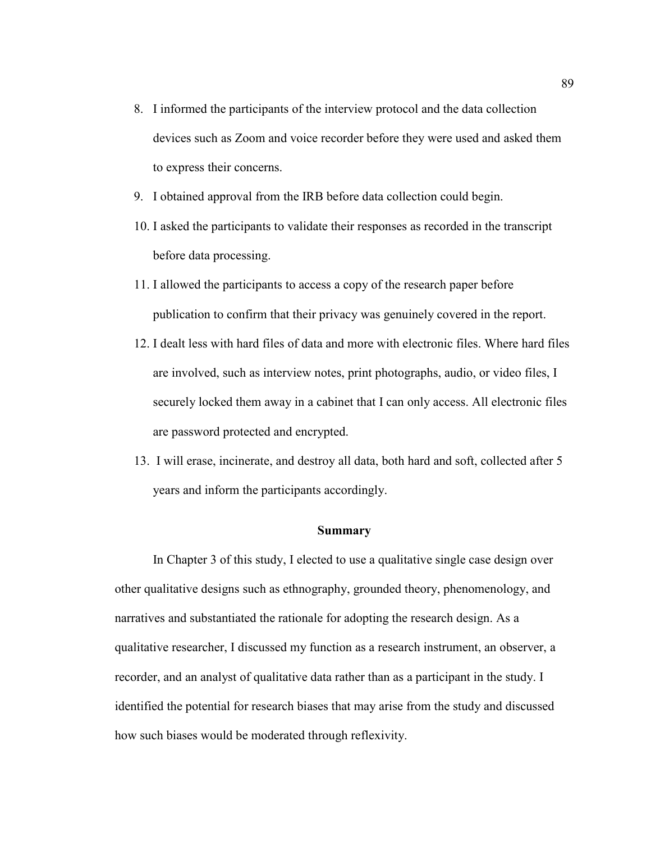- 8. I informed the participants of the interview protocol and the data collection devices such as Zoom and voice recorder before they were used and asked them to express their concerns.
- 9. I obtained approval from the IRB before data collection could begin.
- 10. I asked the participants to validate their responses as recorded in the transcript before data processing.
- 11. I allowed the participants to access a copy of the research paper before publication to confirm that their privacy was genuinely covered in the report.
- 12. I dealt less with hard files of data and more with electronic files. Where hard files are involved, such as interview notes, print photographs, audio, or video files, I securely locked them away in a cabinet that I can only access. All electronic files are password protected and encrypted.
- 13. I will erase, incinerate, and destroy all data, both hard and soft, collected after 5 years and inform the participants accordingly.

#### **Summary**

In Chapter 3 of this study, I elected to use a qualitative single case design over other qualitative designs such as ethnography, grounded theory, phenomenology, and narratives and substantiated the rationale for adopting the research design. As a qualitative researcher, I discussed my function as a research instrument, an observer, a recorder, and an analyst of qualitative data rather than as a participant in the study. I identified the potential for research biases that may arise from the study and discussed how such biases would be moderated through reflexivity.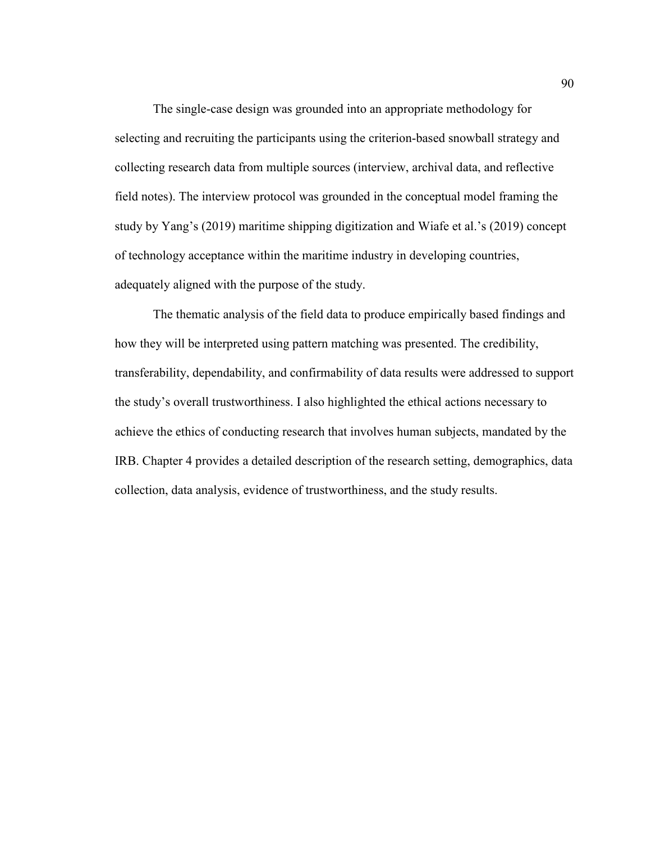The single-case design was grounded into an appropriate methodology for selecting and recruiting the participants using the criterion-based snowball strategy and collecting research data from multiple sources (interview, archival data, and reflective field notes). The interview protocol was grounded in the conceptual model framing the study by Yang's (2019) maritime shipping digitization and Wiafe et al.'s (2019) concept of technology acceptance within the maritime industry in developing countries, adequately aligned with the purpose of the study.

The thematic analysis of the field data to produce empirically based findings and how they will be interpreted using pattern matching was presented. The credibility, transferability, dependability, and confirmability of data results were addressed to support the study's overall trustworthiness. I also highlighted the ethical actions necessary to achieve the ethics of conducting research that involves human subjects, mandated by the IRB. Chapter 4 provides a detailed description of the research setting, demographics, data collection, data analysis, evidence of trustworthiness, and the study results.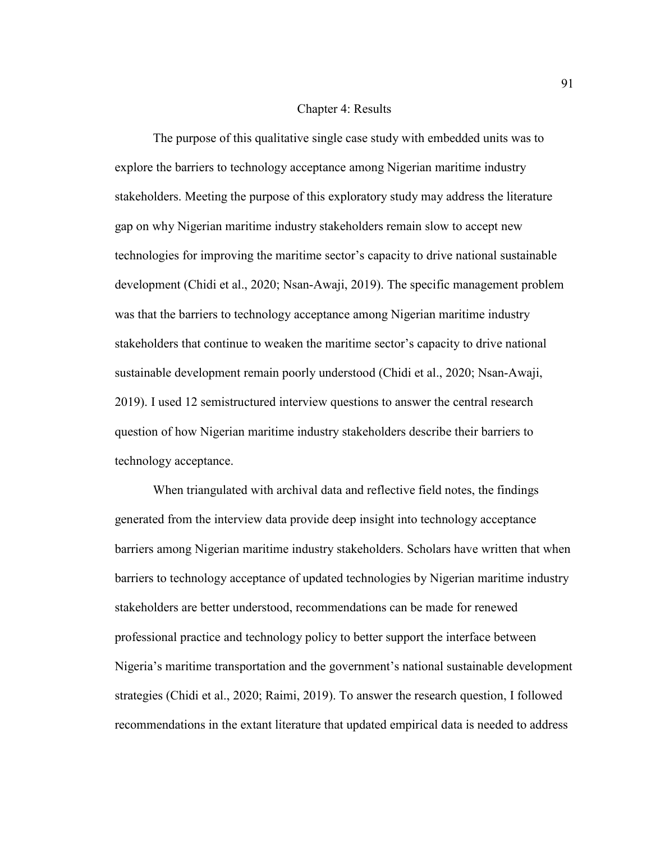#### Chapter 4: Results

The purpose of this qualitative single case study with embedded units was to explore the barriers to technology acceptance among Nigerian maritime industry stakeholders. Meeting the purpose of this exploratory study may address the literature gap on why Nigerian maritime industry stakeholders remain slow to accept new technologies for improving the maritime sector's capacity to drive national sustainable development (Chidi et al., 2020; Nsan-Awaji, 2019). The specific management problem was that the barriers to technology acceptance among Nigerian maritime industry stakeholders that continue to weaken the maritime sector's capacity to drive national sustainable development remain poorly understood (Chidi et al., 2020; Nsan-Awaji, 2019). I used 12 semistructured interview questions to answer the central research question of how Nigerian maritime industry stakeholders describe their barriers to technology acceptance.

When triangulated with archival data and reflective field notes, the findings generated from the interview data provide deep insight into technology acceptance barriers among Nigerian maritime industry stakeholders. Scholars have written that when barriers to technology acceptance of updated technologies by Nigerian maritime industry stakeholders are better understood, recommendations can be made for renewed professional practice and technology policy to better support the interface between Nigeria's maritime transportation and the government's national sustainable development strategies (Chidi et al., 2020; Raimi, 2019). To answer the research question, I followed recommendations in the extant literature that updated empirical data is needed to address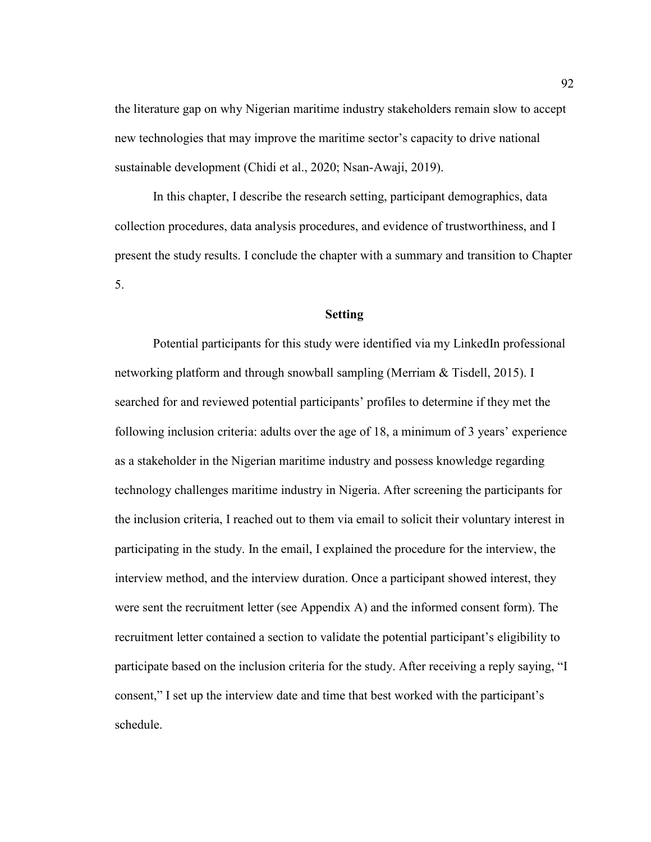the literature gap on why Nigerian maritime industry stakeholders remain slow to accept new technologies that may improve the maritime sector's capacity to drive national sustainable development (Chidi et al., 2020; Nsan-Awaji, 2019).

In this chapter, I describe the research setting, participant demographics, data collection procedures, data analysis procedures, and evidence of trustworthiness, and I present the study results. I conclude the chapter with a summary and transition to Chapter 5.

# **Setting**

Potential participants for this study were identified via my LinkedIn professional networking platform and through snowball sampling (Merriam & Tisdell, 2015). I searched for and reviewed potential participants' profiles to determine if they met the following inclusion criteria: adults over the age of 18, a minimum of 3 years' experience as a stakeholder in the Nigerian maritime industry and possess knowledge regarding technology challenges maritime industry in Nigeria. After screening the participants for the inclusion criteria, I reached out to them via email to solicit their voluntary interest in participating in the study. In the email, I explained the procedure for the interview, the interview method, and the interview duration. Once a participant showed interest, they were sent the recruitment letter (see Appendix A) and the informed consent form). The recruitment letter contained a section to validate the potential participant's eligibility to participate based on the inclusion criteria for the study. After receiving a reply saying, "I consent," I set up the interview date and time that best worked with the participant's schedule.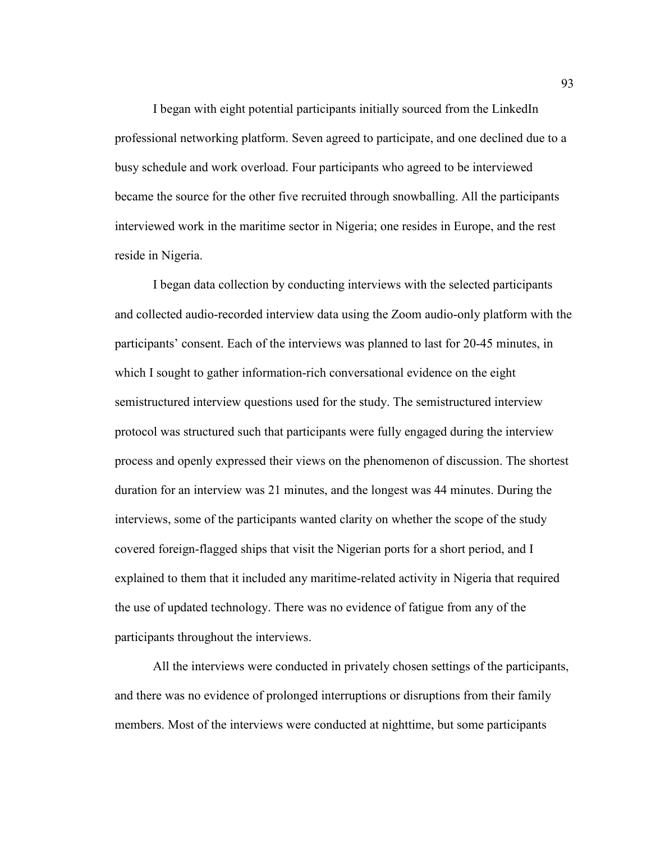I began with eight potential participants initially sourced from the LinkedIn professional networking platform. Seven agreed to participate, and one declined due to a busy schedule and work overload. Four participants who agreed to be interviewed became the source for the other five recruited through snowballing. All the participants interviewed work in the maritime sector in Nigeria; one resides in Europe, and the rest reside in Nigeria.

I began data collection by conducting interviews with the selected participants and collected audio-recorded interview data using the Zoom audio-only platform with the participants' consent. Each of the interviews was planned to last for 20-45 minutes, in which I sought to gather information-rich conversational evidence on the eight semistructured interview questions used for the study. The semistructured interview protocol was structured such that participants were fully engaged during the interview process and openly expressed their views on the phenomenon of discussion. The shortest duration for an interview was 21 minutes, and the longest was 44 minutes. During the interviews, some of the participants wanted clarity on whether the scope of the study covered foreign-flagged ships that visit the Nigerian ports for a short period, and I explained to them that it included any maritime-related activity in Nigeria that required the use of updated technology. There was no evidence of fatigue from any of the participants throughout the interviews.

All the interviews were conducted in privately chosen settings of the participants, and there was no evidence of prolonged interruptions or disruptions from their family members. Most of the interviews were conducted at nighttime, but some participants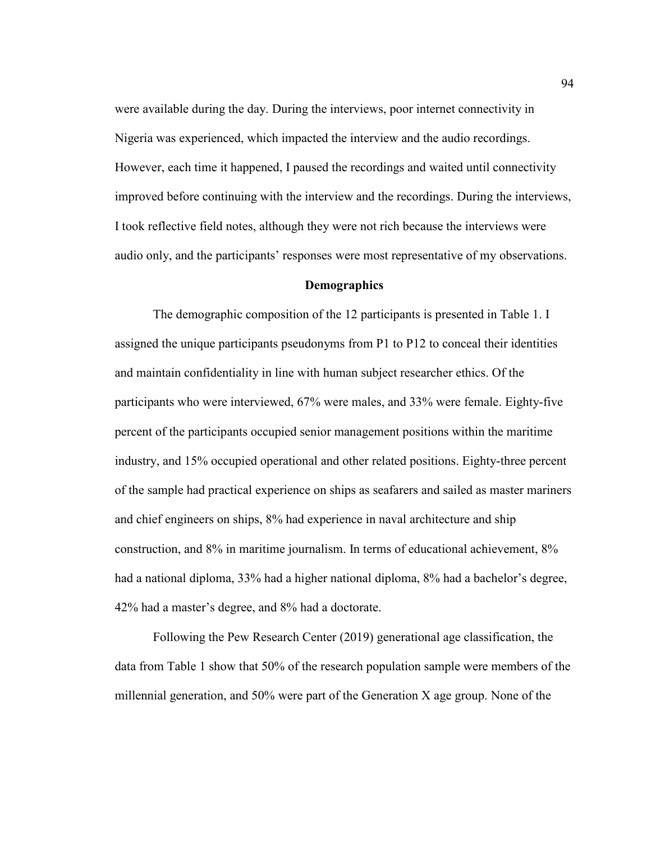were available during the day. During the interviews, poor internet connectivity in Nigeria was experienced, which impacted the interview and the audio recordings. However, each time it happened, I paused the recordings and waited until connectivity improved before continuing with the interview and the recordings. During the interviews, I took reflective field notes, although they were not rich because the interviews were audio only, and the participants' responses were most representative of my observations.

#### **Demographics**

The demographic composition of the 12 participants is presented in Table 1. I assigned the unique participants pseudonyms from P1 to P12 to conceal their identities and maintain confidentiality in line with human subject researcher ethics. Of the participants who were interviewed, 67% were males, and 33% were female. Eighty-five percent of the participants occupied senior management positions within the maritime industry, and 15% occupied operational and other related positions. Eighty-three percent of the sample had practical experience on ships as seafarers and sailed as master mariners and chief engineers on ships, 8% had experience in naval architecture and ship construction, and 8% in maritime journalism. In terms of educational achievement, 8% had a national diploma, 33% had a higher national diploma, 8% had a bachelor's degree, 42% had a master's degree, and 8% had a doctorate.

Following the Pew Research Center (2019) generational age classification, the data from Table 1 show that 50% of the research population sample were members of the millennial generation, and 50% were part of the Generation X age group. None of the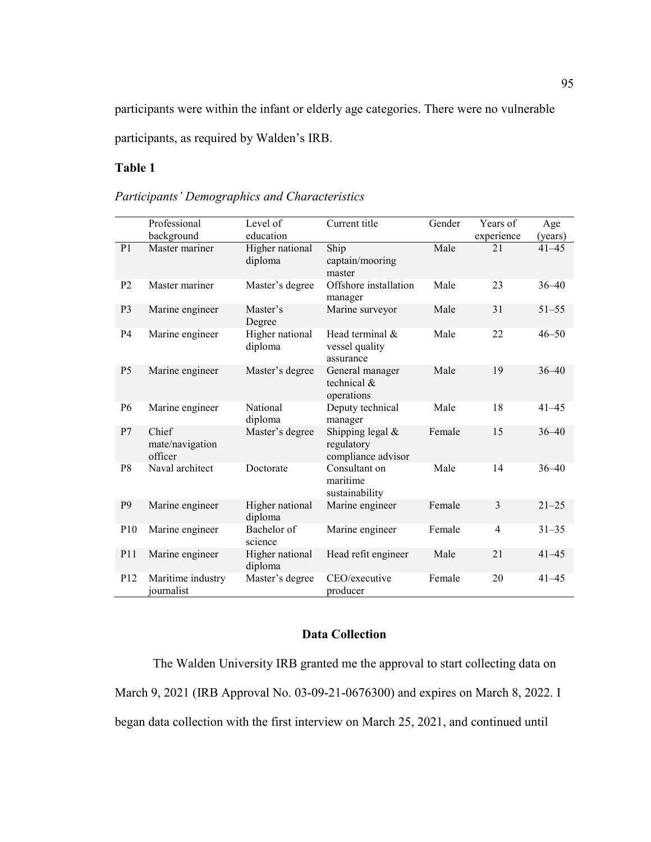participants were within the infant or elderly age categories. There were no vulnerable participants, as required by Walden's IRB.

# **Table 1**

|                 | Professional                        | Level of                   | Current title                                          | Gender | Years of       | Age       |
|-----------------|-------------------------------------|----------------------------|--------------------------------------------------------|--------|----------------|-----------|
|                 | background                          | education                  |                                                        |        | experience     | (years)   |
| P <sub>1</sub>  | Master mariner                      | Higher national<br>diploma | Ship<br>captain/mooring<br>master                      | Male   | 21             | $41 - 45$ |
| P <sub>2</sub>  | Master mariner                      | Master's degree            | Offshore installation<br>manager                       | Male   | 23             | $36 - 40$ |
| P <sub>3</sub>  | Marine engineer                     | Master's<br>Degree         | Marine surveyor                                        | Male   | 31             | $51 - 55$ |
| <b>P4</b>       | Marine engineer                     | Higher national<br>diploma | Head terminal &<br>vessel quality<br>assurance         | Male   | 22             | $46 - 50$ |
| P <sub>5</sub>  | Marine engineer                     | Master's degree            | General manager<br>technical $\&$<br>operations        | Male   | 19             | $36 - 40$ |
| P <sub>6</sub>  | Marine engineer                     | National<br>diploma        | Deputy technical<br>manager                            | Male   | 18             | $41 - 45$ |
| P7              | Chief<br>mate/navigation<br>officer | Master's degree            | Shipping legal $&$<br>regulatory<br>compliance advisor | Female | 15             | $36 - 40$ |
| P <sub>8</sub>  | Naval architect                     | Doctorate                  | Consultant on<br>maritime<br>sustainability            | Male   | 14             | $36 - 40$ |
| P <sub>9</sub>  | Marine engineer                     | Higher national<br>diploma | Marine engineer                                        | Female | $\overline{3}$ | $21 - 25$ |
| P10             | Marine engineer                     | Bachelor of<br>science     | Marine engineer                                        | Female | $\overline{4}$ | $31 - 35$ |
| P11             | Marine engineer                     | Higher national<br>diploma | Head refit engineer                                    | Male   | 21             | $41 - 45$ |
| P <sub>12</sub> | Maritime industry<br>iournalist     | Master's degree            | CEO/executive<br>producer                              | Female | 20             | $41 - 45$ |

*Participants' Demographics and Characteristics* 

# **Data Collection**

The Walden University IRB granted me the approval to start collecting data on March 9, 2021 (IRB Approval No. 03-09-21-0676300) and expires on March 8, 2022. I began data collection with the first interview on March 25, 2021, and continued until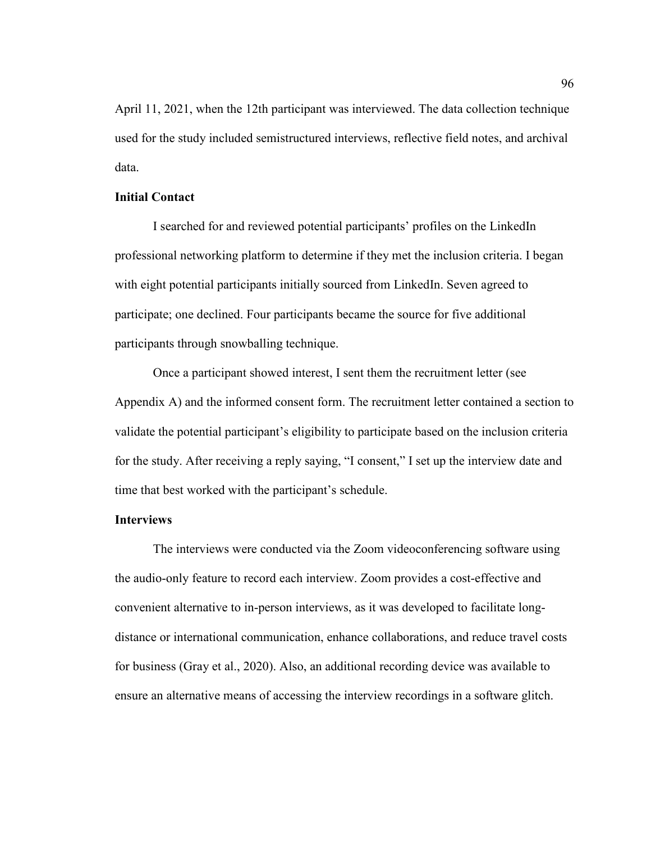April 11, 2021, when the 12th participant was interviewed. The data collection technique used for the study included semistructured interviews, reflective field notes, and archival data.

### **Initial Contact**

I searched for and reviewed potential participants' profiles on the LinkedIn professional networking platform to determine if they met the inclusion criteria. I began with eight potential participants initially sourced from LinkedIn. Seven agreed to participate; one declined. Four participants became the source for five additional participants through snowballing technique.

Once a participant showed interest, I sent them the recruitment letter (see Appendix A) and the informed consent form. The recruitment letter contained a section to validate the potential participant's eligibility to participate based on the inclusion criteria for the study. After receiving a reply saying, "I consent," I set up the interview date and time that best worked with the participant's schedule.

### **Interviews**

The interviews were conducted via the Zoom videoconferencing software using the audio-only feature to record each interview. Zoom provides a cost-effective and convenient alternative to in-person interviews, as it was developed to facilitate longdistance or international communication, enhance collaborations, and reduce travel costs for business (Gray et al., 2020). Also, an additional recording device was available to ensure an alternative means of accessing the interview recordings in a software glitch.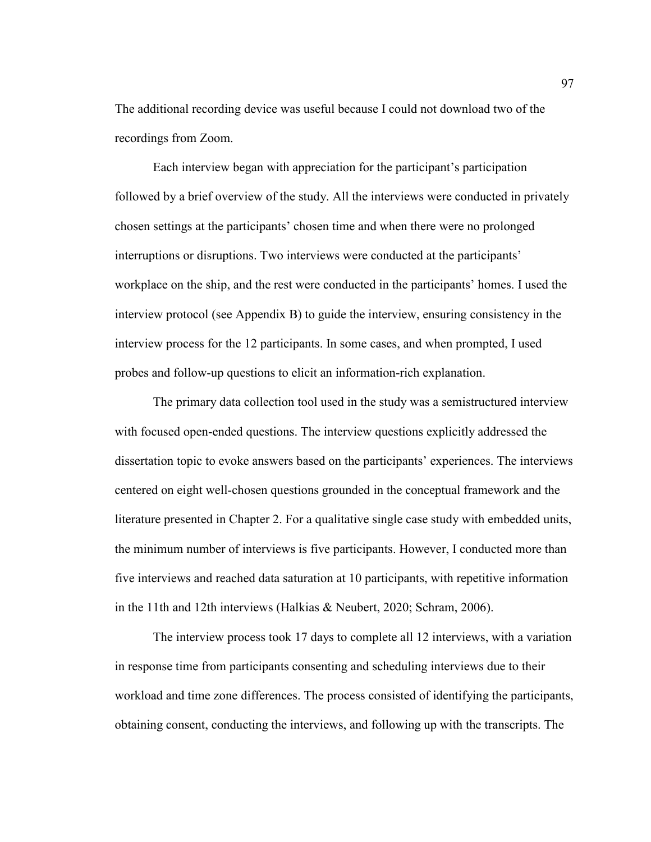The additional recording device was useful because I could not download two of the recordings from Zoom.

Each interview began with appreciation for the participant's participation followed by a brief overview of the study. All the interviews were conducted in privately chosen settings at the participants' chosen time and when there were no prolonged interruptions or disruptions. Two interviews were conducted at the participants' workplace on the ship, and the rest were conducted in the participants' homes. I used the interview protocol (see Appendix B) to guide the interview, ensuring consistency in the interview process for the 12 participants. In some cases, and when prompted, I used probes and follow-up questions to elicit an information-rich explanation.

The primary data collection tool used in the study was a semistructured interview with focused open-ended questions. The interview questions explicitly addressed the dissertation topic to evoke answers based on the participants' experiences. The interviews centered on eight well-chosen questions grounded in the conceptual framework and the literature presented in Chapter 2. For a qualitative single case study with embedded units, the minimum number of interviews is five participants. However, I conducted more than five interviews and reached data saturation at 10 participants, with repetitive information in the 11th and 12th interviews (Halkias & Neubert, 2020; Schram, 2006).

The interview process took 17 days to complete all 12 interviews, with a variation in response time from participants consenting and scheduling interviews due to their workload and time zone differences. The process consisted of identifying the participants, obtaining consent, conducting the interviews, and following up with the transcripts. The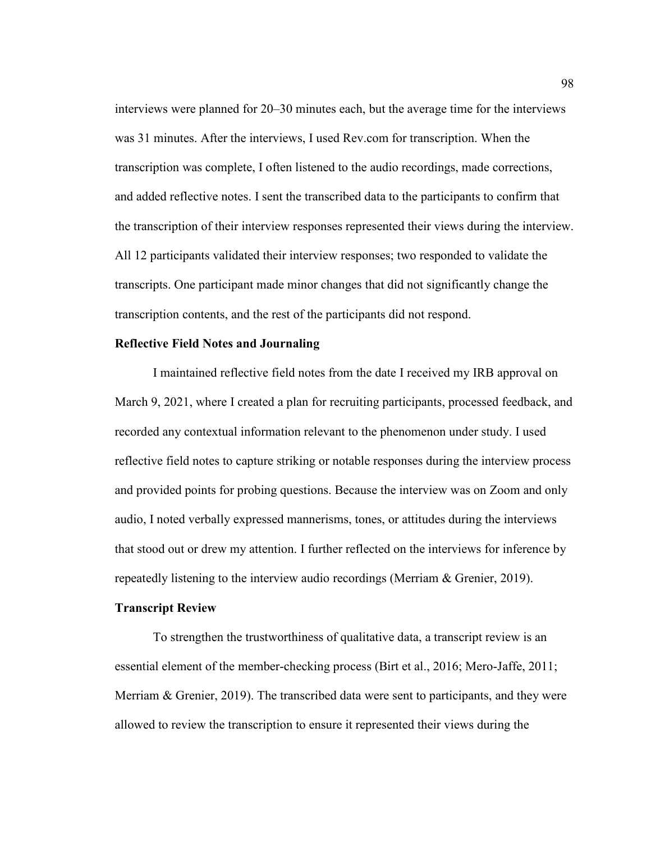interviews were planned for 20–30 minutes each, but the average time for the interviews was 31 minutes. After the interviews, I used Rev.com for transcription. When the transcription was complete, I often listened to the audio recordings, made corrections, and added reflective notes. I sent the transcribed data to the participants to confirm that the transcription of their interview responses represented their views during the interview. All 12 participants validated their interview responses; two responded to validate the transcripts. One participant made minor changes that did not significantly change the transcription contents, and the rest of the participants did not respond.

#### **Reflective Field Notes and Journaling**

I maintained reflective field notes from the date I received my IRB approval on March 9, 2021, where I created a plan for recruiting participants, processed feedback, and recorded any contextual information relevant to the phenomenon under study. I used reflective field notes to capture striking or notable responses during the interview process and provided points for probing questions. Because the interview was on Zoom and only audio, I noted verbally expressed mannerisms, tones, or attitudes during the interviews that stood out or drew my attention. I further reflected on the interviews for inference by repeatedly listening to the interview audio recordings (Merriam & Grenier, 2019).

# **Transcript Review**

To strengthen the trustworthiness of qualitative data, a transcript review is an essential element of the member-checking process (Birt et al., 2016; Mero-Jaffe, 2011; Merriam & Grenier, 2019). The transcribed data were sent to participants, and they were allowed to review the transcription to ensure it represented their views during the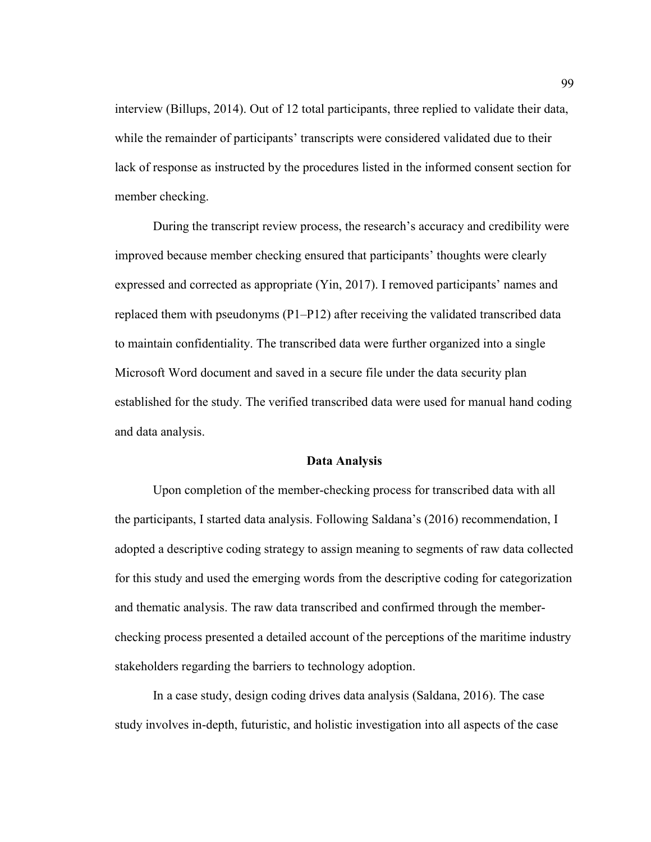interview (Billups, 2014). Out of 12 total participants, three replied to validate their data, while the remainder of participants' transcripts were considered validated due to their lack of response as instructed by the procedures listed in the informed consent section for member checking.

During the transcript review process, the research's accuracy and credibility were improved because member checking ensured that participants' thoughts were clearly expressed and corrected as appropriate (Yin, 2017). I removed participants' names and replaced them with pseudonyms (P1–P12) after receiving the validated transcribed data to maintain confidentiality. The transcribed data were further organized into a single Microsoft Word document and saved in a secure file under the data security plan established for the study. The verified transcribed data were used for manual hand coding and data analysis.

## **Data Analysis**

Upon completion of the member-checking process for transcribed data with all the participants, I started data analysis. Following Saldana's (2016) recommendation, I adopted a descriptive coding strategy to assign meaning to segments of raw data collected for this study and used the emerging words from the descriptive coding for categorization and thematic analysis. The raw data transcribed and confirmed through the memberchecking process presented a detailed account of the perceptions of the maritime industry stakeholders regarding the barriers to technology adoption.

In a case study, design coding drives data analysis (Saldana, 2016). The case study involves in-depth, futuristic, and holistic investigation into all aspects of the case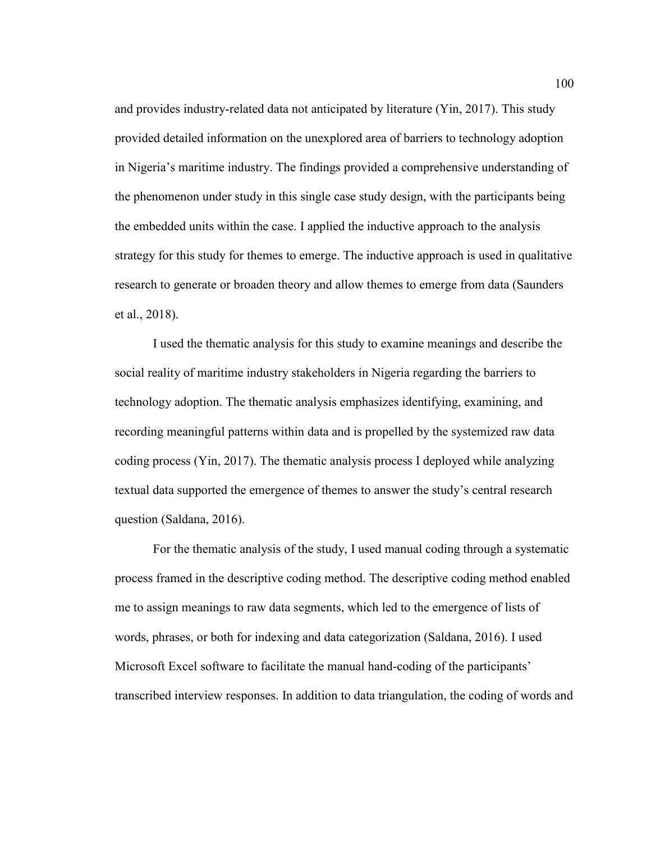and provides industry-related data not anticipated by literature (Yin, 2017). This study provided detailed information on the unexplored area of barriers to technology adoption in Nigeria's maritime industry. The findings provided a comprehensive understanding of the phenomenon under study in this single case study design, with the participants being the embedded units within the case. I applied the inductive approach to the analysis strategy for this study for themes to emerge. The inductive approach is used in qualitative research to generate or broaden theory and allow themes to emerge from data (Saunders et al., 2018).

I used the thematic analysis for this study to examine meanings and describe the social reality of maritime industry stakeholders in Nigeria regarding the barriers to technology adoption. The thematic analysis emphasizes identifying, examining, and recording meaningful patterns within data and is propelled by the systemized raw data coding process (Yin, 2017). The thematic analysis process I deployed while analyzing textual data supported the emergence of themes to answer the study's central research question (Saldana, 2016).

For the thematic analysis of the study, I used manual coding through a systematic process framed in the descriptive coding method. The descriptive coding method enabled me to assign meanings to raw data segments, which led to the emergence of lists of words, phrases, or both for indexing and data categorization (Saldana, 2016). I used Microsoft Excel software to facilitate the manual hand-coding of the participants' transcribed interview responses. In addition to data triangulation, the coding of words and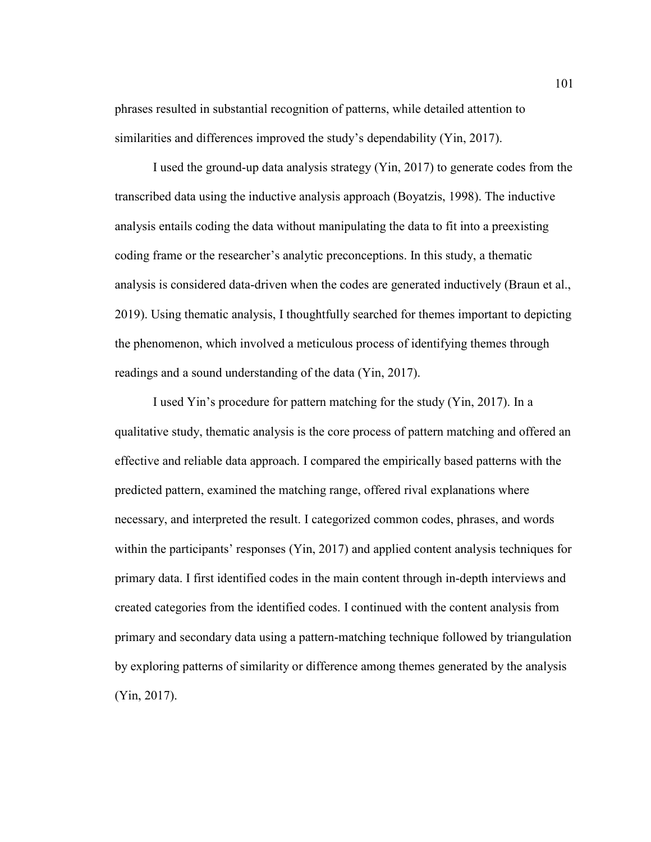phrases resulted in substantial recognition of patterns, while detailed attention to similarities and differences improved the study's dependability (Yin, 2017).

I used the ground-up data analysis strategy (Yin, 2017) to generate codes from the transcribed data using the inductive analysis approach (Boyatzis, 1998). The inductive analysis entails coding the data without manipulating the data to fit into a preexisting coding frame or the researcher's analytic preconceptions. In this study, a thematic analysis is considered data-driven when the codes are generated inductively (Braun et al., 2019). Using thematic analysis, I thoughtfully searched for themes important to depicting the phenomenon, which involved a meticulous process of identifying themes through readings and a sound understanding of the data (Yin, 2017).

I used Yin's procedure for pattern matching for the study (Yin, 2017). In a qualitative study, thematic analysis is the core process of pattern matching and offered an effective and reliable data approach. I compared the empirically based patterns with the predicted pattern, examined the matching range, offered rival explanations where necessary, and interpreted the result. I categorized common codes, phrases, and words within the participants' responses (Yin, 2017) and applied content analysis techniques for primary data. I first identified codes in the main content through in-depth interviews and created categories from the identified codes. I continued with the content analysis from primary and secondary data using a pattern-matching technique followed by triangulation by exploring patterns of similarity or difference among themes generated by the analysis (Yin, 2017).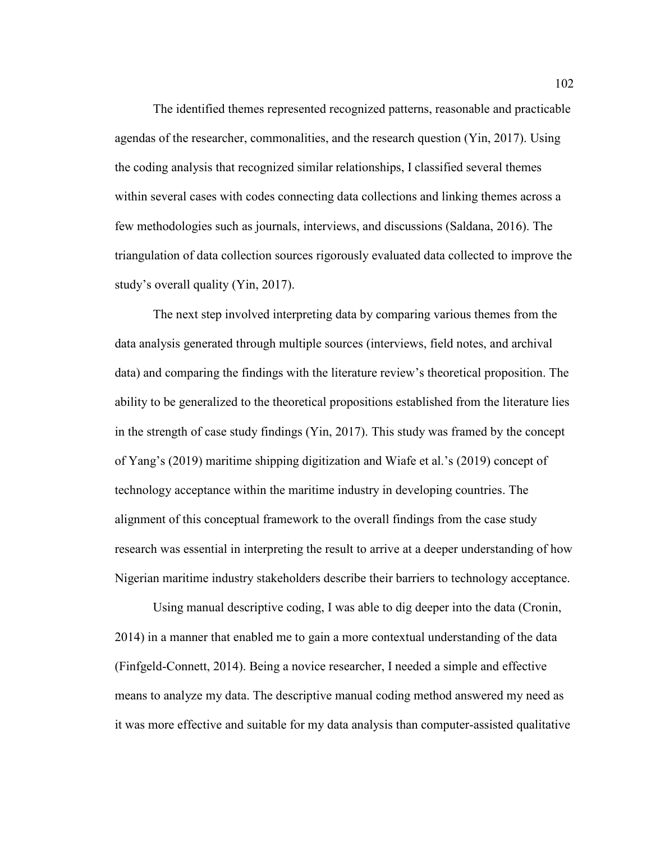The identified themes represented recognized patterns, reasonable and practicable agendas of the researcher, commonalities, and the research question (Yin, 2017). Using the coding analysis that recognized similar relationships, I classified several themes within several cases with codes connecting data collections and linking themes across a few methodologies such as journals, interviews, and discussions (Saldana, 2016). The triangulation of data collection sources rigorously evaluated data collected to improve the study's overall quality (Yin, 2017).

The next step involved interpreting data by comparing various themes from the data analysis generated through multiple sources (interviews, field notes, and archival data) and comparing the findings with the literature review's theoretical proposition. The ability to be generalized to the theoretical propositions established from the literature lies in the strength of case study findings (Yin, 2017). This study was framed by the concept of Yang's (2019) maritime shipping digitization and Wiafe et al.'s (2019) concept of technology acceptance within the maritime industry in developing countries. The alignment of this conceptual framework to the overall findings from the case study research was essential in interpreting the result to arrive at a deeper understanding of how Nigerian maritime industry stakeholders describe their barriers to technology acceptance.

Using manual descriptive coding, I was able to dig deeper into the data (Cronin, 2014) in a manner that enabled me to gain a more contextual understanding of the data (Finfgeld-Connett, 2014). Being a novice researcher, I needed a simple and effective means to analyze my data. The descriptive manual coding method answered my need as it was more effective and suitable for my data analysis than computer-assisted qualitative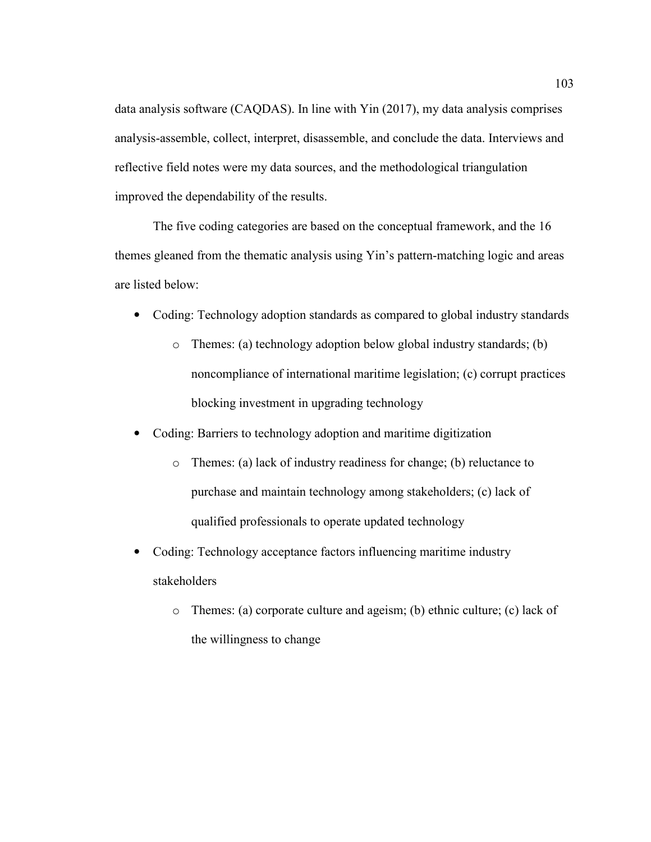data analysis software (CAQDAS). In line with Yin (2017), my data analysis comprises analysis-assemble, collect, interpret, disassemble, and conclude the data. Interviews and reflective field notes were my data sources, and the methodological triangulation improved the dependability of the results.

The five coding categories are based on the conceptual framework, and the 16 themes gleaned from the thematic analysis using Yin's pattern-matching logic and areas are listed below:

- Coding: Technology adoption standards as compared to global industry standards
	- o Themes: (a) technology adoption below global industry standards; (b) noncompliance of international maritime legislation; (c) corrupt practices blocking investment in upgrading technology
- Coding: Barriers to technology adoption and maritime digitization
	- o Themes: (a) lack of industry readiness for change; (b) reluctance to purchase and maintain technology among stakeholders; (c) lack of qualified professionals to operate updated technology
- Coding: Technology acceptance factors influencing maritime industry stakeholders
	- o Themes: (a) corporate culture and ageism; (b) ethnic culture; (c) lack of the willingness to change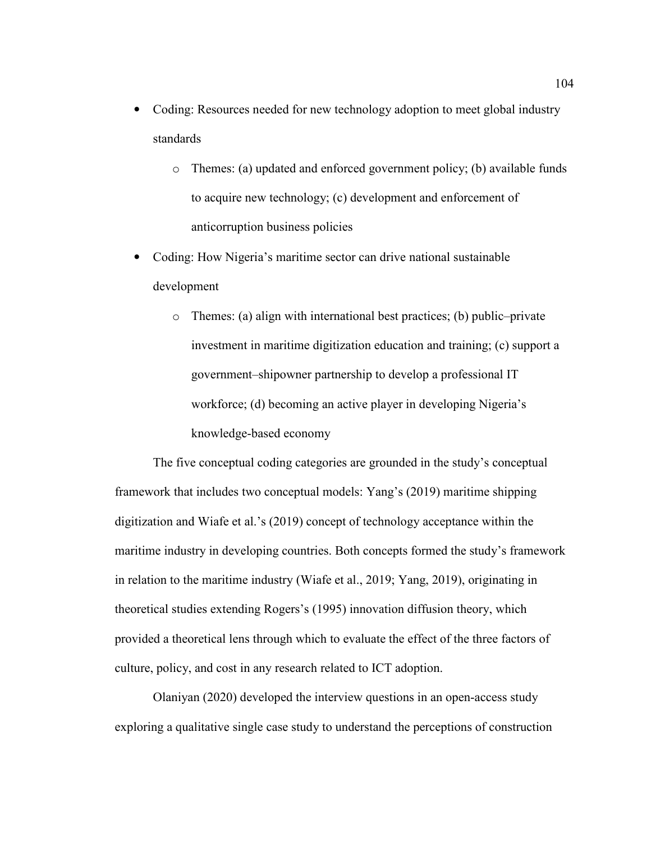- Coding: Resources needed for new technology adoption to meet global industry standards
	- o Themes: (a) updated and enforced government policy; (b) available funds to acquire new technology; (c) development and enforcement of anticorruption business policies
- Coding: How Nigeria's maritime sector can drive national sustainable development
	- o Themes: (a) align with international best practices; (b) public–private investment in maritime digitization education and training; (c) support a government–shipowner partnership to develop a professional IT workforce; (d) becoming an active player in developing Nigeria's knowledge-based economy

The five conceptual coding categories are grounded in the study's conceptual framework that includes two conceptual models: Yang's (2019) maritime shipping digitization and Wiafe et al.'s (2019) concept of technology acceptance within the maritime industry in developing countries. Both concepts formed the study's framework in relation to the maritime industry (Wiafe et al., 2019; Yang, 2019), originating in theoretical studies extending Rogers's (1995) innovation diffusion theory, which provided a theoretical lens through which to evaluate the effect of the three factors of culture, policy, and cost in any research related to ICT adoption.

Olaniyan (2020) developed the interview questions in an open-access study exploring a qualitative single case study to understand the perceptions of construction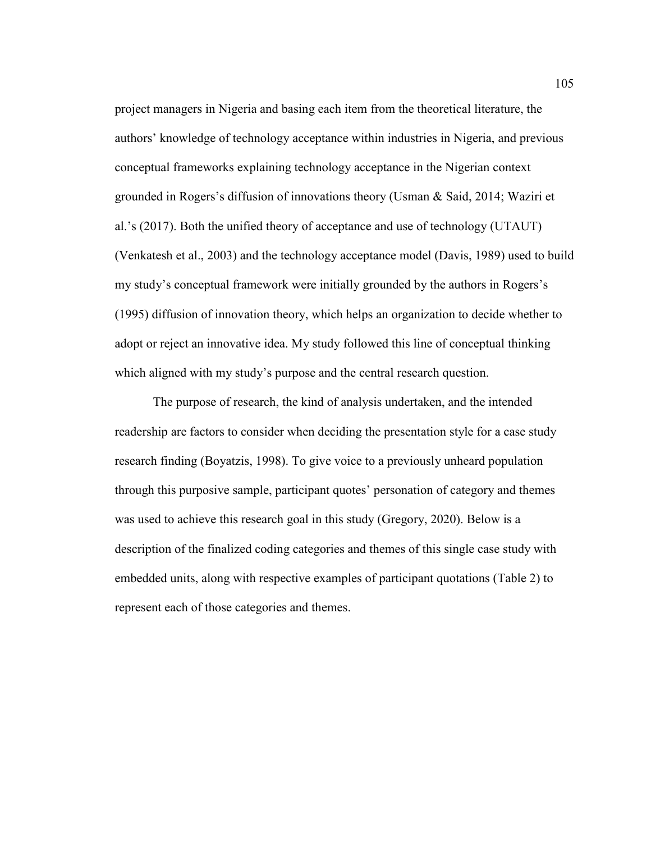project managers in Nigeria and basing each item from the theoretical literature, the authors' knowledge of technology acceptance within industries in Nigeria, and previous conceptual frameworks explaining technology acceptance in the Nigerian context grounded in Rogers's diffusion of innovations theory (Usman & Said, 2014; Waziri et al.'s (2017). Both the unified theory of acceptance and use of technology (UTAUT) (Venkatesh et al., 2003) and the technology acceptance model (Davis, 1989) used to build my study's conceptual framework were initially grounded by the authors in Rogers's (1995) diffusion of innovation theory, which helps an organization to decide whether to adopt or reject an innovative idea. My study followed this line of conceptual thinking which aligned with my study's purpose and the central research question.

The purpose of research, the kind of analysis undertaken, and the intended readership are factors to consider when deciding the presentation style for a case study research finding (Boyatzis, 1998). To give voice to a previously unheard population through this purposive sample, participant quotes' personation of category and themes was used to achieve this research goal in this study (Gregory, 2020). Below is a description of the finalized coding categories and themes of this single case study with embedded units, along with respective examples of participant quotations (Table 2) to represent each of those categories and themes.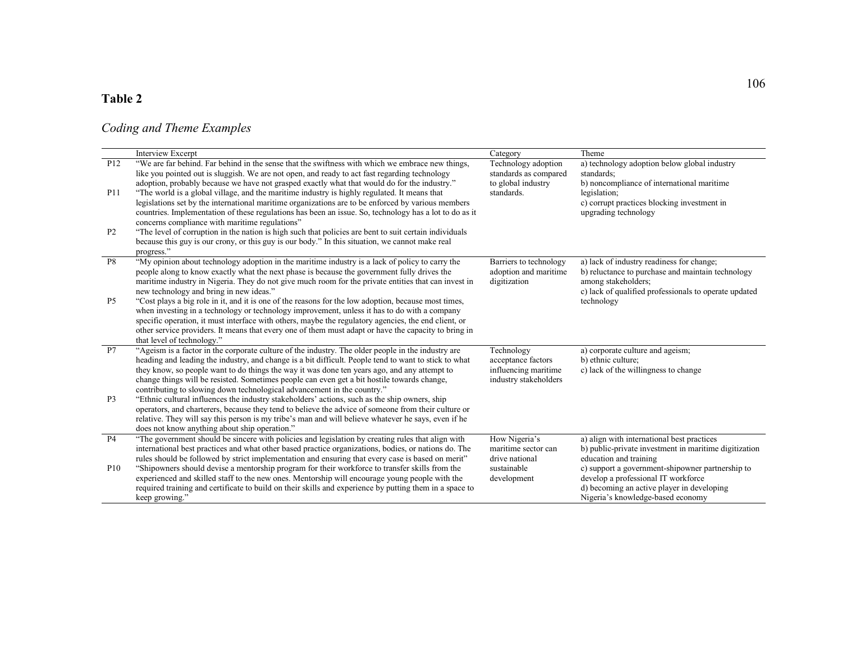# **Table 2**

## *Coding and Theme Examples*

|                                   | Interview Excerpt                                                                                                                                                                                                                                                                                                                                                                                                                                                                                                                                                                                                                                                                                                                                                                                                                                     | Category                                                                          | Theme                                                                                                                                                                                                                                                         |
|-----------------------------------|-------------------------------------------------------------------------------------------------------------------------------------------------------------------------------------------------------------------------------------------------------------------------------------------------------------------------------------------------------------------------------------------------------------------------------------------------------------------------------------------------------------------------------------------------------------------------------------------------------------------------------------------------------------------------------------------------------------------------------------------------------------------------------------------------------------------------------------------------------|-----------------------------------------------------------------------------------|---------------------------------------------------------------------------------------------------------------------------------------------------------------------------------------------------------------------------------------------------------------|
| P <sub>12</sub><br><b>P11</b>     | "We are far behind. Far behind in the sense that the swiftness with which we embrace new things,<br>like you pointed out is sluggish. We are not open, and ready to act fast regarding technology<br>adoption, probably because we have not grasped exactly what that would do for the industry."<br>"The world is a global village, and the maritime industry is highly regulated. It means that<br>legislations set by the international maritime organizations are to be enforced by various members<br>countries. Implementation of these regulations has been an issue. So, technology has a lot to do as it                                                                                                                                                                                                                                     | Technology adoption<br>standards as compared<br>to global industry<br>standards.  | a) technology adoption below global industry<br>standards;<br>b) noncompliance of international maritime<br>legislation;<br>c) corrupt practices blocking investment in<br>upgrading technology                                                               |
| P <sub>2</sub>                    | concerns compliance with maritime regulations"<br>"The level of corruption in the nation is high such that policies are bent to suit certain individuals<br>because this guy is our crony, or this guy is our body." In this situation, we cannot make real<br>progress."                                                                                                                                                                                                                                                                                                                                                                                                                                                                                                                                                                             |                                                                                   |                                                                                                                                                                                                                                                               |
| $\overline{P8}$<br>P <sub>5</sub> | "My opinion about technology adoption in the maritime industry is a lack of policy to carry the<br>people along to know exactly what the next phase is because the government fully drives the<br>maritime industry in Nigeria. They do not give much room for the private entities that can invest in<br>new technology and bring in new ideas."<br>"Cost plays a big role in it, and it is one of the reasons for the low adoption, because most times,<br>when investing in a technology or technology improvement, unless it has to do with a company<br>specific operation, it must interface with others, maybe the regulatory agencies, the end client, or<br>other service providers. It means that every one of them must adapt or have the capacity to bring in                                                                             | Barriers to technology<br>adoption and maritime<br>digitization                   | a) lack of industry readiness for change;<br>b) reluctance to purchase and maintain technology<br>among stakeholders;<br>c) lack of qualified professionals to operate updated<br>technology                                                                  |
|                                   | that level of technology."                                                                                                                                                                                                                                                                                                                                                                                                                                                                                                                                                                                                                                                                                                                                                                                                                            |                                                                                   |                                                                                                                                                                                                                                                               |
| P7<br>P <sub>3</sub>              | "Ageism is a factor in the corporate culture of the industry. The older people in the industry are<br>heading and leading the industry, and change is a bit difficult. People tend to want to stick to what<br>they know, so people want to do things the way it was done ten years ago, and any attempt to<br>change things will be resisted. Sometimes people can even get a bit hostile towards change,<br>contributing to slowing down technological advancement in the country."<br>"Ethnic cultural influences the industry stakeholders' actions, such as the ship owners, ship<br>operators, and charterers, because they tend to believe the advice of someone from their culture or<br>relative. They will say this person is my tribe's man and will believe whatever he says, even if he<br>does not know anything about ship operation." | Technology<br>acceptance factors<br>influencing maritime<br>industry stakeholders | a) corporate culture and ageism;<br>b) ethnic culture;<br>c) lack of the willingness to change                                                                                                                                                                |
| P <sub>4</sub>                    | "The government should be sincere with policies and legislation by creating rules that align with                                                                                                                                                                                                                                                                                                                                                                                                                                                                                                                                                                                                                                                                                                                                                     | How Nigeria's                                                                     | a) align with international best practices                                                                                                                                                                                                                    |
| <b>P10</b>                        | international best practices and what other based practice organizations, bodies, or nations do. The<br>rules should be followed by strict implementation and ensuring that every case is based on merit"<br>"Shipowners should devise a mentorship program for their workforce to transfer skills from the<br>experienced and skilled staff to the new ones. Mentorship will encourage young people with the<br>required training and certificate to build on their skills and experience by putting them in a space to<br>keep growing."                                                                                                                                                                                                                                                                                                            | maritime sector can<br>drive national<br>sustainable<br>development               | b) public-private investment in maritime digitization<br>education and training<br>c) support a government-shipowner partnership to<br>develop a professional IT workforce<br>d) becoming an active player in developing<br>Nigeria's knowledge-based economy |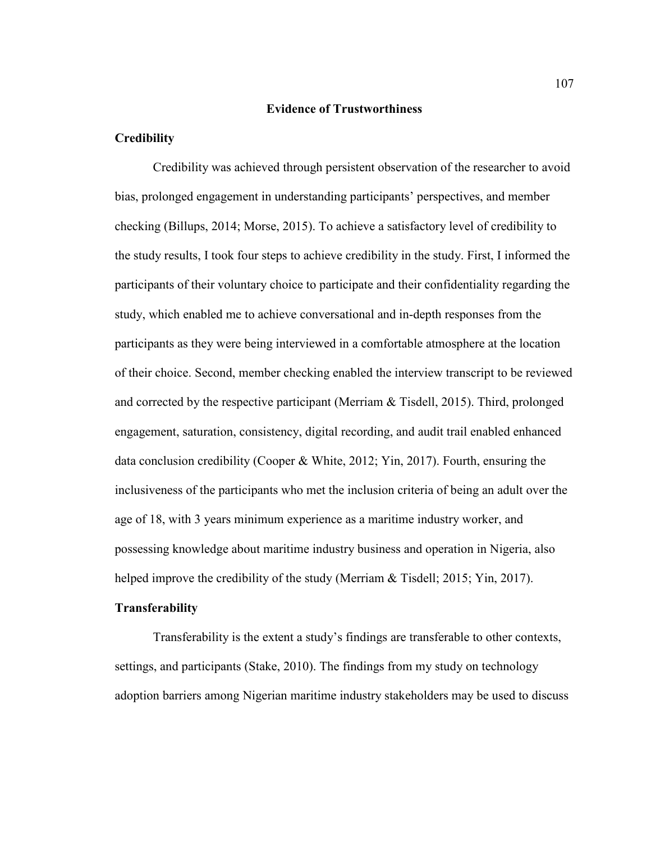#### **Evidence of Trustworthiness**

## **Credibility**

Credibility was achieved through persistent observation of the researcher to avoid bias, prolonged engagement in understanding participants' perspectives, and member checking (Billups, 2014; Morse, 2015). To achieve a satisfactory level of credibility to the study results, I took four steps to achieve credibility in the study. First, I informed the participants of their voluntary choice to participate and their confidentiality regarding the study, which enabled me to achieve conversational and in-depth responses from the participants as they were being interviewed in a comfortable atmosphere at the location of their choice. Second, member checking enabled the interview transcript to be reviewed and corrected by the respective participant (Merriam & Tisdell, 2015). Third, prolonged engagement, saturation, consistency, digital recording, and audit trail enabled enhanced data conclusion credibility (Cooper & White, 2012; Yin, 2017). Fourth, ensuring the inclusiveness of the participants who met the inclusion criteria of being an adult over the age of 18, with 3 years minimum experience as a maritime industry worker, and possessing knowledge about maritime industry business and operation in Nigeria, also helped improve the credibility of the study (Merriam & Tisdell; 2015; Yin, 2017).

# **Transferability**

Transferability is the extent a study's findings are transferable to other contexts, settings, and participants (Stake, 2010). The findings from my study on technology adoption barriers among Nigerian maritime industry stakeholders may be used to discuss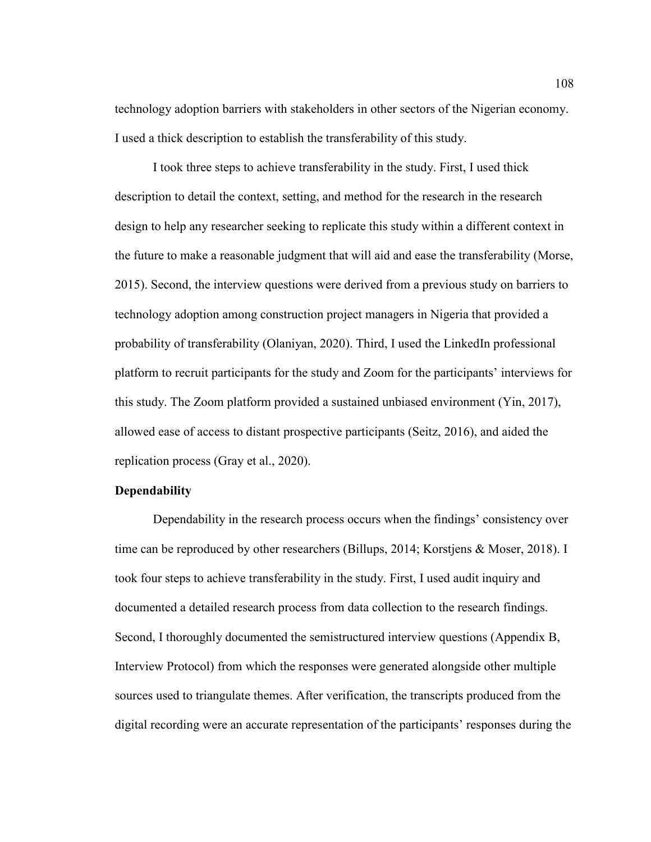technology adoption barriers with stakeholders in other sectors of the Nigerian economy. I used a thick description to establish the transferability of this study.

I took three steps to achieve transferability in the study. First, I used thick description to detail the context, setting, and method for the research in the research design to help any researcher seeking to replicate this study within a different context in the future to make a reasonable judgment that will aid and ease the transferability (Morse, 2015). Second, the interview questions were derived from a previous study on barriers to technology adoption among construction project managers in Nigeria that provided a probability of transferability (Olaniyan, 2020). Third, I used the LinkedIn professional platform to recruit participants for the study and Zoom for the participants' interviews for this study. The Zoom platform provided a sustained unbiased environment (Yin, 2017), allowed ease of access to distant prospective participants (Seitz, 2016), and aided the replication process (Gray et al., 2020).

## **Dependability**

Dependability in the research process occurs when the findings' consistency over time can be reproduced by other researchers (Billups, 2014; Korstjens & Moser, 2018). I took four steps to achieve transferability in the study. First, I used audit inquiry and documented a detailed research process from data collection to the research findings. Second, I thoroughly documented the semistructured interview questions (Appendix B, Interview Protocol) from which the responses were generated alongside other multiple sources used to triangulate themes. After verification, the transcripts produced from the digital recording were an accurate representation of the participants' responses during the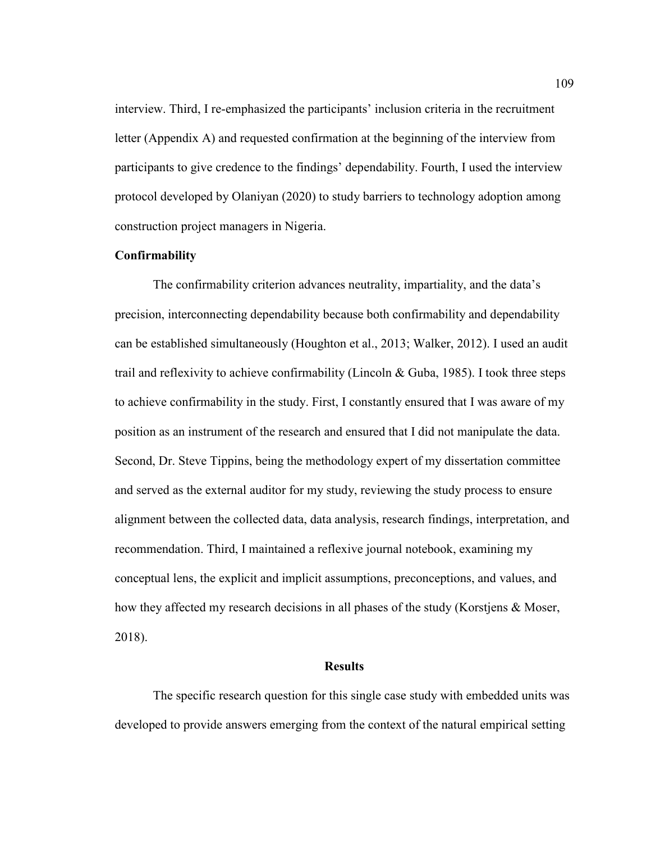interview. Third, I re-emphasized the participants' inclusion criteria in the recruitment letter (Appendix A) and requested confirmation at the beginning of the interview from participants to give credence to the findings' dependability. Fourth, I used the interview protocol developed by Olaniyan (2020) to study barriers to technology adoption among construction project managers in Nigeria.

#### **Confirmability**

The confirmability criterion advances neutrality, impartiality, and the data's precision, interconnecting dependability because both confirmability and dependability can be established simultaneously (Houghton et al., 2013; Walker, 2012). I used an audit trail and reflexivity to achieve confirmability (Lincoln & Guba, 1985). I took three steps to achieve confirmability in the study. First, I constantly ensured that I was aware of my position as an instrument of the research and ensured that I did not manipulate the data. Second, Dr. Steve Tippins, being the methodology expert of my dissertation committee and served as the external auditor for my study, reviewing the study process to ensure alignment between the collected data, data analysis, research findings, interpretation, and recommendation. Third, I maintained a reflexive journal notebook, examining my conceptual lens, the explicit and implicit assumptions, preconceptions, and values, and how they affected my research decisions in all phases of the study (Korstjens & Moser, 2018).

### **Results**

The specific research question for this single case study with embedded units was developed to provide answers emerging from the context of the natural empirical setting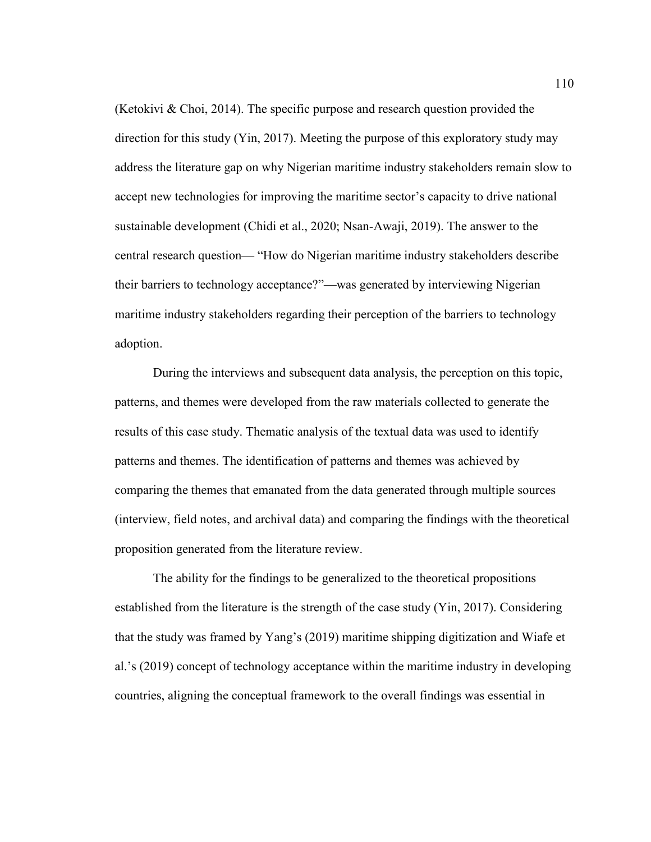(Ketokivi  $\&$  Choi, 2014). The specific purpose and research question provided the direction for this study (Yin, 2017). Meeting the purpose of this exploratory study may address the literature gap on why Nigerian maritime industry stakeholders remain slow to accept new technologies for improving the maritime sector's capacity to drive national sustainable development (Chidi et al., 2020; Nsan-Awaji, 2019). The answer to the central research question— "How do Nigerian maritime industry stakeholders describe their barriers to technology acceptance?"—was generated by interviewing Nigerian maritime industry stakeholders regarding their perception of the barriers to technology adoption.

During the interviews and subsequent data analysis, the perception on this topic, patterns, and themes were developed from the raw materials collected to generate the results of this case study. Thematic analysis of the textual data was used to identify patterns and themes. The identification of patterns and themes was achieved by comparing the themes that emanated from the data generated through multiple sources (interview, field notes, and archival data) and comparing the findings with the theoretical proposition generated from the literature review.

The ability for the findings to be generalized to the theoretical propositions established from the literature is the strength of the case study (Yin, 2017). Considering that the study was framed by Yang's (2019) maritime shipping digitization and Wiafe et al.'s (2019) concept of technology acceptance within the maritime industry in developing countries, aligning the conceptual framework to the overall findings was essential in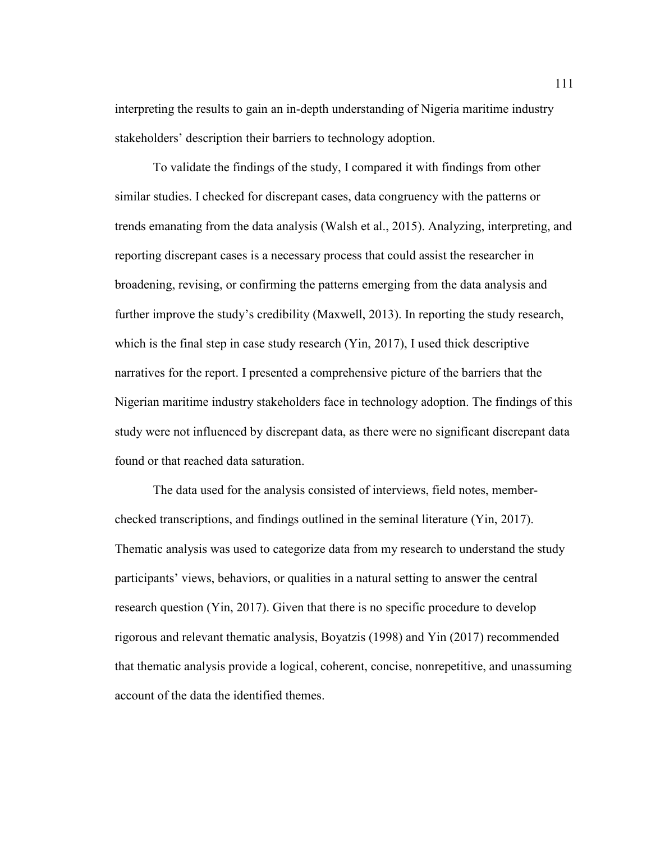interpreting the results to gain an in-depth understanding of Nigeria maritime industry stakeholders' description their barriers to technology adoption.

To validate the findings of the study, I compared it with findings from other similar studies. I checked for discrepant cases, data congruency with the patterns or trends emanating from the data analysis (Walsh et al., 2015). Analyzing, interpreting, and reporting discrepant cases is a necessary process that could assist the researcher in broadening, revising, or confirming the patterns emerging from the data analysis and further improve the study's credibility (Maxwell, 2013). In reporting the study research, which is the final step in case study research (Yin, 2017), I used thick descriptive narratives for the report. I presented a comprehensive picture of the barriers that the Nigerian maritime industry stakeholders face in technology adoption. The findings of this study were not influenced by discrepant data, as there were no significant discrepant data found or that reached data saturation.

The data used for the analysis consisted of interviews, field notes, memberchecked transcriptions, and findings outlined in the seminal literature (Yin, 2017). Thematic analysis was used to categorize data from my research to understand the study participants' views, behaviors, or qualities in a natural setting to answer the central research question (Yin, 2017). Given that there is no specific procedure to develop rigorous and relevant thematic analysis, Boyatzis (1998) and Yin (2017) recommended that thematic analysis provide a logical, coherent, concise, nonrepetitive, and unassuming account of the data the identified themes.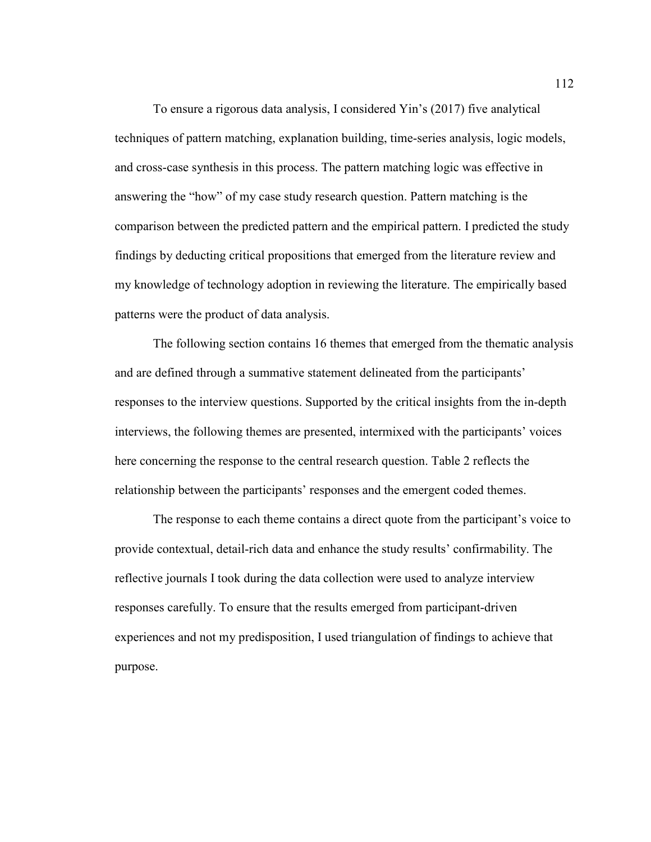To ensure a rigorous data analysis, I considered Yin's (2017) five analytical techniques of pattern matching, explanation building, time-series analysis, logic models, and cross-case synthesis in this process. The pattern matching logic was effective in answering the "how" of my case study research question. Pattern matching is the comparison between the predicted pattern and the empirical pattern. I predicted the study findings by deducting critical propositions that emerged from the literature review and my knowledge of technology adoption in reviewing the literature. The empirically based patterns were the product of data analysis.

The following section contains 16 themes that emerged from the thematic analysis and are defined through a summative statement delineated from the participants' responses to the interview questions. Supported by the critical insights from the in-depth interviews, the following themes are presented, intermixed with the participants' voices here concerning the response to the central research question. Table 2 reflects the relationship between the participants' responses and the emergent coded themes.

The response to each theme contains a direct quote from the participant's voice to provide contextual, detail-rich data and enhance the study results' confirmability. The reflective journals I took during the data collection were used to analyze interview responses carefully. To ensure that the results emerged from participant-driven experiences and not my predisposition, I used triangulation of findings to achieve that purpose.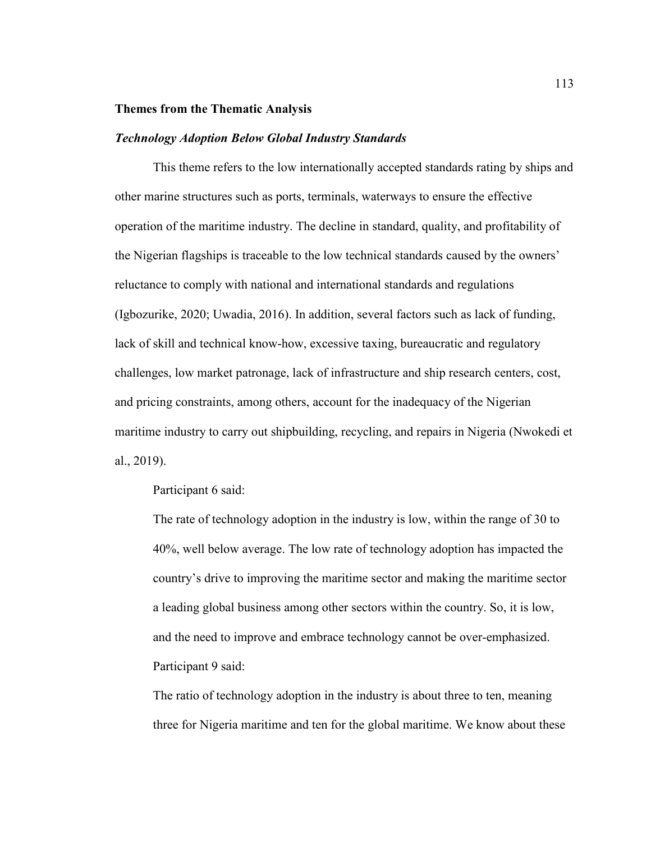### **Themes from the Thematic Analysis**

#### *Technology Adoption Below Global Industry Standards*

This theme refers to the low internationally accepted standards rating by ships and other marine structures such as ports, terminals, waterways to ensure the effective operation of the maritime industry. The decline in standard, quality, and profitability of the Nigerian flagships is traceable to the low technical standards caused by the owners' reluctance to comply with national and international standards and regulations (Igbozurike, 2020; Uwadia, 2016). In addition, several factors such as lack of funding, lack of skill and technical know-how, excessive taxing, bureaucratic and regulatory challenges, low market patronage, lack of infrastructure and ship research centers, cost, and pricing constraints, among others, account for the inadequacy of the Nigerian maritime industry to carry out shipbuilding, recycling, and repairs in Nigeria (Nwokedi et al., 2019).

Participant 6 said:

The rate of technology adoption in the industry is low, within the range of 30 to 40%, well below average. The low rate of technology adoption has impacted the country's drive to improving the maritime sector and making the maritime sector a leading global business among other sectors within the country. So, it is low, and the need to improve and embrace technology cannot be over-emphasized. Participant 9 said:

The ratio of technology adoption in the industry is about three to ten, meaning three for Nigeria maritime and ten for the global maritime. We know about these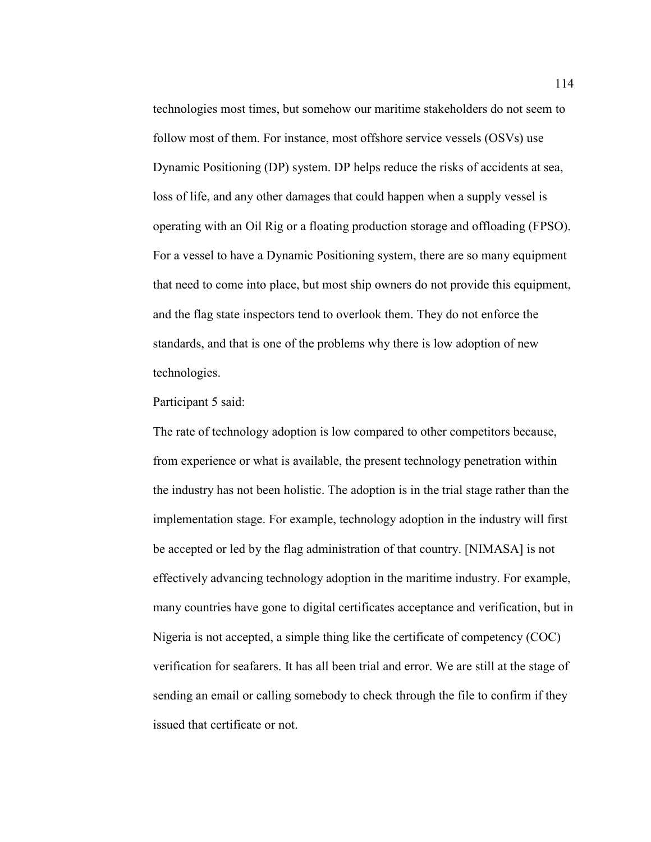technologies most times, but somehow our maritime stakeholders do not seem to follow most of them. For instance, most offshore service vessels (OSVs) use Dynamic Positioning (DP) system. DP helps reduce the risks of accidents at sea, loss of life, and any other damages that could happen when a supply vessel is operating with an Oil Rig or a floating production storage and offloading (FPSO). For a vessel to have a Dynamic Positioning system, there are so many equipment that need to come into place, but most ship owners do not provide this equipment, and the flag state inspectors tend to overlook them. They do not enforce the standards, and that is one of the problems why there is low adoption of new technologies.

### Participant 5 said:

The rate of technology adoption is low compared to other competitors because, from experience or what is available, the present technology penetration within the industry has not been holistic. The adoption is in the trial stage rather than the implementation stage. For example, technology adoption in the industry will first be accepted or led by the flag administration of that country. [NIMASA] is not effectively advancing technology adoption in the maritime industry. For example, many countries have gone to digital certificates acceptance and verification, but in Nigeria is not accepted, a simple thing like the certificate of competency (COC) verification for seafarers. It has all been trial and error. We are still at the stage of sending an email or calling somebody to check through the file to confirm if they issued that certificate or not.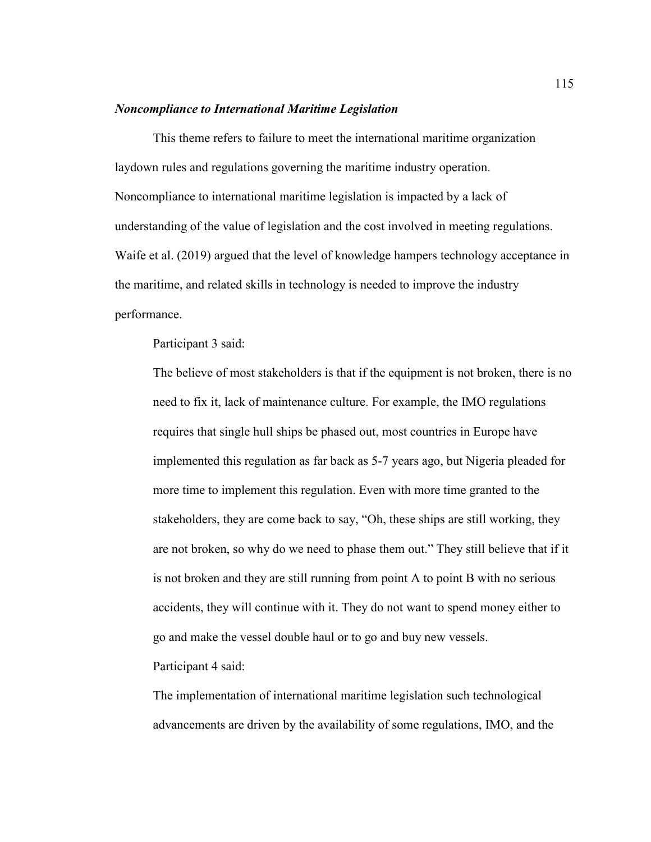#### *Noncompliance to International Maritime Legislation*

This theme refers to failure to meet the international maritime organization laydown rules and regulations governing the maritime industry operation. Noncompliance to international maritime legislation is impacted by a lack of understanding of the value of legislation and the cost involved in meeting regulations. Waife et al. (2019) argued that the level of knowledge hampers technology acceptance in the maritime, and related skills in technology is needed to improve the industry performance.

Participant 3 said:

The believe of most stakeholders is that if the equipment is not broken, there is no need to fix it, lack of maintenance culture. For example, the IMO regulations requires that single hull ships be phased out, most countries in Europe have implemented this regulation as far back as 5-7 years ago, but Nigeria pleaded for more time to implement this regulation. Even with more time granted to the stakeholders, they are come back to say, "Oh, these ships are still working, they are not broken, so why do we need to phase them out." They still believe that if it is not broken and they are still running from point A to point B with no serious accidents, they will continue with it. They do not want to spend money either to go and make the vessel double haul or to go and buy new vessels. Participant 4 said:

The implementation of international maritime legislation such technological advancements are driven by the availability of some regulations, IMO, and the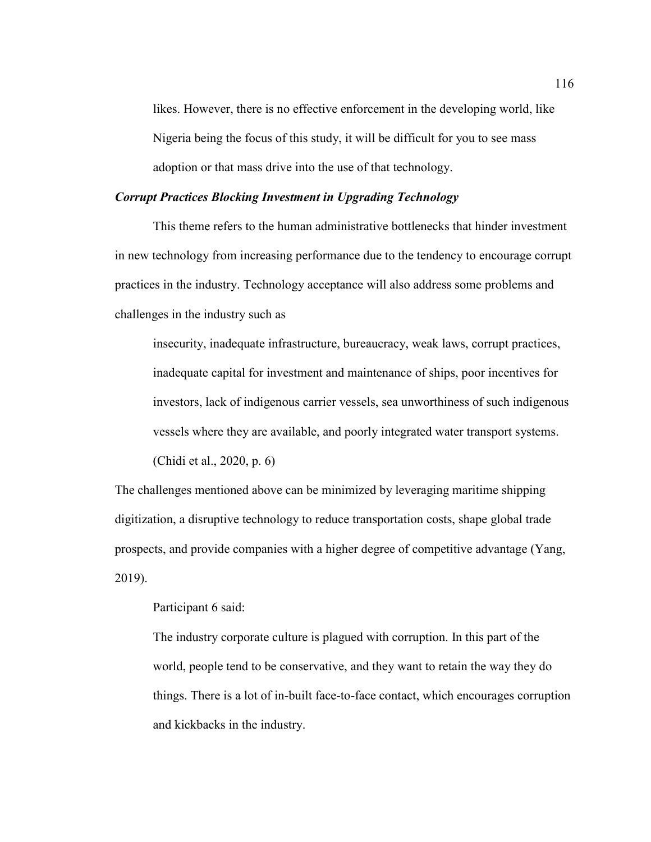likes. However, there is no effective enforcement in the developing world, like Nigeria being the focus of this study, it will be difficult for you to see mass adoption or that mass drive into the use of that technology.

#### *Corrupt Practices Blocking Investment in Upgrading Technology*

This theme refers to the human administrative bottlenecks that hinder investment in new technology from increasing performance due to the tendency to encourage corrupt practices in the industry. Technology acceptance will also address some problems and challenges in the industry such as

insecurity, inadequate infrastructure, bureaucracy, weak laws, corrupt practices, inadequate capital for investment and maintenance of ships, poor incentives for investors, lack of indigenous carrier vessels, sea unworthiness of such indigenous vessels where they are available, and poorly integrated water transport systems. (Chidi et al., 2020, p. 6)

The challenges mentioned above can be minimized by leveraging maritime shipping digitization, a disruptive technology to reduce transportation costs, shape global trade prospects, and provide companies with a higher degree of competitive advantage (Yang, 2019).

## Participant 6 said:

The industry corporate culture is plagued with corruption. In this part of the world, people tend to be conservative, and they want to retain the way they do things. There is a lot of in-built face-to-face contact, which encourages corruption and kickbacks in the industry.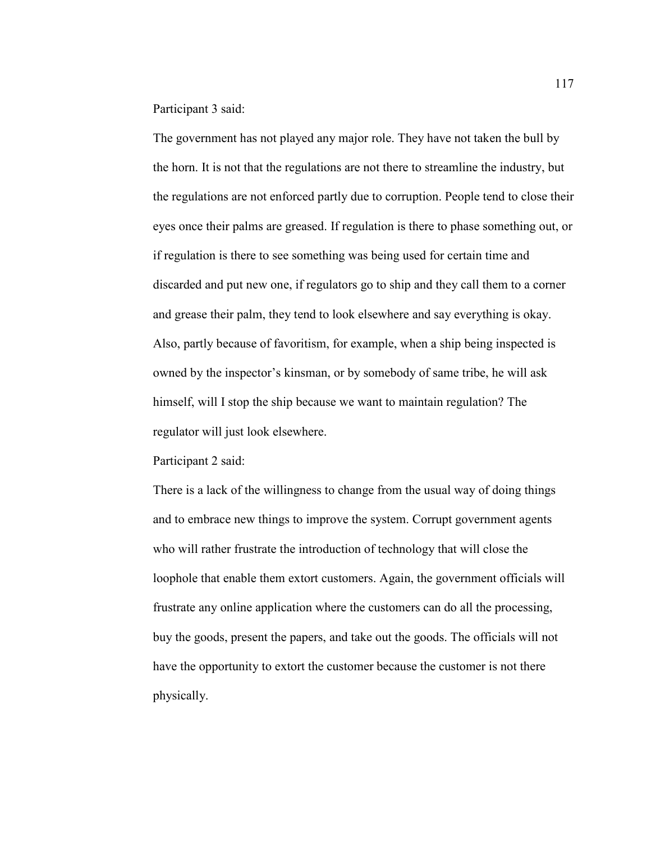Participant 3 said:

The government has not played any major role. They have not taken the bull by the horn. It is not that the regulations are not there to streamline the industry, but the regulations are not enforced partly due to corruption. People tend to close their eyes once their palms are greased. If regulation is there to phase something out, or if regulation is there to see something was being used for certain time and discarded and put new one, if regulators go to ship and they call them to a corner and grease their palm, they tend to look elsewhere and say everything is okay. Also, partly because of favoritism, for example, when a ship being inspected is owned by the inspector's kinsman, or by somebody of same tribe, he will ask himself, will I stop the ship because we want to maintain regulation? The regulator will just look elsewhere.

Participant 2 said:

There is a lack of the willingness to change from the usual way of doing things and to embrace new things to improve the system. Corrupt government agents who will rather frustrate the introduction of technology that will close the loophole that enable them extort customers. Again, the government officials will frustrate any online application where the customers can do all the processing, buy the goods, present the papers, and take out the goods. The officials will not have the opportunity to extort the customer because the customer is not there physically.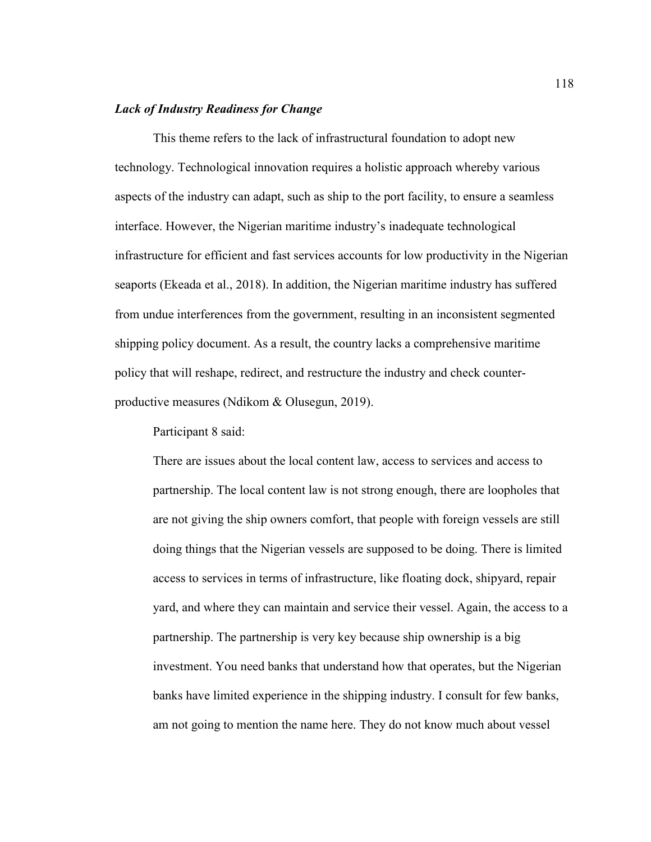## *Lack of Industry Readiness for Change*

This theme refers to the lack of infrastructural foundation to adopt new technology. Technological innovation requires a holistic approach whereby various aspects of the industry can adapt, such as ship to the port facility, to ensure a seamless interface. However, the Nigerian maritime industry's inadequate technological infrastructure for efficient and fast services accounts for low productivity in the Nigerian seaports (Ekeada et al., 2018). In addition, the Nigerian maritime industry has suffered from undue interferences from the government, resulting in an inconsistent segmented shipping policy document. As a result, the country lacks a comprehensive maritime policy that will reshape, redirect, and restructure the industry and check counterproductive measures (Ndikom & Olusegun, 2019).

Participant 8 said:

There are issues about the local content law, access to services and access to partnership. The local content law is not strong enough, there are loopholes that are not giving the ship owners comfort, that people with foreign vessels are still doing things that the Nigerian vessels are supposed to be doing. There is limited access to services in terms of infrastructure, like floating dock, shipyard, repair yard, and where they can maintain and service their vessel. Again, the access to a partnership. The partnership is very key because ship ownership is a big investment. You need banks that understand how that operates, but the Nigerian banks have limited experience in the shipping industry. I consult for few banks, am not going to mention the name here. They do not know much about vessel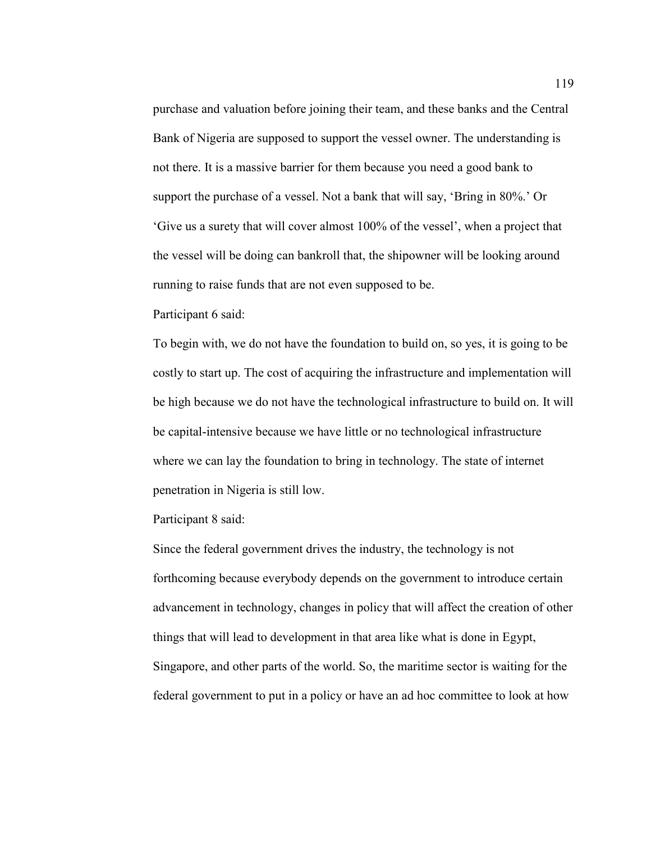purchase and valuation before joining their team, and these banks and the Central Bank of Nigeria are supposed to support the vessel owner. The understanding is not there. It is a massive barrier for them because you need a good bank to support the purchase of a vessel. Not a bank that will say, 'Bring in 80%.' Or 'Give us a surety that will cover almost 100% of the vessel', when a project that the vessel will be doing can bankroll that, the shipowner will be looking around running to raise funds that are not even supposed to be.

Participant 6 said:

To begin with, we do not have the foundation to build on, so yes, it is going to be costly to start up. The cost of acquiring the infrastructure and implementation will be high because we do not have the technological infrastructure to build on. It will be capital-intensive because we have little or no technological infrastructure where we can lay the foundation to bring in technology. The state of internet penetration in Nigeria is still low.

Participant 8 said:

Since the federal government drives the industry, the technology is not forthcoming because everybody depends on the government to introduce certain advancement in technology, changes in policy that will affect the creation of other things that will lead to development in that area like what is done in Egypt, Singapore, and other parts of the world. So, the maritime sector is waiting for the federal government to put in a policy or have an ad hoc committee to look at how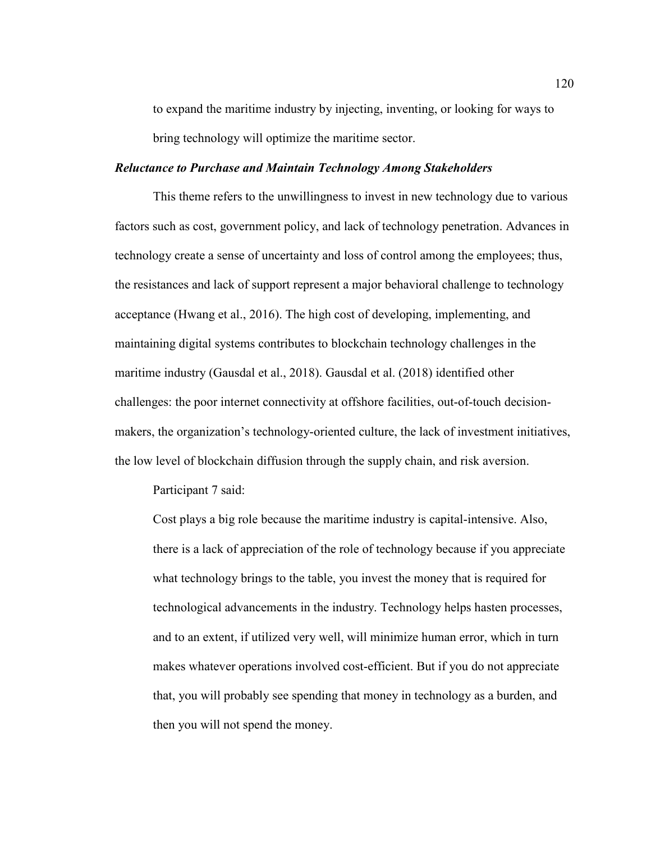to expand the maritime industry by injecting, inventing, or looking for ways to bring technology will optimize the maritime sector.

#### *Reluctance to Purchase and Maintain Technology Among Stakeholders*

This theme refers to the unwillingness to invest in new technology due to various factors such as cost, government policy, and lack of technology penetration. Advances in technology create a sense of uncertainty and loss of control among the employees; thus, the resistances and lack of support represent a major behavioral challenge to technology acceptance (Hwang et al., 2016). The high cost of developing, implementing, and maintaining digital systems contributes to blockchain technology challenges in the maritime industry (Gausdal et al., 2018). Gausdal et al. (2018) identified other challenges: the poor internet connectivity at offshore facilities, out-of-touch decisionmakers, the organization's technology-oriented culture, the lack of investment initiatives, the low level of blockchain diffusion through the supply chain, and risk aversion.

Participant 7 said:

Cost plays a big role because the maritime industry is capital-intensive. Also, there is a lack of appreciation of the role of technology because if you appreciate what technology brings to the table, you invest the money that is required for technological advancements in the industry. Technology helps hasten processes, and to an extent, if utilized very well, will minimize human error, which in turn makes whatever operations involved cost-efficient. But if you do not appreciate that, you will probably see spending that money in technology as a burden, and then you will not spend the money.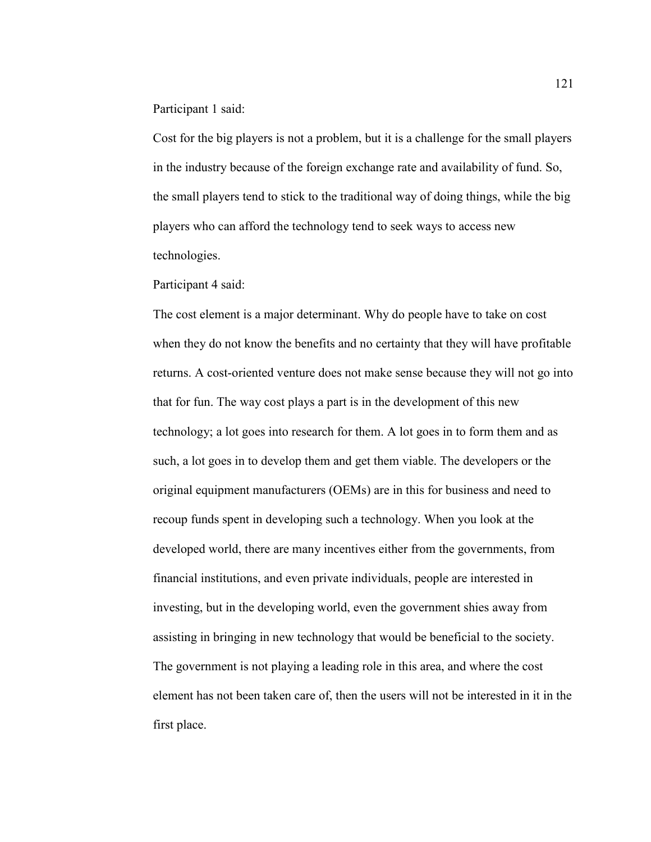Participant 1 said:

Cost for the big players is not a problem, but it is a challenge for the small players in the industry because of the foreign exchange rate and availability of fund. So, the small players tend to stick to the traditional way of doing things, while the big players who can afford the technology tend to seek ways to access new technologies.

Participant 4 said:

The cost element is a major determinant. Why do people have to take on cost when they do not know the benefits and no certainty that they will have profitable returns. A cost-oriented venture does not make sense because they will not go into that for fun. The way cost plays a part is in the development of this new technology; a lot goes into research for them. A lot goes in to form them and as such, a lot goes in to develop them and get them viable. The developers or the original equipment manufacturers (OEMs) are in this for business and need to recoup funds spent in developing such a technology. When you look at the developed world, there are many incentives either from the governments, from financial institutions, and even private individuals, people are interested in investing, but in the developing world, even the government shies away from assisting in bringing in new technology that would be beneficial to the society. The government is not playing a leading role in this area, and where the cost element has not been taken care of, then the users will not be interested in it in the first place.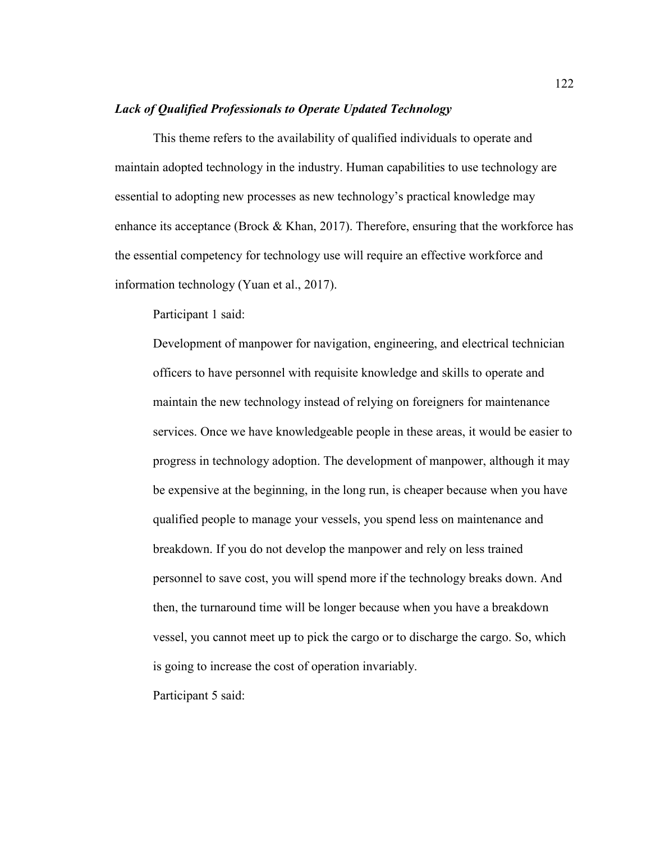#### *Lack of Qualified Professionals to Operate Updated Technology*

This theme refers to the availability of qualified individuals to operate and maintain adopted technology in the industry. Human capabilities to use technology are essential to adopting new processes as new technology's practical knowledge may enhance its acceptance (Brock  $&$  Khan, 2017). Therefore, ensuring that the workforce has the essential competency for technology use will require an effective workforce and information technology (Yuan et al., 2017).

Participant 1 said:

Development of manpower for navigation, engineering, and electrical technician officers to have personnel with requisite knowledge and skills to operate and maintain the new technology instead of relying on foreigners for maintenance services. Once we have knowledgeable people in these areas, it would be easier to progress in technology adoption. The development of manpower, although it may be expensive at the beginning, in the long run, is cheaper because when you have qualified people to manage your vessels, you spend less on maintenance and breakdown. If you do not develop the manpower and rely on less trained personnel to save cost, you will spend more if the technology breaks down. And then, the turnaround time will be longer because when you have a breakdown vessel, you cannot meet up to pick the cargo or to discharge the cargo. So, which is going to increase the cost of operation invariably.

Participant 5 said: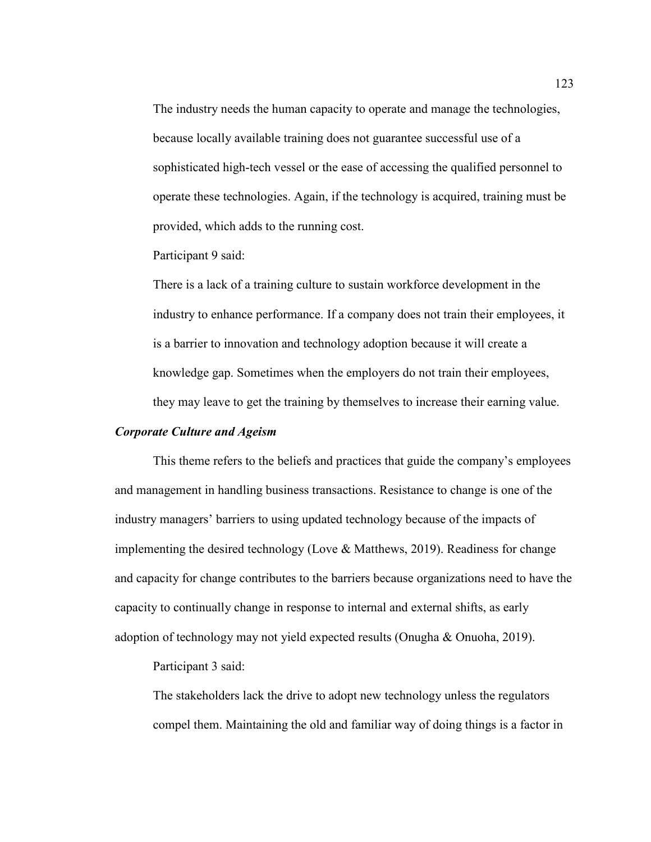The industry needs the human capacity to operate and manage the technologies, because locally available training does not guarantee successful use of a sophisticated high-tech vessel or the ease of accessing the qualified personnel to operate these technologies. Again, if the technology is acquired, training must be provided, which adds to the running cost.

Participant 9 said:

There is a lack of a training culture to sustain workforce development in the industry to enhance performance. If a company does not train their employees, it is a barrier to innovation and technology adoption because it will create a knowledge gap. Sometimes when the employers do not train their employees, they may leave to get the training by themselves to increase their earning value.

### *Corporate Culture and Ageism*

This theme refers to the beliefs and practices that guide the company's employees and management in handling business transactions. Resistance to change is one of the industry managers' barriers to using updated technology because of the impacts of implementing the desired technology (Love & Matthews, 2019). Readiness for change and capacity for change contributes to the barriers because organizations need to have the capacity to continually change in response to internal and external shifts, as early adoption of technology may not yield expected results (Onugha & Onuoha, 2019).

Participant 3 said:

The stakeholders lack the drive to adopt new technology unless the regulators compel them. Maintaining the old and familiar way of doing things is a factor in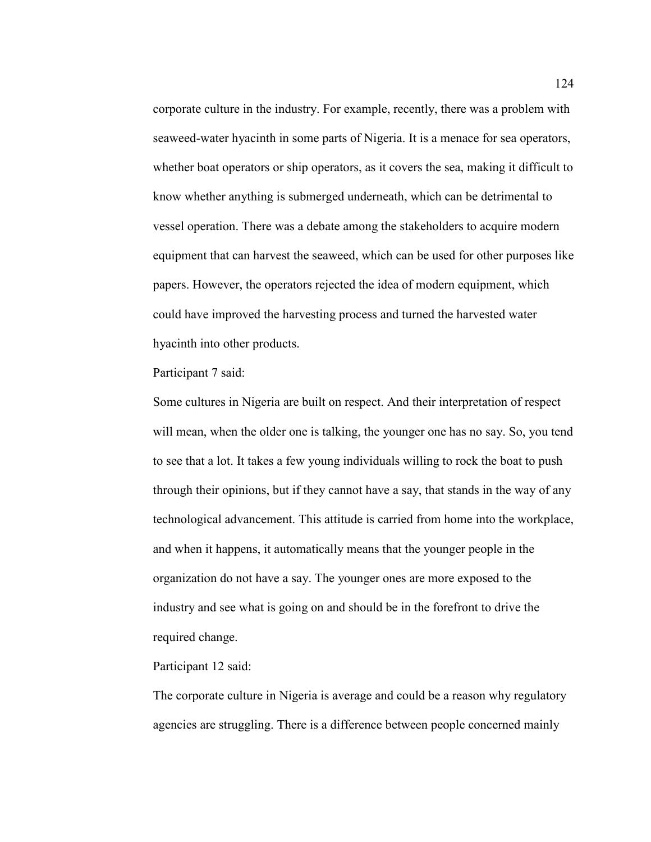corporate culture in the industry. For example, recently, there was a problem with seaweed-water hyacinth in some parts of Nigeria. It is a menace for sea operators, whether boat operators or ship operators, as it covers the sea, making it difficult to know whether anything is submerged underneath, which can be detrimental to vessel operation. There was a debate among the stakeholders to acquire modern equipment that can harvest the seaweed, which can be used for other purposes like papers. However, the operators rejected the idea of modern equipment, which could have improved the harvesting process and turned the harvested water hyacinth into other products.

Participant 7 said:

Some cultures in Nigeria are built on respect. And their interpretation of respect will mean, when the older one is talking, the younger one has no say. So, you tend to see that a lot. It takes a few young individuals willing to rock the boat to push through their opinions, but if they cannot have a say, that stands in the way of any technological advancement. This attitude is carried from home into the workplace, and when it happens, it automatically means that the younger people in the organization do not have a say. The younger ones are more exposed to the industry and see what is going on and should be in the forefront to drive the required change.

Participant 12 said:

The corporate culture in Nigeria is average and could be a reason why regulatory agencies are struggling. There is a difference between people concerned mainly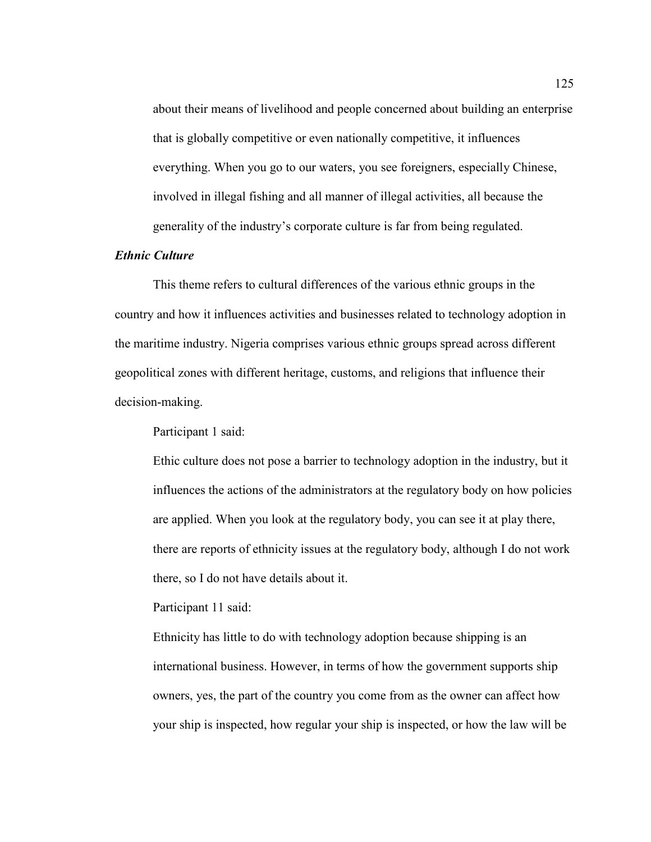about their means of livelihood and people concerned about building an enterprise that is globally competitive or even nationally competitive, it influences everything. When you go to our waters, you see foreigners, especially Chinese, involved in illegal fishing and all manner of illegal activities, all because the generality of the industry's corporate culture is far from being regulated.

## *Ethnic Culture*

This theme refers to cultural differences of the various ethnic groups in the country and how it influences activities and businesses related to technology adoption in the maritime industry. Nigeria comprises various ethnic groups spread across different geopolitical zones with different heritage, customs, and religions that influence their decision-making.

Participant 1 said:

Ethic culture does not pose a barrier to technology adoption in the industry, but it influences the actions of the administrators at the regulatory body on how policies are applied. When you look at the regulatory body, you can see it at play there, there are reports of ethnicity issues at the regulatory body, although I do not work there, so I do not have details about it.

Participant 11 said:

Ethnicity has little to do with technology adoption because shipping is an international business. However, in terms of how the government supports ship owners, yes, the part of the country you come from as the owner can affect how your ship is inspected, how regular your ship is inspected, or how the law will be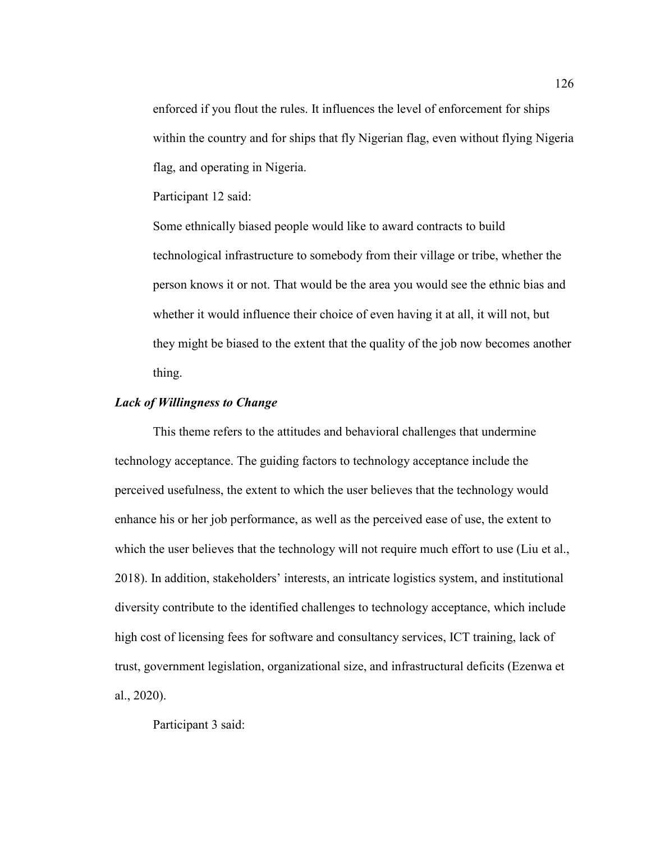enforced if you flout the rules. It influences the level of enforcement for ships within the country and for ships that fly Nigerian flag, even without flying Nigeria flag, and operating in Nigeria.

Participant 12 said:

Some ethnically biased people would like to award contracts to build technological infrastructure to somebody from their village or tribe, whether the person knows it or not. That would be the area you would see the ethnic bias and whether it would influence their choice of even having it at all, it will not, but they might be biased to the extent that the quality of the job now becomes another thing.

## *Lack of Willingness to Change*

This theme refers to the attitudes and behavioral challenges that undermine technology acceptance. The guiding factors to technology acceptance include the perceived usefulness, the extent to which the user believes that the technology would enhance his or her job performance, as well as the perceived ease of use, the extent to which the user believes that the technology will not require much effort to use (Liu et al., 2018). In addition, stakeholders' interests, an intricate logistics system, and institutional diversity contribute to the identified challenges to technology acceptance, which include high cost of licensing fees for software and consultancy services, ICT training, lack of trust, government legislation, organizational size, and infrastructural deficits (Ezenwa et al., 2020).

Participant 3 said: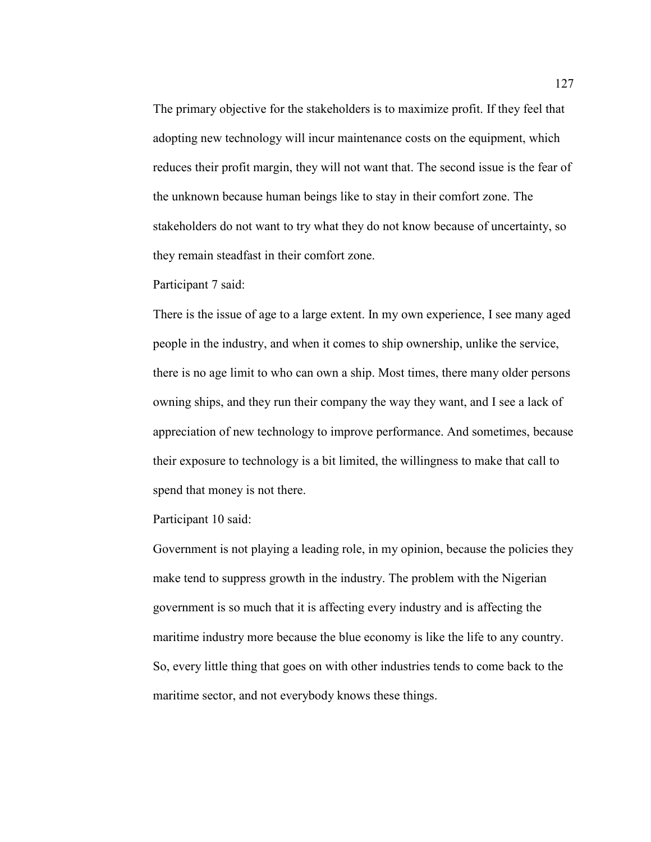The primary objective for the stakeholders is to maximize profit. If they feel that adopting new technology will incur maintenance costs on the equipment, which reduces their profit margin, they will not want that. The second issue is the fear of the unknown because human beings like to stay in their comfort zone. The stakeholders do not want to try what they do not know because of uncertainty, so they remain steadfast in their comfort zone.

Participant 7 said:

There is the issue of age to a large extent. In my own experience, I see many aged people in the industry, and when it comes to ship ownership, unlike the service, there is no age limit to who can own a ship. Most times, there many older persons owning ships, and they run their company the way they want, and I see a lack of appreciation of new technology to improve performance. And sometimes, because their exposure to technology is a bit limited, the willingness to make that call to spend that money is not there.

Participant 10 said:

Government is not playing a leading role, in my opinion, because the policies they make tend to suppress growth in the industry. The problem with the Nigerian government is so much that it is affecting every industry and is affecting the maritime industry more because the blue economy is like the life to any country. So, every little thing that goes on with other industries tends to come back to the maritime sector, and not everybody knows these things.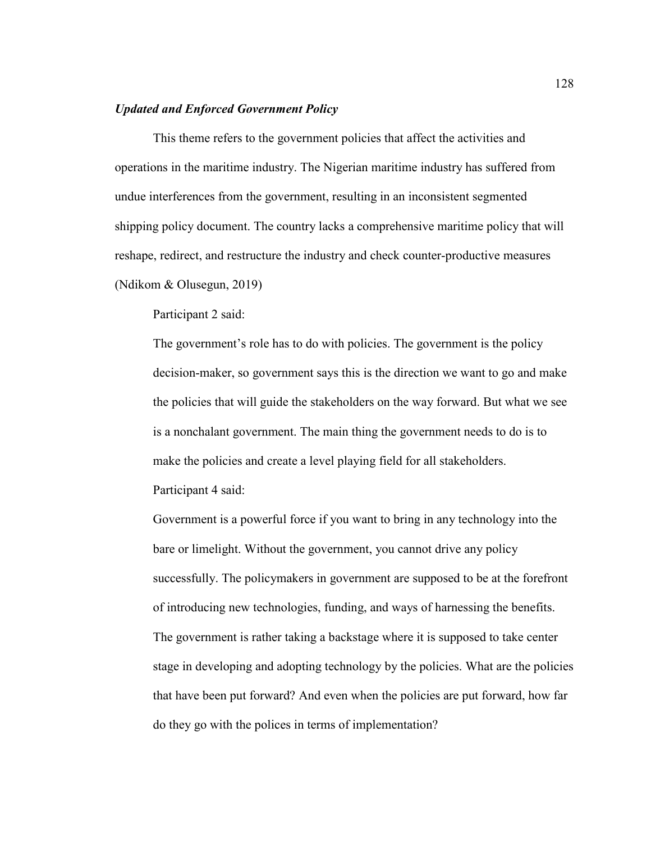### *Updated and Enforced Government Policy*

This theme refers to the government policies that affect the activities and operations in the maritime industry. The Nigerian maritime industry has suffered from undue interferences from the government, resulting in an inconsistent segmented shipping policy document. The country lacks a comprehensive maritime policy that will reshape, redirect, and restructure the industry and check counter-productive measures (Ndikom & Olusegun, 2019)

Participant 2 said:

The government's role has to do with policies. The government is the policy decision-maker, so government says this is the direction we want to go and make the policies that will guide the stakeholders on the way forward. But what we see is a nonchalant government. The main thing the government needs to do is to make the policies and create a level playing field for all stakeholders. Participant 4 said:

Government is a powerful force if you want to bring in any technology into the bare or limelight. Without the government, you cannot drive any policy successfully. The policymakers in government are supposed to be at the forefront of introducing new technologies, funding, and ways of harnessing the benefits. The government is rather taking a backstage where it is supposed to take center stage in developing and adopting technology by the policies. What are the policies that have been put forward? And even when the policies are put forward, how far do they go with the polices in terms of implementation?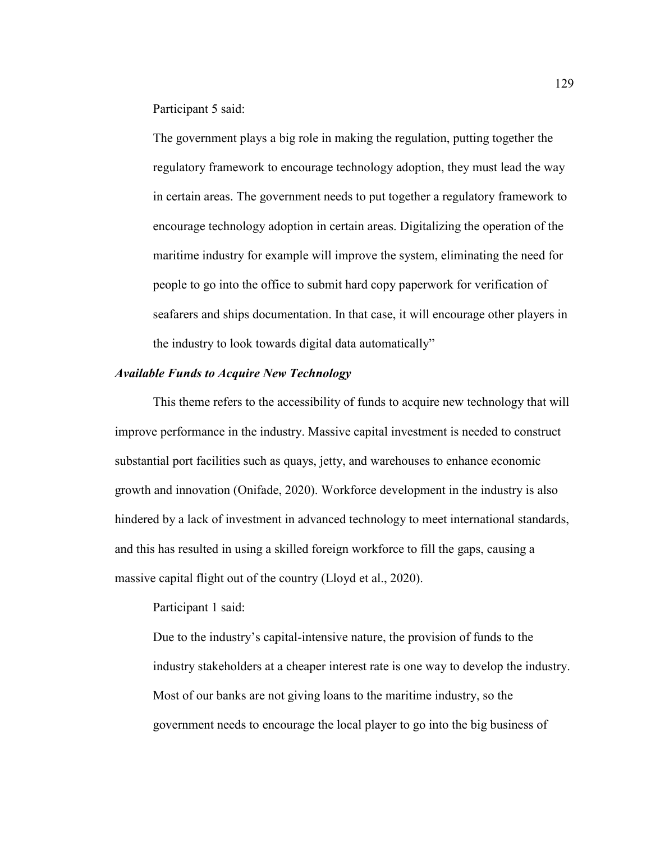Participant 5 said:

The government plays a big role in making the regulation, putting together the regulatory framework to encourage technology adoption, they must lead the way in certain areas. The government needs to put together a regulatory framework to encourage technology adoption in certain areas. Digitalizing the operation of the maritime industry for example will improve the system, eliminating the need for people to go into the office to submit hard copy paperwork for verification of seafarers and ships documentation. In that case, it will encourage other players in the industry to look towards digital data automatically"

#### *Available Funds to Acquire New Technology*

This theme refers to the accessibility of funds to acquire new technology that will improve performance in the industry. Massive capital investment is needed to construct substantial port facilities such as quays, jetty, and warehouses to enhance economic growth and innovation (Onifade, 2020). Workforce development in the industry is also hindered by a lack of investment in advanced technology to meet international standards, and this has resulted in using a skilled foreign workforce to fill the gaps, causing a massive capital flight out of the country (Lloyd et al., 2020).

Participant 1 said:

Due to the industry's capital-intensive nature, the provision of funds to the industry stakeholders at a cheaper interest rate is one way to develop the industry. Most of our banks are not giving loans to the maritime industry, so the government needs to encourage the local player to go into the big business of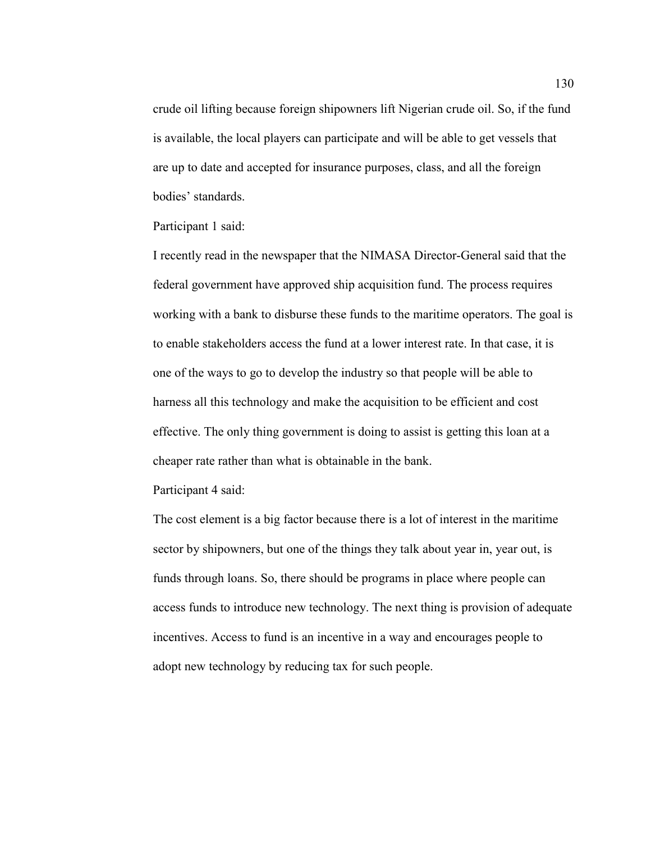crude oil lifting because foreign shipowners lift Nigerian crude oil. So, if the fund is available, the local players can participate and will be able to get vessels that are up to date and accepted for insurance purposes, class, and all the foreign bodies' standards.

Participant 1 said:

I recently read in the newspaper that the NIMASA Director-General said that the federal government have approved ship acquisition fund. The process requires working with a bank to disburse these funds to the maritime operators. The goal is to enable stakeholders access the fund at a lower interest rate. In that case, it is one of the ways to go to develop the industry so that people will be able to harness all this technology and make the acquisition to be efficient and cost effective. The only thing government is doing to assist is getting this loan at a cheaper rate rather than what is obtainable in the bank.

Participant 4 said:

The cost element is a big factor because there is a lot of interest in the maritime sector by shipowners, but one of the things they talk about year in, year out, is funds through loans. So, there should be programs in place where people can access funds to introduce new technology. The next thing is provision of adequate incentives. Access to fund is an incentive in a way and encourages people to adopt new technology by reducing tax for such people.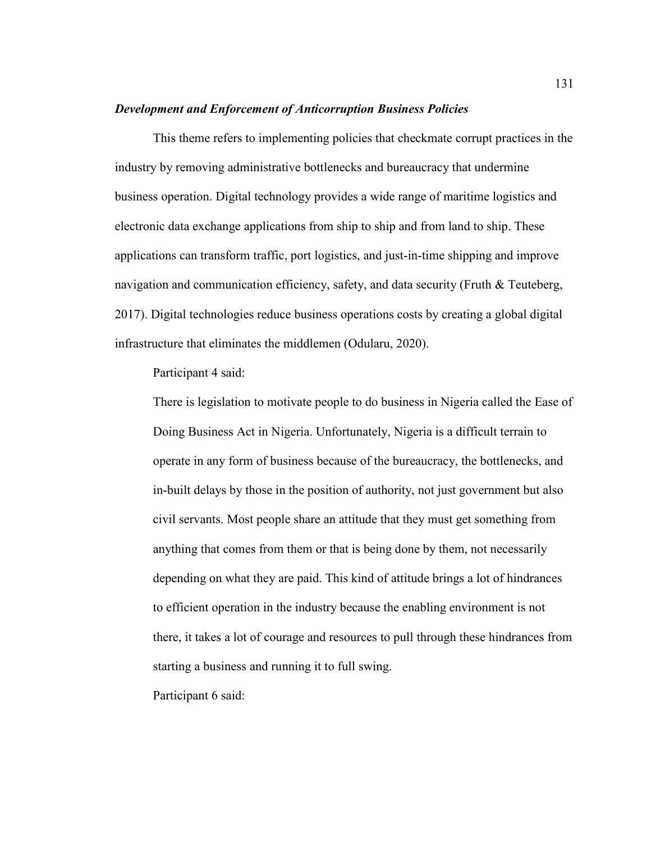#### *Development and Enforcement of Anticorruption Business Policies*

This theme refers to implementing policies that checkmate corrupt practices in the industry by removing administrative bottlenecks and bureaucracy that undermine business operation. Digital technology provides a wide range of maritime logistics and electronic data exchange applications from ship to ship and from land to ship. These applications can transform traffic, port logistics, and just-in-time shipping and improve navigation and communication efficiency, safety, and data security (Fruth & Teuteberg, 2017). Digital technologies reduce business operations costs by creating a global digital infrastructure that eliminates the middlemen (Odularu, 2020).

Participant 4 said:

There is legislation to motivate people to do business in Nigeria called the Ease of Doing Business Act in Nigeria. Unfortunately, Nigeria is a difficult terrain to operate in any form of business because of the bureaucracy, the bottlenecks, and in-built delays by those in the position of authority, not just government but also civil servants. Most people share an attitude that they must get something from anything that comes from them or that is being done by them, not necessarily depending on what they are paid. This kind of attitude brings a lot of hindrances to efficient operation in the industry because the enabling environment is not there, it takes a lot of courage and resources to pull through these hindrances from starting a business and running it to full swing. Participant 6 said: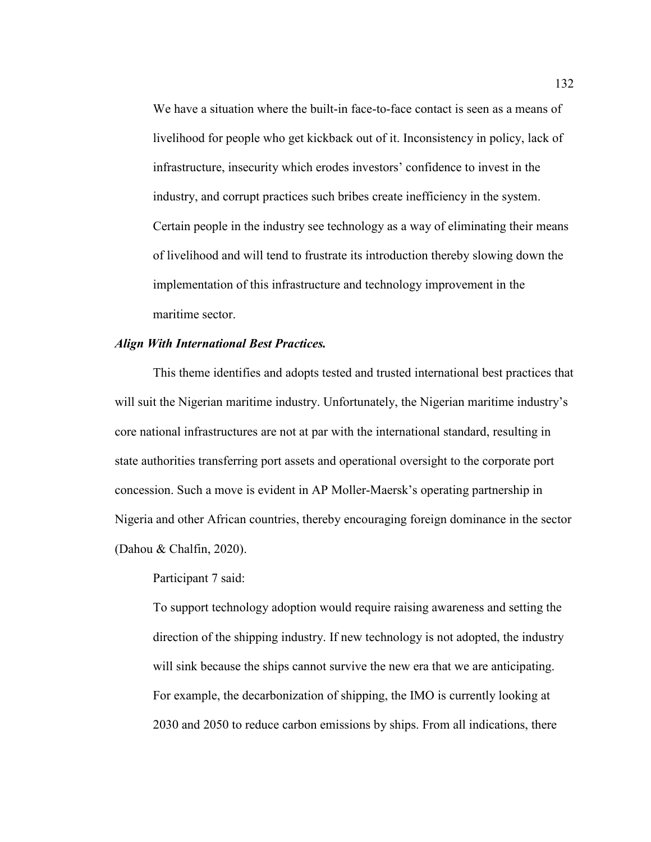We have a situation where the built-in face-to-face contact is seen as a means of livelihood for people who get kickback out of it. Inconsistency in policy, lack of infrastructure, insecurity which erodes investors' confidence to invest in the industry, and corrupt practices such bribes create inefficiency in the system. Certain people in the industry see technology as a way of eliminating their means of livelihood and will tend to frustrate its introduction thereby slowing down the implementation of this infrastructure and technology improvement in the maritime sector.

#### *Align With International Best Practices.*

This theme identifies and adopts tested and trusted international best practices that will suit the Nigerian maritime industry. Unfortunately, the Nigerian maritime industry's core national infrastructures are not at par with the international standard, resulting in state authorities transferring port assets and operational oversight to the corporate port concession. Such a move is evident in AP Moller-Maersk's operating partnership in Nigeria and other African countries, thereby encouraging foreign dominance in the sector (Dahou & Chalfin, 2020).

Participant 7 said:

To support technology adoption would require raising awareness and setting the direction of the shipping industry. If new technology is not adopted, the industry will sink because the ships cannot survive the new era that we are anticipating. For example, the decarbonization of shipping, the IMO is currently looking at 2030 and 2050 to reduce carbon emissions by ships. From all indications, there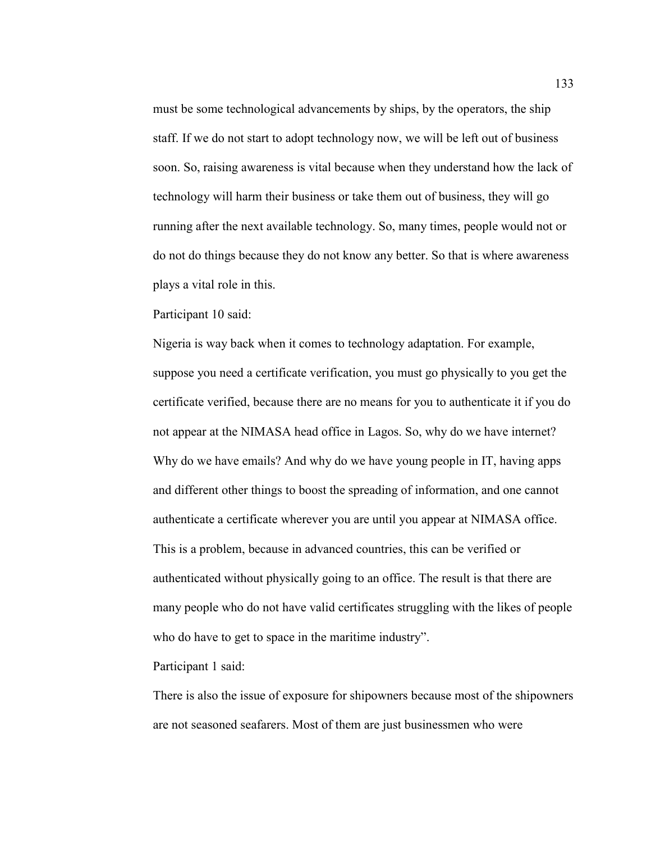must be some technological advancements by ships, by the operators, the ship staff. If we do not start to adopt technology now, we will be left out of business soon. So, raising awareness is vital because when they understand how the lack of technology will harm their business or take them out of business, they will go running after the next available technology. So, many times, people would not or do not do things because they do not know any better. So that is where awareness plays a vital role in this.

Participant 10 said:

Nigeria is way back when it comes to technology adaptation. For example, suppose you need a certificate verification, you must go physically to you get the certificate verified, because there are no means for you to authenticate it if you do not appear at the NIMASA head office in Lagos. So, why do we have internet? Why do we have emails? And why do we have young people in IT, having apps and different other things to boost the spreading of information, and one cannot authenticate a certificate wherever you are until you appear at NIMASA office. This is a problem, because in advanced countries, this can be verified or authenticated without physically going to an office. The result is that there are many people who do not have valid certificates struggling with the likes of people who do have to get to space in the maritime industry".

Participant 1 said:

There is also the issue of exposure for shipowners because most of the shipowners are not seasoned seafarers. Most of them are just businessmen who were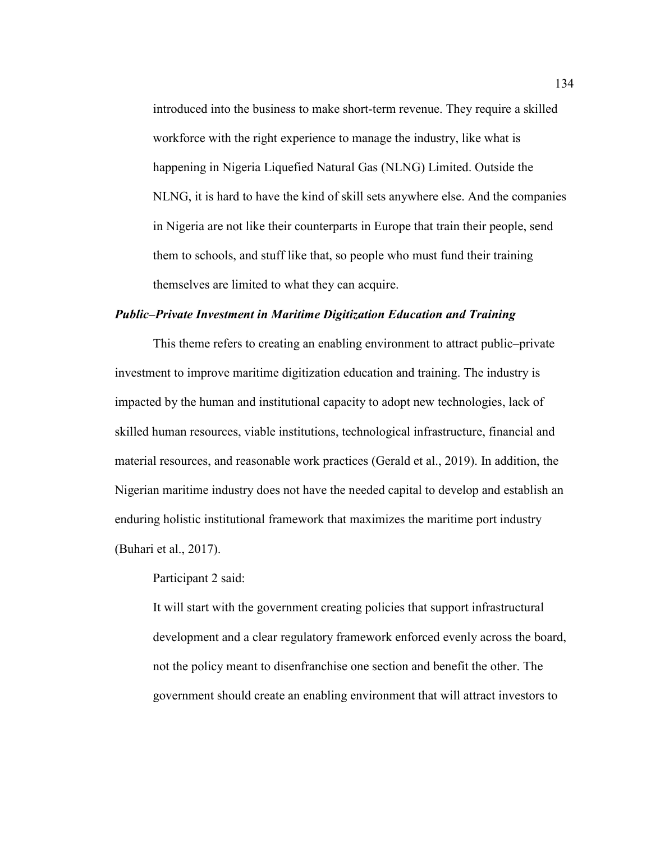introduced into the business to make short-term revenue. They require a skilled workforce with the right experience to manage the industry, like what is happening in Nigeria Liquefied Natural Gas (NLNG) Limited. Outside the NLNG, it is hard to have the kind of skill sets anywhere else. And the companies in Nigeria are not like their counterparts in Europe that train their people, send them to schools, and stuff like that, so people who must fund their training themselves are limited to what they can acquire.

## *Public–Private Investment in Maritime Digitization Education and Training*

This theme refers to creating an enabling environment to attract public–private investment to improve maritime digitization education and training. The industry is impacted by the human and institutional capacity to adopt new technologies, lack of skilled human resources, viable institutions, technological infrastructure, financial and material resources, and reasonable work practices (Gerald et al., 2019). In addition, the Nigerian maritime industry does not have the needed capital to develop and establish an enduring holistic institutional framework that maximizes the maritime port industry (Buhari et al., 2017).

Participant 2 said:

It will start with the government creating policies that support infrastructural development and a clear regulatory framework enforced evenly across the board, not the policy meant to disenfranchise one section and benefit the other. The government should create an enabling environment that will attract investors to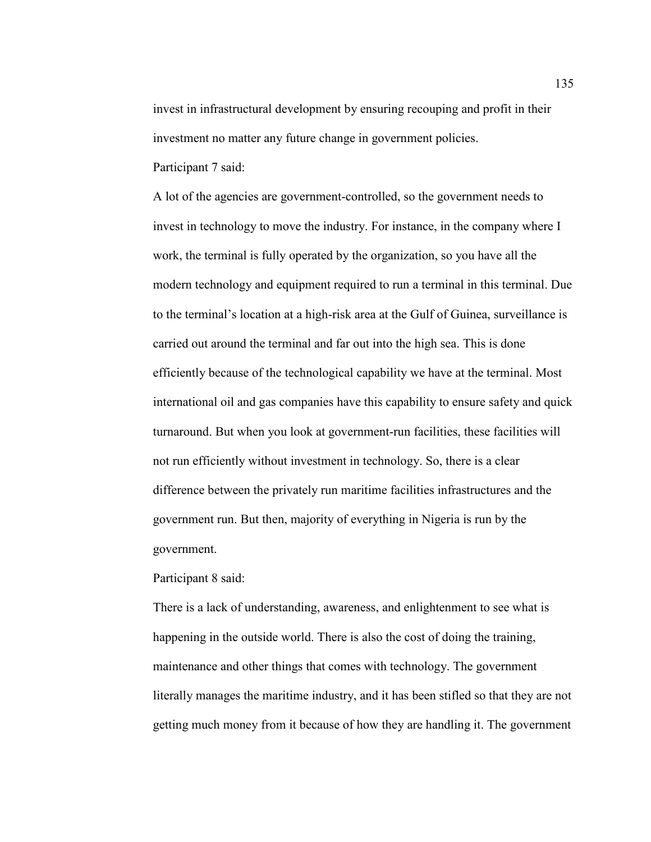invest in infrastructural development by ensuring recouping and profit in their investment no matter any future change in government policies. Participant 7 said:

A lot of the agencies are government-controlled, so the government needs to invest in technology to move the industry. For instance, in the company where I work, the terminal is fully operated by the organization, so you have all the modern technology and equipment required to run a terminal in this terminal. Due to the terminal's location at a high-risk area at the Gulf of Guinea, surveillance is carried out around the terminal and far out into the high sea. This is done efficiently because of the technological capability we have at the terminal. Most international oil and gas companies have this capability to ensure safety and quick turnaround. But when you look at government-run facilities, these facilities will not run efficiently without investment in technology. So, there is a clear difference between the privately run maritime facilities infrastructures and the government run. But then, majority of everything in Nigeria is run by the government.

Participant 8 said:

There is a lack of understanding, awareness, and enlightenment to see what is happening in the outside world. There is also the cost of doing the training, maintenance and other things that comes with technology. The government literally manages the maritime industry, and it has been stifled so that they are not getting much money from it because of how they are handling it. The government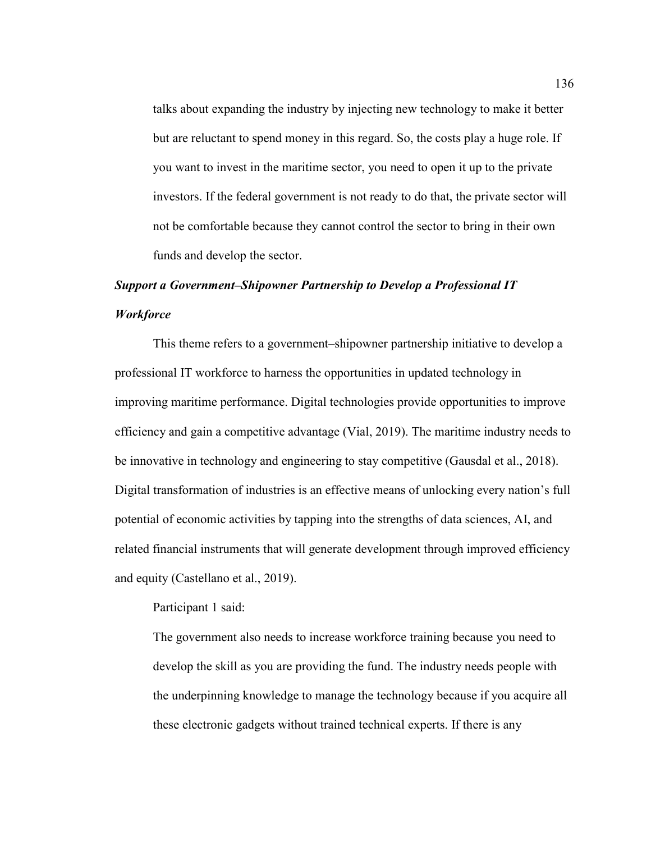talks about expanding the industry by injecting new technology to make it better but are reluctant to spend money in this regard. So, the costs play a huge role. If you want to invest in the maritime sector, you need to open it up to the private investors. If the federal government is not ready to do that, the private sector will not be comfortable because they cannot control the sector to bring in their own funds and develop the sector.

# *Support a Government–Shipowner Partnership to Develop a Professional IT*

# *Workforce*

This theme refers to a government–shipowner partnership initiative to develop a professional IT workforce to harness the opportunities in updated technology in improving maritime performance. Digital technologies provide opportunities to improve efficiency and gain a competitive advantage (Vial, 2019). The maritime industry needs to be innovative in technology and engineering to stay competitive (Gausdal et al., 2018). Digital transformation of industries is an effective means of unlocking every nation's full potential of economic activities by tapping into the strengths of data sciences, AI, and related financial instruments that will generate development through improved efficiency and equity (Castellano et al., 2019).

# Participant 1 said:

The government also needs to increase workforce training because you need to develop the skill as you are providing the fund. The industry needs people with the underpinning knowledge to manage the technology because if you acquire all these electronic gadgets without trained technical experts. If there is any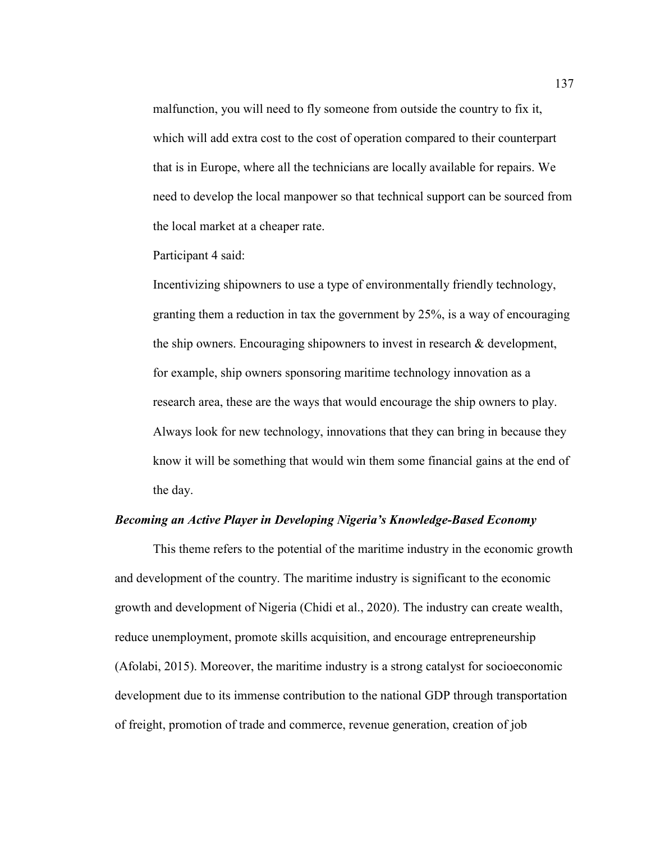malfunction, you will need to fly someone from outside the country to fix it, which will add extra cost to the cost of operation compared to their counterpart that is in Europe, where all the technicians are locally available for repairs. We need to develop the local manpower so that technical support can be sourced from the local market at a cheaper rate.

Participant 4 said:

Incentivizing shipowners to use a type of environmentally friendly technology, granting them a reduction in tax the government by 25%, is a way of encouraging the ship owners. Encouraging shipowners to invest in research & development, for example, ship owners sponsoring maritime technology innovation as a research area, these are the ways that would encourage the ship owners to play. Always look for new technology, innovations that they can bring in because they know it will be something that would win them some financial gains at the end of the day.

#### *Becoming an Active Player in Developing Nigeria's Knowledge-Based Economy*

This theme refers to the potential of the maritime industry in the economic growth and development of the country. The maritime industry is significant to the economic growth and development of Nigeria (Chidi et al., 2020). The industry can create wealth, reduce unemployment, promote skills acquisition, and encourage entrepreneurship (Afolabi, 2015). Moreover, the maritime industry is a strong catalyst for socioeconomic development due to its immense contribution to the national GDP through transportation of freight, promotion of trade and commerce, revenue generation, creation of job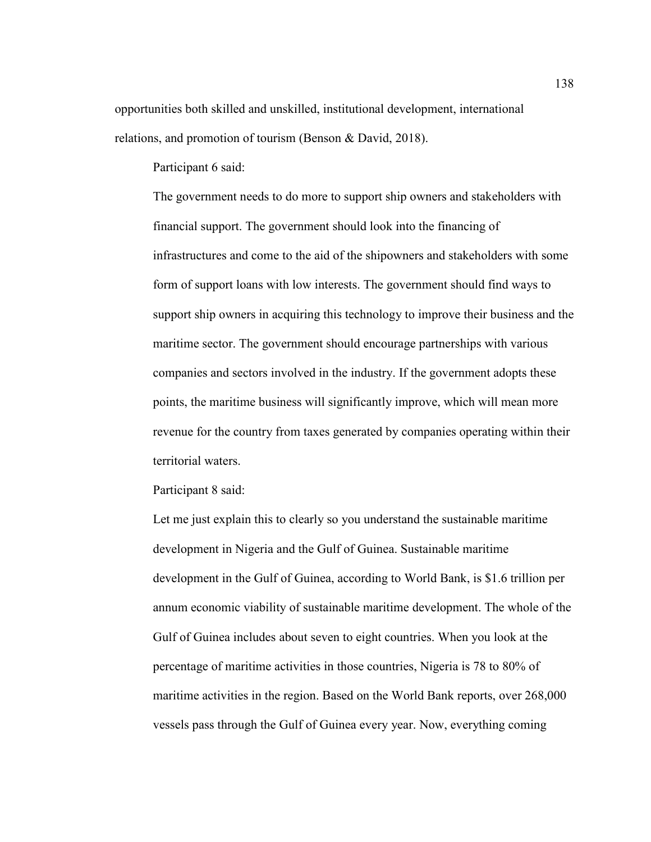opportunities both skilled and unskilled, institutional development, international relations, and promotion of tourism (Benson & David, 2018).

Participant 6 said:

The government needs to do more to support ship owners and stakeholders with financial support. The government should look into the financing of infrastructures and come to the aid of the shipowners and stakeholders with some form of support loans with low interests. The government should find ways to support ship owners in acquiring this technology to improve their business and the maritime sector. The government should encourage partnerships with various companies and sectors involved in the industry. If the government adopts these points, the maritime business will significantly improve, which will mean more revenue for the country from taxes generated by companies operating within their territorial waters.

Participant 8 said:

Let me just explain this to clearly so you understand the sustainable maritime development in Nigeria and the Gulf of Guinea. Sustainable maritime development in the Gulf of Guinea, according to World Bank, is \$1.6 trillion per annum economic viability of sustainable maritime development. The whole of the Gulf of Guinea includes about seven to eight countries. When you look at the percentage of maritime activities in those countries, Nigeria is 78 to 80% of maritime activities in the region. Based on the World Bank reports, over 268,000 vessels pass through the Gulf of Guinea every year. Now, everything coming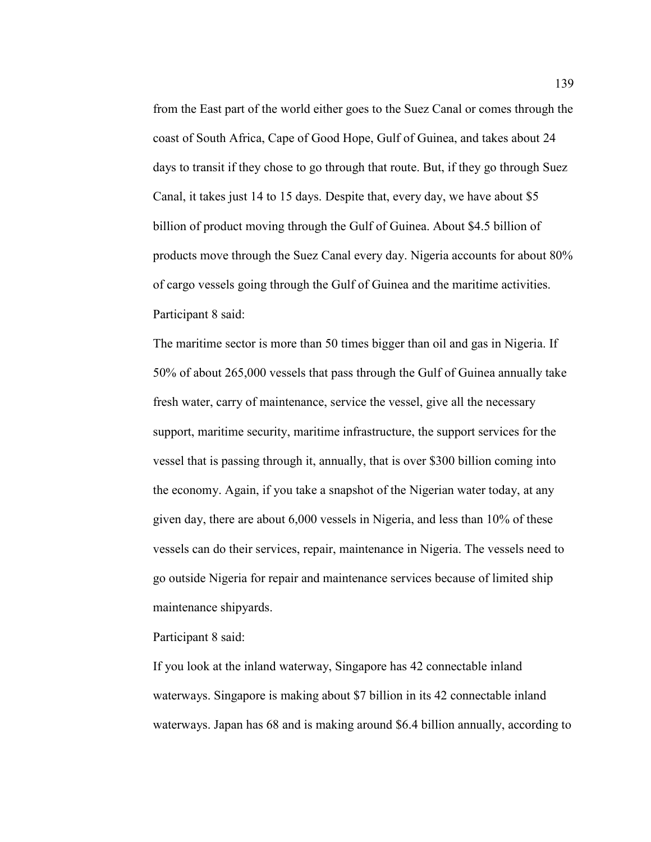from the East part of the world either goes to the Suez Canal or comes through the coast of South Africa, Cape of Good Hope, Gulf of Guinea, and takes about 24 days to transit if they chose to go through that route. But, if they go through Suez Canal, it takes just 14 to 15 days. Despite that, every day, we have about \$5 billion of product moving through the Gulf of Guinea. About \$4.5 billion of products move through the Suez Canal every day. Nigeria accounts for about 80% of cargo vessels going through the Gulf of Guinea and the maritime activities. Participant 8 said:

The maritime sector is more than 50 times bigger than oil and gas in Nigeria. If 50% of about 265,000 vessels that pass through the Gulf of Guinea annually take fresh water, carry of maintenance, service the vessel, give all the necessary support, maritime security, maritime infrastructure, the support services for the vessel that is passing through it, annually, that is over \$300 billion coming into the economy. Again, if you take a snapshot of the Nigerian water today, at any given day, there are about 6,000 vessels in Nigeria, and less than 10% of these vessels can do their services, repair, maintenance in Nigeria. The vessels need to go outside Nigeria for repair and maintenance services because of limited ship maintenance shipyards.

Participant 8 said:

If you look at the inland waterway, Singapore has 42 connectable inland waterways. Singapore is making about \$7 billion in its 42 connectable inland waterways. Japan has 68 and is making around \$6.4 billion annually, according to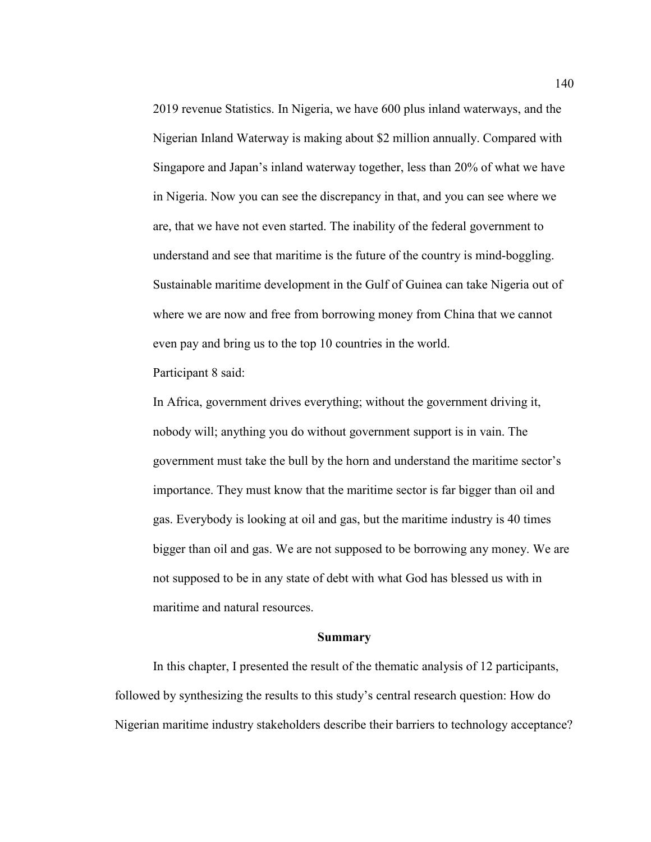2019 revenue Statistics. In Nigeria, we have 600 plus inland waterways, and the Nigerian Inland Waterway is making about \$2 million annually. Compared with Singapore and Japan's inland waterway together, less than 20% of what we have in Nigeria. Now you can see the discrepancy in that, and you can see where we are, that we have not even started. The inability of the federal government to understand and see that maritime is the future of the country is mind-boggling. Sustainable maritime development in the Gulf of Guinea can take Nigeria out of where we are now and free from borrowing money from China that we cannot even pay and bring us to the top 10 countries in the world.

Participant 8 said:

In Africa, government drives everything; without the government driving it, nobody will; anything you do without government support is in vain. The government must take the bull by the horn and understand the maritime sector's importance. They must know that the maritime sector is far bigger than oil and gas. Everybody is looking at oil and gas, but the maritime industry is 40 times bigger than oil and gas. We are not supposed to be borrowing any money. We are not supposed to be in any state of debt with what God has blessed us with in maritime and natural resources.

#### **Summary**

In this chapter, I presented the result of the thematic analysis of 12 participants, followed by synthesizing the results to this study's central research question: How do Nigerian maritime industry stakeholders describe their barriers to technology acceptance?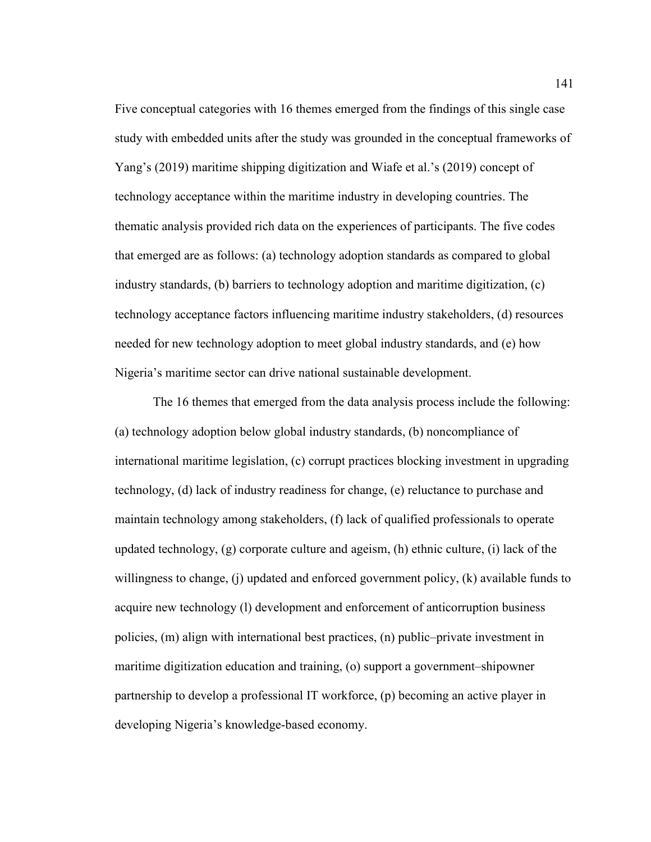Five conceptual categories with 16 themes emerged from the findings of this single case study with embedded units after the study was grounded in the conceptual frameworks of Yang's (2019) maritime shipping digitization and Wiafe et al.'s (2019) concept of technology acceptance within the maritime industry in developing countries. The thematic analysis provided rich data on the experiences of participants. The five codes that emerged are as follows: (a) technology adoption standards as compared to global industry standards, (b) barriers to technology adoption and maritime digitization, (c) technology acceptance factors influencing maritime industry stakeholders, (d) resources needed for new technology adoption to meet global industry standards, and (e) how Nigeria's maritime sector can drive national sustainable development.

The 16 themes that emerged from the data analysis process include the following: (a) technology adoption below global industry standards, (b) noncompliance of international maritime legislation, (c) corrupt practices blocking investment in upgrading technology, (d) lack of industry readiness for change, (e) reluctance to purchase and maintain technology among stakeholders, (f) lack of qualified professionals to operate updated technology, (g) corporate culture and ageism, (h) ethnic culture, (i) lack of the willingness to change, (j) updated and enforced government policy, (k) available funds to acquire new technology (l) development and enforcement of anticorruption business policies, (m) align with international best practices, (n) public–private investment in maritime digitization education and training, (o) support a government–shipowner partnership to develop a professional IT workforce, (p) becoming an active player in developing Nigeria's knowledge-based economy.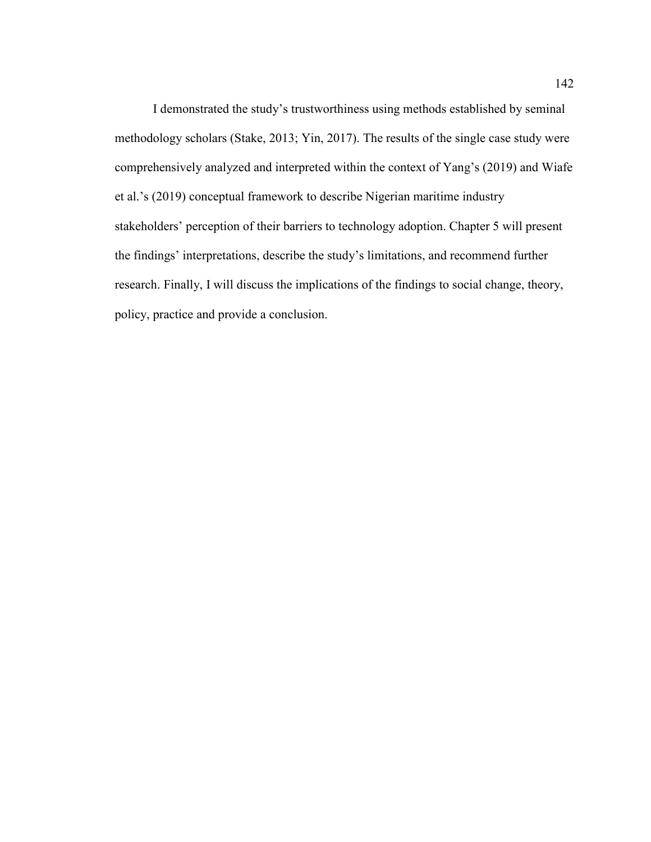I demonstrated the study's trustworthiness using methods established by seminal methodology scholars (Stake, 2013; Yin, 2017). The results of the single case study were comprehensively analyzed and interpreted within the context of Yang's (2019) and Wiafe et al.'s (2019) conceptual framework to describe Nigerian maritime industry stakeholders' perception of their barriers to technology adoption. Chapter 5 will present the findings' interpretations, describe the study's limitations, and recommend further research. Finally, I will discuss the implications of the findings to social change, theory, policy, practice and provide a conclusion.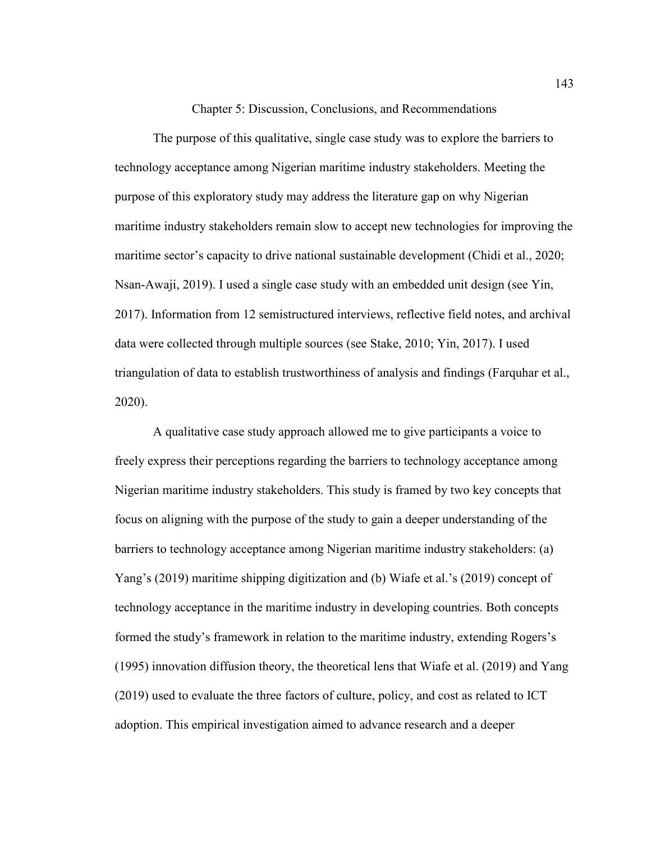Chapter 5: Discussion, Conclusions, and Recommendations

The purpose of this qualitative, single case study was to explore the barriers to technology acceptance among Nigerian maritime industry stakeholders. Meeting the purpose of this exploratory study may address the literature gap on why Nigerian maritime industry stakeholders remain slow to accept new technologies for improving the maritime sector's capacity to drive national sustainable development (Chidi et al., 2020; Nsan-Awaji, 2019). I used a single case study with an embedded unit design (see Yin, 2017). Information from 12 semistructured interviews, reflective field notes, and archival data were collected through multiple sources (see Stake, 2010; Yin, 2017). I used triangulation of data to establish trustworthiness of analysis and findings (Farquhar et al., 2020).

A qualitative case study approach allowed me to give participants a voice to freely express their perceptions regarding the barriers to technology acceptance among Nigerian maritime industry stakeholders. This study is framed by two key concepts that focus on aligning with the purpose of the study to gain a deeper understanding of the barriers to technology acceptance among Nigerian maritime industry stakeholders: (a) Yang's (2019) maritime shipping digitization and (b) Wiafe et al.'s (2019) concept of technology acceptance in the maritime industry in developing countries. Both concepts formed the study's framework in relation to the maritime industry, extending Rogers's (1995) innovation diffusion theory, the theoretical lens that Wiafe et al. (2019) and Yang (2019) used to evaluate the three factors of culture, policy, and cost as related to ICT adoption. This empirical investigation aimed to advance research and a deeper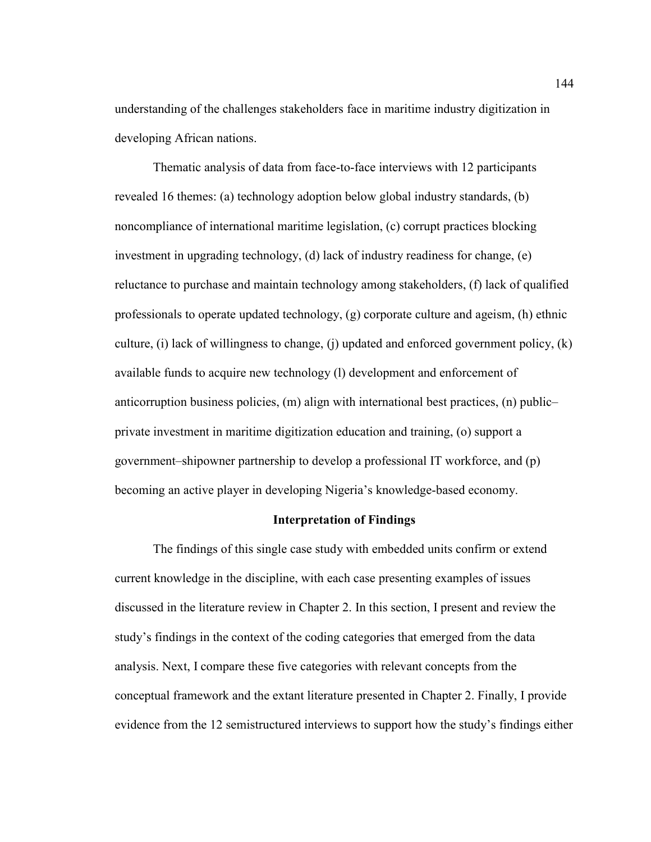understanding of the challenges stakeholders face in maritime industry digitization in developing African nations.

Thematic analysis of data from face-to-face interviews with 12 participants revealed 16 themes: (a) technology adoption below global industry standards, (b) noncompliance of international maritime legislation, (c) corrupt practices blocking investment in upgrading technology, (d) lack of industry readiness for change, (e) reluctance to purchase and maintain technology among stakeholders, (f) lack of qualified professionals to operate updated technology, (g) corporate culture and ageism, (h) ethnic culture, (i) lack of willingness to change, (j) updated and enforced government policy, (k) available funds to acquire new technology (l) development and enforcement of anticorruption business policies, (m) align with international best practices, (n) public– private investment in maritime digitization education and training, (o) support a government–shipowner partnership to develop a professional IT workforce, and (p) becoming an active player in developing Nigeria's knowledge-based economy.

#### **Interpretation of Findings**

The findings of this single case study with embedded units confirm or extend current knowledge in the discipline, with each case presenting examples of issues discussed in the literature review in Chapter 2. In this section, I present and review the study's findings in the context of the coding categories that emerged from the data analysis. Next, I compare these five categories with relevant concepts from the conceptual framework and the extant literature presented in Chapter 2. Finally, I provide evidence from the 12 semistructured interviews to support how the study's findings either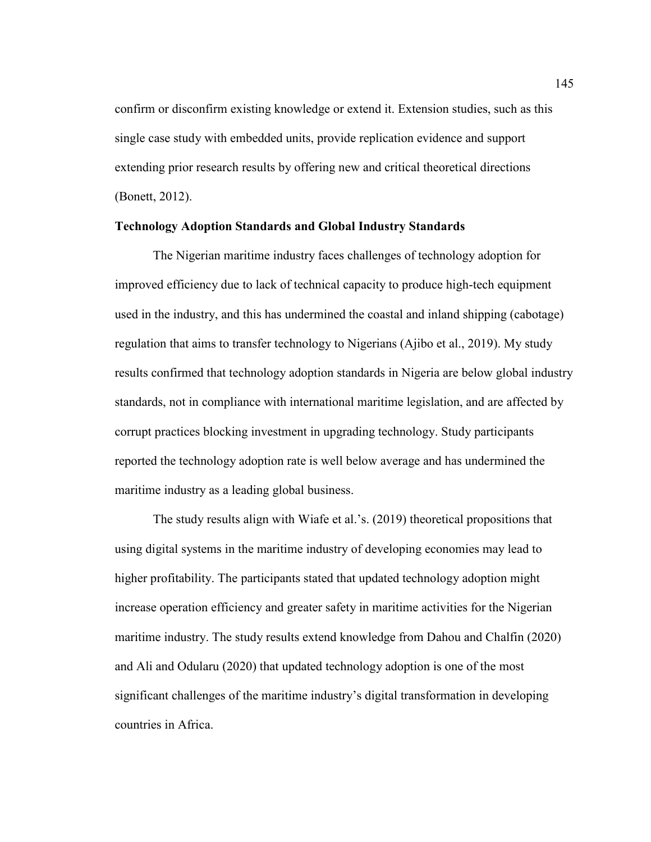confirm or disconfirm existing knowledge or extend it. Extension studies, such as this single case study with embedded units, provide replication evidence and support extending prior research results by offering new and critical theoretical directions (Bonett, 2012).

## **Technology Adoption Standards and Global Industry Standards**

The Nigerian maritime industry faces challenges of technology adoption for improved efficiency due to lack of technical capacity to produce high-tech equipment used in the industry, and this has undermined the coastal and inland shipping (cabotage) regulation that aims to transfer technology to Nigerians (Ajibo et al., 2019). My study results confirmed that technology adoption standards in Nigeria are below global industry standards, not in compliance with international maritime legislation, and are affected by corrupt practices blocking investment in upgrading technology. Study participants reported the technology adoption rate is well below average and has undermined the maritime industry as a leading global business.

The study results align with Wiafe et al.'s. (2019) theoretical propositions that using digital systems in the maritime industry of developing economies may lead to higher profitability. The participants stated that updated technology adoption might increase operation efficiency and greater safety in maritime activities for the Nigerian maritime industry. The study results extend knowledge from Dahou and Chalfin (2020) and Ali and Odularu (2020) that updated technology adoption is one of the most significant challenges of the maritime industry's digital transformation in developing countries in Africa.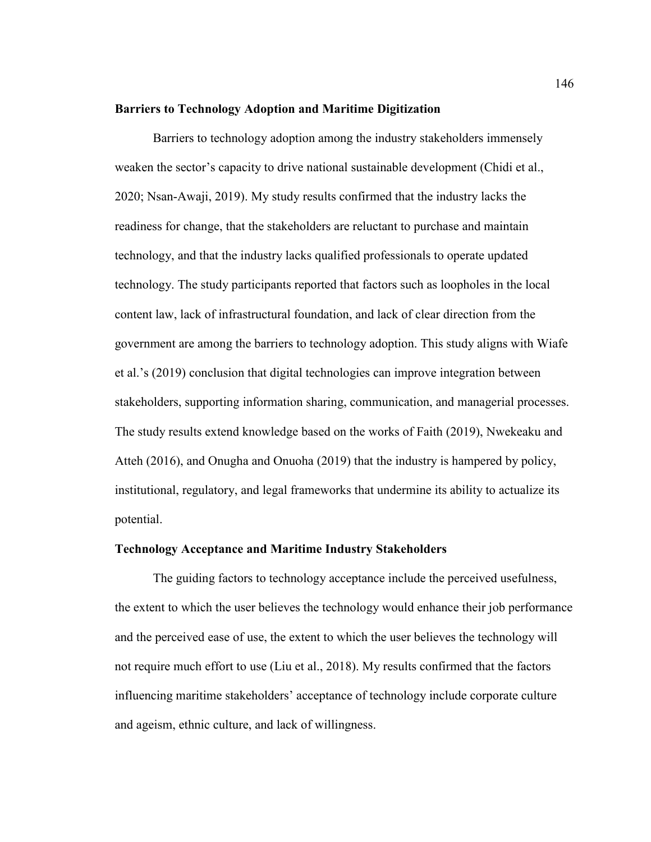#### **Barriers to Technology Adoption and Maritime Digitization**

Barriers to technology adoption among the industry stakeholders immensely weaken the sector's capacity to drive national sustainable development (Chidi et al., 2020; Nsan-Awaji, 2019). My study results confirmed that the industry lacks the readiness for change, that the stakeholders are reluctant to purchase and maintain technology, and that the industry lacks qualified professionals to operate updated technology. The study participants reported that factors such as loopholes in the local content law, lack of infrastructural foundation, and lack of clear direction from the government are among the barriers to technology adoption. This study aligns with Wiafe et al.'s (2019) conclusion that digital technologies can improve integration between stakeholders, supporting information sharing, communication, and managerial processes. The study results extend knowledge based on the works of Faith (2019), Nwekeaku and Atteh (2016), and Onugha and Onuoha (2019) that the industry is hampered by policy, institutional, regulatory, and legal frameworks that undermine its ability to actualize its potential.

#### **Technology Acceptance and Maritime Industry Stakeholders**

The guiding factors to technology acceptance include the perceived usefulness, the extent to which the user believes the technology would enhance their job performance and the perceived ease of use, the extent to which the user believes the technology will not require much effort to use (Liu et al., 2018). My results confirmed that the factors influencing maritime stakeholders' acceptance of technology include corporate culture and ageism, ethnic culture, and lack of willingness.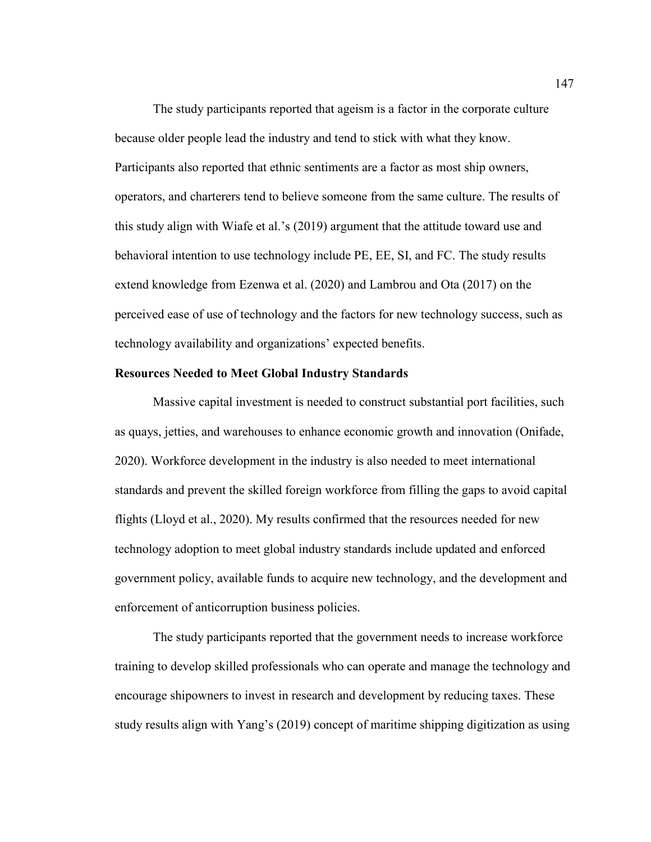The study participants reported that ageism is a factor in the corporate culture because older people lead the industry and tend to stick with what they know. Participants also reported that ethnic sentiments are a factor as most ship owners, operators, and charterers tend to believe someone from the same culture. The results of this study align with Wiafe et al.'s (2019) argument that the attitude toward use and behavioral intention to use technology include PE, EE, SI, and FC. The study results extend knowledge from Ezenwa et al. (2020) and Lambrou and Ota (2017) on the perceived ease of use of technology and the factors for new technology success, such as technology availability and organizations' expected benefits.

#### **Resources Needed to Meet Global Industry Standards**

Massive capital investment is needed to construct substantial port facilities, such as quays, jetties, and warehouses to enhance economic growth and innovation (Onifade, 2020). Workforce development in the industry is also needed to meet international standards and prevent the skilled foreign workforce from filling the gaps to avoid capital flights (Lloyd et al., 2020). My results confirmed that the resources needed for new technology adoption to meet global industry standards include updated and enforced government policy, available funds to acquire new technology, and the development and enforcement of anticorruption business policies.

The study participants reported that the government needs to increase workforce training to develop skilled professionals who can operate and manage the technology and encourage shipowners to invest in research and development by reducing taxes. These study results align with Yang's (2019) concept of maritime shipping digitization as using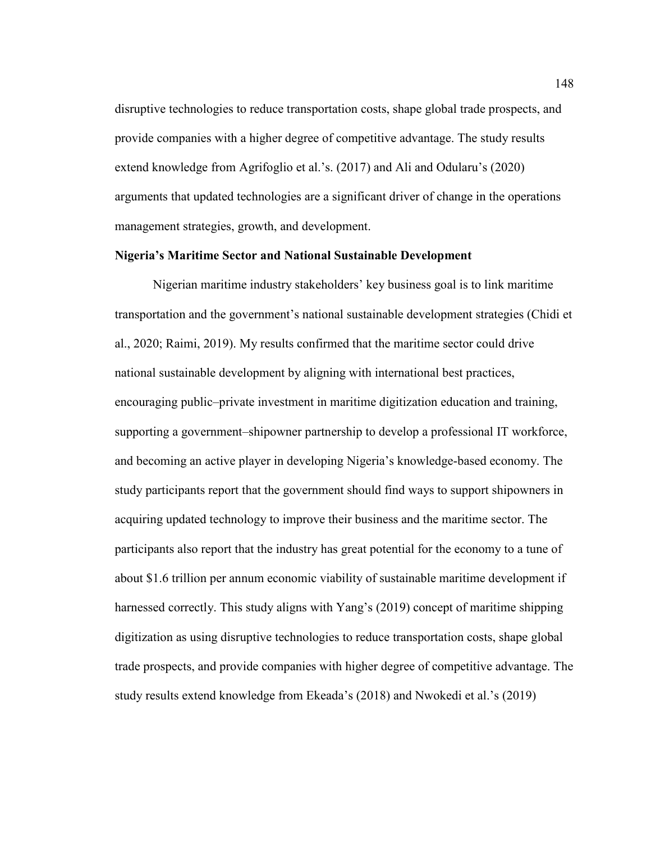disruptive technologies to reduce transportation costs, shape global trade prospects, and provide companies with a higher degree of competitive advantage. The study results extend knowledge from Agrifoglio et al.'s. (2017) and Ali and Odularu's (2020) arguments that updated technologies are a significant driver of change in the operations management strategies, growth, and development.

#### **Nigeria's Maritime Sector and National Sustainable Development**

Nigerian maritime industry stakeholders' key business goal is to link maritime transportation and the government's national sustainable development strategies (Chidi et al., 2020; Raimi, 2019). My results confirmed that the maritime sector could drive national sustainable development by aligning with international best practices, encouraging public–private investment in maritime digitization education and training, supporting a government–shipowner partnership to develop a professional IT workforce, and becoming an active player in developing Nigeria's knowledge-based economy. The study participants report that the government should find ways to support shipowners in acquiring updated technology to improve their business and the maritime sector. The participants also report that the industry has great potential for the economy to a tune of about \$1.6 trillion per annum economic viability of sustainable maritime development if harnessed correctly. This study aligns with Yang's (2019) concept of maritime shipping digitization as using disruptive technologies to reduce transportation costs, shape global trade prospects, and provide companies with higher degree of competitive advantage. The study results extend knowledge from Ekeada's (2018) and Nwokedi et al.'s (2019)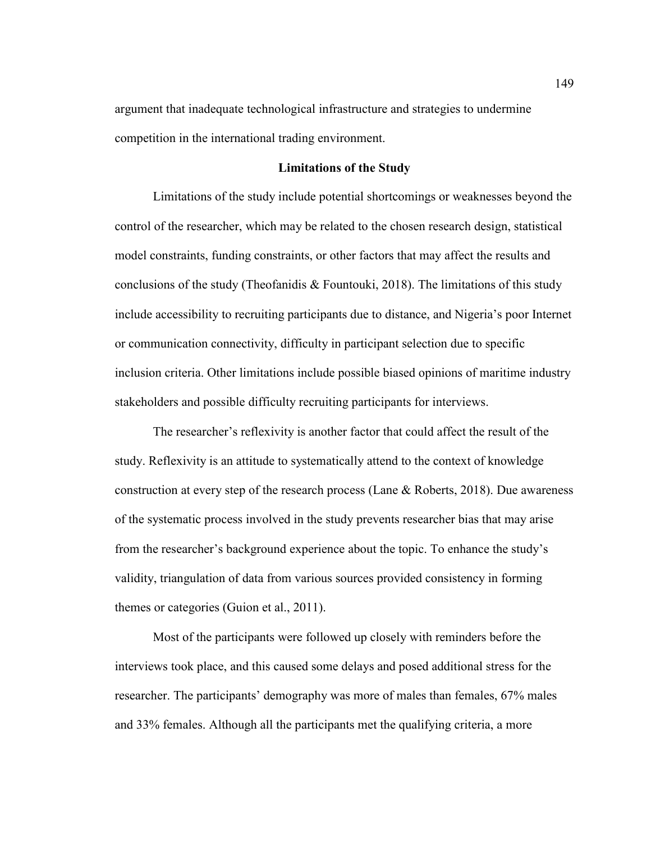argument that inadequate technological infrastructure and strategies to undermine competition in the international trading environment.

#### **Limitations of the Study**

Limitations of the study include potential shortcomings or weaknesses beyond the control of the researcher, which may be related to the chosen research design, statistical model constraints, funding constraints, or other factors that may affect the results and conclusions of the study (Theofanidis  $\&$  Fountouki, 2018). The limitations of this study include accessibility to recruiting participants due to distance, and Nigeria's poor Internet or communication connectivity, difficulty in participant selection due to specific inclusion criteria. Other limitations include possible biased opinions of maritime industry stakeholders and possible difficulty recruiting participants for interviews.

The researcher's reflexivity is another factor that could affect the result of the study. Reflexivity is an attitude to systematically attend to the context of knowledge construction at every step of the research process (Lane & Roberts, 2018). Due awareness of the systematic process involved in the study prevents researcher bias that may arise from the researcher's background experience about the topic. To enhance the study's validity, triangulation of data from various sources provided consistency in forming themes or categories (Guion et al., 2011).

Most of the participants were followed up closely with reminders before the interviews took place, and this caused some delays and posed additional stress for the researcher. The participants' demography was more of males than females, 67% males and 33% females. Although all the participants met the qualifying criteria, a more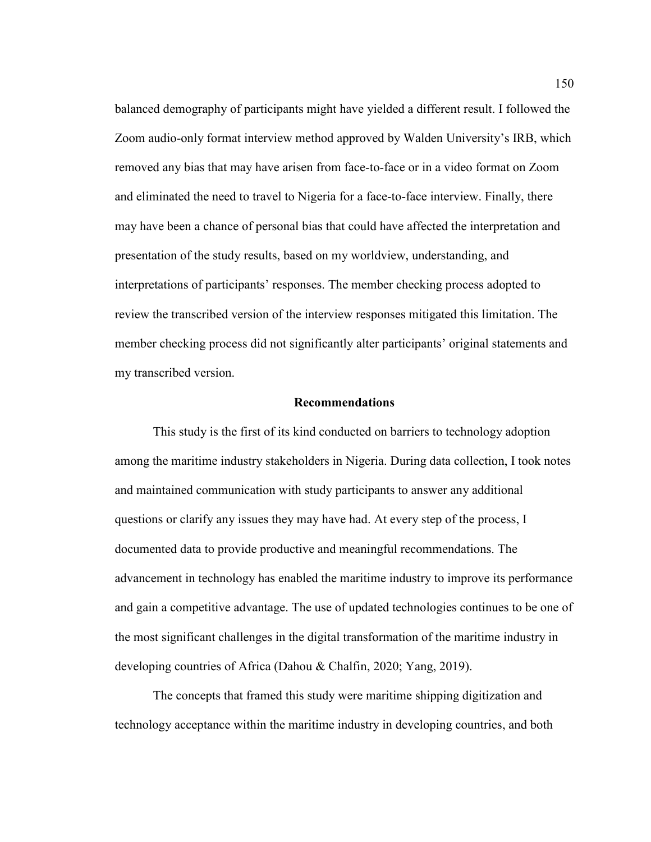balanced demography of participants might have yielded a different result. I followed the Zoom audio-only format interview method approved by Walden University's IRB, which removed any bias that may have arisen from face-to-face or in a video format on Zoom and eliminated the need to travel to Nigeria for a face-to-face interview. Finally, there may have been a chance of personal bias that could have affected the interpretation and presentation of the study results, based on my worldview, understanding, and interpretations of participants' responses. The member checking process adopted to review the transcribed version of the interview responses mitigated this limitation. The member checking process did not significantly alter participants' original statements and my transcribed version.

# **Recommendations**

This study is the first of its kind conducted on barriers to technology adoption among the maritime industry stakeholders in Nigeria. During data collection, I took notes and maintained communication with study participants to answer any additional questions or clarify any issues they may have had. At every step of the process, I documented data to provide productive and meaningful recommendations. The advancement in technology has enabled the maritime industry to improve its performance and gain a competitive advantage. The use of updated technologies continues to be one of the most significant challenges in the digital transformation of the maritime industry in developing countries of Africa (Dahou & Chalfin, 2020; Yang, 2019).

The concepts that framed this study were maritime shipping digitization and technology acceptance within the maritime industry in developing countries, and both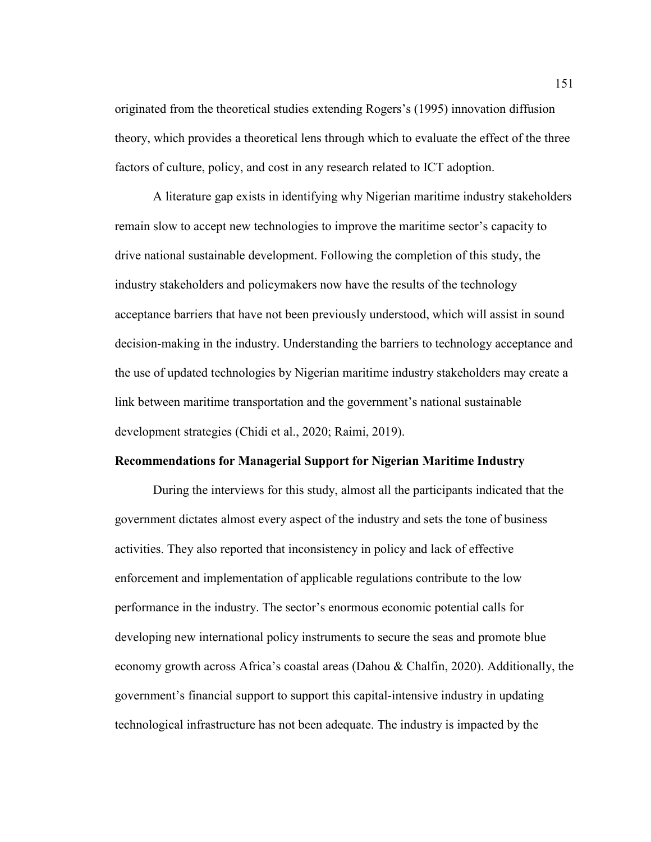originated from the theoretical studies extending Rogers's (1995) innovation diffusion theory, which provides a theoretical lens through which to evaluate the effect of the three factors of culture, policy, and cost in any research related to ICT adoption.

A literature gap exists in identifying why Nigerian maritime industry stakeholders remain slow to accept new technologies to improve the maritime sector's capacity to drive national sustainable development. Following the completion of this study, the industry stakeholders and policymakers now have the results of the technology acceptance barriers that have not been previously understood, which will assist in sound decision-making in the industry. Understanding the barriers to technology acceptance and the use of updated technologies by Nigerian maritime industry stakeholders may create a link between maritime transportation and the government's national sustainable development strategies (Chidi et al., 2020; Raimi, 2019).

## **Recommendations for Managerial Support for Nigerian Maritime Industry**

During the interviews for this study, almost all the participants indicated that the government dictates almost every aspect of the industry and sets the tone of business activities. They also reported that inconsistency in policy and lack of effective enforcement and implementation of applicable regulations contribute to the low performance in the industry. The sector's enormous economic potential calls for developing new international policy instruments to secure the seas and promote blue economy growth across Africa's coastal areas (Dahou & Chalfin, 2020). Additionally, the government's financial support to support this capital-intensive industry in updating technological infrastructure has not been adequate. The industry is impacted by the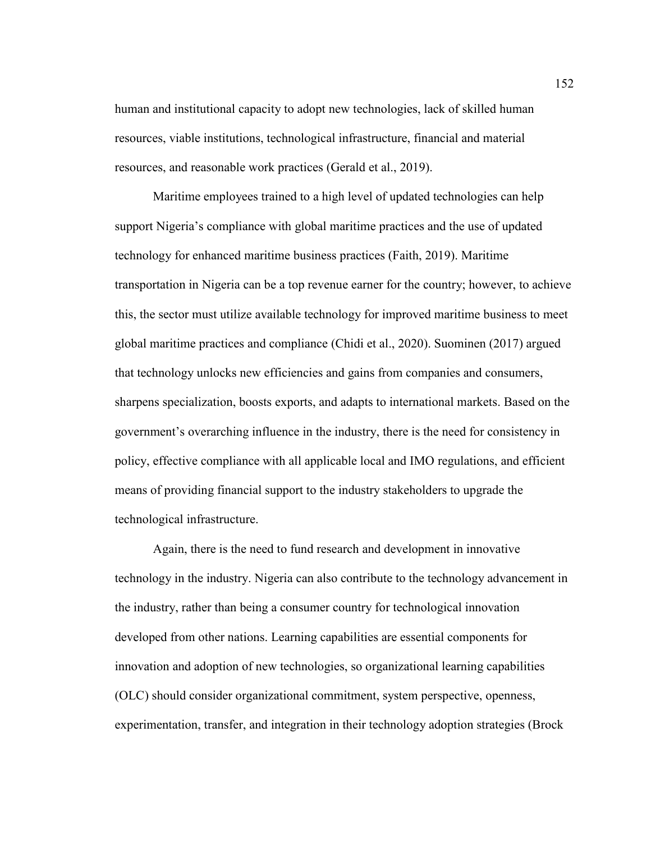human and institutional capacity to adopt new technologies, lack of skilled human resources, viable institutions, technological infrastructure, financial and material resources, and reasonable work practices (Gerald et al., 2019).

Maritime employees trained to a high level of updated technologies can help support Nigeria's compliance with global maritime practices and the use of updated technology for enhanced maritime business practices (Faith, 2019). Maritime transportation in Nigeria can be a top revenue earner for the country; however, to achieve this, the sector must utilize available technology for improved maritime business to meet global maritime practices and compliance (Chidi et al., 2020). Suominen (2017) argued that technology unlocks new efficiencies and gains from companies and consumers, sharpens specialization, boosts exports, and adapts to international markets. Based on the government's overarching influence in the industry, there is the need for consistency in policy, effective compliance with all applicable local and IMO regulations, and efficient means of providing financial support to the industry stakeholders to upgrade the technological infrastructure.

Again, there is the need to fund research and development in innovative technology in the industry. Nigeria can also contribute to the technology advancement in the industry, rather than being a consumer country for technological innovation developed from other nations. Learning capabilities are essential components for innovation and adoption of new technologies, so organizational learning capabilities (OLC) should consider organizational commitment, system perspective, openness, experimentation, transfer, and integration in their technology adoption strategies (Brock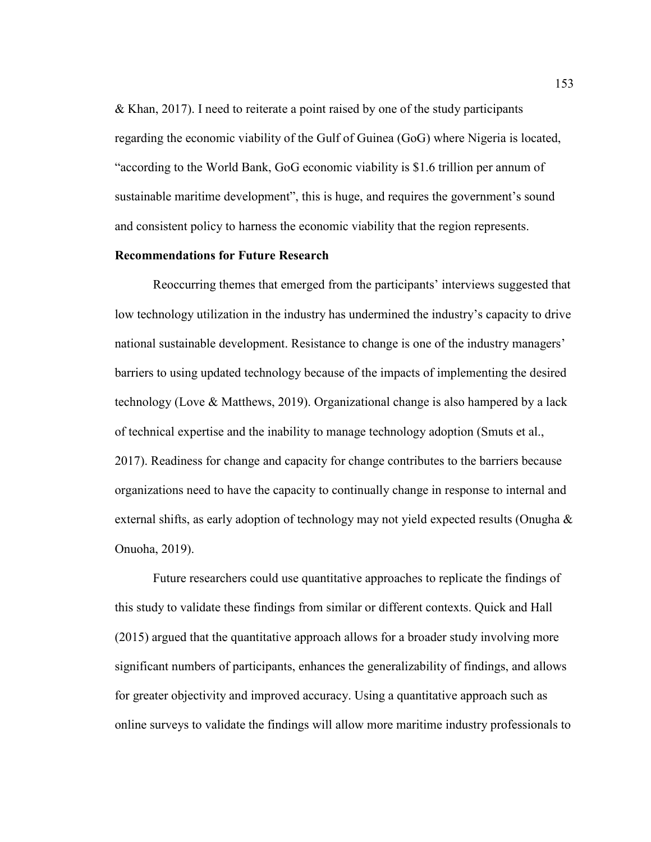& Khan, 2017). I need to reiterate a point raised by one of the study participants regarding the economic viability of the Gulf of Guinea (GoG) where Nigeria is located, "according to the World Bank, GoG economic viability is \$1.6 trillion per annum of sustainable maritime development", this is huge, and requires the government's sound and consistent policy to harness the economic viability that the region represents.

#### **Recommendations for Future Research**

Reoccurring themes that emerged from the participants' interviews suggested that low technology utilization in the industry has undermined the industry's capacity to drive national sustainable development. Resistance to change is one of the industry managers' barriers to using updated technology because of the impacts of implementing the desired technology (Love & Matthews, 2019). Organizational change is also hampered by a lack of technical expertise and the inability to manage technology adoption (Smuts et al., 2017). Readiness for change and capacity for change contributes to the barriers because organizations need to have the capacity to continually change in response to internal and external shifts, as early adoption of technology may not yield expected results (Onugha & Onuoha, 2019).

Future researchers could use quantitative approaches to replicate the findings of this study to validate these findings from similar or different contexts. Quick and Hall (2015) argued that the quantitative approach allows for a broader study involving more significant numbers of participants, enhances the generalizability of findings, and allows for greater objectivity and improved accuracy. Using a quantitative approach such as online surveys to validate the findings will allow more maritime industry professionals to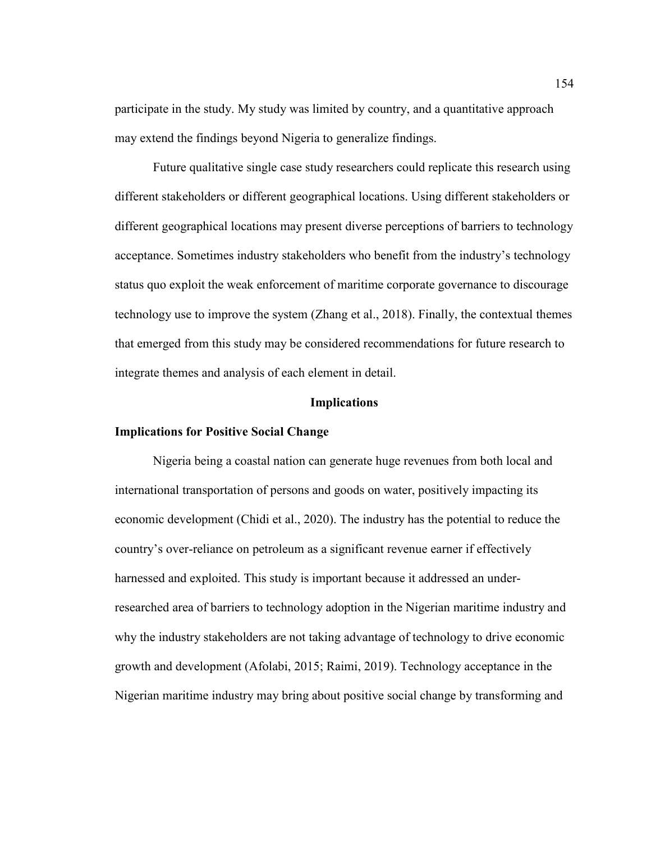participate in the study. My study was limited by country, and a quantitative approach may extend the findings beyond Nigeria to generalize findings.

Future qualitative single case study researchers could replicate this research using different stakeholders or different geographical locations. Using different stakeholders or different geographical locations may present diverse perceptions of barriers to technology acceptance. Sometimes industry stakeholders who benefit from the industry's technology status quo exploit the weak enforcement of maritime corporate governance to discourage technology use to improve the system (Zhang et al., 2018). Finally, the contextual themes that emerged from this study may be considered recommendations for future research to integrate themes and analysis of each element in detail.

#### **Implications**

## **Implications for Positive Social Change**

Nigeria being a coastal nation can generate huge revenues from both local and international transportation of persons and goods on water, positively impacting its economic development (Chidi et al., 2020). The industry has the potential to reduce the country's over-reliance on petroleum as a significant revenue earner if effectively harnessed and exploited. This study is important because it addressed an underresearched area of barriers to technology adoption in the Nigerian maritime industry and why the industry stakeholders are not taking advantage of technology to drive economic growth and development (Afolabi, 2015; Raimi, 2019). Technology acceptance in the Nigerian maritime industry may bring about positive social change by transforming and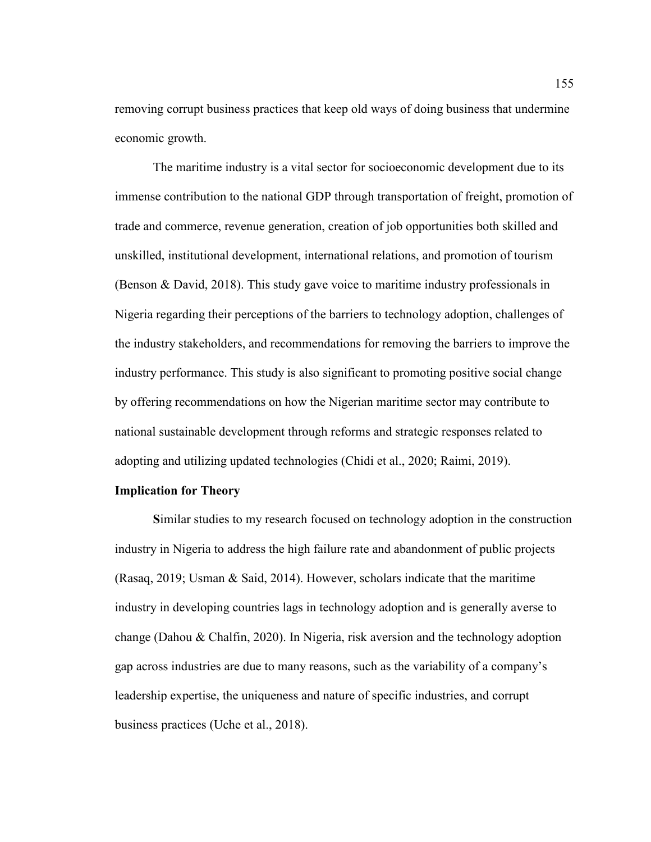removing corrupt business practices that keep old ways of doing business that undermine economic growth.

The maritime industry is a vital sector for socioeconomic development due to its immense contribution to the national GDP through transportation of freight, promotion of trade and commerce, revenue generation, creation of job opportunities both skilled and unskilled, institutional development, international relations, and promotion of tourism (Benson & David, 2018). This study gave voice to maritime industry professionals in Nigeria regarding their perceptions of the barriers to technology adoption, challenges of the industry stakeholders, and recommendations for removing the barriers to improve the industry performance. This study is also significant to promoting positive social change by offering recommendations on how the Nigerian maritime sector may contribute to national sustainable development through reforms and strategic responses related to adopting and utilizing updated technologies (Chidi et al., 2020; Raimi, 2019).

## **Implication for Theory**

**S**imilar studies to my research focused on technology adoption in the construction industry in Nigeria to address the high failure rate and abandonment of public projects (Rasaq, 2019; Usman & Said, 2014). However, scholars indicate that the maritime industry in developing countries lags in technology adoption and is generally averse to change (Dahou & Chalfin, 2020). In Nigeria, risk aversion and the technology adoption gap across industries are due to many reasons, such as the variability of a company's leadership expertise, the uniqueness and nature of specific industries, and corrupt business practices (Uche et al., 2018).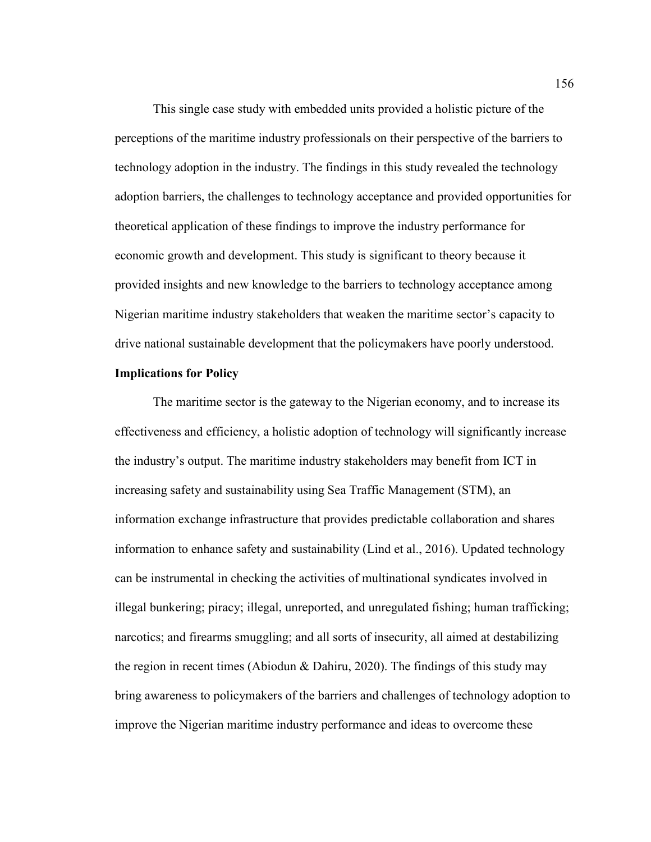This single case study with embedded units provided a holistic picture of the perceptions of the maritime industry professionals on their perspective of the barriers to technology adoption in the industry. The findings in this study revealed the technology adoption barriers, the challenges to technology acceptance and provided opportunities for theoretical application of these findings to improve the industry performance for economic growth and development. This study is significant to theory because it provided insights and new knowledge to the barriers to technology acceptance among Nigerian maritime industry stakeholders that weaken the maritime sector's capacity to drive national sustainable development that the policymakers have poorly understood.

# **Implications for Policy**

The maritime sector is the gateway to the Nigerian economy, and to increase its effectiveness and efficiency, a holistic adoption of technology will significantly increase the industry's output. The maritime industry stakeholders may benefit from ICT in increasing safety and sustainability using Sea Traffic Management (STM), an information exchange infrastructure that provides predictable collaboration and shares information to enhance safety and sustainability (Lind et al., 2016). Updated technology can be instrumental in checking the activities of multinational syndicates involved in illegal bunkering; piracy; illegal, unreported, and unregulated fishing; human trafficking; narcotics; and firearms smuggling; and all sorts of insecurity, all aimed at destabilizing the region in recent times (Abiodun & Dahiru, 2020). The findings of this study may bring awareness to policymakers of the barriers and challenges of technology adoption to improve the Nigerian maritime industry performance and ideas to overcome these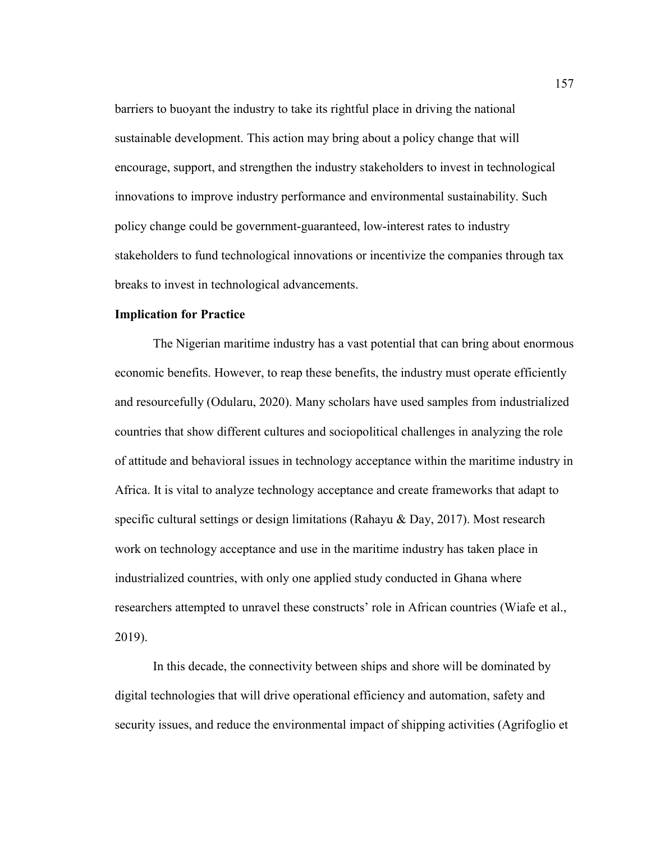barriers to buoyant the industry to take its rightful place in driving the national sustainable development. This action may bring about a policy change that will encourage, support, and strengthen the industry stakeholders to invest in technological innovations to improve industry performance and environmental sustainability. Such policy change could be government-guaranteed, low-interest rates to industry stakeholders to fund technological innovations or incentivize the companies through tax breaks to invest in technological advancements.

## **Implication for Practice**

The Nigerian maritime industry has a vast potential that can bring about enormous economic benefits. However, to reap these benefits, the industry must operate efficiently and resourcefully (Odularu, 2020). Many scholars have used samples from industrialized countries that show different cultures and sociopolitical challenges in analyzing the role of attitude and behavioral issues in technology acceptance within the maritime industry in Africa. It is vital to analyze technology acceptance and create frameworks that adapt to specific cultural settings or design limitations (Rahayu & Day, 2017). Most research work on technology acceptance and use in the maritime industry has taken place in industrialized countries, with only one applied study conducted in Ghana where researchers attempted to unravel these constructs' role in African countries (Wiafe et al., 2019).

In this decade, the connectivity between ships and shore will be dominated by digital technologies that will drive operational efficiency and automation, safety and security issues, and reduce the environmental impact of shipping activities (Agrifoglio et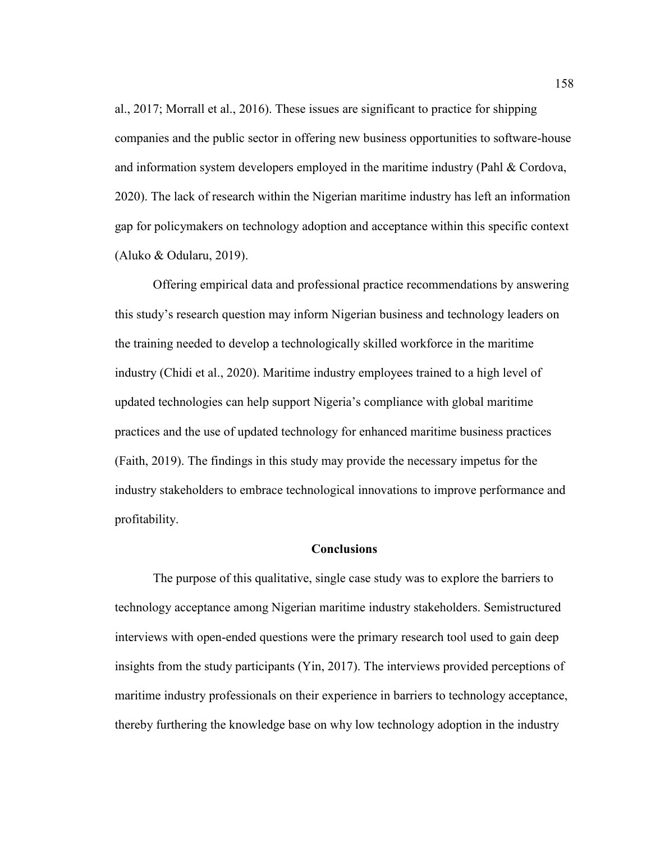al., 2017; Morrall et al., 2016). These issues are significant to practice for shipping companies and the public sector in offering new business opportunities to software-house and information system developers employed in the maritime industry (Pahl & Cordova, 2020). The lack of research within the Nigerian maritime industry has left an information gap for policymakers on technology adoption and acceptance within this specific context (Aluko & Odularu, 2019).

Offering empirical data and professional practice recommendations by answering this study's research question may inform Nigerian business and technology leaders on the training needed to develop a technologically skilled workforce in the maritime industry (Chidi et al., 2020). Maritime industry employees trained to a high level of updated technologies can help support Nigeria's compliance with global maritime practices and the use of updated technology for enhanced maritime business practices (Faith, 2019). The findings in this study may provide the necessary impetus for the industry stakeholders to embrace technological innovations to improve performance and profitability.

#### **Conclusions**

The purpose of this qualitative, single case study was to explore the barriers to technology acceptance among Nigerian maritime industry stakeholders. Semistructured interviews with open-ended questions were the primary research tool used to gain deep insights from the study participants (Yin, 2017). The interviews provided perceptions of maritime industry professionals on their experience in barriers to technology acceptance, thereby furthering the knowledge base on why low technology adoption in the industry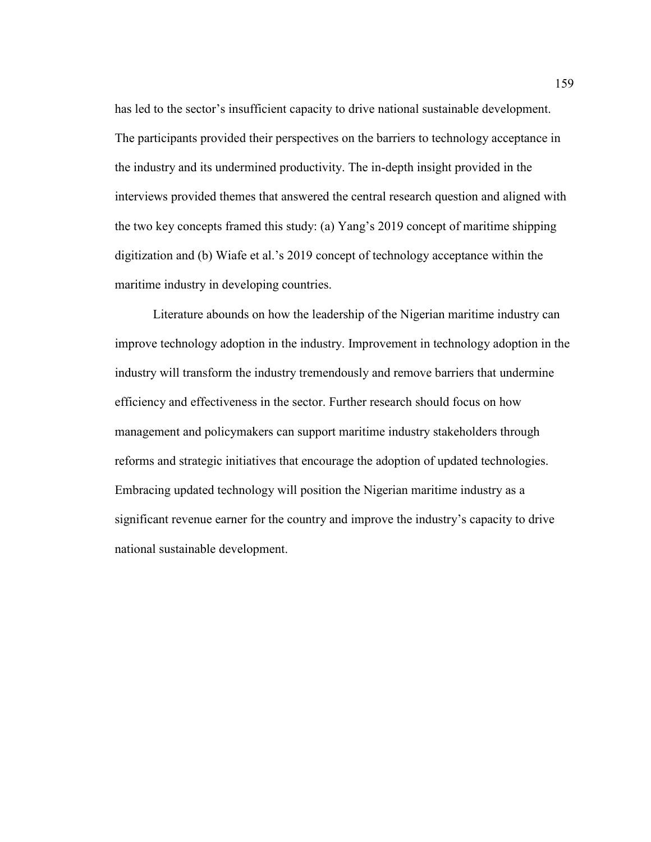has led to the sector's insufficient capacity to drive national sustainable development. The participants provided their perspectives on the barriers to technology acceptance in the industry and its undermined productivity. The in-depth insight provided in the interviews provided themes that answered the central research question and aligned with the two key concepts framed this study: (a) Yang's 2019 concept of maritime shipping digitization and (b) Wiafe et al.'s 2019 concept of technology acceptance within the maritime industry in developing countries.

Literature abounds on how the leadership of the Nigerian maritime industry can improve technology adoption in the industry. Improvement in technology adoption in the industry will transform the industry tremendously and remove barriers that undermine efficiency and effectiveness in the sector. Further research should focus on how management and policymakers can support maritime industry stakeholders through reforms and strategic initiatives that encourage the adoption of updated technologies. Embracing updated technology will position the Nigerian maritime industry as a significant revenue earner for the country and improve the industry's capacity to drive national sustainable development.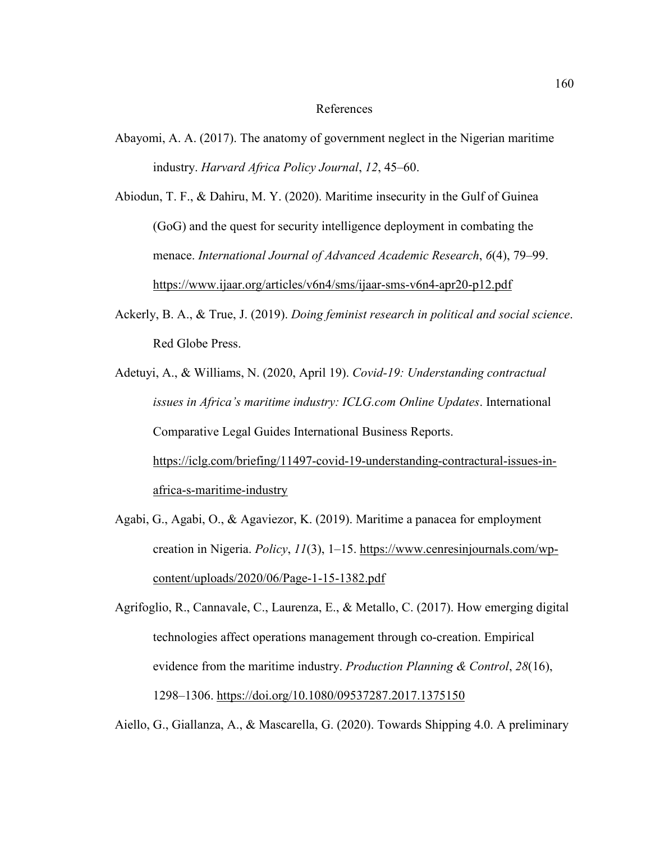#### References

Abayomi, A. A. (2017). The anatomy of government neglect in the Nigerian maritime industry. *Harvard Africa Policy Journal*, *12*, 45–60.

Abiodun, T. F., & Dahiru, M. Y. (2020). Maritime insecurity in the Gulf of Guinea (GoG) and the quest for security intelligence deployment in combating the menace. *International Journal of Advanced Academic Research*, *6*(4), 79–99. https://www.ijaar.org/articles/v6n4/sms/ijaar-sms-v6n4-apr20-p12.pdf

- Ackerly, B. A., & True, J. (2019). *Doing feminist research in political and social science*. Red Globe Press.
- Adetuyi, A., & Williams, N. (2020, April 19). *Covid-19: Understanding contractual issues in Africa's maritime industry: ICLG.com Online Updates*. International Comparative Legal Guides International Business Reports. https://iclg.com/briefing/11497-covid-19-understanding-contractural-issues-inafrica-s-maritime-industry
- Agabi, G., Agabi, O., & Agaviezor, K. (2019). Maritime a panacea for employment creation in Nigeria. *Policy*, *11*(3), 1–15. https://www.cenresinjournals.com/wpcontent/uploads/2020/06/Page-1-15-1382.pdf

Agrifoglio, R., Cannavale, C., Laurenza, E., & Metallo, C. (2017). How emerging digital technologies affect operations management through co-creation. Empirical evidence from the maritime industry. *Production Planning & Control*, *28*(16), 1298–1306. https://doi.org/10.1080/09537287.2017.1375150

Aiello, G., Giallanza, A., & Mascarella, G. (2020). Towards Shipping 4.0. A preliminary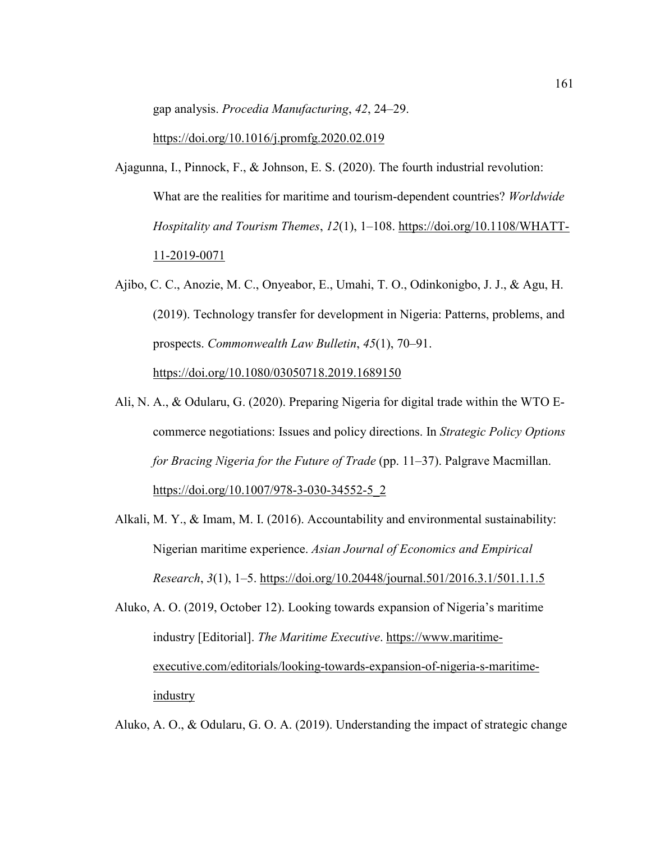gap analysis. *Procedia Manufacturing*, *42*, 24–29.

https://doi.org/10.1016/j.promfg.2020.02.019

- Ajagunna, I., Pinnock, F., & Johnson, E. S. (2020). The fourth industrial revolution: What are the realities for maritime and tourism-dependent countries? *Worldwide Hospitality and Tourism Themes*, *12*(1), 1–108. https://doi.org/10.1108/WHATT-11-2019-0071
- Ajibo, C. C., Anozie, M. C., Onyeabor, E., Umahi, T. O., Odinkonigbo, J. J., & Agu, H. (2019). Technology transfer for development in Nigeria: Patterns, problems, and prospects. *Commonwealth Law Bulletin*, *45*(1), 70–91. https://doi.org/10.1080/03050718.2019.1689150
- Ali, N. A., & Odularu, G. (2020). Preparing Nigeria for digital trade within the WTO Ecommerce negotiations: Issues and policy directions. In *Strategic Policy Options for Bracing Nigeria for the Future of Trade* (pp. 11–37). Palgrave Macmillan. https://doi.org/10.1007/978-3-030-34552-5\_2
- Alkali, M. Y., & Imam, M. I. (2016). Accountability and environmental sustainability: Nigerian maritime experience. *Asian Journal of Economics and Empirical Research*, *3*(1), 1–5. https://doi.org/10.20448/journal.501/2016.3.1/501.1.1.5
- Aluko, A. O. (2019, October 12). Looking towards expansion of Nigeria's maritime industry [Editorial]. *The Maritime Executive*. https://www.maritimeexecutive.com/editorials/looking-towards-expansion-of-nigeria-s-maritimeindustry

Aluko, A. O., & Odularu, G. O. A. (2019). Understanding the impact of strategic change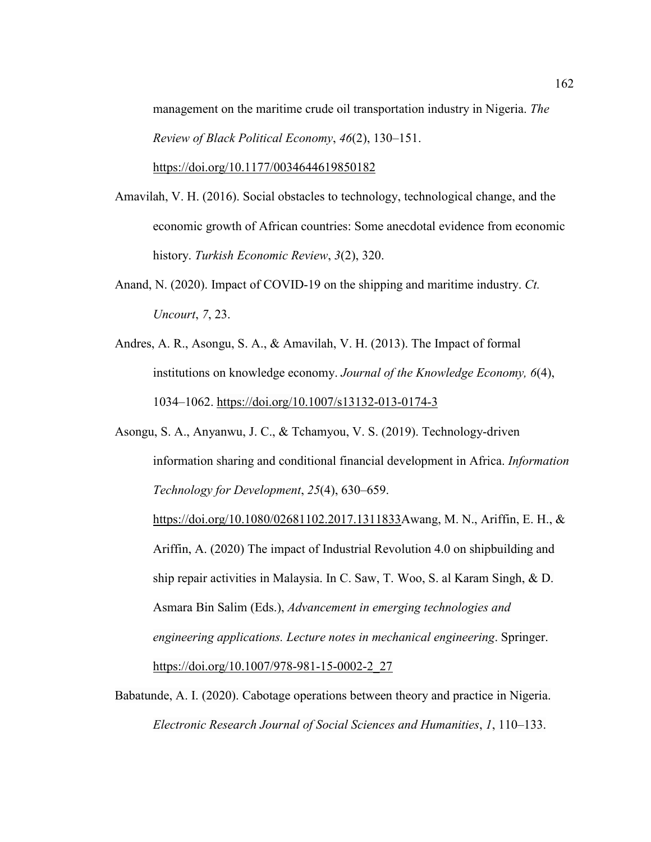management on the maritime crude oil transportation industry in Nigeria. *The Review of Black Political Economy*, *46*(2), 130–151.

https://doi.org/10.1177/0034644619850182

- Amavilah, V. H. (2016). Social obstacles to technology, technological change, and the economic growth of African countries: Some anecdotal evidence from economic history. *Turkish Economic Review*, *3*(2), 320.
- Anand, N. (2020). Impact of COVID-19 on the shipping and maritime industry. *Ct. Uncourt*, *7*, 23.
- Andres, A. R., Asongu, S. A., & Amavilah, V. H. (2013). The Impact of formal institutions on knowledge economy. *Journal of the Knowledge Economy, 6*(4), 1034–1062. https://doi.org/10.1007/s13132-013-0174-3
- Asongu, S. A., Anyanwu, J. C., & Tchamyou, V. S. (2019). Technology-driven information sharing and conditional financial development in Africa. *Information Technology for Development*, *25*(4), 630–659.

https://doi.org/10.1080/02681102.2017.1311833Awang, M. N., Ariffin, E. H., & Ariffin, A. (2020) The impact of Industrial Revolution 4.0 on shipbuilding and ship repair activities in Malaysia. In C. Saw, T. Woo, S. al Karam Singh, & D. Asmara Bin Salim (Eds.), *Advancement in emerging technologies and engineering applications. Lecture notes in mechanical engineering*. Springer. https://doi.org/10.1007/978-981-15-0002-2\_27

Babatunde, A. I. (2020). Cabotage operations between theory and practice in Nigeria. *Electronic Research Journal of Social Sciences and Humanities*, *1*, 110–133.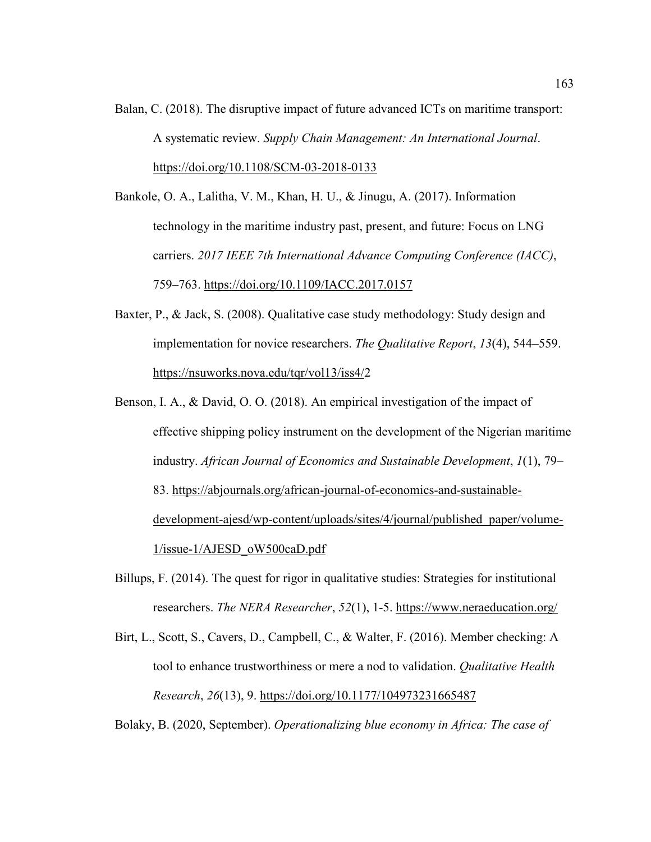Balan, C. (2018). The disruptive impact of future advanced ICTs on maritime transport: A systematic review. *Supply Chain Management: An International Journal*. https://doi.org/10.1108/SCM-03-2018-0133

Bankole, O. A., Lalitha, V. M., Khan, H. U., & Jinugu, A. (2017). Information technology in the maritime industry past, present, and future: Focus on LNG carriers. *2017 IEEE 7th International Advance Computing Conference (IACC)*, 759–763. https://doi.org/10.1109/IACC.2017.0157

- Baxter, P., & Jack, S. (2008). Qualitative case study methodology: Study design and implementation for novice researchers. *The Qualitative Report*, *13*(4), 544–559. https://nsuworks.nova.edu/tqr/vol13/iss4/2
- Benson, I. A., & David, O. O. (2018). An empirical investigation of the impact of effective shipping policy instrument on the development of the Nigerian maritime industry. *African Journal of Economics and Sustainable Development*, *1*(1), 79– 83. https://abjournals.org/african-journal-of-economics-and-sustainabledevelopment-ajesd/wp-content/uploads/sites/4/journal/published\_paper/volume-1/issue-1/AJESD\_oW500caD.pdf
- Billups, F. (2014). The quest for rigor in qualitative studies: Strategies for institutional researchers. *The NERA Researcher*, *52*(1), 1-5. https://www.neraeducation.org/
- Birt, L., Scott, S., Cavers, D., Campbell, C., & Walter, F. (2016). Member checking: A tool to enhance trustworthiness or mere a nod to validation. *Qualitative Health Research*, *26*(13), 9. https://doi.org/10.1177/104973231665487

Bolaky, B. (2020, September). *Operationalizing blue economy in Africa: The case of*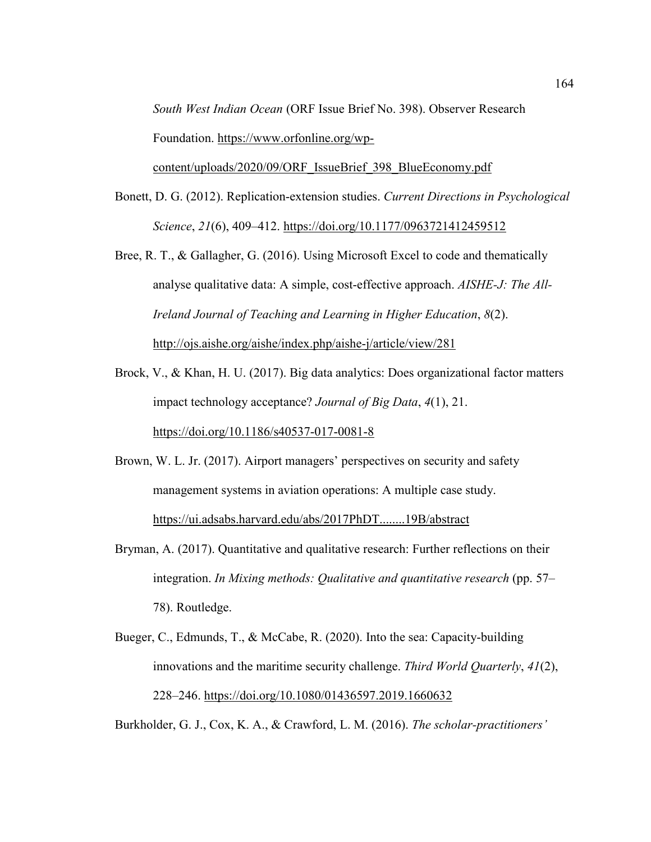*South West Indian Ocean* (ORF Issue Brief No. 398). Observer Research Foundation. https://www.orfonline.org/wp-

content/uploads/2020/09/ORF\_IssueBrief\_398\_BlueEconomy.pdf

- Bonett, D. G. (2012). Replication-extension studies. *Current Directions in Psychological Science*, *21*(6), 409–412. https://doi.org/10.1177/0963721412459512
- Bree, R. T., & Gallagher, G. (2016). Using Microsoft Excel to code and thematically analyse qualitative data: A simple, cost-effective approach. *AISHE-J: The All-Ireland Journal of Teaching and Learning in Higher Education*, *8*(2). http://ojs.aishe.org/aishe/index.php/aishe-j/article/view/281
- Brock, V., & Khan, H. U. (2017). Big data analytics: Does organizational factor matters impact technology acceptance? *Journal of Big Data*, *4*(1), 21. https://doi.org/10.1186/s40537-017-0081-8
- Brown, W. L. Jr. (2017). Airport managers' perspectives on security and safety management systems in aviation operations: A multiple case study. https://ui.adsabs.harvard.edu/abs/2017PhDT........19B/abstract
- Bryman, A. (2017). Quantitative and qualitative research: Further reflections on their integration. *In Mixing methods: Qualitative and quantitative research* (pp. 57– 78). Routledge.
- Bueger, C., Edmunds, T., & McCabe, R. (2020). Into the sea: Capacity-building innovations and the maritime security challenge. *Third World Quarterly*, *41*(2), 228–246. https://doi.org/10.1080/01436597.2019.1660632

Burkholder, G. J., Cox, K. A., & Crawford, L. M. (2016). *The scholar-practitioners'*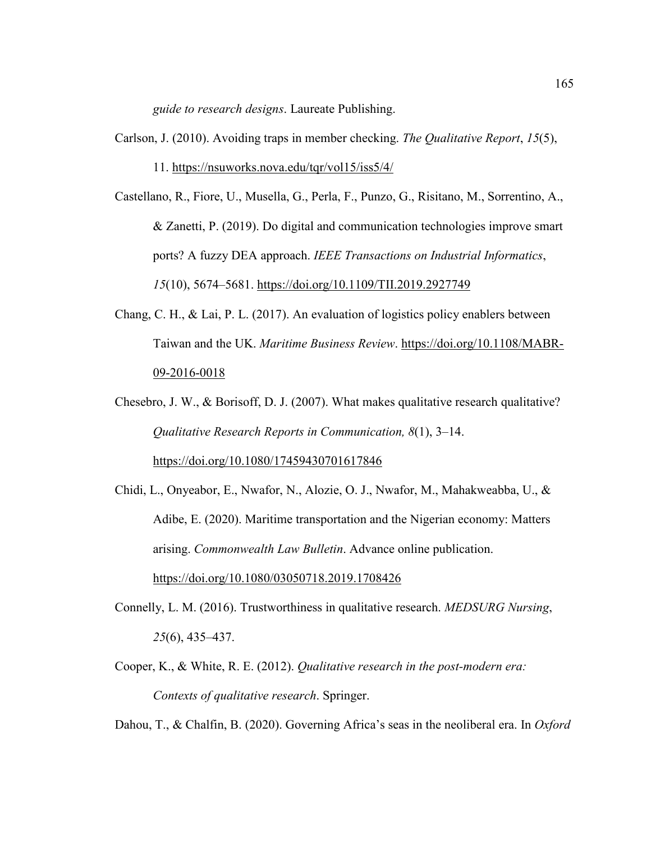*guide to research designs*. Laureate Publishing.

- Carlson, J. (2010). Avoiding traps in member checking. *The Qualitative Report*, *15*(5), 11. https://nsuworks.nova.edu/tqr/vol15/iss5/4/
- Castellano, R., Fiore, U., Musella, G., Perla, F., Punzo, G., Risitano, M., Sorrentino, A., & Zanetti, P. (2019). Do digital and communication technologies improve smart ports? A fuzzy DEA approach. *IEEE Transactions on Industrial Informatics*, *15*(10), 5674–5681. https://doi.org/10.1109/TII.2019.2927749
- Chang, C. H., & Lai, P. L. (2017). An evaluation of logistics policy enablers between Taiwan and the UK. *Maritime Business Review*. https://doi.org/10.1108/MABR-09-2016-0018
- Chesebro, J. W., & Borisoff, D. J. (2007). What makes qualitative research qualitative? *Qualitative Research Reports in Communication, 8*(1), 3–14. https://doi.org/10.1080/17459430701617846
- Chidi, L., Onyeabor, E., Nwafor, N., Alozie, O. J., Nwafor, M., Mahakweabba, U., & Adibe, E. (2020). Maritime transportation and the Nigerian economy: Matters arising. *Commonwealth Law Bulletin*. Advance online publication. https://doi.org/10.1080/03050718.2019.1708426
- Connelly, L. M. (2016). Trustworthiness in qualitative research. *MEDSURG Nursing*, *25*(6), 435–437.
- Cooper, K., & White, R. E. (2012). *Qualitative research in the post-modern era: Contexts of qualitative research*. Springer.
- Dahou, T., & Chalfin, B. (2020). Governing Africa's seas in the neoliberal era. In *Oxford*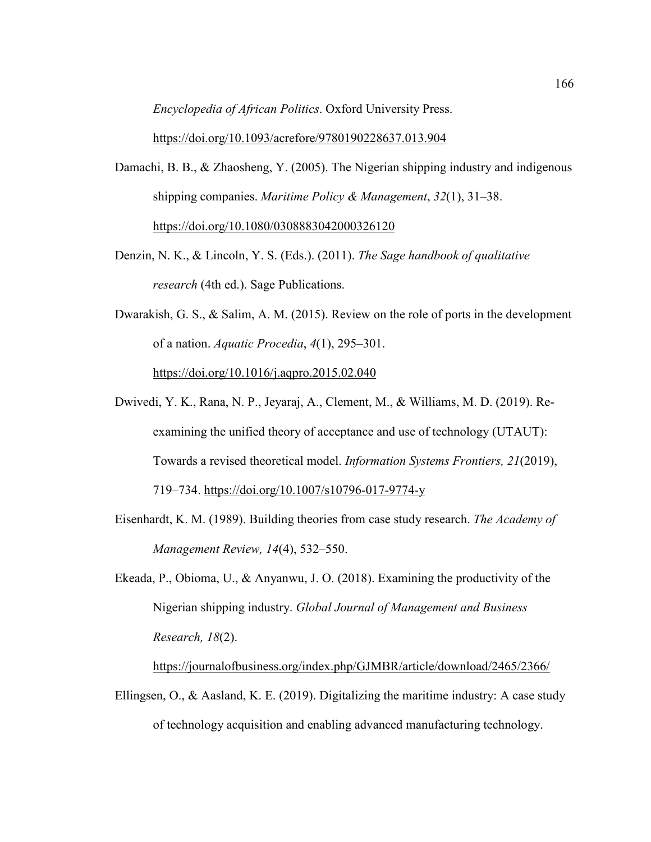*Encyclopedia of African Politics*. Oxford University Press.

https://doi.org/10.1093/acrefore/9780190228637.013.904

- Damachi, B. B., & Zhaosheng, Y. (2005). The Nigerian shipping industry and indigenous shipping companies. *Maritime Policy & Management*, *32*(1), 31–38. https://doi.org/10.1080/0308883042000326120
- Denzin, N. K., & Lincoln, Y. S. (Eds.). (2011). *The Sage handbook of qualitative research* (4th ed.). Sage Publications.
- Dwarakish, G. S., & Salim, A. M. (2015). Review on the role of ports in the development of a nation. *Aquatic Procedia*, *4*(1), 295–301. https://doi.org/10.1016/j.aqpro.2015.02.040
- Dwivedi, Y. K., Rana, N. P., Jeyaraj, A., Clement, M., & Williams, M. D. (2019). Reexamining the unified theory of acceptance and use of technology (UTAUT): Towards a revised theoretical model. *Information Systems Frontiers, 21*(2019), 719–734. https://doi.org/10.1007/s10796-017-9774-y
- Eisenhardt, K. M. (1989). Building theories from case study research. *The Academy of Management Review, 14*(4), 532–550.
- Ekeada, P., Obioma, U., & Anyanwu, J. O. (2018). Examining the productivity of the Nigerian shipping industry. *Global Journal of Management and Business Research, 18*(2).

https://journalofbusiness.org/index.php/GJMBR/article/download/2465/2366/

Ellingsen, O., & Aasland, K. E. (2019). Digitalizing the maritime industry: A case study of technology acquisition and enabling advanced manufacturing technology.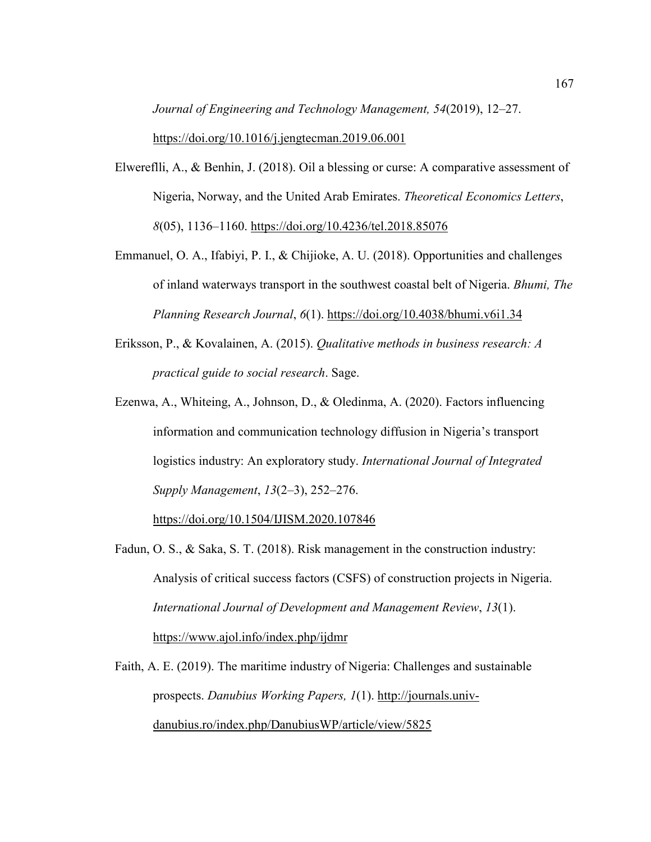*Journal of Engineering and Technology Management, 54*(2019), 12–27. https://doi.org/10.1016/j.jengtecman.2019.06.001

- Elwereflli, A., & Benhin, J. (2018). Oil a blessing or curse: A comparative assessment of Nigeria, Norway, and the United Arab Emirates. *Theoretical Economics Letters*, *8*(05), 1136–1160. https://doi.org/10.4236/tel.2018.85076
- Emmanuel, O. A., Ifabiyi, P. I., & Chijioke, A. U. (2018). Opportunities and challenges of inland waterways transport in the southwest coastal belt of Nigeria. *Bhumi, The Planning Research Journal*, *6*(1). https://doi.org/10.4038/bhumi.v6i1.34
- Eriksson, P., & Kovalainen, A. (2015). *Qualitative methods in business research: A practical guide to social research*. Sage.
- Ezenwa, A., Whiteing, A., Johnson, D., & Oledinma, A. (2020). Factors influencing information and communication technology diffusion in Nigeria's transport logistics industry: An exploratory study. *International Journal of Integrated Supply Management*, *13*(2–3), 252–276.

https://doi.org/10.1504/IJISM.2020.107846

Fadun, O. S., & Saka, S. T. (2018). Risk management in the construction industry: Analysis of critical success factors (CSFS) of construction projects in Nigeria. *International Journal of Development and Management Review*, *13*(1). https://www.ajol.info/index.php/ijdmr

Faith, A. E. (2019). The maritime industry of Nigeria: Challenges and sustainable prospects. *Danubius Working Papers, 1*(1). http://journals.univdanubius.ro/index.php/DanubiusWP/article/view/5825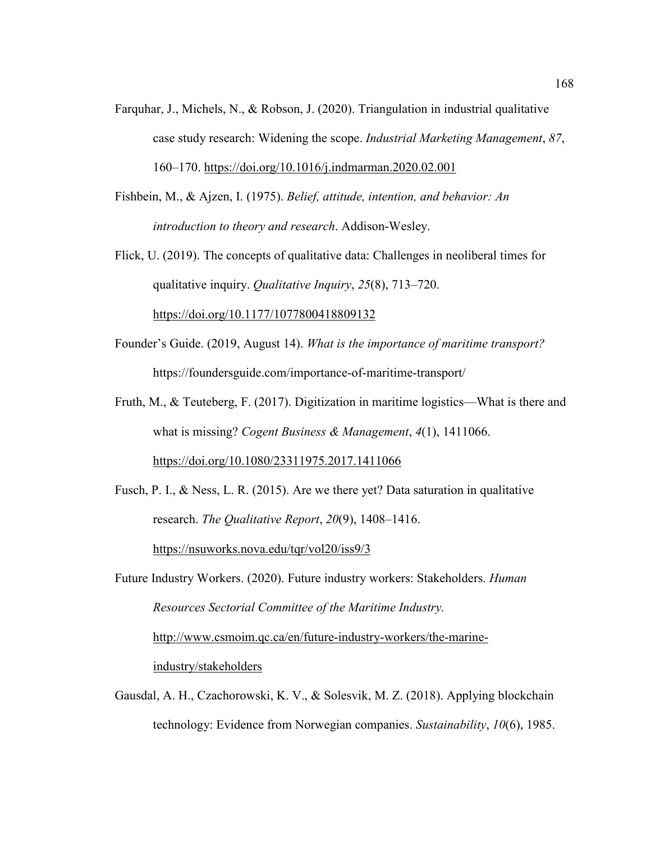- Farquhar, J., Michels, N., & Robson, J. (2020). Triangulation in industrial qualitative case study research: Widening the scope. *Industrial Marketing Management*, *87*, 160–170. https://doi.org/10.1016/j.indmarman.2020.02.001
- Fishbein, M., & Ajzen, I. (1975). *Belief, attitude, intention, and behavior: An introduction to theory and research*. Addison-Wesley.
- Flick, U. (2019). The concepts of qualitative data: Challenges in neoliberal times for qualitative inquiry. *Qualitative Inquiry*, *25*(8), 713–720.

https://doi.org/10.1177/1077800418809132

- Founder's Guide. (2019, August 14). *What is the importance of maritime transport?* https://foundersguide.com/importance-of-maritime-transport/
- Fruth, M., & Teuteberg, F. (2017). Digitization in maritime logistics—What is there and what is missing? *Cogent Business & Management*, *4*(1), 1411066. https://doi.org/10.1080/23311975.2017.1411066
- Fusch, P. I., & Ness, L. R. (2015). Are we there yet? Data saturation in qualitative research. *The Qualitative Report*, *20*(9), 1408–1416. https://nsuworks.nova.edu/tqr/vol20/iss9/3

Future Industry Workers. (2020). Future industry workers: Stakeholders. *Human Resources Sectorial Committee of the Maritime Industry.*  http://www.csmoim.qc.ca/en/future-industry-workers/the-marineindustry/stakeholders

Gausdal, A. H., Czachorowski, K. V., & Solesvik, M. Z. (2018). Applying blockchain technology: Evidence from Norwegian companies. *Sustainability*, *10*(6), 1985.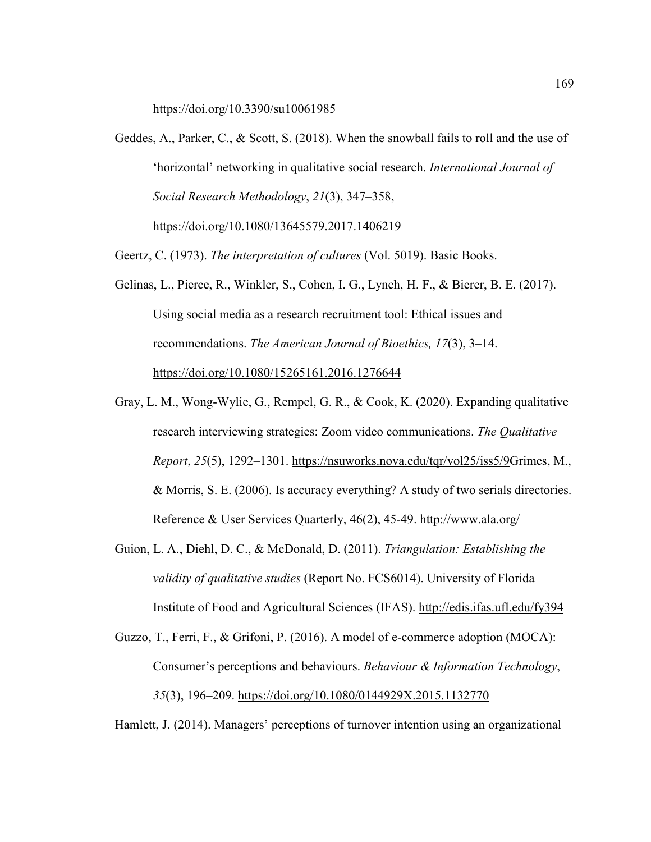https://doi.org/10.3390/su10061985

Geddes, A., Parker, C., & Scott, S. (2018). When the snowball fails to roll and the use of 'horizontal' networking in qualitative social research. *International Journal of Social Research Methodology*, *21*(3), 347–358, https://doi.org/10.1080/13645579.2017.1406219

Geertz, C. (1973). *The interpretation of cultures* (Vol. 5019). Basic Books.

- Gelinas, L., Pierce, R., Winkler, S., Cohen, I. G., Lynch, H. F., & Bierer, B. E. (2017). Using social media as a research recruitment tool: Ethical issues and recommendations. *The American Journal of Bioethics, 17*(3), 3–14. https://doi.org/10.1080/15265161.2016.1276644
- Gray, L. M., Wong-Wylie, G., Rempel, G. R., & Cook, K. (2020). Expanding qualitative research interviewing strategies: Zoom video communications. *The Qualitative Report*, *25*(5), 1292–1301. https://nsuworks.nova.edu/tqr/vol25/iss5/9Grimes, M., & Morris, S. E. (2006). Is accuracy everything? A study of two serials directories. Reference & User Services Quarterly, 46(2), 45-49. http://www.ala.org/
- Guion, L. A., Diehl, D. C., & McDonald, D. (2011). *Triangulation: Establishing the validity of qualitative studies* (Report No. FCS6014). University of Florida Institute of Food and Agricultural Sciences (IFAS). http://edis.ifas.ufl.edu/fy394
- Guzzo, T., Ferri, F., & Grifoni, P. (2016). A model of e-commerce adoption (MOCA): Consumer's perceptions and behaviours. *Behaviour & Information Technology*, *35*(3), 196–209. https://doi.org/10.1080/0144929X.2015.1132770

Hamlett, J. (2014). Managers' perceptions of turnover intention using an organizational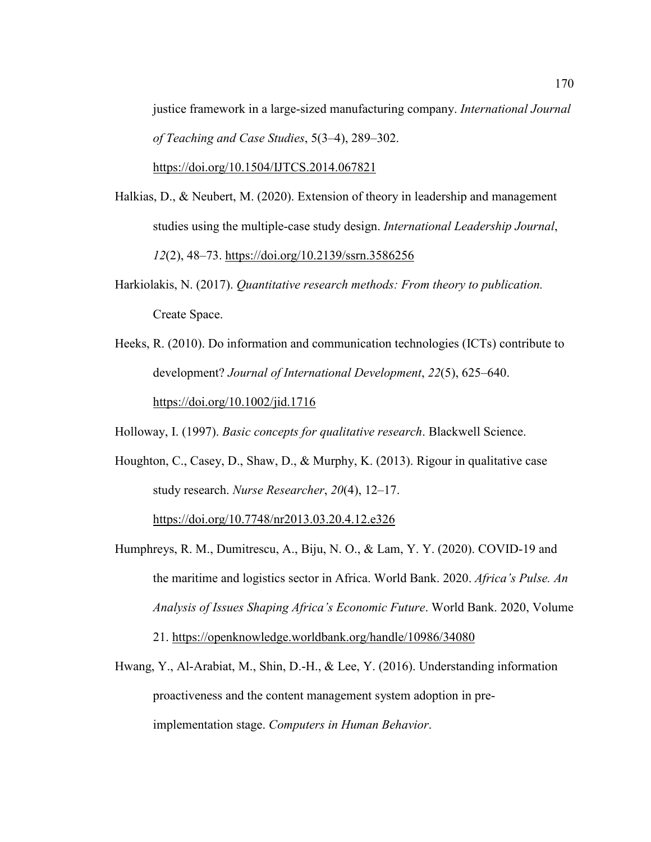justice framework in a large-sized manufacturing company. *International Journal of Teaching and Case Studies*, 5(3–4), 289–302.

https://doi.org/10.1504/IJTCS.2014.067821

- Halkias, D., & Neubert, M. (2020). Extension of theory in leadership and management studies using the multiple-case study design. *International Leadership Journal*, *12*(2), 48–73. https://doi.org/10.2139/ssrn.3586256
- Harkiolakis, N. (2017). *Quantitative research methods: From theory to publication.* Create Space.
- Heeks, R. (2010). Do information and communication technologies (ICTs) contribute to development? *Journal of International Development*, *22*(5), 625–640. https://doi.org/10.1002/jid.1716

Holloway, I. (1997). *Basic concepts for qualitative research*. Blackwell Science.

Houghton, C., Casey, D., Shaw, D., & Murphy, K. (2013). Rigour in qualitative case study research. *Nurse Researcher*, *20*(4), 12–17. https://doi.org/10.7748/nr2013.03.20.4.12.e326

Humphreys, R. M., Dumitrescu, A., Biju, N. O., & Lam, Y. Y. (2020). COVID-19 and the maritime and logistics sector in Africa. World Bank. 2020. *Africa's Pulse. An Analysis of Issues Shaping Africa's Economic Future*. World Bank. 2020, Volume

21. https://openknowledge.worldbank.org/handle/10986/34080

Hwang, Y., Al-Arabiat, M., Shin, D.-H., & Lee, Y. (2016). Understanding information proactiveness and the content management system adoption in preimplementation stage. *Computers in Human Behavior*.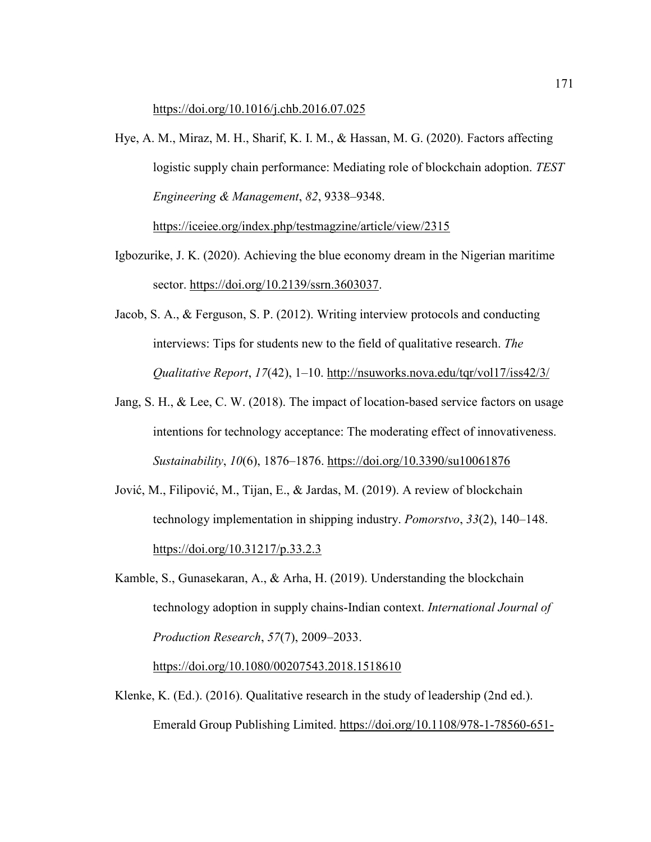https://doi.org/10.1016/j.chb.2016.07.025

- Hye, A. M., Miraz, M. H., Sharif, K. I. M., & Hassan, M. G. (2020). Factors affecting logistic supply chain performance: Mediating role of blockchain adoption. *TEST Engineering & Management*, *82*, 9338–9348. https://iceiee.org/index.php/testmagzine/article/view/2315
- Igbozurike, J. K. (2020). Achieving the blue economy dream in the Nigerian maritime sector. https://doi.org/10.2139/ssrn.3603037.
- Jacob, S. A., & Ferguson, S. P. (2012). Writing interview protocols and conducting interviews: Tips for students new to the field of qualitative research. *The Qualitative Report*, *17*(42), 1–10. http://nsuworks.nova.edu/tqr/vol17/iss42/3/
- Jang, S. H., & Lee, C. W. (2018). The impact of location-based service factors on usage intentions for technology acceptance: The moderating effect of innovativeness. *Sustainability*, *10*(6), 1876–1876. https://doi.org/10.3390/su10061876
- Jović, M., Filipović, M., Tijan, E., & Jardas, M. (2019). A review of blockchain technology implementation in shipping industry. *Pomorstvo*, *33*(2), 140–148. https://doi.org/10.31217/p.33.2.3
- Kamble, S., Gunasekaran, A., & Arha, H. (2019). Understanding the blockchain technology adoption in supply chains-Indian context. *International Journal of Production Research*, *57*(7), 2009–2033.

https://doi.org/10.1080/00207543.2018.1518610

Klenke, K. (Ed.). (2016). Qualitative research in the study of leadership (2nd ed.). Emerald Group Publishing Limited. https://doi.org/10.1108/978-1-78560-651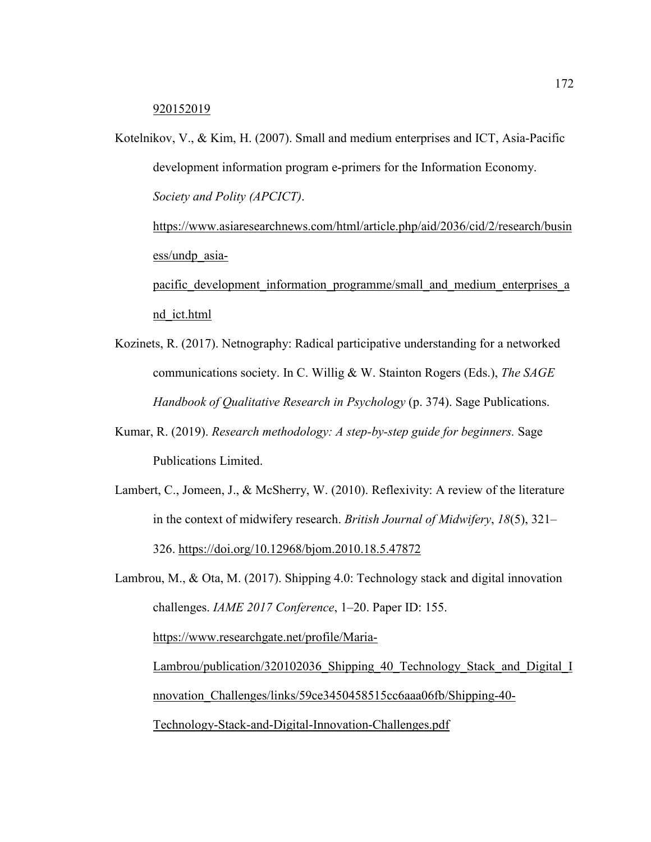920152019

Kotelnikov, V., & Kim, H. (2007). Small and medium enterprises and ICT, Asia-Pacific development information program e-primers for the Information Economy. *Society and Polity (APCICT)*.

https://www.asiaresearchnews.com/html/article.php/aid/2036/cid/2/research/busin ess/undp\_asia-

pacific development information programme/small and medium enterprises a nd\_ict.html

- Kozinets, R. (2017). Netnography: Radical participative understanding for a networked communications society. In C. Willig & W. Stainton Rogers (Eds.), *The SAGE Handbook of Qualitative Research in Psychology* (p. 374). Sage Publications.
- Kumar, R. (2019). *Research methodology: A step-by-step guide for beginners.* Sage Publications Limited.
- Lambert, C., Jomeen, J., & McSherry, W. (2010). Reflexivity: A review of the literature in the context of midwifery research. *British Journal of Midwifery*, *18*(5), 321– 326. https://doi.org/10.12968/bjom.2010.18.5.47872

Lambrou, M., & Ota, M. (2017). Shipping 4.0: Technology stack and digital innovation challenges. *IAME 2017 Conference*, 1–20. Paper ID: 155. https://www.researchgate.net/profile/Maria-Lambrou/publication/320102036 Shipping 40 Technology Stack and Digital I nnovation\_Challenges/links/59ce3450458515cc6aaa06fb/Shipping-40- Technology-Stack-and-Digital-Innovation-Challenges.pdf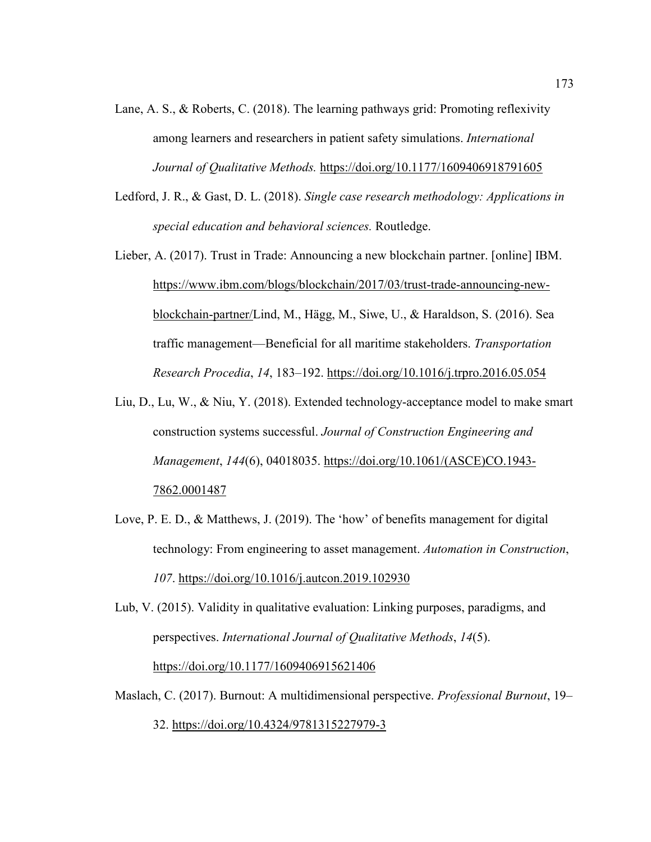- Lane, A. S., & Roberts, C. (2018). The learning pathways grid: Promoting reflexivity among learners and researchers in patient safety simulations. *International Journal of Qualitative Methods.* https://doi.org/10.1177/1609406918791605
- Ledford, J. R., & Gast, D. L. (2018). *Single case research methodology: Applications in special education and behavioral sciences.* Routledge.
- Lieber, A. (2017). Trust in Trade: Announcing a new blockchain partner. [online] IBM. https://www.ibm.com/blogs/blockchain/2017/03/trust-trade-announcing-newblockchain-partner/Lind, M., Hägg, M., Siwe, U., & Haraldson, S. (2016). Sea traffic management—Beneficial for all maritime stakeholders. *Transportation Research Procedia*, *14*, 183–192. https://doi.org/10.1016/j.trpro.2016.05.054
- Liu, D., Lu, W., & Niu, Y. (2018). Extended technology-acceptance model to make smart construction systems successful. *Journal of Construction Engineering and Management*, *144*(6), 04018035. https://doi.org/10.1061/(ASCE)CO.1943- 7862.0001487
- Love, P. E. D., & Matthews, J. (2019). The 'how' of benefits management for digital technology: From engineering to asset management. *Automation in Construction*, *107*. https://doi.org/10.1016/j.autcon.2019.102930
- Lub, V. (2015). Validity in qualitative evaluation: Linking purposes, paradigms, and perspectives. *International Journal of Qualitative Methods*, *14*(5). https://doi.org/10.1177/1609406915621406
- Maslach, C. (2017). Burnout: A multidimensional perspective. *Professional Burnout*, 19–

32. https://doi.org/10.4324/9781315227979-3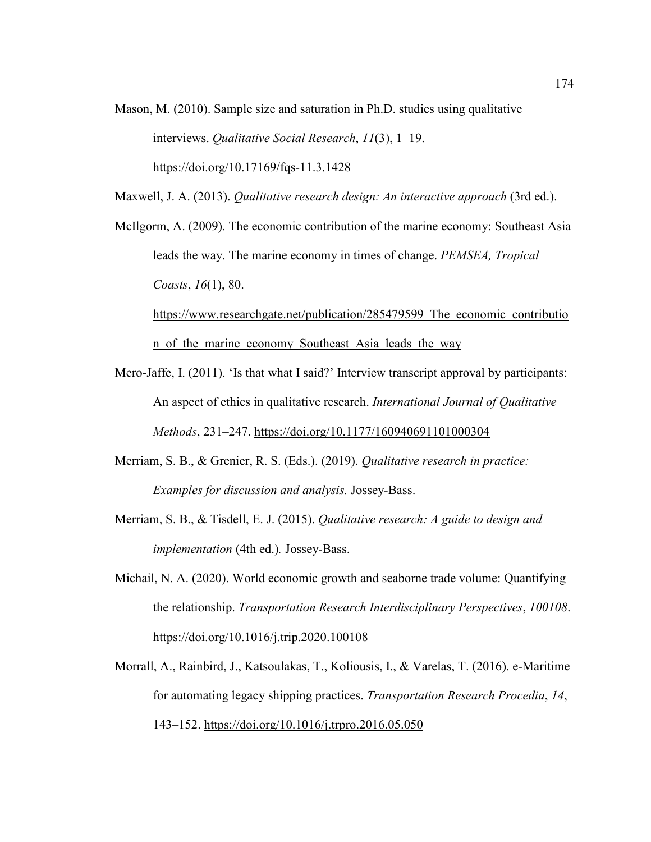Mason, M. (2010). Sample size and saturation in Ph.D. studies using qualitative interviews. *Qualitative Social Research*, *11*(3), 1–19. https://doi.org/10.17169/fqs-11.3.1428

Maxwell, J. A. (2013). *Qualitative research design: An interactive approach* (3rd ed.).

McIlgorm, A. (2009). The economic contribution of the marine economy: Southeast Asia leads the way. The marine economy in times of change. *PEMSEA, Tropical Coasts*, *16*(1), 80.

https://www.researchgate.net/publication/285479599 The economic contributio n\_of\_the\_marine\_economy\_Southeast\_Asia\_leads\_the\_way

- Mero-Jaffe, I. (2011). 'Is that what I said?' Interview transcript approval by participants: An aspect of ethics in qualitative research. *International Journal of Qualitative Methods*, 231–247. https://doi.org/10.1177/160940691101000304
- Merriam, S. B., & Grenier, R. S. (Eds.). (2019). *Qualitative research in practice: Examples for discussion and analysis.* Jossey-Bass.
- Merriam, S. B., & Tisdell, E. J. (2015). *Qualitative research: A guide to design and implementation* (4th ed.)*.* Jossey-Bass.
- Michail, N. A. (2020). World economic growth and seaborne trade volume: Quantifying the relationship. *Transportation Research Interdisciplinary Perspectives*, *100108*. https://doi.org/10.1016/j.trip.2020.100108
- Morrall, A., Rainbird, J., Katsoulakas, T., Koliousis, I., & Varelas, T. (2016). e-Maritime for automating legacy shipping practices. *Transportation Research Procedia*, *14*, 143–152. https://doi.org/10.1016/j.trpro.2016.05.050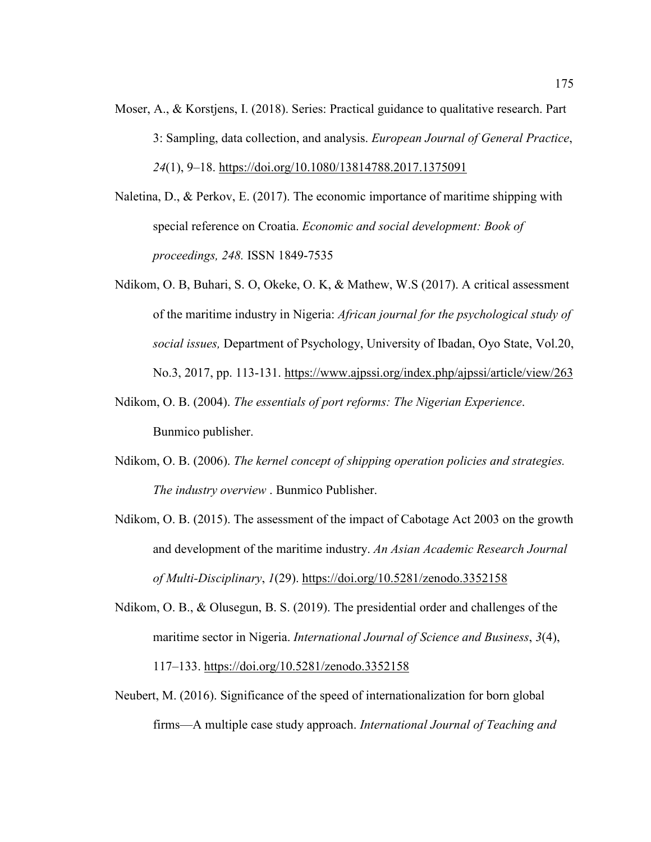Moser, A., & Korstjens, I. (2018). Series: Practical guidance to qualitative research. Part 3: Sampling, data collection, and analysis. *European Journal of General Practice*, *24*(1), 9–18. https://doi.org/10.1080/13814788.2017.1375091

Naletina, D., & Perkov, E. (2017). The economic importance of maritime shipping with special reference on Croatia. *Economic and social development: Book of proceedings, 248.* ISSN 1849-7535

- Ndikom, O. B, Buhari, S. O, Okeke, O. K, & Mathew, W.S (2017). A critical assessment of the maritime industry in Nigeria: *African journal for the psychological study of social issues,* Department of Psychology, University of Ibadan, Oyo State, Vol.20, No.3, 2017, pp. 113-131. https://www.ajpssi.org/index.php/ajpssi/article/view/263
- Ndikom, O. B. (2004). *The essentials of port reforms: The Nigerian Experience*. Bunmico publisher.
- Ndikom, O. B. (2006). *The kernel concept of shipping operation policies and strategies. The industry overview* . Bunmico Publisher.
- Ndikom, O. B. (2015). The assessment of the impact of Cabotage Act 2003 on the growth and development of the maritime industry. *An Asian Academic Research Journal of Multi-Disciplinary*, *1*(29). https://doi.org/10.5281/zenodo.3352158
- Ndikom, O. B., & Olusegun, B. S. (2019). The presidential order and challenges of the maritime sector in Nigeria. *International Journal of Science and Business*, *3*(4), 117–133. https://doi.org/10.5281/zenodo.3352158
- Neubert, M. (2016). Significance of the speed of internationalization for born global firms—A multiple case study approach. *International Journal of Teaching and*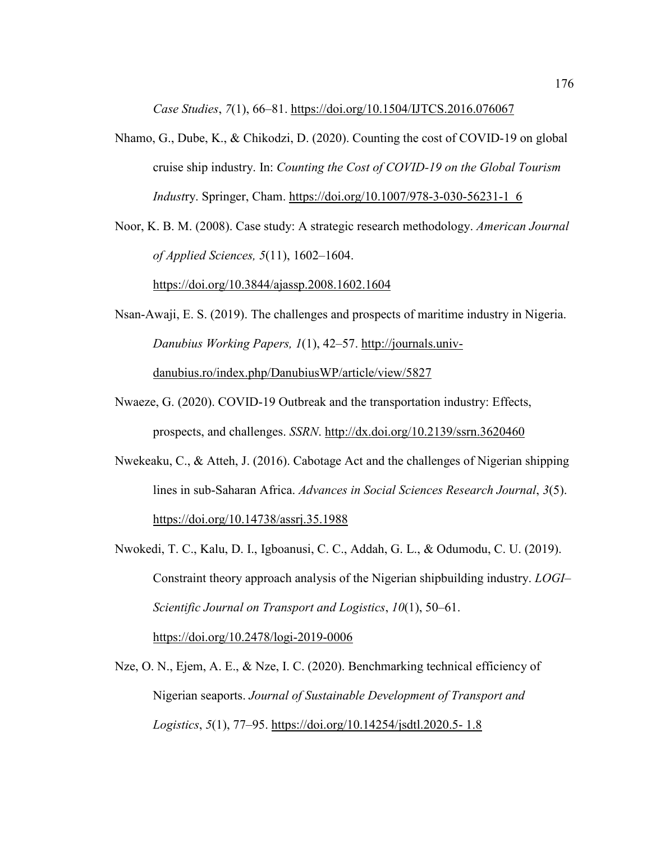*Case Studies*, *7*(1), 66–81. https://doi.org/10.1504/IJTCS.2016.076067

Nhamo, G., Dube, K., & Chikodzi, D. (2020). Counting the cost of COVID-19 on global cruise ship industry. In: *Counting the Cost of COVID-19 on the Global Tourism Indust*ry. Springer, Cham. https://doi.org/10.1007/978-3-030-56231-1\_6

Noor, K. B. M. (2008). Case study: A strategic research methodology. *American Journal of Applied Sciences, 5*(11), 1602–1604.

https://doi.org/10.3844/ajassp.2008.1602.1604

- Nsan-Awaji, E. S. (2019). The challenges and prospects of maritime industry in Nigeria. *Danubius Working Papers, 1*(1), 42–57. http://journals.univdanubius.ro/index.php/DanubiusWP/article/view/5827
- Nwaeze, G. (2020). COVID-19 Outbreak and the transportation industry: Effects, prospects, and challenges. *SSRN*. http://dx.doi.org/10.2139/ssrn.3620460
- Nwekeaku, C., & Atteh, J. (2016). Cabotage Act and the challenges of Nigerian shipping lines in sub-Saharan Africa. *Advances in Social Sciences Research Journal*, *3*(5). https://doi.org/10.14738/assrj.35.1988
- Nwokedi, T. C., Kalu, D. I., Igboanusi, C. C., Addah, G. L., & Odumodu, C. U. (2019). Constraint theory approach analysis of the Nigerian shipbuilding industry. *LOGI– Scientific Journal on Transport and Logistics*, *10*(1), 50–61.

https://doi.org/10.2478/logi-2019-0006

Nze, O. N., Ejem, A. E., & Nze, I. C. (2020). Benchmarking technical efficiency of Nigerian seaports. *Journal of Sustainable Development of Transport and Logistics*, *5*(1), 77–95. https://doi.org/10.14254/jsdtl.2020.5- 1.8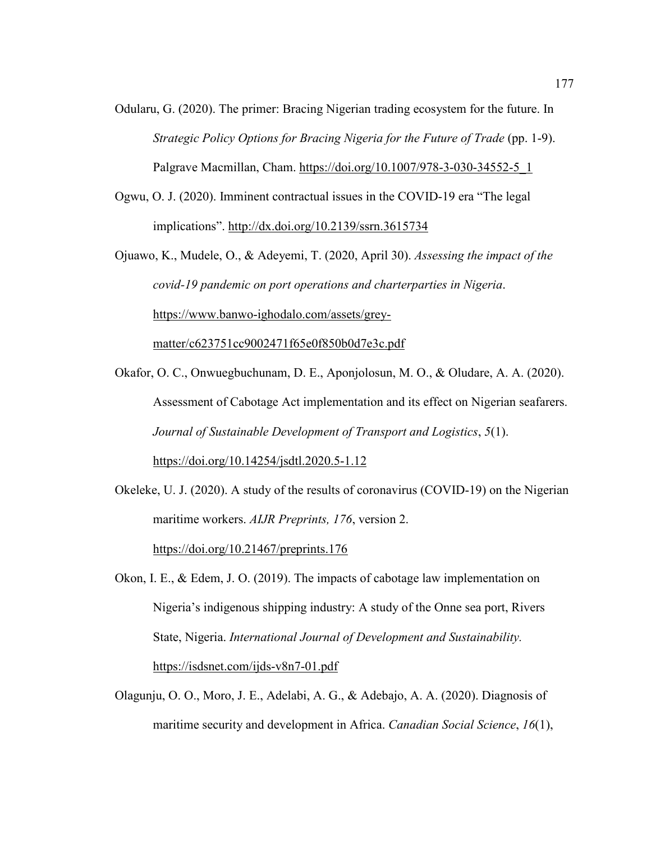- Odularu, G. (2020). The primer: Bracing Nigerian trading ecosystem for the future. In *Strategic Policy Options for Bracing Nigeria for the Future of Trade* (pp. 1-9). Palgrave Macmillan, Cham. https://doi.org/10.1007/978-3-030-34552-5\_1
- Ogwu, O. J. (2020). Imminent contractual issues in the COVID-19 era "The legal implications". http://dx.doi.org/10.2139/ssrn.3615734

Ojuawo, K., Mudele, O., & Adeyemi, T. (2020, April 30). *Assessing the impact of the covid-19 pandemic on port operations and charterparties in Nigeria*. https://www.banwo-ighodalo.com/assets/greymatter/c623751cc9002471f65e0f850b0d7e3c.pdf

Okafor, O. C., Onwuegbuchunam, D. E., Aponjolosun, M. O., & Oludare, A. A. (2020). Assessment of Cabotage Act implementation and its effect on Nigerian seafarers. *Journal of Sustainable Development of Transport and Logistics*, *5*(1). https://doi.org/10.14254/jsdtl.2020.5-1.12

Okeleke, U. J. (2020). A study of the results of coronavirus (COVID-19) on the Nigerian maritime workers. *AIJR Preprints, 176*, version 2. https://doi.org/10.21467/preprints.176

Okon, I. E., & Edem, J. O. (2019). The impacts of cabotage law implementation on Nigeria's indigenous shipping industry: A study of the Onne sea port, Rivers State, Nigeria. *International Journal of Development and Sustainability.*  https://isdsnet.com/ijds-v8n7-01.pdf

Olagunju, O. O., Moro, J. E., Adelabi, A. G., & Adebajo, A. A. (2020). Diagnosis of maritime security and development in Africa. *Canadian Social Science*, *16*(1),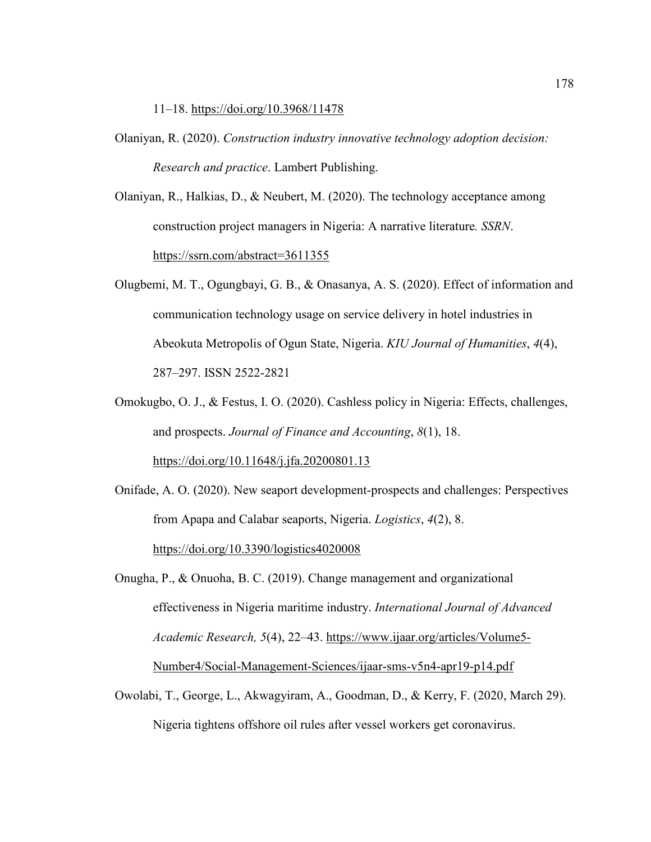11–18. https://doi.org/10.3968/11478

- Olaniyan, R. (2020). *Construction industry innovative technology adoption decision: Research and practice*. Lambert Publishing.
- Olaniyan, R., Halkias, D., & Neubert, M. (2020). The technology acceptance among construction project managers in Nigeria: A narrative literature*. SSRN*. https://ssrn.com/abstract=3611355
- Olugbemi, M. T., Ogungbayi, G. B., & Onasanya, A. S. (2020). Effect of information and communication technology usage on service delivery in hotel industries in Abeokuta Metropolis of Ogun State, Nigeria. *KIU Journal of Humanities*, *4*(4), 287–297. ISSN 2522-2821
- Omokugbo, O. J., & Festus, I. O. (2020). Cashless policy in Nigeria: Effects, challenges, and prospects. *Journal of Finance and Accounting*, *8*(1), 18. https://doi.org/10.11648/j.jfa.20200801.13
- Onifade, A. O. (2020). New seaport development-prospects and challenges: Perspectives from Apapa and Calabar seaports, Nigeria. *Logistics*, *4*(2), 8. https://doi.org/10.3390/logistics4020008
- Onugha, P., & Onuoha, B. C. (2019). Change management and organizational effectiveness in Nigeria maritime industry. *International Journal of Advanced Academic Research, 5*(4), 22–43. https://www.ijaar.org/articles/Volume5- Number4/Social-Management-Sciences/ijaar-sms-v5n4-apr19-p14.pdf
- Owolabi, T., George, L., Akwagyiram, A., Goodman, D., & Kerry, F. (2020, March 29). Nigeria tightens offshore oil rules after vessel workers get coronavirus.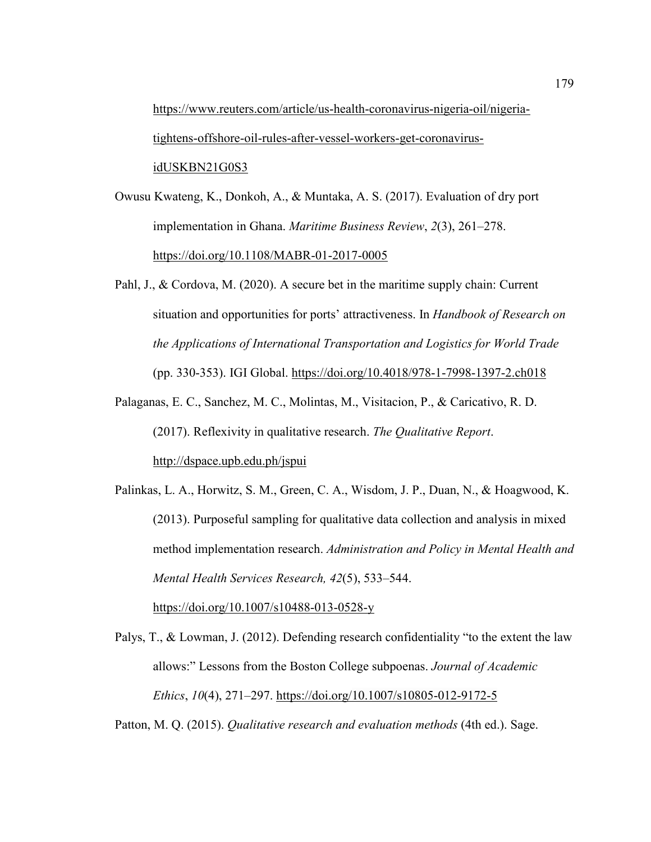https://www.reuters.com/article/us-health-coronavirus-nigeria-oil/nigeriatightens-offshore-oil-rules-after-vessel-workers-get-coronavirusidUSKBN21G0S3

Owusu Kwateng, K., Donkoh, A., & Muntaka, A. S. (2017). Evaluation of dry port implementation in Ghana. *Maritime Business Review*, *2*(3), 261–278. https://doi.org/10.1108/MABR-01-2017-0005

- Pahl, J., & Cordova, M. (2020). A secure bet in the maritime supply chain: Current situation and opportunities for ports' attractiveness. In *Handbook of Research on the Applications of International Transportation and Logistics for World Trade* (pp. 330-353). IGI Global. https://doi.org/10.4018/978-1-7998-1397-2.ch018
- Palaganas, E. C., Sanchez, M. C., Molintas, M., Visitacion, P., & Caricativo, R. D. (2017). Reflexivity in qualitative research. *The Qualitative Report*. http://dspace.upb.edu.ph/jspui
- Palinkas, L. A., Horwitz, S. M., Green, C. A., Wisdom, J. P., Duan, N., & Hoagwood, K. (2013). Purposeful sampling for qualitative data collection and analysis in mixed method implementation research. *Administration and Policy in Mental Health and Mental Health Services Research, 42*(5), 533–544. https://doi.org/10.1007/s10488-013-0528-y

Palys, T., & Lowman, J. (2012). Defending research confidentiality "to the extent the law allows:" Lessons from the Boston College subpoenas. *Journal of Academic Ethics*, *10*(4), 271–297. https://doi.org/10.1007/s10805-012-9172-5

Patton, M. Q. (2015). *Qualitative research and evaluation methods* (4th ed.). Sage.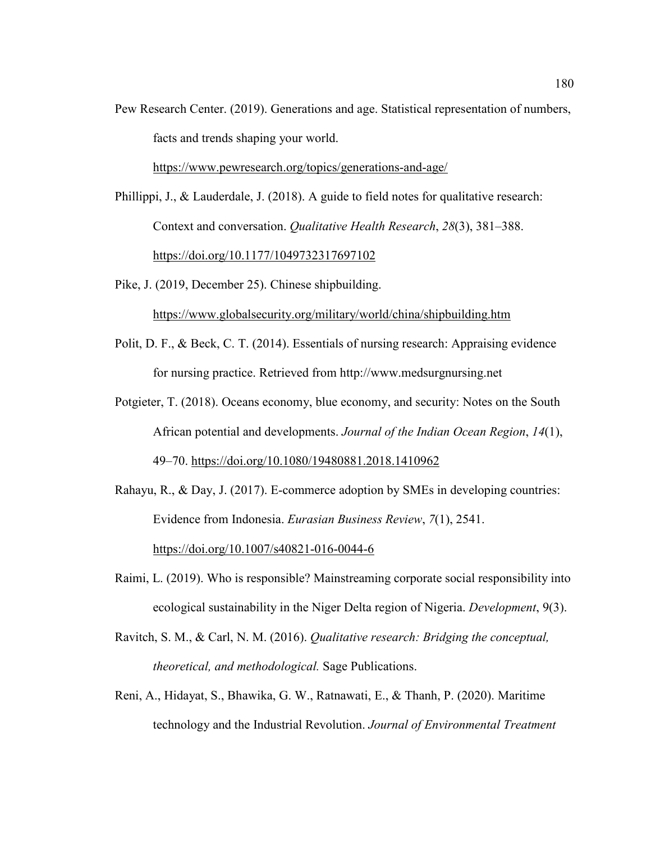Pew Research Center. (2019). Generations and age. Statistical representation of numbers, facts and trends shaping your world.

https://www.pewresearch.org/topics/generations-and-age/

Phillippi, J., & Lauderdale, J. (2018). A guide to field notes for qualitative research: Context and conversation. *Qualitative Health Research*, *28*(3), 381–388. https://doi.org/10.1177/1049732317697102

Pike, J. (2019, December 25). Chinese shipbuilding.

https://www.globalsecurity.org/military/world/china/shipbuilding.htm

- Polit, D. F., & Beck, C. T. (2014). Essentials of nursing research: Appraising evidence for nursing practice. Retrieved from http://www.medsurgnursing.net
- Potgieter, T. (2018). Oceans economy, blue economy, and security: Notes on the South African potential and developments. *Journal of the Indian Ocean Region*, *14*(1), 49–70. https://doi.org/10.1080/19480881.2018.1410962
- Rahayu, R., & Day, J. (2017). E-commerce adoption by SMEs in developing countries: Evidence from Indonesia. *Eurasian Business Review*, *7*(1), 2541. https://doi.org/10.1007/s40821-016-0044-6
- Raimi, L. (2019). Who is responsible? Mainstreaming corporate social responsibility into ecological sustainability in the Niger Delta region of Nigeria. *Development*, 9(3).
- Ravitch, S. M., & Carl, N. M. (2016). *Qualitative research: Bridging the conceptual, theoretical, and methodological.* Sage Publications.
- Reni, A., Hidayat, S., Bhawika, G. W., Ratnawati, E., & Thanh, P. (2020). Maritime technology and the Industrial Revolution. *Journal of Environmental Treatment*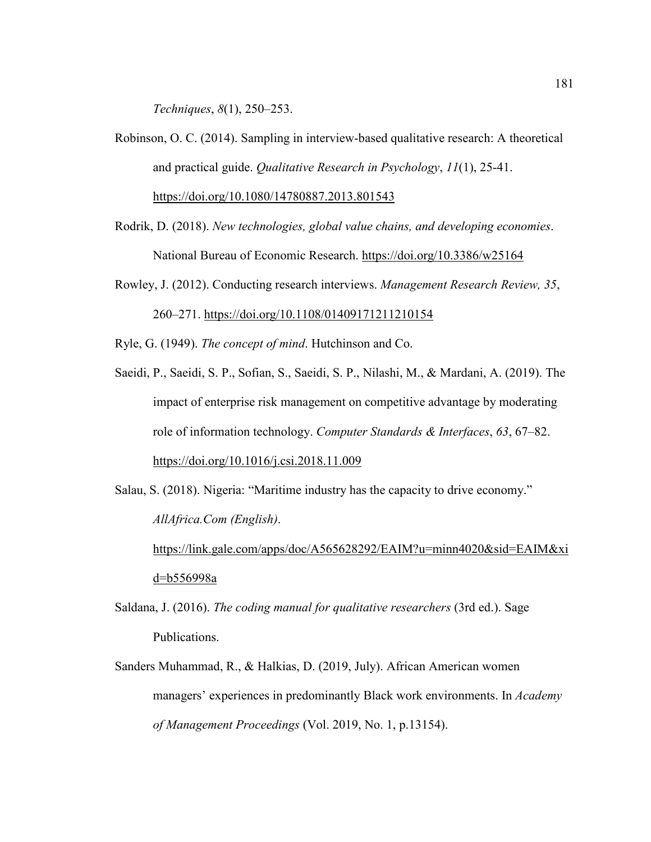*Techniques*, *8*(1), 250–253.

- Robinson, O. C. (2014). Sampling in interview-based qualitative research: A theoretical and practical guide. *Qualitative Research in Psychology*, *11*(1), 25-41. https://doi.org/10.1080/14780887.2013.801543
- Rodrik, D. (2018). *New technologies, global value chains, and developing economies*. National Bureau of Economic Research. https://doi.org/10.3386/w25164
- Rowley, J. (2012). Conducting research interviews. *Management Research Review, 35*, 260–271. https://doi.org/10.1108/01409171211210154

Ryle, G. (1949). *The concept of mind*. Hutchinson and Co.

- Saeidi, P., Saeidi, S. P., Sofian, S., Saeidi, S. P., Nilashi, M., & Mardani, A. (2019). The impact of enterprise risk management on competitive advantage by moderating role of information technology. *Computer Standards & Interfaces*, *63*, 67–82. https://doi.org/10.1016/j.csi.2018.11.009
- Salau, S. (2018). Nigeria: "Maritime industry has the capacity to drive economy." *AllAfrica.Com (English)*. https://link.gale.com/apps/doc/A565628292/EAIM?u=minn4020&sid=EAIM&xi d=b556998a
- Saldana, J. (2016). *The coding manual for qualitative researchers* (3rd ed.). Sage Publications.
- Sanders Muhammad, R., & Halkias, D. (2019, July). African American women managers' experiences in predominantly Black work environments. In *Academy of Management Proceedings* (Vol. 2019, No. 1, p.13154).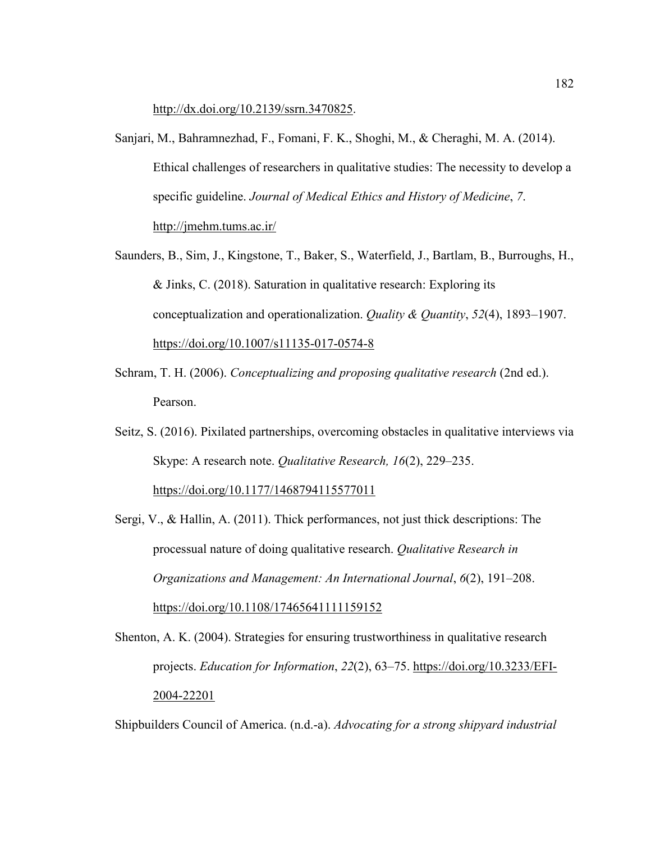http://dx.doi.org/10.2139/ssrn.3470825.

- Sanjari, M., Bahramnezhad, F., Fomani, F. K., Shoghi, M., & Cheraghi, M. A. (2014). Ethical challenges of researchers in qualitative studies: The necessity to develop a specific guideline. *Journal of Medical Ethics and History of Medicine*, *7*. http://jmehm.tums.ac.ir/
- Saunders, B., Sim, J., Kingstone, T., Baker, S., Waterfield, J., Bartlam, B., Burroughs, H., & Jinks, C. (2018). Saturation in qualitative research: Exploring its conceptualization and operationalization. *Quality & Quantity*, *52*(4), 1893–1907. https://doi.org/10.1007/s11135-017-0574-8
- Schram, T. H. (2006). *Conceptualizing and proposing qualitative research* (2nd ed.). Pearson.
- Seitz, S. (2016). Pixilated partnerships, overcoming obstacles in qualitative interviews via Skype: A research note. *Qualitative Research, 16*(2), 229–235. https://doi.org/10.1177/1468794115577011
- Sergi, V., & Hallin, A. (2011). Thick performances, not just thick descriptions: The processual nature of doing qualitative research. *Qualitative Research in Organizations and Management: An International Journal*, *6*(2), 191–208. https://doi.org/10.1108/17465641111159152
- Shenton, A. K. (2004). Strategies for ensuring trustworthiness in qualitative research projects. *Education for Information*, *22*(2), 63–75. https://doi.org/10.3233/EFI-2004-22201

Shipbuilders Council of America. (n.d.-a). *Advocating for a strong shipyard industrial*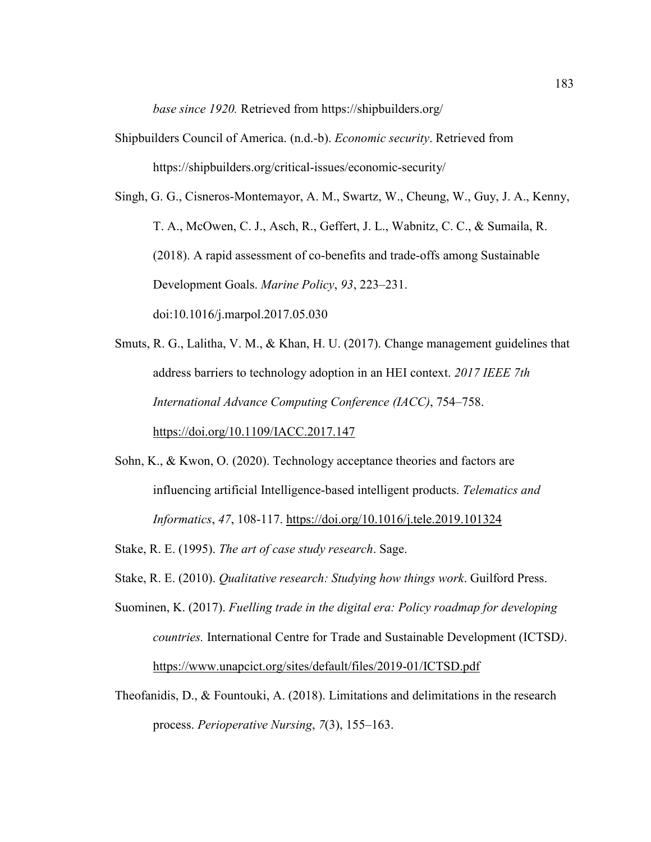*base since 1920.* Retrieved from https://shipbuilders.org/

- Shipbuilders Council of America. (n.d.-b). *Economic security*. Retrieved from https://shipbuilders.org/critical-issues/economic-security/
- Singh, G. G., Cisneros-Montemayor, A. M., Swartz, W., Cheung, W., Guy, J. A., Kenny, T. A., McOwen, C. J., Asch, R., Geffert, J. L., Wabnitz, C. C., & Sumaila, R. (2018). A rapid assessment of co-benefits and trade-offs among Sustainable Development Goals. *Marine Policy*, *93*, 223–231. doi:10.1016/j.marpol.2017.05.030
- Smuts, R. G., Lalitha, V. M., & Khan, H. U. (2017). Change management guidelines that address barriers to technology adoption in an HEI context. *2017 IEEE 7th International Advance Computing Conference (IACC)*, 754–758. https://doi.org/10.1109/IACC.2017.147
- Sohn, K., & Kwon, O. (2020). Technology acceptance theories and factors are influencing artificial Intelligence-based intelligent products. *Telematics and Informatics*, *47*, 108-117. https://doi.org/10.1016/j.tele.2019.101324
- Stake, R. E. (1995). *The art of case study research*. Sage.
- Stake, R. E. (2010). *Qualitative research: Studying how things work*. Guilford Press.
- Suominen, K. (2017). *Fuelling trade in the digital era: Policy roadmap for developing countries.* International Centre for Trade and Sustainable Development (ICTSD*)*. https://www.unapcict.org/sites/default/files/2019-01/ICTSD.pdf
- Theofanidis, D., & Fountouki, A. (2018). Limitations and delimitations in the research process. *Perioperative Nursing*, *7*(3), 155–163.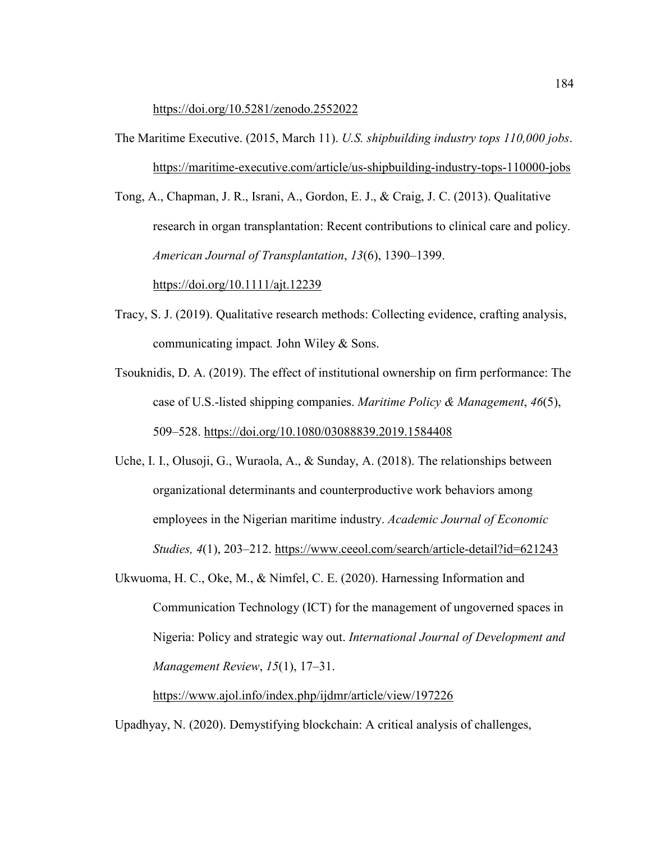#### https://doi.org/10.5281/zenodo.2552022

The Maritime Executive. (2015, March 11). *U.S. shipbuilding industry tops 110,000 jobs*. https://maritime-executive.com/article/us-shipbuilding-industry-tops-110000-jobs

Tong, A., Chapman, J. R., Israni, A., Gordon, E. J., & Craig, J. C. (2013). Qualitative research in organ transplantation: Recent contributions to clinical care and policy. *American Journal of Transplantation*, *13*(6), 1390–1399.

https://doi.org/10.1111/ajt.12239

- Tracy, S. J. (2019). Qualitative research methods: Collecting evidence, crafting analysis, communicating impact*.* John Wiley & Sons.
- Tsouknidis, D. A. (2019). The effect of institutional ownership on firm performance: The case of U.S.-listed shipping companies. *Maritime Policy & Management*, *46*(5), 509–528. https://doi.org/10.1080/03088839.2019.1584408
- Uche, I. I., Olusoji, G., Wuraola, A., & Sunday, A. (2018). The relationships between organizational determinants and counterproductive work behaviors among employees in the Nigerian maritime industry. *Academic Journal of Economic Studies, 4*(1), 203–212. https://www.ceeol.com/search/article-detail?id=621243
- Ukwuoma, H. C., Oke, M., & Nimfel, C. E. (2020). Harnessing Information and Communication Technology (ICT) for the management of ungoverned spaces in Nigeria: Policy and strategic way out. *International Journal of Development and Management Review*, *15*(1), 17–31.

https://www.ajol.info/index.php/ijdmr/article/view/197226

Upadhyay, N. (2020). Demystifying blockchain: A critical analysis of challenges,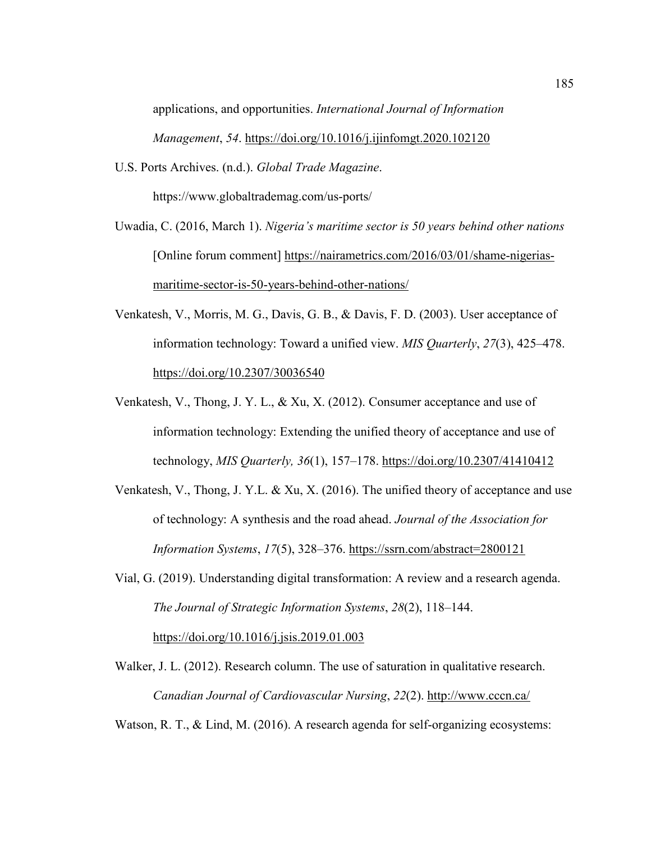applications, and opportunities. *International Journal of Information Management*, *54*. https://doi.org/10.1016/j.ijinfomgt.2020.102120

U.S. Ports Archives. (n.d.). *Global Trade Magazine*.

https://www.globaltrademag.com/us-ports/

- Uwadia, C. (2016, March 1). *Nigeria's maritime sector is 50 years behind other nations* [Online forum comment] https://nairametrics.com/2016/03/01/shame-nigeriasmaritime-sector-is-50-years-behind-other-nations/
- Venkatesh, V., Morris, M. G., Davis, G. B., & Davis, F. D. (2003). User acceptance of information technology: Toward a unified view. *MIS Quarterly*, *27*(3), 425–478. https://doi.org/10.2307/30036540
- Venkatesh, V., Thong, J. Y. L., & Xu, X. (2012). Consumer acceptance and use of information technology: Extending the unified theory of acceptance and use of technology, *MIS Quarterly, 36*(1), 157–178. https://doi.org/10.2307/41410412
- Venkatesh, V., Thong, J. Y.L. & Xu, X. (2016). The unified theory of acceptance and use of technology: A synthesis and the road ahead. *Journal of the Association for Information Systems*, *17*(5), 328–376. https://ssrn.com/abstract=2800121
- Vial, G. (2019). Understanding digital transformation: A review and a research agenda. *The Journal of Strategic Information Systems*, *28*(2), 118–144.

https://doi.org/10.1016/j.jsis.2019.01.003

Walker, J. L. (2012). Research column. The use of saturation in qualitative research. *Canadian Journal of Cardiovascular Nursing*, *22*(2). http://www.cccn.ca/

Watson, R. T., & Lind, M. (2016). A research agenda for self-organizing ecosystems: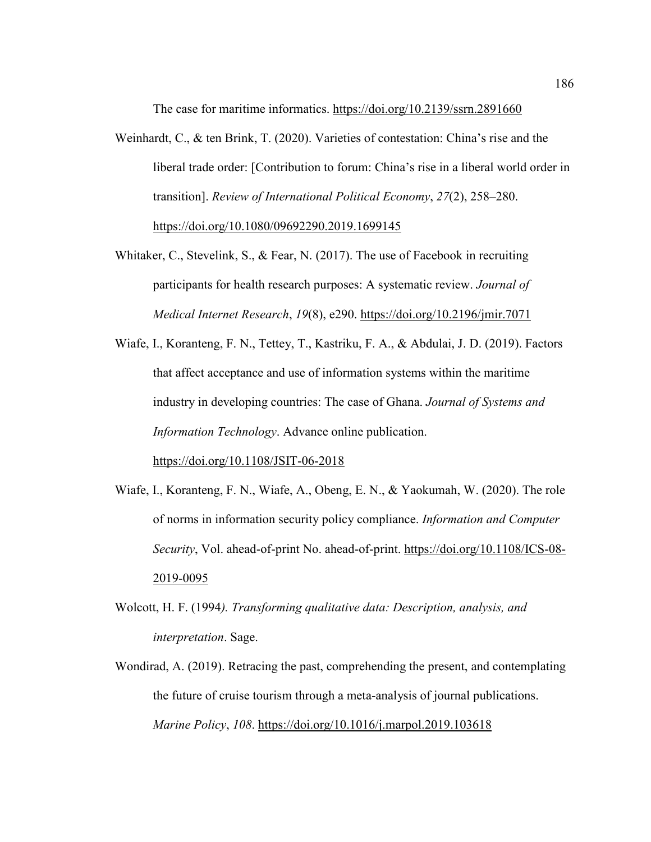The case for maritime informatics. https://doi.org/10.2139/ssrn.2891660

- Weinhardt, C., & ten Brink, T. (2020). Varieties of contestation: China's rise and the liberal trade order: [Contribution to forum: China's rise in a liberal world order in transition]. *Review of International Political Economy*, *27*(2), 258–280. https://doi.org/10.1080/09692290.2019.1699145
- Whitaker, C., Stevelink, S., & Fear, N. (2017). The use of Facebook in recruiting participants for health research purposes: A systematic review. *Journal of Medical Internet Research*, *19*(8), e290. https://doi.org/10.2196/jmir.7071
- Wiafe, I., Koranteng, F. N., Tettey, T., Kastriku, F. A., & Abdulai, J. D. (2019). Factors that affect acceptance and use of information systems within the maritime industry in developing countries: The case of Ghana. *Journal of Systems and Information Technology*. Advance online publication.

https://doi.org/10.1108/JSIT-06-2018

- Wiafe, I., Koranteng, F. N., Wiafe, A., Obeng, E. N., & Yaokumah, W. (2020). The role of norms in information security policy compliance. *Information and Computer Security*, Vol. ahead-of-print No. ahead-of-print. https://doi.org/10.1108/ICS-08- 2019-0095
- Wolcott, H. F. (1994*). Transforming qualitative data: Description, analysis, and interpretation*. Sage.
- Wondirad, A. (2019). Retracing the past, comprehending the present, and contemplating the future of cruise tourism through a meta-analysis of journal publications. *Marine Policy*, *108*. https://doi.org/10.1016/j.marpol.2019.103618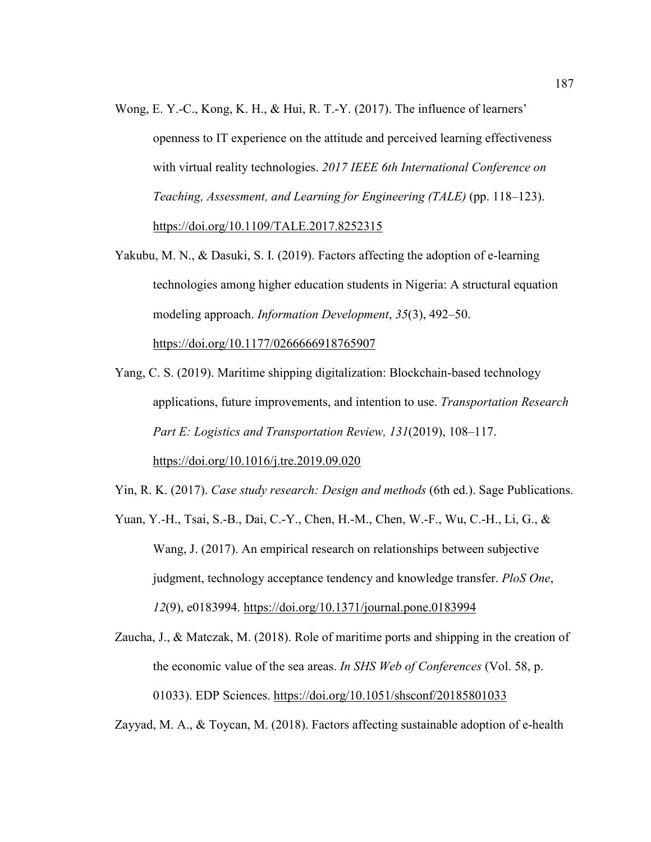- Wong, E. Y.-C., Kong, K. H., & Hui, R. T.-Y. (2017). The influence of learners' openness to IT experience on the attitude and perceived learning effectiveness with virtual reality technologies. *2017 IEEE 6th International Conference on Teaching, Assessment, and Learning for Engineering (TALE)* (pp. 118–123). https://doi.org/10.1109/TALE.2017.8252315
- Yakubu, M. N., & Dasuki, S. I. (2019). Factors affecting the adoption of e-learning technologies among higher education students in Nigeria: A structural equation modeling approach. *Information Development*, *35*(3), 492–50. https://doi.org/10.1177/0266666918765907
- Yang, C. S. (2019). Maritime shipping digitalization: Blockchain-based technology applications, future improvements, and intention to use. *Transportation Research Part E: Logistics and Transportation Review, 131*(2019), 108–117. https://doi.org/10.1016/j.tre.2019.09.020
- Yin, R. K. (2017). *Case study research: Design and methods* (6th ed.). Sage Publications.
- Yuan, Y.-H., Tsai, S.-B., Dai, C.-Y., Chen, H.-M., Chen, W.-F., Wu, C.-H., Li, G., & Wang, J. (2017). An empirical research on relationships between subjective judgment, technology acceptance tendency and knowledge transfer. *PloS One*, *12*(9), e0183994. https://doi.org/10.1371/journal.pone.0183994
- Zaucha, J., & Matczak, M. (2018). Role of maritime ports and shipping in the creation of the economic value of the sea areas. *In SHS Web of Conferences* (Vol. 58, p. 01033). EDP Sciences. https://doi.org/10.1051/shsconf/20185801033

Zayyad, M. A., & Toycan, M. (2018). Factors affecting sustainable adoption of e-health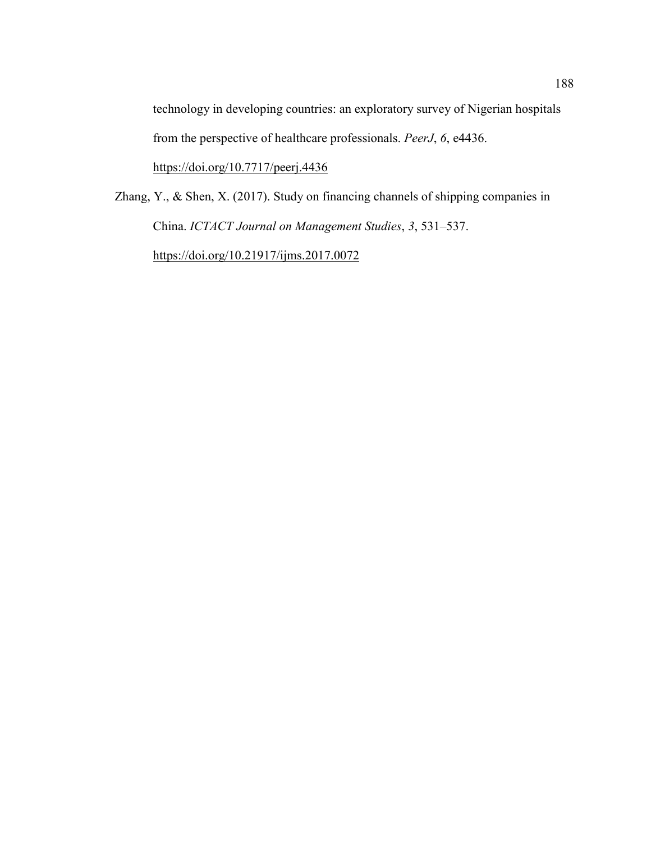technology in developing countries: an exploratory survey of Nigerian hospitals from the perspective of healthcare professionals. *PeerJ*, *6*, e4436.

https://doi.org/10.7717/peerj.4436

Zhang, Y., & Shen, X. (2017). Study on financing channels of shipping companies in China. *ICTACT Journal on Management Studies*, *3*, 531–537. https://doi.org/10.21917/ijms.2017.0072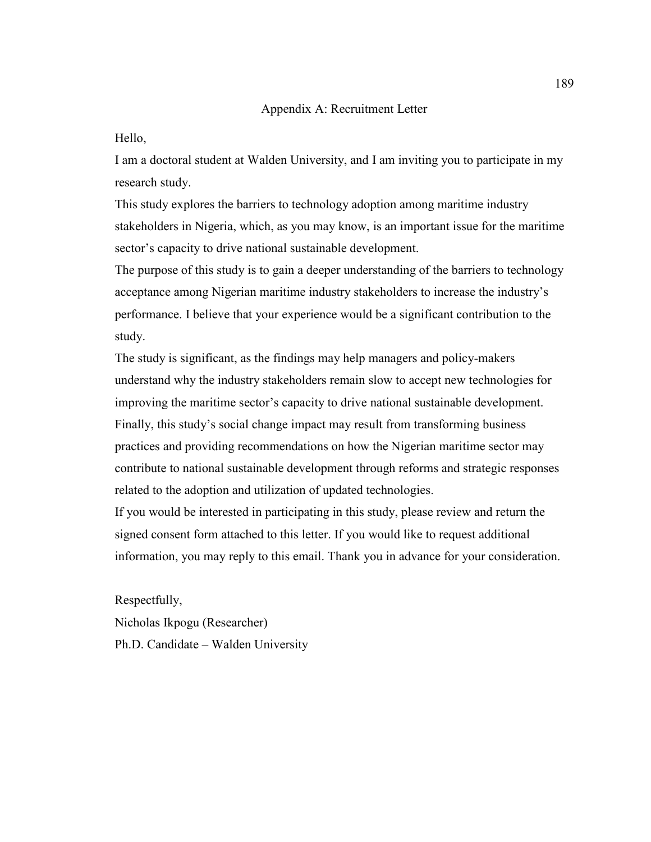### Appendix A: Recruitment Letter

### Hello,

I am a doctoral student at Walden University, and I am inviting you to participate in my research study.

This study explores the barriers to technology adoption among maritime industry stakeholders in Nigeria, which, as you may know, is an important issue for the maritime sector's capacity to drive national sustainable development.

The purpose of this study is to gain a deeper understanding of the barriers to technology acceptance among Nigerian maritime industry stakeholders to increase the industry's performance. I believe that your experience would be a significant contribution to the study.

The study is significant, as the findings may help managers and policy-makers understand why the industry stakeholders remain slow to accept new technologies for improving the maritime sector's capacity to drive national sustainable development. Finally, this study's social change impact may result from transforming business practices and providing recommendations on how the Nigerian maritime sector may contribute to national sustainable development through reforms and strategic responses related to the adoption and utilization of updated technologies.

If you would be interested in participating in this study, please review and return the signed consent form attached to this letter. If you would like to request additional information, you may reply to this email. Thank you in advance for your consideration.

Respectfully,

Nicholas Ikpogu (Researcher) Ph.D. Candidate – Walden University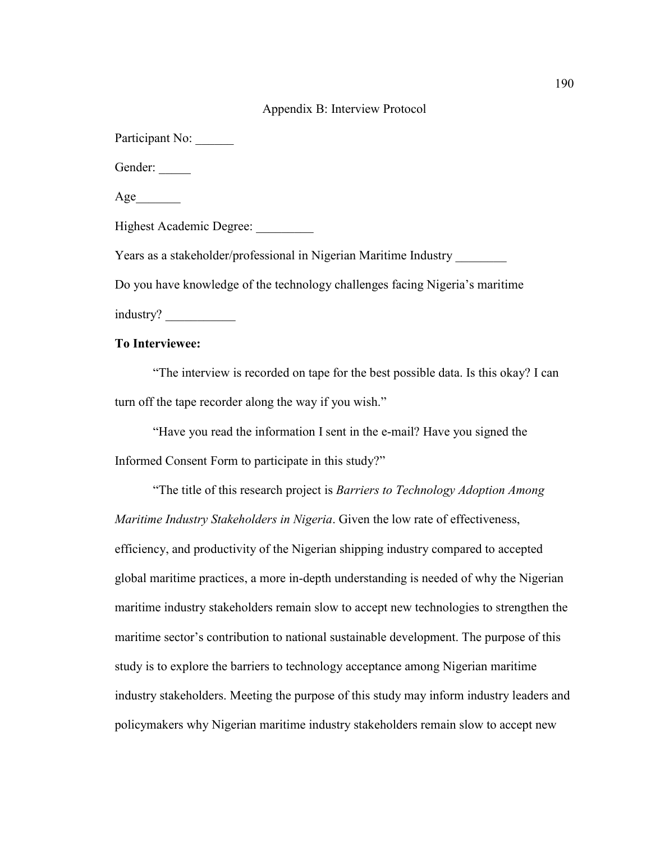### Appendix B: Interview Protocol

Participant No:

Gender:

Age

Highest Academic Degree: \_\_\_\_\_\_\_\_\_

Years as a stakeholder/professional in Nigerian Maritime Industry \_\_\_\_\_\_\_\_

Do you have knowledge of the technology challenges facing Nigeria's maritime

industry? \_\_\_\_\_\_\_\_\_\_\_

## **To Interviewee:**

"The interview is recorded on tape for the best possible data. Is this okay? I can turn off the tape recorder along the way if you wish."

"Have you read the information I sent in the e-mail? Have you signed the Informed Consent Form to participate in this study?"

"The title of this research project is *Barriers to Technology Adoption Among Maritime Industry Stakeholders in Nigeria*. Given the low rate of effectiveness, efficiency, and productivity of the Nigerian shipping industry compared to accepted global maritime practices, a more in-depth understanding is needed of why the Nigerian maritime industry stakeholders remain slow to accept new technologies to strengthen the maritime sector's contribution to national sustainable development. The purpose of this study is to explore the barriers to technology acceptance among Nigerian maritime industry stakeholders. Meeting the purpose of this study may inform industry leaders and policymakers why Nigerian maritime industry stakeholders remain slow to accept new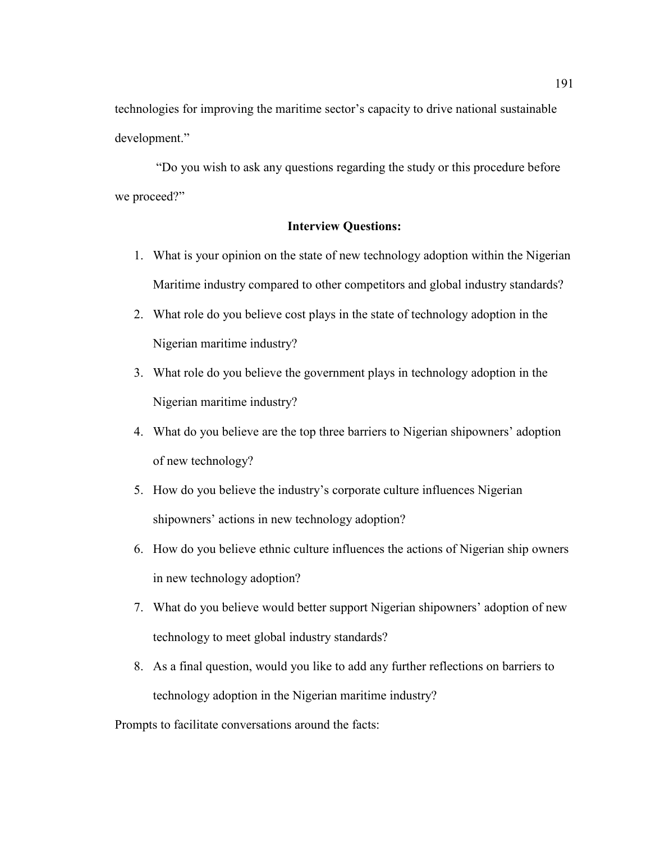technologies for improving the maritime sector's capacity to drive national sustainable development."

 "Do you wish to ask any questions regarding the study or this procedure before we proceed?"

## **Interview Questions:**

- 1. What is your opinion on the state of new technology adoption within the Nigerian Maritime industry compared to other competitors and global industry standards?
- 2. What role do you believe cost plays in the state of technology adoption in the Nigerian maritime industry?
- 3. What role do you believe the government plays in technology adoption in the Nigerian maritime industry?
- 4. What do you believe are the top three barriers to Nigerian shipowners' adoption of new technology?
- 5. How do you believe the industry's corporate culture influences Nigerian shipowners' actions in new technology adoption?
- 6. How do you believe ethnic culture influences the actions of Nigerian ship owners in new technology adoption?
- 7. What do you believe would better support Nigerian shipowners' adoption of new technology to meet global industry standards?
- 8. As a final question, would you like to add any further reflections on barriers to technology adoption in the Nigerian maritime industry?

Prompts to facilitate conversations around the facts: